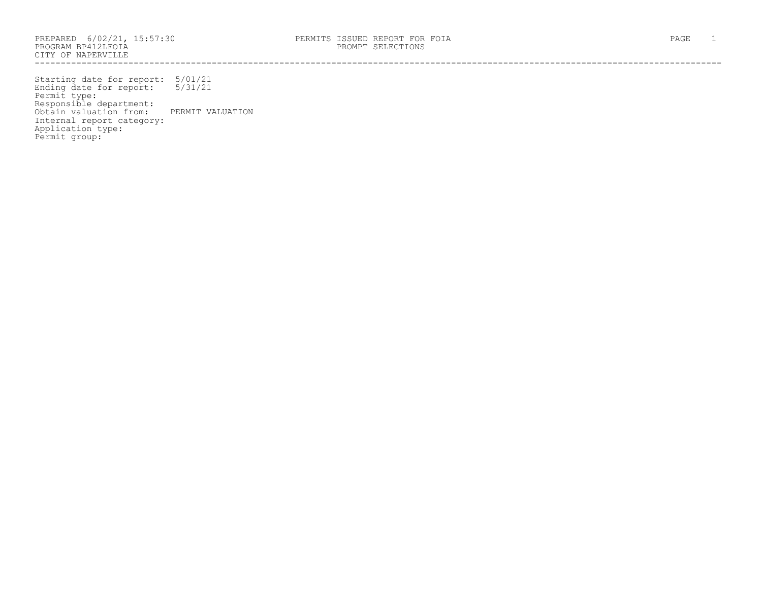PROGRAM BP412LFOIA PROMPT SELECTIONS CITY OF NAPERVILLE ------------------------------------------------------------------------------------------------------------------------------------

Starting date for report: 5/01/21 Ending date for report: 5/31/21 Permit type: Responsible department: Obtain valuation from: PERMIT VALUATION Internal report category: Application type: Permit group: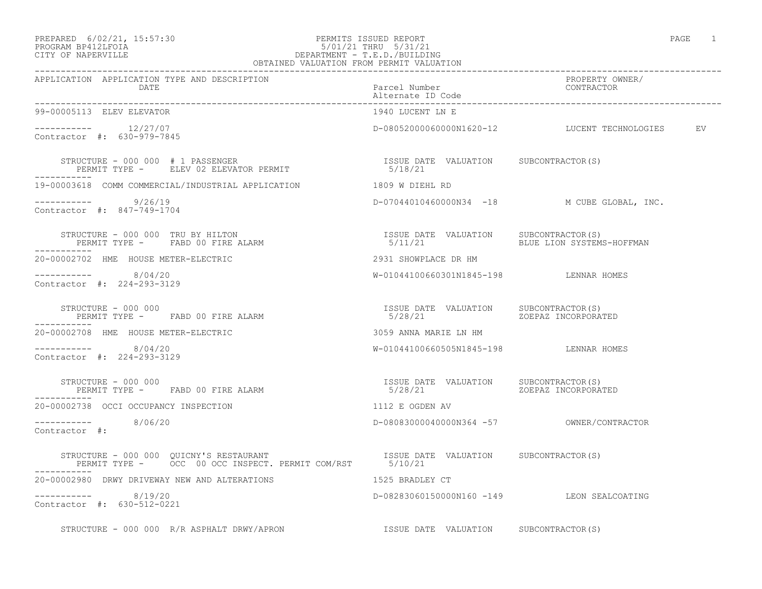## PREPARED 6/02/21, 15:57:30 PERMITS ISSUED REPORT<br>PROGRAM BP412LFOIA PAGE 1 PROGRAM BP412LFOIA 5/01/21 THRU 5/31/21 CITY OF NAPERVILLE CITY OF NAPERVILLE DEPARTMENT - T.E.D./BUILDING

| OBTAINED VALUATION FROM PERMIT VALUATION                                                                                                                                                                                                                                                                                                                                                                                                                                                                                     |                                            |                                                 |  |
|------------------------------------------------------------------------------------------------------------------------------------------------------------------------------------------------------------------------------------------------------------------------------------------------------------------------------------------------------------------------------------------------------------------------------------------------------------------------------------------------------------------------------|--------------------------------------------|-------------------------------------------------|--|
| APPLICATION APPLICATION TYPE AND DESCRIPTION<br>DATE                                                                                                                                                                                                                                                                                                                                                                                                                                                                         | Parcel Number<br>Alternate ID Code         | PROPERTY OWNER/<br>CONTRACTOR                   |  |
| 99-00005113 ELEV ELEVATOR                                                                                                                                                                                                                                                                                                                                                                                                                                                                                                    | 1940 LUCENT LN E                           |                                                 |  |
| $--------- 12/27/07$<br>Contractor #: 630-979-7845                                                                                                                                                                                                                                                                                                                                                                                                                                                                           |                                            | D-08052000060000N1620-12 LUCENT TECHNOLOGIES EV |  |
| STRUCTURE – 000 000 # 1 PASSENGER<br>PERMIT TYPE –    ELEV 02 ELEVATOR PERMIT                            5/18/21                                                                                                                                                                                                                                                                                                                                                                                                             |                                            |                                                 |  |
| 19-00003618 COMM COMMERCIAL/INDUSTRIAL APPLICATION 1809 W DIEHL RD                                                                                                                                                                                                                                                                                                                                                                                                                                                           |                                            |                                                 |  |
| $--------- 9/26/19$<br>Contractor #: 847-749-1704                                                                                                                                                                                                                                                                                                                                                                                                                                                                            |                                            | D-07044010460000N34 -18 M CUBE GLOBAL, INC.     |  |
|                                                                                                                                                                                                                                                                                                                                                                                                                                                                                                                              |                                            | BLUE LION SYSTEMS-HOFFMAN                       |  |
| 20-00002702 HME HOUSE METER-ELECTRIC                                                                                                                                                                                                                                                                                                                                                                                                                                                                                         | 2931 SHOWPLACE DR HM                       |                                                 |  |
| $--------- 8/04/20$<br>Contractor #: 224-293-3129                                                                                                                                                                                                                                                                                                                                                                                                                                                                            | W-01044100660301N1845-198 LENNAR HOMES     |                                                 |  |
|                                                                                                                                                                                                                                                                                                                                                                                                                                                                                                                              |                                            |                                                 |  |
| 20-00002708 HME HOUSE METER-ELECTRIC                                                                                                                                                                                                                                                                                                                                                                                                                                                                                         | 3059 ANNA MARIE LN HM                      |                                                 |  |
| $--------- 8/04/20$<br>Contractor #: 224-293-3129                                                                                                                                                                                                                                                                                                                                                                                                                                                                            | W-01044100660505N1845-198 LENNAR HOMES     |                                                 |  |
| $\begin{tabular}{lcccccc} \multicolumn{2}{c}{3} & \multicolumn{2}{c}{5} & \multicolumn{2}{c}{5} & \multicolumn{2}{c}{5} & \multicolumn{2}{c}{5} & \multicolumn{2}{c}{5} & \multicolumn{2}{c}{5} & \multicolumn{2}{c}{5} & \multicolumn{2}{c}{5} & \multicolumn{2}{c}{5} & \multicolumn{2}{c}{5} & \multicolumn{2}{c}{5} & \multicolumn{2}{c}{5} & \multicolumn{2}{c}{5} & \multicolumn{2}{c}{5} & \multicolumn{2}{c}{5} & \multicolumn{2}{c}{5} & \multicolumn{2$<br>STRUCTURE - 000 000<br>PERMIT TYPE - FABD 00 FIRE ALARM |                                            |                                                 |  |
| 20-00002738 OCCI OCCUPANCY INSPECTION                                                                                                                                                                                                                                                                                                                                                                                                                                                                                        | 1112 E OGDEN AV                            |                                                 |  |
| $--------- 8/06/20$<br>Contractor #:                                                                                                                                                                                                                                                                                                                                                                                                                                                                                         |                                            |                                                 |  |
|                                                                                                                                                                                                                                                                                                                                                                                                                                                                                                                              |                                            |                                                 |  |
| 20-00002980 DRWY DRIVEWAY NEW AND ALTERATIONS                                                                                                                                                                                                                                                                                                                                                                                                                                                                                | 1525 BRADLEY CT                            |                                                 |  |
| $--------- 8/19/20$<br>Contractor #: 630-512-0221                                                                                                                                                                                                                                                                                                                                                                                                                                                                            | D-08283060150000N160 -149 LEON SEALCOATING |                                                 |  |

STRUCTURE - 000 000 R/R ASPHALT DRWY/APRON ISSUE DATE VALUATION SUBCONTRACTOR(S)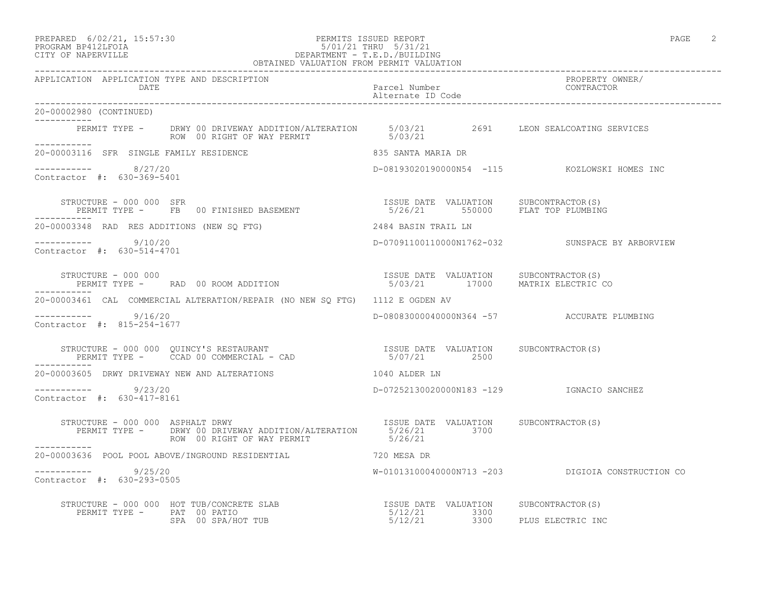### PREPARED 6/02/21, 15:57:30 PERMITS ISSUED REPORT PAGE 2 PROGRAM BP412LFOIA 5/01/21 THRU 5/31/21 CITY OF NAPERVILLE DEPARTMENT - T.E.D./BUILDING OBTAINED VALUATION FROM PERMIT VALUATION

------------------------------------------------------------------------------------------------------------------------------------ APPLICATION APPLICATION TYPE AND DESCRIPTION<br>DATE bated parcel Number property owner/ DATE Parcel Number CONTRACTOR Alternate ID Code ------------------------------------------------------------------------------------------------------------------------------------ 20-00002980 (CONTINUED) ----------- PERMIT TYPE - DRWY 00 DRIVEWAY ADDITION/ALTERATION 5/03/21 2691 LEON SEALCOATING SERVICES ROW 00 RIGHT OF WAY PERMIT 6/03/21 ----------- 20-00003116 SFR SINGLE FAMILY RESIDENCE 835 SANTA MARIA DR  $--------- 8/27/20$ ----------- 8/27/20 D-08193020190000N54 -115 KOZLOWSKI HOMES INC Contractor #: 630-369-5401 STRUCTURE - 000 000 SFR<br>
PERMIT TYPE - FB 00 FINISHED BASEMENT 5/26/21 550000 FLAT TOP PLUMBING PERMIT TYPE - THE 000 FINISHED BASEMENT ----------- 20-00003348 RAD RES ADDITIONS (NEW SQ FTG) 2484 BASIN TRAIL LN ----------- 9/10/20 D-07091100110000N1762-032 SUNSPACE BY ARBORVIEW Contractor #: 630-514-4701 STRUCTURE - 000 000 ISSUE DATE VALUATION SUBCONTRACTOR(S) PERMIT TYPE - RAD 00 ROOM ADDITION 5/03/21 17000 MATRIX ELECTRIC CO ----------- 20-00003461 CAL COMMERCIAL ALTERATION/REPAIR (NO NEW SQ FTG) 1112 E OGDEN AV ----------- 9/16/20 D-08083000040000N364 -57 ACCURATE PLUMBING Contractor #: 815-254-1677 STRUCTURE - 000 000 QUINCY'S RESTAURANT ISSUE DATE VALUATION SUBCONTRACTOR(S) PERMIT TYPE - CCAD 00 COMMERCIAL - CAD  $5/07/21$  2500 ----------- 20-00003605 DRWY DRIVEWAY NEW AND ALTERATIONS 1040 ALDER LN ----------- 9/23/20 D-07252130020000N183 -129 IGNACIO SANCHEZ Contractor #: 630-417-8161 STRUCTURE - 000 000 ASPHALT DRWY ISSUE DATE VALUATION SUBCONTRACTOR(S) PERMIT TYPE - DRWY 00 DRIVEWAY ADDITION/ALTERATION 5/26/21 3700 ROW 00 RIGHT OF WAY PERMIT 6/26/21 ----------- 20-00003636 POOL POOL ABOVE/INGROUND RESIDENTIAL 720 MESA DR \_\_\_\_\_\_\_\_\_\_\_ ----------- 9/25/20 W-01013100040000N713 -203 DIGIOIA CONSTRUCTION CO Contractor #: 630-293-0505 STRUCTURE - 000 000 HOT TUB/CONCRETE SLAB ISSUE DATE VALUATION SUBCONTRACTOR(S)

SPA 00 SPA/HOT TUB  $5/12/21$  3300 PLUS ELECTRIC INC

PERMIT TYPE - PAT 00 PATIO 10 10 10 10 10 12 13 1300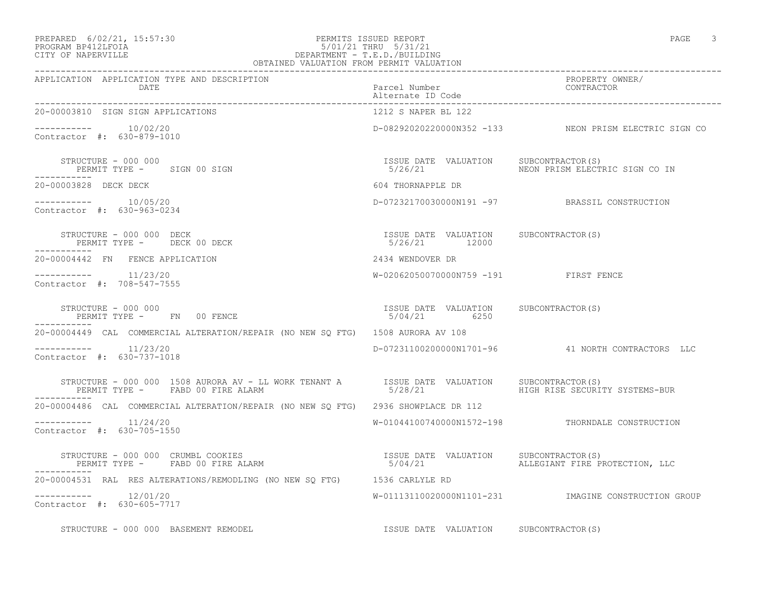### PREPARED 6/02/21, 15:57:30 PERMITS ISSUED REPORT PAGE 3 PROGRAM BP412LFOIA 5/01/21 THRU 5/31/21 CITY OF NAPERVILLE DEPARTMENT - T.E.D./BUILDING OBTAINED VALUATION FROM PERMIT VALUATION<br>OBTAINED VALUATION FROM PERMIT VALUATION

| APPLICATION APPLICATION TYPE AND DESCRIPTION                                                                                                                  |                                                        |                                                       |
|---------------------------------------------------------------------------------------------------------------------------------------------------------------|--------------------------------------------------------|-------------------------------------------------------|
| 20-00003810 SIGN SIGN APPLICATIONS                                                                                                                            | 1212 S NAPER BL 122                                    |                                                       |
| $--------- 10/02/20$<br>Contractor #: 630-879-1010                                                                                                            |                                                        | D-08292020220000N352 -133 NEON PRISM ELECTRIC SIGN CO |
| STRUCTURE - 000 000<br>PERMIT TYPE - SIGN 00 SIGN<br>-----------                                                                                              | ISSUE DATE VALUATION SUBCONTRACTOR(S)                  | 5/26/21 NEON PRISM ELECTRIC SIGN CO IN                |
| 20-00003828 DECK DECK                                                                                                                                         | 604 THORNAPPLE DR                                      |                                                       |
| $--------- 10/05/20$<br>Contractor #: 630-963-0234                                                                                                            |                                                        | D-07232170030000N191 -97 BRASSIL CONSTRUCTION         |
| STRUCTURE - 000 000 DECK<br>PERMIT TYPE - DECK 00 DECK                                                                                                        | ISSUE DATE VALUATION SUBCONTRACTOR(S)<br>5/26/21 12000 |                                                       |
| 20-00004442 FN FENCE APPLICATION                                                                                                                              | 2434 WENDOVER DR                                       |                                                       |
| $--------- 11/23/20$<br>Contractor #: 708-547-7555                                                                                                            | W-02062050070000N759 -191 FIRST FENCE                  |                                                       |
| STRUCTURE - 000 000<br>STRUCTURE - 000 000<br>PERMIT TYPE -      FN    00 FENCE                                                                               | ISSUE DATE VALUATION SUBCONTRACTOR (S)<br>5/04/21 6250 |                                                       |
| 20-00004449 CAL COMMERCIAL ALTERATION/REPAIR (NO NEW SO FTG) 1508 AURORA AV 108                                                                               |                                                        |                                                       |
| $--------- 11/23/20$<br>Contractor #: 630-737-1018                                                                                                            |                                                        | D-07231100200000N1701-96 41 NORTH CONTRACTORS LLC     |
| STRUCTURE - 000 000 1508 AURORA AV - LL WORK TENANT A SISSUE DATE VALUATION SUBCONTRACTOR(S)<br>PERMIT TYPE - FABD 00 FIRE ALARM                              | 5/28/21                                                | HIGH RISE SECURITY SYSTEMS-BUR                        |
| 20-00004486 CAL COMMERCIAL ALTERATION/REPAIR (NO NEW SO FTG) 2936 SHOWPLACE DR 112                                                                            |                                                        |                                                       |
| $--------- 11/24/20$<br>Contractor #: 630-705-1550                                                                                                            |                                                        | W-01044100740000N1572-198 THORNDALE CONSTRUCTION      |
| STRUCTURE - 000 000 CRUMBL COOKIES<br>PERMIT TYPE - FABD 00 FIRE ALARM                                  5/04/21                ALLEGIANT FIRE PROTECTION, LLC |                                                        |                                                       |
| 20-00004531 RAL RES ALTERATIONS/REMODLING (NO NEW SQ FTG) 1536 CARLYLE RD                                                                                     |                                                        |                                                       |
| $--------- 12/01/20$<br>Contractor #: 630-605-7717                                                                                                            |                                                        | W-01113110020000N1101-231 IMAGINE CONSTRUCTION GROUP  |
| STRUCTURE - 000 000 BASEMENT REMODEL                                                                                                                          | ISSUE DATE VALUATION SUBCONTRACTOR(S)                  |                                                       |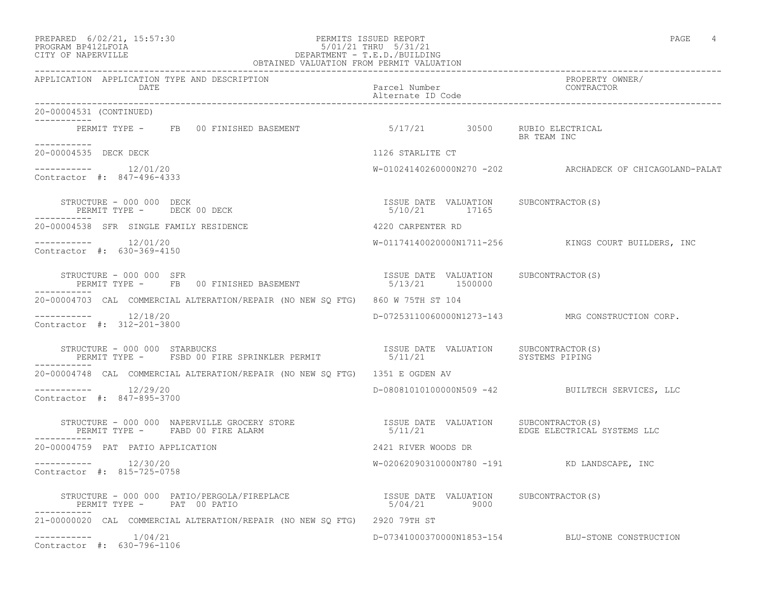## PREPARED 6/02/21, 15:57:30 PERMITS ISSUED REPORT PAGE 4 PROGRAM BP412LFOIA 5/01/21 THRU 5/31/21 CITY OF NAPERVILLE DEPARTMENT - T.E.D./BUILDING

| OBTAINED VALUATION FROM PERMIT VALUATION                                                                                                            |                                                        |                                                          |
|-----------------------------------------------------------------------------------------------------------------------------------------------------|--------------------------------------------------------|----------------------------------------------------------|
| APPLICATION APPLICATION TYPE AND DESCRIPTION<br>DATE                                                                                                | Parcel Number<br>Alternate ID Code                     | PROPERTY OWNER/<br>CONTRACTOR                            |
| 20-00004531 (CONTINUED)                                                                                                                             |                                                        |                                                          |
| PERMIT TYPE - FB 00 FINISHED BASEMENT 6/17/21 30500 RUBIO ELECTRICAL                                                                                |                                                        | BR TEAM INC                                              |
| 20-00004535 DECK DECK                                                                                                                               | 1126 STARLITE CT                                       |                                                          |
| Contractor #: 847-496-4333                                                                                                                          |                                                        | W-01024140260000N270 -202 ARCHADECK OF CHICAGOLAND-PALAT |
| STRUCTURE - 000 000 DECK<br>PERMIT TYPE - DECK 00 DECK<br>STRUCTURE - 000 000 DECK                                                                  | ISSUE DATE VALUATION SUBCONTRACTOR(S)<br>5/10/21 17165 |                                                          |
| 20-00004538 SFR SINGLE FAMILY RESIDENCE                                                                                                             | 4220 CARPENTER RD                                      |                                                          |
| -----------    12/01/20<br>Contractor #: 630-369-4150                                                                                               |                                                        | W-01174140020000N1711-256 KINGS COURT BUILDERS, INC      |
| STRUCTURE - 000 000 SFR<br>FIROLTORE - 000 000 SPR<br>PERMIT TYPE - FB 00 FINISHED BASEMENT - 1530E DATE VALUATION                                  | ISSUE DATE VALUATION SUBCONTRACTOR(S)                  |                                                          |
| 20-00004703 CAL COMMERCIAL ALTERATION/REPAIR (NO NEW SO FTG) 860 W 75TH ST 104                                                                      |                                                        |                                                          |
| -----------    12/18/20<br>Contractor #: 312-201-3800                                                                                               |                                                        | D-07253110060000N1273-143 MRG CONSTRUCTION CORP.         |
| STRUCTURE – 000 000 STARBUCKS<br>PERMIT TYPE – FSBD 00 FIRE SPRINKLER PERMIT – 15/11/21 VALUATION – SYSTEMS PIPING<br>STRUCTURE - 000 000 STARBUCKS |                                                        |                                                          |
| 20-00004748 CAL COMMERCIAL ALTERATION/REPAIR (NO NEW SO FTG) 1351 E OGDEN AV                                                                        |                                                        |                                                          |
| $--------- 12/29/20$<br>Contractor #: 847-895-3700                                                                                                  |                                                        | D-08081010100000N509 -42 BUILTECH SERVICES, LLC          |
| STRUCTURE - 000 000 NAPERVILLE GROCERY STORE THE STRUCT SUBCONTRACTOR (S)<br>PERMIT TYPE - FABD 00 FIRE ALARM                                       | 5/11/21                                                | EDGE ELECTRICAL SYSTEMS LLC                              |
| 20-00004759 PAT PATIO APPLICATION                                                                                                                   | 2421 RIVER WOODS DR                                    |                                                          |
| $--------- 12/30/20$<br>Contractor #: 815-725-0758                                                                                                  |                                                        | W-02062090310000N780 -191 KD LANDSCAPE, INC              |
|                                                                                                                                                     |                                                        |                                                          |
| 21-00000020 CAL COMMERCIAL ALTERATION/REPAIR (NO NEW SQ FTG) 2920 79TH ST                                                                           |                                                        |                                                          |
| 1/04/21<br>Contractor #: 630-796-1106                                                                                                               |                                                        | D-07341000370000N1853-154 BLU-STONE CONSTRUCTION         |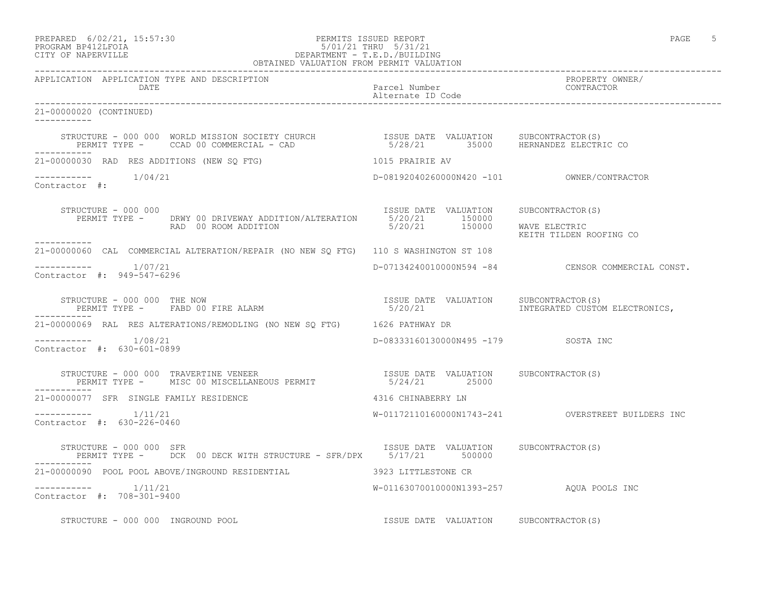### PREPARED 6/02/21, 15:57:30 PERMITS ISSUED REPORT PAGE 5 PROGRAM BP412LFOIA 5/01/21 THRU 5/31/21 CITY OF NAPERVILLE DEPARTMENT - T.E.D./BUILDING OBTAINED VALUATION FROM PERMIT VALUATION

------------------------------------------------------------------------------------------------------------------------------------ APPLICATION APPLICATION TYPE AND DESCRIPTION PROPERTY OWNER/ DATE DATE Parcel Number<br>
Parcel Number<br>
Alternate ID Code Alternate ID Code ------------------------------------------------------------------------------------------------------------------------------------ 21-00000020 (CONTINUED) ----------- STRUCTURE - 000 000 WORLD MISSION SOCIETY CHURCH ISSUE DATE VALUATION SUBCONTRACTOR(S) PERMIT TYPE - CCAD 00 COMMERCIAL - CAD 5/28/21 35000 HERNANDEZ ELECTRIC CO ----------- 21-00000030 RAD RES ADDITIONS (NEW SQ FTG) 1015 PRAIRIE AV ----------- 1/04/21 D-08192040260000N420 -101 OWNER/CONTRACTOR Contractor #: STRUCTURE - 000 000 ISSUE DATE VALUATION SUBCONTRACTOR(S) PERMIT TYPE - DRWY 00 DRIVEWAY ADDITION/ALTERATION 5/20/21 150000 RAD 00 ROOM ADDITION 6/20/21 150000 WAVE ELECTRIC KEITH TILDEN ROOFING CO ----------- 21-00000060 CAL COMMERCIAL ALTERATION/REPAIR (NO NEW SQ FTG) 110 S WASHINGTON ST 108 \_\_\_\_\_\_\_\_\_\_\_\_ ----------- 1/07/21 D-07134240010000N594 -84 CENSOR COMMERCIAL CONST. Contractor #: 949-547-6296 STRUCTURE - 000 000 THE NOW ISSUE DATE VALUATION SUBCONTRACTOR(S) PERMIT TYPE - FABD 00 FIRE ALARM  $5/20/21$  1NTEGRATED CUSTOM ELECTRONICS, ----------- 21-00000069 RAL RES ALTERATIONS/REMODLING (NO NEW SQ FTG) 1626 PATHWAY DR ----------- 1/08/21 D-08333160130000N495 -179 SOSTA INC Contractor #: 630-601-0899 STRUCTURE - 000 000 TRAVERTINE VENEER ISSUE DATE VALUATION SUBCONTRACTOR(S) PERMIT TYPE - MISC 00 MISCELLANEOUS PERMIT 65/24/21 25000 ----------- 21-00000077 SFR SINGLE FAMILY RESIDENCE 4316 CHINABERRY LN ----------- 1/11/21 W-01172110160000N1743-241 OVERSTREET BUILDERS INC Contractor #: 630-226-0460 STRUCTURE - 000 000 SFR ISSUE DATE VALUATION SUBCONTRACTOR(S) PERMIT TYPE - DCK 00 DECK WITH STRUCTURE - SFR/DPX 5/17/21 500000 ----------- 21-00000090 POOL POOL ABOVE/INGROUND RESIDENTIAL 3923 LITTLESTONE CR ----------- 1/11/21 W-01163070010000N1393-257 AQUA POOLS INC Contractor #: 708-301-9400 STRUCTURE - 000 000 INGROUND POOL **ISSUE ISSUE DATE VALUATION** SUBCONTRACTOR(S)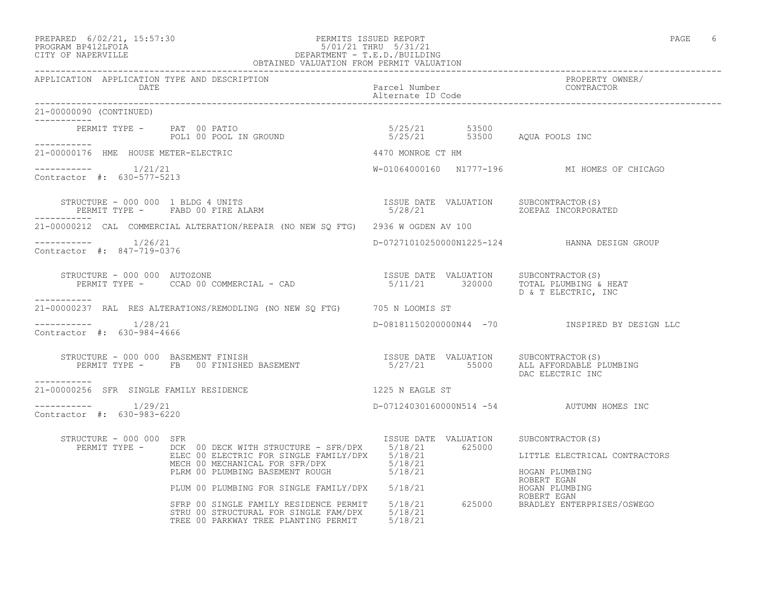## PREPARED 6/02/21, 15:57:30 PERMITS ISSUED REPORT<br>PROGRAM BP412LFOIA PAGE 6 PROGRAM BP412LFOIA PROGRAM BP412LFOIA 5/01/21 THRU 5/31/21 CITY OF NAPERVILLE DEPARTMENT - T.E.D./BUILDING OBTAINED VALUATION FROM PERMIT VALUATION

| 21-00000090 (CONTINUED)<br>-----------            |                                                                                                                                                                                                                                                                                                                                                                                                                |                   |                                                |
|---------------------------------------------------|----------------------------------------------------------------------------------------------------------------------------------------------------------------------------------------------------------------------------------------------------------------------------------------------------------------------------------------------------------------------------------------------------------------|-------------------|------------------------------------------------|
|                                                   | PERMIT TYPE - PAT 00 PATIO<br>POL1 00 POOL IN GROUND 5/25/21 53500 AQUA POOLS INC                                                                                                                                                                                                                                                                                                                              |                   |                                                |
|                                                   | 21-00000176 HME HOUSE METER-ELECTRIC                                                                                                                                                                                                                                                                                                                                                                           | 4470 MONROE CT HM |                                                |
| $--------- 1/21/21$<br>Contractor #: 630-577-5213 |                                                                                                                                                                                                                                                                                                                                                                                                                |                   | W-01064000160 N1777-196 MI HOMES OF CHICAGO    |
| -----------                                       |                                                                                                                                                                                                                                                                                                                                                                                                                |                   |                                                |
|                                                   | 21-00000212 CAL COMMERCIAL ALTERATION/REPAIR (NO NEW SQ FTG) 2936 W OGDEN AV 100                                                                                                                                                                                                                                                                                                                               |                   |                                                |
| $--------- 1/26/21$<br>Contractor #: 847-719-0376 |                                                                                                                                                                                                                                                                                                                                                                                                                |                   | D-07271010250000N1225-124 HANNA DESIGN GROUP   |
| STRUCTURE - 000 000 AUTOZONE                      | $\begin{array}{cccc} \texttt{STRUCTURE} & - & 000 & 000 & \texttt{AUTOZONE} \\ \texttt{PERMIT}\ \texttt{TYPE} & - & \texttt{CCAD} & 00 & \texttt{COMMERCIAL} & - & \texttt{CAD} \\ \end{array} \hspace{1cm} \begin{array}{cccc} \texttt{ISUE} & \texttt{DATE} & \texttt{VALUATION} & \texttt{SUBCONTRACTOR(S)} \\ \texttt{5/11/21} & \texttt{320000} & \texttt{TOTAL PLUMBING} & \texttt{HERT} \\ \end{array}$ |                   | D & T ELECTRIC, INC                            |
| -----------                                       | 21-00000237 RAL RES ALTERATIONS/REMODLING (NO NEW SO FTG) 705 N LOOMIS ST                                                                                                                                                                                                                                                                                                                                      |                   |                                                |
| $--------$ 1/28/21<br>Contractor #: 630-984-4666  |                                                                                                                                                                                                                                                                                                                                                                                                                |                   | D-08181150200000N44 -70 INSPIRED BY DESIGN LLC |
| -----------                                       | STRUCTURE - 000 000 BASEMENT FINISH<br>PERMIT TYPE - FB 00 FINISHED BASEMENT - 15/27/21 55000 ALL AFFORDABLE PLUMBING                                                                                                                                                                                                                                                                                          |                   | DAC ELECTRIC INC                               |
|                                                   | 21-00000256 SFR SINGLE FAMILY RESIDENCE THE SERVICE OF THE ST                                                                                                                                                                                                                                                                                                                                                  |                   |                                                |
| $--------- 1/29/21$<br>Contractor #: 630-983-6220 |                                                                                                                                                                                                                                                                                                                                                                                                                |                   | D-07124030160000N514 -54 AUTUMN HOMES INC      |
| STRUCTURE - 000 000 SFR                           | TRUCTURE - 000 000 SFR<br>PERMIT TYPE - DCK 00 DECK WITH STRUCTURE - SFR/DPX<br>ELEC 00 ELECTRIC FOR SINGLE FAMILY/DPX 5/18/21 625000 LITTLE ELECTRICAL<br>MECH 00 MECHANICAL FOR SFR/DPX 5/18/21 5/18/21 HOGAN PLUMBING<br>PLRM 00 PL                                                                                                                                                                         |                   | LITTLE ELECTRICAL CONTRACTORS<br>ROBERT EGAN   |
|                                                   | PLUM 00 PLUMBING FOR SINGLE FAMILY/DPX 5/18/21 ROBERT EGAN<br>SFRP 00 SINGLE FAMILY RESIDENCE PERMIT 5/18/21 625000 BRADLEY ENTERPRISES/OSWEGO<br>STRU 00 STRUCTURAL FOR SINGLE FAM/DPX 5/18/21<br>TREE 00 PARKWAY TREE PLANTING PERMIT 5/18/21                                                                                                                                                                |                   |                                                |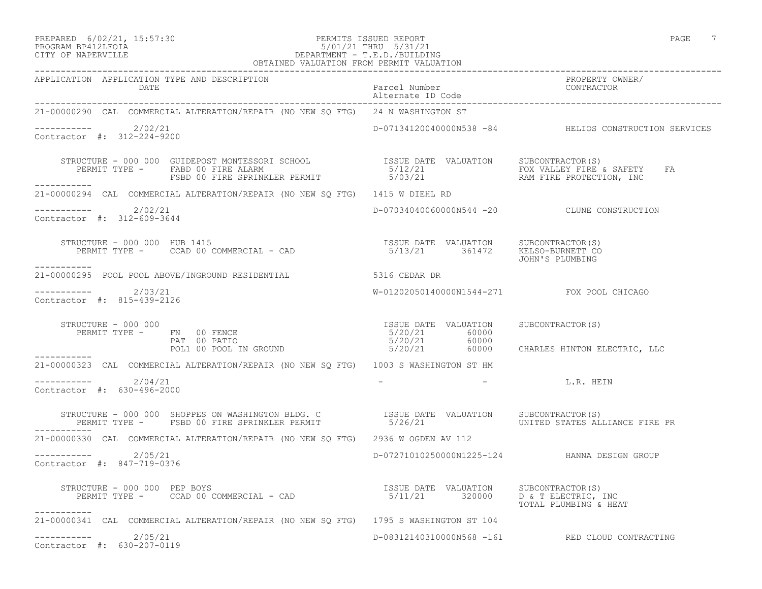## PREPARED 6/02/21, 15:57:30 PERMITS ISSUED REPORT PAGE 7 PROGRAM BP412LFOIA 5/01/21 THRU 5/31/21 CITY OF NAPERVILLE DEPARTMENT - T.E.D./BUILDING OBTAINED VALUATION FROM PERMIT VALUATION

| APPLICATION APPLICATION TYPE AND DESCRIPTION<br>DATE                                                                                                                                                                                 | Parcel Number<br>PROPERTY OWNER/<br>Alternate ID Code<br>---------- |                                                                                                                                                                                                                                |
|--------------------------------------------------------------------------------------------------------------------------------------------------------------------------------------------------------------------------------------|---------------------------------------------------------------------|--------------------------------------------------------------------------------------------------------------------------------------------------------------------------------------------------------------------------------|
| 21-00000290 CAL COMMERCIAL ALTERATION/REPAIR (NO NEW SQ FTG) 24 N WASHINGTON ST                                                                                                                                                      |                                                                     |                                                                                                                                                                                                                                |
| $---------2/02/21$<br>Contractor #: 312-224-9200                                                                                                                                                                                     |                                                                     | D-07134120040000N538 -84 HELIOS CONSTRUCTION SERVICES                                                                                                                                                                          |
| STRUCTURE - 000 000 GUIDEPOST MONTESSORI SCHOOL TISSUE DATE VALUATION SUBCONTRACTOR(S)<br>PERMIT TYPE - FABD 00 FIRE ALARM 5/12/21 FOX VALLEY FIRE & SAFETY<br>------- FSBD 00 FIRE SPRINKLER PERMIT 5/03/21 RAM FIRE PROTECTION, IN |                                                                     | FA                                                                                                                                                                                                                             |
| 21-00000294 CAL COMMERCIAL ALTERATION/REPAIR (NO NEW SQ FTG) 1415 W DIEHL RD                                                                                                                                                         |                                                                     |                                                                                                                                                                                                                                |
| $---------2/02/21$<br>Contractor #: 312-609-3644                                                                                                                                                                                     |                                                                     | D-07034040060000N544 -20 CLUNE CONSTRUCTION                                                                                                                                                                                    |
| RUCTURE - 000 000 HUB 1415<br>PERMIT TYPE - CCAD 00 COMMERCIAL - CAD                                5/13/21       361472     KELSO-BURNETT CO<br>STRUCTURE - 000 000 HUB 1415<br>___________                                         |                                                                     |                                                                                                                                                                                                                                |
| 21-00000295 POOL POOL ABOVE/INGROUND RESIDENTIAL 5316 CEDAR DR                                                                                                                                                                       |                                                                     |                                                                                                                                                                                                                                |
| $---------2/03/21$<br>Contractor #: 815-439-2126                                                                                                                                                                                     | W-01202050140000N1544-271 FOX POOL CHICAGO                          |                                                                                                                                                                                                                                |
|                                                                                                                                                                                                                                      |                                                                     |                                                                                                                                                                                                                                |
| 21-00000323 CAL COMMERCIAL ALTERATION/REPAIR (NO NEW SQ FTG) 1003 S WASHINGTON ST HM                                                                                                                                                 |                                                                     |                                                                                                                                                                                                                                |
| $--------- 2/04/21$<br>Contractor #: 630-496-2000                                                                                                                                                                                    |                                                                     | Example the contract of the contract of the contract of the contract of the contract of the contract of the contract of the contract of the contract of the contract of the contract of the contract of the contract of the co |
| STRUCTURE - 000 000 SHOPPES ON WASHINGTON BLDG. C              ISSUE DATE VALUATION    SUBCONTRACTOR(S)<br>PERMIT TYPE -     FSBD 00 FIRE SPRINKLER PERMIT                5/26/21                   UNITED STATES ALLIANCE FIRE P    |                                                                     |                                                                                                                                                                                                                                |
| 21-00000330 CAL COMMERCIAL ALTERATION/REPAIR (NO NEW SQ FTG) 2936 W OGDEN AV 112                                                                                                                                                     |                                                                     |                                                                                                                                                                                                                                |
| $---------2/05/21$<br>Contractor #: 847-719-0376                                                                                                                                                                                     |                                                                     | D-07271010250000N1225-124 HANNA DESIGN GROUP                                                                                                                                                                                   |
| STRUCTURE - 000 000 PEP BOYS<br>___________                                                                                                                                                                                          |                                                                     | TOTAL PLUMBING & HEAT                                                                                                                                                                                                          |
| 21-00000341 CAL COMMERCIAL ALTERATION/REPAIR (NO NEW SQ FTG) 1795 S WASHINGTON ST 104                                                                                                                                                |                                                                     |                                                                                                                                                                                                                                |
| $--------- 2/05/21$<br>Contractor #: 630-207-0119                                                                                                                                                                                    |                                                                     | D-08312140310000N568 -161 RED CLOUD CONTRACTING                                                                                                                                                                                |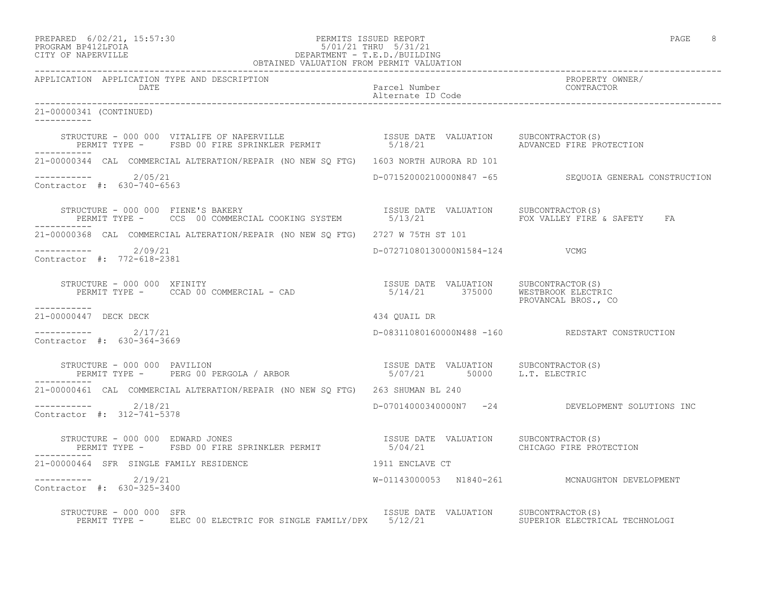-----------

-----------

-----------

-----------

-----------

### PREPARED 6/02/21, 15:57:30 PERMITS ISSUED REPORT PAGE 8 PROGRAM BP412LFOIA 5/01/21 THRU 5/31/21 CITY OF NAPERVILLE DEPARTMENT - T.E.D./BUILDING OBTAINED VALUATION FROM PERMIT VALUATION

------------------------------------------------------------------------------------------------------------------------------------ APPLICATION APPLICATION TYPE AND DESCRIPTION<br>DATE bated parcel Number property owner/ DATE Parcel Number CONTRACTOR Alternate ID Code ------------------------------------------------------------------------------------------------------------------------------------ 21-00000341 (CONTINUED) STRUCTURE - 000 000 VITALIFE OF NAPERVILLE ISSUE DATE VALUATION SUBCONTRACTOR(S) PERMIT TYPE - FSBD 00 FIRE SPRINKLER PERMIT 65/18/21 ADVANCED FIRE PROTECTION 21-00000344 CAL COMMERCIAL ALTERATION/REPAIR (NO NEW SQ FTG) 1603 NORTH AURORA RD 101 ----------- 2/05/21 D-07152000210000N847 -65 SEQUOIA GENERAL CONSTRUCTION Contractor #: 630-740-6563 STRUCTURE - 000 000 FIENE'S BAKERY ISSUE DATE VALUATION SUBCONTRACTOR(S) PERMIT TYPE - CCS 00 COMMERCIAL COOKING SYSTEM 5/13/21 FOX VALLEY FIRE & SAFETY FA 21-00000368 CAL COMMERCIAL ALTERATION/REPAIR (NO NEW SQ FTG) 2727 W 75TH ST 101 ----------- 2/09/21 D-07271080130000N1584-124 VCMG Contractor #: 772-618-2381 STRUCTURE - 000 000 XFINITY ISSUE DATE VALUATION SUBCONTRACTOR(S) PERMIT TYPE - CCAD 00 COMMERCIAL - CAD 5/14/21 375000 WESTBROOK ELECTRIC PROVANCAL BROS., CO 21-00000447 DECK DECK 434 QUAIL DR  $--------- 2/17/21$ ----------- 2/17/21 D-08311080160000N488 -160 REDSTART CONSTRUCTION Contractor #: 630-364-3669 STRUCTURE - 000 000 PAVILION ISSUE DATE VALUATION SUBCONTRACTOR(S) PERMIT TYPE - PERG 00 PERGOLA / ARBOR 5/07/21 50000 L.T. ELECTRIC 21-00000461 CAL COMMERCIAL ALTERATION/REPAIR (NO NEW SQ FTG) 263 SHUMAN BL 240 ----------- 2/18/21 D-07014000340000N7 -24 DEVELOPMENT SOLUTIONS INC Contractor #: 312-741-5378 STRUCTURE - 000 000 EDWARD JONES ISSUE DATE VALUATION SUBCONTRACTOR(S) PERMIT TYPE - FSBD 00 FIRE SPRINKLER PERMIT 21-00000464 SFR SINGLE FAMILY RESIDENCE 1911 ENCLAVE CT ----------- 2/19/21 W-01143000053 N1840-261 MCNAUGHTON DEVELOPMENT Contractor #: 630-325-3400

STRUCTURE - 000 000 SFR<br>PERMIT TYPE - ELEC 00 ELECTRIC FOR SINGLE FAMILY/DPX 5/12/21 SUPERIOR ELECTRICAL TECHNOLOGI PERMIT TYPE - ELEC 00 ELECTRIC FOR SINGLE FAMILY/DPX 5/12/21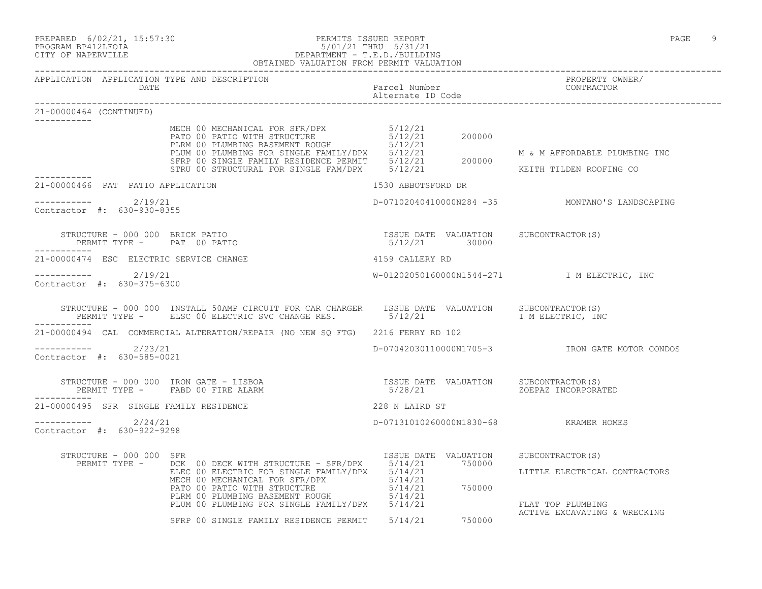| PREPARED | $6/02/21$ ,  | 15:57:30 |
|----------|--------------|----------|
|          | -- - - - - - |          |

## PREPARED 6/02/21, 15:57:30 PERMITS ISSUED REPORT<br>PROGRAM BP412LFOIA PAGE 9 PROGRAM BP412LFOIA 5/01/21 THRU 5/31/21 CITY OF NAPERVILLE DEPARTMENT - T.E.D./BUILDING

|                                                                              | OBTAINED VALUATION FROM PERMIT VALUATION                                                                                                                                                                                                                                                                               |                                                        |                                                |
|------------------------------------------------------------------------------|------------------------------------------------------------------------------------------------------------------------------------------------------------------------------------------------------------------------------------------------------------------------------------------------------------------------|--------------------------------------------------------|------------------------------------------------|
| APPLICATION APPLICATION TYPE AND DESCRIPTION                                 |                                                                                                                                                                                                                                                                                                                        |                                                        | PROPERTY OWNER/<br>TROIERTI OW<br>CONTRACTOR   |
| 21-00000464 (CONTINUED)                                                      |                                                                                                                                                                                                                                                                                                                        |                                                        |                                                |
|                                                                              | MECH OO MECHANICAL FOR SFR/DPX<br>PATO 00 PATIO WITH STRUCTURE 5/12/21<br>PLRM 00 PLUMBING BASEMENT ROUGH 5/12/21<br>PLUM 00 PLUMBING FOR SINGLE FAMILY/DPX 5/12/21 M & M AFFORDABLE PLUMBIN<br>SFRP 00 SINGLE FAMILY RESIDENCE PERMIT                                                                                 |                                                        | M & M AFFORDABLE PLUMBING INC                  |
| 21-00000466 PAT PATIO APPLICATION                                            |                                                                                                                                                                                                                                                                                                                        | 1530 ABBOTSFORD DR                                     |                                                |
| ----------- 2/19/21<br>Contractor #: 630-930-8355                            |                                                                                                                                                                                                                                                                                                                        |                                                        | D-07102040410000N284 -35 MONTANO'S LANDSCAPING |
| STRUCTURE - 000 000 BRICK PATIO<br>PERMIT TYPE - PAT 00 PATIO<br>----------- |                                                                                                                                                                                                                                                                                                                        | ISSUE DATE VALUATION SUBCONTRACTOR(S)<br>5/12/21 30000 |                                                |
| 21-00000474 ESC ELECTRIC SERVICE CHANGE                                      |                                                                                                                                                                                                                                                                                                                        | 4159 CALLERY RD                                        |                                                |
| $--------$ 2/19/21<br>Contractor #: 630-375-6300                             |                                                                                                                                                                                                                                                                                                                        |                                                        | W-01202050160000N1544-271 I M ELECTRIC, INC    |
| -----------                                                                  | STRUCTURE - 000 000 INSTALL 50AMP CIRCUIT FOR CAR CHARGER ISSUE DATE VALUATION SUBCONTRACTOR(S)<br>PERMIT TYPE - ELSC 00 ELECTRIC SVC CHANGE RES. 5/12/21 1 THELECTRIC, INC                                                                                                                                            |                                                        |                                                |
|                                                                              | 21-00000494 CAL COMMERCIAL ALTERATION/REPAIR (NO NEW SQ FTG) 2216 FERRY RD 102                                                                                                                                                                                                                                         |                                                        |                                                |
| $--------$ 2/23/21<br>Contractor #: 630-585-0021                             |                                                                                                                                                                                                                                                                                                                        |                                                        | D-07042030110000N1705-3 TRON GATE MOTOR CONDOS |
| -----------                                                                  |                                                                                                                                                                                                                                                                                                                        | 5/28/21 ZOEPAZ INCORPORATED                            |                                                |
| 21-00000495 SFR SINGLE FAMILY RESIDENCE                                      |                                                                                                                                                                                                                                                                                                                        | 228 N LAIRD ST                                         |                                                |
| $--------- 2/24/21$<br>Contractor #: 630-922-9298                            |                                                                                                                                                                                                                                                                                                                        | D-07131010260000N1830-68 KRAMER HOMES                  |                                                |
| STRUCTURE - 000 000 SFR                                                      | $\begin{tabular}{l c c c c c} \multicolumn{2}{c}{\textbf{RUCTURE}} & 000 000 & SFR & 1550E & 1850E & 1850E & 041E & 000EUCV1110C1 & 000EUCV1110C10C1 \\ & ELEC & 000 ELECTRIC & 5000 ELECTRIC & 5000 ELECTRIC & 5000ECEHANICAL & FOR SFR/DPX & 5/14/21 & 750000 \\ & ELEC & 00 ELECTRIC & 5/14/21 & 5/14/21 & 5/14/21$ | ISSUE DATE VALUATION SUBCONTRACTOR(S)                  |                                                |
|                                                                              | SFRP 00 SINGLE FAMILY RESIDENCE PERMIT 5/14/21 750000                                                                                                                                                                                                                                                                  |                                                        |                                                |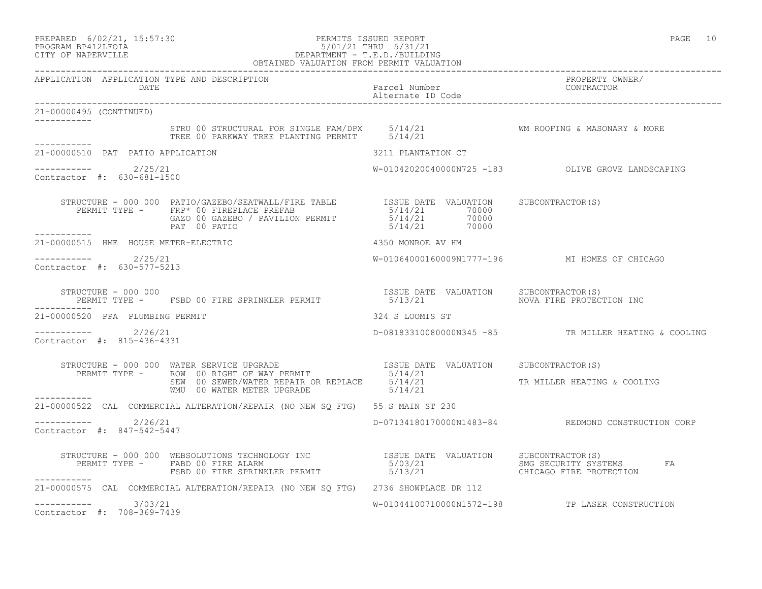## PREPARED 6/02/21, 15:57:30 PERMITS ISSUED REPORT PAGE 10 PROGRAM BP412LFOIA 5/01/21 THRU 5/31/21 CITY OF NAPERVILLE CITY OF NAPERVILLE DEPARTMENT - T.E.D./BUILDING

| OBTAINED VALUATION FROM PERMIT VALUATION             |                                                                                                                                           |                    |                                                      |
|------------------------------------------------------|-------------------------------------------------------------------------------------------------------------------------------------------|--------------------|------------------------------------------------------|
| APPLICATION APPLICATION TYPE AND DESCRIPTION         |                                                                                                                                           |                    | PROPERTY OWNER/<br>CONTRACTOR                        |
| 21-00000495 (CONTINUED)                              |                                                                                                                                           |                    |                                                      |
|                                                      |                                                                                                                                           |                    |                                                      |
| 21-00000510 PAT PATIO APPLICATION                    |                                                                                                                                           | 3211 PLANTATION CT |                                                      |
| ----------- 2/25/21<br>Contractor #: 630-681-1500    |                                                                                                                                           |                    | W-01042020040000N725 -183    QLIVE GROVE LANDSCAPING |
|                                                      |                                                                                                                                           |                    |                                                      |
|                                                      | -----------<br>21-00000515 HME HOUSE METER-ELECTRIC<br>example to the 4350 MONROE AV HM                                                   |                    |                                                      |
| $--------- 2/25/21$<br>Contractor #: 630-577-5213    |                                                                                                                                           |                    | W-01064000160009N1777-196 MI HOMES OF CHICAGO        |
|                                                      | STRUCTURE - 000 000<br>PERMIT TYPE -   FSBD 00 FIRE SPRINKLER PERMIT                    5/13/21                  NOVA FIRE PROTECTION INC |                    |                                                      |
| 21-00000520 PPA PLUMBING PERMIT                      |                                                                                                                                           | 324 S LOOMIS ST    |                                                      |
| -----------    2/26/21<br>Contractor #: 815-436-4331 |                                                                                                                                           |                    | D-08183310080000N345 -85 TR MILLER HEATING & COOLING |
|                                                      |                                                                                                                                           |                    |                                                      |
|                                                      | WMU 00 WATER METER UPGRADE 5/14/21                                                                                                        |                    | TR MILLER HEATING & COOLING                          |
| ___________                                          | 21-00000522 CAL COMMERCIAL ALTERATION/REPAIR (NO NEW SQ FTG) 55 S MAIN ST 230                                                             |                    |                                                      |
| $--------- 2/26/21$<br>Contractor #: 847-542-5447    |                                                                                                                                           |                    | D-07134180170000N1483-84 REDMOND CONSTRUCTION CORP   |
| -----------                                          |                                                                                                                                           |                    | FA                                                   |
|                                                      | 21-00000575 CAL COMMERCIAL ALTERATION/REPAIR (NO NEW SQ FTG) 2736 SHOWPLACE DR 112                                                        |                    |                                                      |
| $--------$ 3/03/21<br>Contractor #: 708-369-7439     |                                                                                                                                           |                    | W-01044100710000N1572-198 TP LASER CONSTRUCTION      |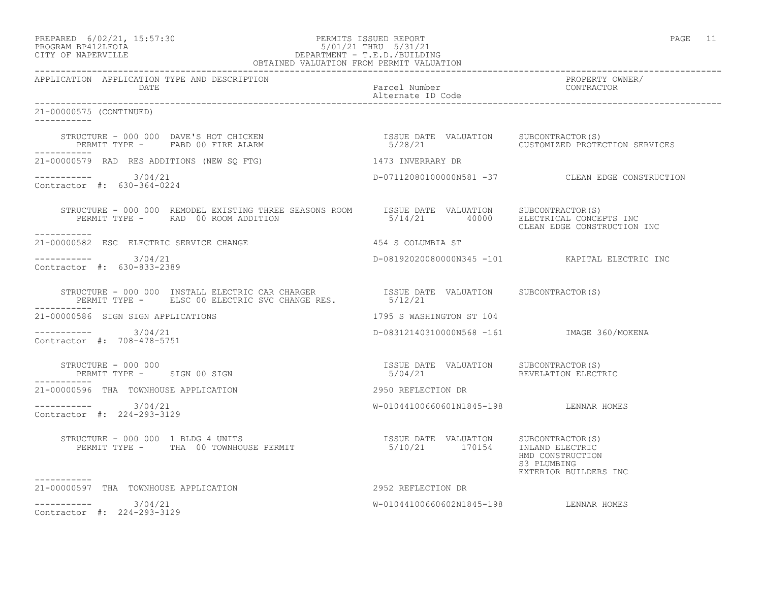## PREPARED 6/02/21, 15:57:30 PERMITS ISSUED REPORT PAGE 11 PROGRAM BP412LFOIA 5/01/21 THRU 5/31/21 CITY OF NAPERVILLE DEPARTMENT - T.E.D./BUILDING

| OBTAINED VALUATION FROM PERMIT VALUATION                                                                                                                                                                                                                                                 |                                           |                                                          |  |
|------------------------------------------------------------------------------------------------------------------------------------------------------------------------------------------------------------------------------------------------------------------------------------------|-------------------------------------------|----------------------------------------------------------|--|
| APPLICATION APPLICATION TYPE AND DESCRIPTION                                                                                                                                                                                                                                             |                                           | PROPERTY OWNER/<br>CONTRACTOR                            |  |
| 21-00000575 (CONTINUED)<br>____________                                                                                                                                                                                                                                                  |                                           |                                                          |  |
| STRUCTURE - 000 000 DAVE'S HOT CHICKEN                               ISSUE DATE VALUATION   SUBCONTRACTOR(S)<br>PERMIT TYPE -     FABD 00 FIRE ALARM                              5/28/21                        CUSTOMIZED PROTE                                                        |                                           | 5/28/21 CUSTOMIZED PROTECTION SERVICES                   |  |
| 21-00000579 RAD RES ADDITIONS (NEW SQ FTG) 1473 INVERRARY DR                                                                                                                                                                                                                             |                                           |                                                          |  |
| $--------- 3/04/21$<br>Contractor #: 630-364-0224                                                                                                                                                                                                                                        |                                           | D-07112080100000N581 -37 CLEAN EDGE CONSTRUCTION         |  |
| STRUCTURE - 000 000 REMODEL EXISTING THREE SEASONS ROOM ISSUE DATE VALUATION SUBCONTRACTOR(S)<br>PERMIT TYPE - RAD 00 ROOM ADDITION<br>------------                                                                                                                                      | 5/14/21 40000 ELECTRICAL CONCEPTS INC     | CLEAN EDGE CONSTRUCTION INC                              |  |
| 21-00000582 ESC ELECTRIC SERVICE CHANGE                                                                                                                                                                                                                                                  | 454 S COLUMBIA ST                         |                                                          |  |
| $--------- 3/04/21$<br>Contractor #: 630-833-2389                                                                                                                                                                                                                                        |                                           | D-08192020080000N345 -101 KAPITAL ELECTRIC INC           |  |
| ------------                                                                                                                                                                                                                                                                             |                                           |                                                          |  |
| 21-00000586 SIGN SIGN APPLICATIONS                                                                                                                                                                                                                                                       | 1795 S WASHINGTON ST 104                  |                                                          |  |
| $--------- 3/04/21$<br>Contractor #: 708-478-5751                                                                                                                                                                                                                                        | D-08312140310000N568 -161 MAGE 360/MOKENA |                                                          |  |
| ------------                                                                                                                                                                                                                                                                             | 5/04/21 REVELATION ELECTRIC               |                                                          |  |
| 21-00000596 THA TOWNHOUSE APPLICATION                                                                                                                                                                                                                                                    | 2950 REFLECTION DR                        |                                                          |  |
| $--------- 3/04/21$<br>Contractor #: 224-293-3129                                                                                                                                                                                                                                        | W-01044100660601N1845-198 LENNAR HOMES    |                                                          |  |
| $\begin{tabular}{lcccccc} \texttt{STRUCTURE} & - & 000 & 000 & 1 & \texttt{BLDG} & 4 & \texttt{UNITS} & & & & & & & & \\ & & & & & & & & & & & & & \\ \texttt{PERMIT TYPE} & - & & \texttt{TRA} & 00 & \texttt{TOWNHOUSE} & \texttt{PERMIT} & & & & & & \\ \end{tabular}$<br>----------- |                                           | HMD CONSTRUCTION<br>S3 PLUMBING<br>EXTERIOR BUILDERS INC |  |
| 21-00000597 THA TOWNHOUSE APPLICATION                                                                                                                                                                                                                                                    | 2952 REFLECTION DR                        |                                                          |  |
| $--------- 3/04/21$<br>Contractor #: 224-293-3129                                                                                                                                                                                                                                        | W-01044100660602N1845-198 LENNAR HOMES    |                                                          |  |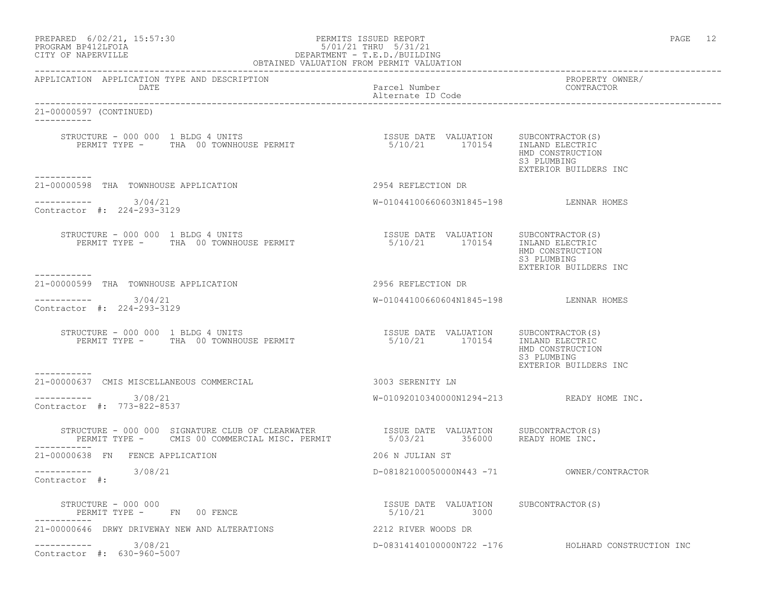| PREPARED | $6/02/21$ , 15:57:30 |  |
|----------|----------------------|--|
|          | PROGRAM RP412LFOIA   |  |

### PREPARED 6/02/21, 15:57:30 PERMITS ISSUED REPORT PAGE 12 PROGRAM BP412LFOIA 5/01/21 THRU 5/31/21 CITY OF NAPERVILLE DEPARTMENT - T.E.D./BUILDING OBTAINED VALUATION FROM PERMIT VALUATION

| APPLICATION APPLICATION TYPE AND DESCRIPTION<br>DATE                                                                                                                                                                               | Parcel Number<br>Alternate ID Code                                           | PROPERTY OWNER/<br>CONTRACTOR                            |
|------------------------------------------------------------------------------------------------------------------------------------------------------------------------------------------------------------------------------------|------------------------------------------------------------------------------|----------------------------------------------------------|
| 21-00000597 (CONTINUED)<br>__________                                                                                                                                                                                              |                                                                              |                                                          |
|                                                                                                                                                                                                                                    |                                                                              | HMD CONSTRUCTION<br>S3 PLUMBING<br>EXTERIOR BUILDERS INC |
| -----------<br>21-00000598 THA TOWNHOUSE APPLICATION                                                                                                                                                                               | 2954 REFLECTION DR                                                           |                                                          |
| $--------- 3/04/21$<br>Contractor #: 224-293-3129                                                                                                                                                                                  | W-01044100660603N1845-198 LENNAR HOMES                                       |                                                          |
| STRUCTURE - 000 000 1 BLDG 4 UNITS<br>PERMIT TYPE - THA 00 TOWNHOUSE PERMIT<br>___________                                                                                                                                         | ISSUE DATE VALUATION SUBCONTRACTOR(S)<br>5/10/21 170154 INLAND ELECTRIC      | HMD CONSTRUCTION<br>S3 PLUMBING<br>EXTERIOR BUILDERS INC |
| 21-00000599 THA TOWNHOUSE APPLICATION                                                                                                                                                                                              | 2956 REFLECTION DR                                                           |                                                          |
| $--------- 3/04/21$<br>Contractor #: 224-293-3129                                                                                                                                                                                  | W-01044100660604N1845-198 LENNAR HOMES                                       |                                                          |
| STRUCTURE - 000 000 1 BLDG 4 UNITS<br>PERMIT TYPE - THA 00 TOWNHOUSE PERMIT                                                                                                                                                        | ISSUE DATE VALUATION SUBCONTRACTOR (S)<br>5/10/21   170154   INLAND ELECTRIC | HMD CONSTRUCTION<br>S3 PLUMBING<br>EXTERIOR BUILDERS INC |
| -----------<br>21-00000637 CMIS MISCELLANEOUS COMMERCIAL                                                                                                                                                                           | 3003 SERENITY LN                                                             |                                                          |
| $--------- 3/08/21$<br>Contractor #: 773-822-8537                                                                                                                                                                                  | $W-01092010340000N1294-213$ READY HOME INC.                                  |                                                          |
| STRUCTURE - 000 000 SIGNATURE CLUB OF CLEARWATER               ISSUE DATE VALUATION     SUBCONTRACTOR(S)<br>PERMIT TYPE -     CMIS 00 COMMERCIAL MISC. PERMIT               5/03/21      356000     READY HOME INC.<br>----------- |                                                                              |                                                          |
| 21-00000638 FN FENCE APPLICATION                                                                                                                                                                                                   | 206 N JULIAN ST                                                              |                                                          |
| ----------- 3/08/21<br>Contractor #:                                                                                                                                                                                               |                                                                              |                                                          |
| STRUCTURE - 000 000<br>PERMIT TYPE - FN 00 FENCE                                                                                                                                                                                   | ISSUE DATE VALUATION SUBCONTRACTOR(S)<br>5/10/21 3000                        |                                                          |
| 21-00000646 DRWY DRIVEWAY NEW AND ALTERATIONS                                                                                                                                                                                      | 2212 RIVER WOODS DR                                                          |                                                          |
| $--------- 3/08/21$<br>Contractor #: 630-960-5007                                                                                                                                                                                  |                                                                              | D-08314140100000N722 -176 HOLHARD CONSTRUCTION INC       |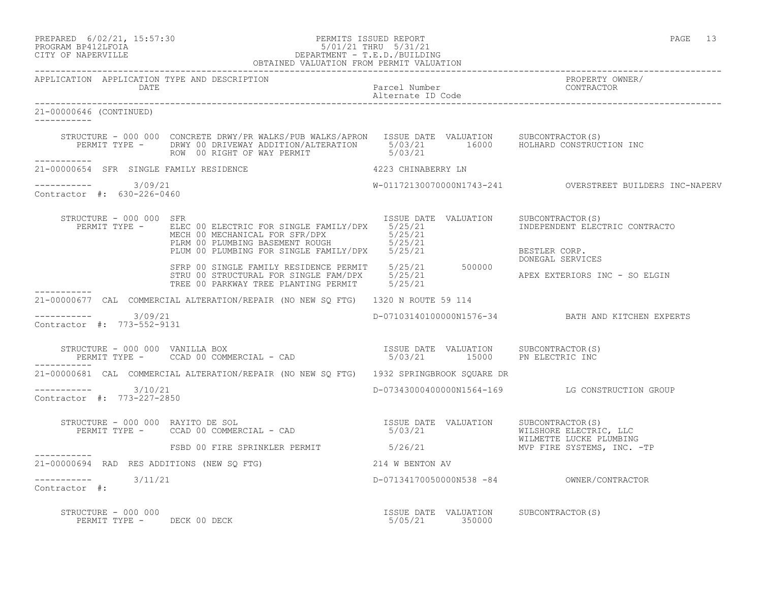## PREPARED 6/02/21, 15:57:30 PERMITS ISSUED REPORT PAGE 13 PROGRAM BP412LFOIA 5/01/21 THRU 5/31/21 CITY OF NAPERVILLE DEPARTMENT - T.E.D./BUILDING

|                                                        | OBTAINED VALUATION FROM PERMIT VALUATION                                                                                                                                                                                                                                                               |                                                         |                                                             |
|--------------------------------------------------------|--------------------------------------------------------------------------------------------------------------------------------------------------------------------------------------------------------------------------------------------------------------------------------------------------------|---------------------------------------------------------|-------------------------------------------------------------|
| APPLICATION APPLICATION TYPE AND DESCRIPTION<br>DATE   |                                                                                                                                                                                                                                                                                                        | Parcel Number<br>Alternate ID Code                      | PROPERTY OWNER/<br>CONTRACTOR                               |
| 21-00000646 (CONTINUED)                                |                                                                                                                                                                                                                                                                                                        |                                                         |                                                             |
|                                                        | STRUCTURE - 000 000 CONCRETE DRWY/PR WALKS/PUB WALKS/APRON ISSUE DATE VALUATION SUBCONTRACTOR(S)<br>PERMIT TYPE - DRWY 00 DRIVEWAY ADDITION/ALTERATION 5/03/21 16000 HOLHARD CONSTRUCTION INC<br>ROW 00 RIGHT OF WAY PERMIT 5/03/21                                                                    |                                                         |                                                             |
| ___________<br>21-00000654 SFR SINGLE FAMILY RESIDENCE | 4223 CHINABERRY LN                                                                                                                                                                                                                                                                                     |                                                         |                                                             |
| ----------- 3/09/21<br>Contractor #: 630-226-0460      |                                                                                                                                                                                                                                                                                                        |                                                         | W-01172130070000N1743-241    QVERSTREET BUILDERS INC-NAPERV |
| STRUCTURE - 000 000 SFR                                | PERMIT TYPE - ELEC 00 ELECTRIC FOR SINGLE FAMILY/DPX 5/25/21<br>FLEC 00 ELECTRIC FOR SINGLE FAMILY/DPX<br>MECH 00 MECHANICAL FOR SFR/DPX 5/25/21<br>PLRM 00 PLUMBING BASEMENT ROUGH 5/25/21<br>PLUM 00 PLUMBING FOR SINGLE FAMILY/DPX 5/25/21<br>SFRP 00 SINGLE FAMILY RESIDENCE PERMIT 5/25/21 500000 | ISSUE DATE VALUATION SUBCONTRACTOR(S)                   | INDEPENDENT ELECTRIC CONTRACTO<br>BESTLER CORP.             |
|                                                        |                                                                                                                                                                                                                                                                                                        |                                                         | DONEGAL SERVICES                                            |
|                                                        |                                                                                                                                                                                                                                                                                                        |                                                         | APEX EXTERIORS INC - SO ELGIN                               |
|                                                        | 21-00000677 CAL COMMERCIAL ALTERATION/REPAIR (NO NEW SQ FTG) 1320 N ROUTE 59 114                                                                                                                                                                                                                       |                                                         |                                                             |
| -----------    3/09/21<br>Contractor #: 773-552-9131   |                                                                                                                                                                                                                                                                                                        |                                                         | D-07103140100000N1576-34 BATH AND KITCHEN EXPERTS           |
|                                                        | STRUCTURE - 000 000 VANILLA BOX<br>PERMIT TYPE - CCAD 00 COMMERCIAL - CAD                                 5/03/21        15000     PN ELECTRIC INC                                                                                                                                                     |                                                         |                                                             |
|                                                        | 21-00000681 CAL COMMERCIAL ALTERATION/REPAIR (NO NEW SQ FTG) 1932 SPRINGBROOK SQUARE DR                                                                                                                                                                                                                |                                                         |                                                             |
| -----------    3/10/21<br>Contractor #: 773-227-2850   |                                                                                                                                                                                                                                                                                                        |                                                         | D-07343000400000N1564-169 LG CONSTRUCTION GROUP             |
|                                                        | STRUCTURE - 000 000 RAYITO DE SOL STRUCTURE - 000 000 RAYITO DE SOL SUBSUE DATE VALUATION SUBCONTRACTOR(S)<br>PERMIT TYPE - CCAD 00 COMMERCIAL - CAD SOL STRUCT STRUCT STRUCT MILSHORE ELECTRIC, LLC                                                                                                   |                                                         | WILMETTE LUCKE PLUMBING                                     |
| ------------                                           | FSBD 00 FIRE SPRINKLER PERMIT 5/26/21                                                                                                                                                                                                                                                                  |                                                         | MVP FIRE SYSTEMS, INC. -TP                                  |
|                                                        | 21-00000694 RAD RES ADDITIONS (NEW SQ FTG)                                                                                                                                                                                                                                                             | 214 W BENTON AV                                         |                                                             |
| -----------    3/11/21<br>Contractor #:                |                                                                                                                                                                                                                                                                                                        |                                                         |                                                             |
| STRUCTURE - 000 000<br>PERMIT TYPE -                   | DECK 00 DECK                                                                                                                                                                                                                                                                                           | ISSUE DATE VALUATION SUBCONTRACTOR(S)<br>5/05/21 350000 |                                                             |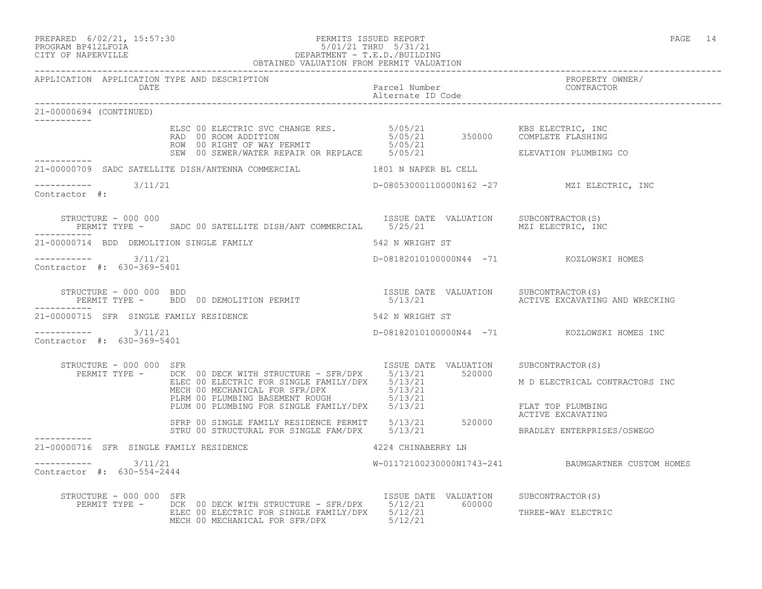## PREPARED 6/02/21, 15:57:30 PERMITS ISSUED REPORT PROGRAM BP412LFOIA PAGE 14 PROGRAM BP412LFOIA 5/01/21 THRU 5/31/21 CITY OF NAPERVILLE DEPARTMENT - T.E.D./BUILDING OBTAINED VALUATION FROM PERMIT VALUATION

| 21-00000694 (CONTINUED)                                                                                                                                                                                                                                                                                                                                                                                                                                                  |                                                                                                                       |  |                                                    |
|--------------------------------------------------------------------------------------------------------------------------------------------------------------------------------------------------------------------------------------------------------------------------------------------------------------------------------------------------------------------------------------------------------------------------------------------------------------------------|-----------------------------------------------------------------------------------------------------------------------|--|----------------------------------------------------|
| ELSC 00 ELECTRIC SVC CHANGE RES. $5/05/21$ KBS ELECTRIC, INC<br>RAD 00 ROOM ADDITION $5/05/21$ 350000 COMPLETE FLASHING<br>ROW 00 RIGHT OF WAY PERMIT 5/05/21 5/05/21 ELEVATION PLUMBING                                                                                                                                                                                                                                                                                 |                                                                                                                       |  | ELEVATION PLUMBING CO                              |
| 21-00000709 SADC SATELLITE DISH/ANTENNA COMMERCIAL 1801 N NAPER BL CELL                                                                                                                                                                                                                                                                                                                                                                                                  |                                                                                                                       |  |                                                    |
| $------ 3/11/21$<br>Contractor #:                                                                                                                                                                                                                                                                                                                                                                                                                                        |                                                                                                                       |  | D-08053000110000N162 -27 MZI ELECTRIC, INC         |
| STRUCTURE - 000 000<br>PERMIT TYPE - SADC 00 SATELLITE DISH/ANT COMMERCIAL 5/25/21 MALUATION MZI ELECTRIC, INC                                                                                                                                                                                                                                                                                                                                                           |                                                                                                                       |  |                                                    |
| 21-00000714 BDD DEMOLITION SINGLE FAMILY 642 N WRIGHT ST                                                                                                                                                                                                                                                                                                                                                                                                                 |                                                                                                                       |  |                                                    |
| $--------- 3/11/21$<br>Contractor #: 630-369-5401                                                                                                                                                                                                                                                                                                                                                                                                                        |                                                                                                                       |  | D-08182010100000N44 -71 KOZLOWSKI HOMES            |
| STRUCTURE - 000 000 BDD<br>PERMIT TYPE -   BDD 00 DEMOLITION PERMIT                           5/13/21       ACTIVE EXCAVATING AND WRECKING                                                                                                                                                                                                                                                                                                                               |                                                                                                                       |  |                                                    |
| 21-00000715 SFR SINGLE FAMILY RESIDENCE THE SAME SERVICES SERVICES STRINGER ST                                                                                                                                                                                                                                                                                                                                                                                           |                                                                                                                       |  |                                                    |
| $--------- 3/11/21$<br>Contractor #: 630-369-5401                                                                                                                                                                                                                                                                                                                                                                                                                        |                                                                                                                       |  | D-08182010100000N44 -71 KOZLOWSKI HOMES INC        |
| $\begin{tabular}{l c c c c c} \multicolumn{1}{c}{\textbf{STRUCTURE}} & 000 000 & SFR & \multicolumn{1}{c}{\textbf{TSUE DATE}} & VALUATION & SUBCONTRACTOR(S) \\ \multicolumn{1}{c}{\textbf{PERMIT TYPE}} & - & \multicolumn{1}{c}{\textbf{DCK}} & 00 & \textbf{DECK WITH STRUCTURE} - SFR/DPX & 5/13/21 & 520000 \\ & ELEC & 00 & ELECTRIC FOR SINGLE FAMILY/DPX & 5/13/21 & M D ELECTRICAL CONTRACTORS \\ & MECH & 00 & MECHANICAL FOR SING$<br>STRUCTURE - 000 000 SFR |                                                                                                                       |  | M D ELECTRICAL CONTRACTORS INC                     |
|                                                                                                                                                                                                                                                                                                                                                                                                                                                                          |                                                                                                                       |  |                                                    |
| ------------<br>21-00000716 SFR SINGLE FAMILY RESIDENCE                                                                                                                                                                                                                                                                                                                                                                                                                  | 4224 CHINABERRY LN                                                                                                    |  |                                                    |
| $--------- 3/11/21$<br>Contractor #: 630-554-2444                                                                                                                                                                                                                                                                                                                                                                                                                        |                                                                                                                       |  | W-01172100230000N1743-241 BAUMGARTNER CUSTOM HOMES |
| Example 2000 100 STR (S) NET THE STRIP STRIP SUBLEM SUBCONTRACTOR<br>PERMIT TYPE - DCK 00 DECK WITH STRUCTURE - SFR/DPX 5/12/21 600000 THERE-WAY FIFCTE<br>STRUCTURE - 000 000 SFR                                                                                                                                                                                                                                                                                       | ELEC 00 ELECTRIC FOR SINGLE FAMILY/DPX $5/12/21$ 3000000 THREE-WAY ELECTRIC<br>MECH 00 MECHANICAL FOR SFR/DPX 5/12/21 |  |                                                    |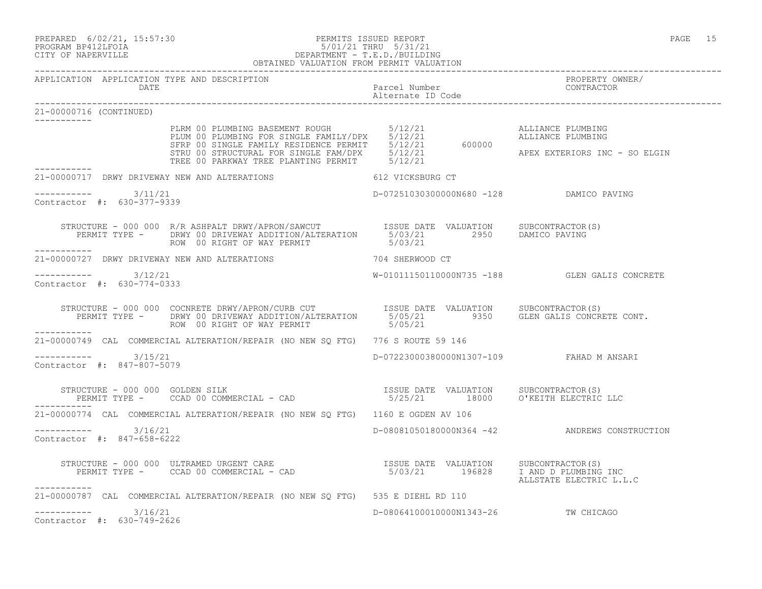PREPARED 6/02/21, 15:57:30 PERMITS ISSUED REPORT PAGE 15

## PROGRAM BP412LFOIA 5/01/21 THRU 5/31/21 CITY OF NAPERVILLE DEPARTMENT - T.E.D./BUILDING OBTAINED VALUATION FROM PERMIT VALUATION

------------------------------------------------------------------------------------------------------------------------------------

| APPLICATION APPLICATION TYPE AND DESCRIPTION<br>DATE |                                                                                                                                                                                                                                                | Parcel Number<br>Alternate ID Code<br>--------------- | PROPERTY OWNER/<br>CONTRACTOR                 |
|------------------------------------------------------|------------------------------------------------------------------------------------------------------------------------------------------------------------------------------------------------------------------------------------------------|-------------------------------------------------------|-----------------------------------------------|
| 21-00000716 (CONTINUED)                              |                                                                                                                                                                                                                                                |                                                       |                                               |
|                                                      | PLRM 00 PLUMBING BASEMENT ROUGH 5/12/21<br>PLUM 00 PLUMBING FOR SINGLE FAMILY/DPX 5/12/21<br>SFRP 00 SINGLE FAMILY RESIDENCE PERMIT 5/12/21 600000<br>STRU 00 STRUCTURAL FOR SINGLE FAM/DPX 5/12/21<br>TREE 00 PARKWAY TREE PLANTING P         |                                                       | ALLIANCE PLUMBING<br>ALLIANCE PLUMBING        |
| ___________                                          |                                                                                                                                                                                                                                                |                                                       | APEX EXTERIORS INC - SO ELGIN                 |
|                                                      | 21-00000717 DRWY DRIVEWAY NEW AND ALTERATIONS 612 VICKSBURG CT                                                                                                                                                                                 |                                                       |                                               |
| $--------- 3/11/21$<br>Contractor #: 630-377-9339    |                                                                                                                                                                                                                                                | D-07251030300000N680 -128 DAMICO PAVING               |                                               |
|                                                      | STRUCTURE - 000 000 R/R ASHPALT DRWY/APRON/SAWCUT  ISSUE DATE VALUATION SUBCONTRACTOR(S)<br>PERMIT TYPE - DRWY 00 DRIVEWAY ADDITION/ALTERATION 5/03/21 2950 DAMICO PAVING<br>ROW 00 RIGHT OF WAY PERMIT  5/03/21<br>ROW 00 RIGHT OF WAY PERMIT |                                                       |                                               |
|                                                      | 21-00000727 DRWY DRIVEWAY NEW AND ALTERATIONS TO THE RESERVENT OF THE RESERVENCE OF                                                                                                                                                            |                                                       |                                               |
| $--------- 3/12/21$<br>Contractor #: 630-774-0333    |                                                                                                                                                                                                                                                |                                                       | W-01011150110000N735 -188 GLEN GALIS CONCRETE |
|                                                      |                                                                                                                                                                                                                                                |                                                       |                                               |
|                                                      | 21-00000749 CAL COMMERCIAL ALTERATION/REPAIR (NO NEW SQ FTG) 776 S ROUTE 59 146                                                                                                                                                                |                                                       |                                               |
| $--------- 3/15/21$<br>Contractor #: 847-807-5079    |                                                                                                                                                                                                                                                | D-07223000380000N1307-109 FAHAD M ANSARI              |                                               |
|                                                      |                                                                                                                                                                                                                                                |                                                       |                                               |
|                                                      | 21-00000774 CAL COMMERCIAL ALTERATION/REPAIR (NO NEW SQ FTG) 1160 E OGDEN AV 106                                                                                                                                                               |                                                       |                                               |
| $--------- 3/16/21$<br>Contractor #: 847-658-6222    |                                                                                                                                                                                                                                                |                                                       | D-08081050180000N364 -42 ANDREWS CONSTRUCTION |
| -----------                                          | STRUCTURE - 000 000 ULTRAMED URGENT CARE<br>PERMIT TYPE - CCAD 00 COMMERCIAL - CAD 00 COMMERCIAL - CAD 60 UNICORDER SUBSUBLE 196828 TAND DELUMBING INC                                                                                         |                                                       | ALLSTATE ELECTRIC L.L.C                       |
|                                                      | 21-00000787 CAL COMMERCIAL ALTERATION/REPAIR (NO NEW SQ FTG) 535 E DIEHL RD 110                                                                                                                                                                |                                                       |                                               |
| $--------- 3/16/21$<br>Contractor #: 630-749-2626    |                                                                                                                                                                                                                                                | D-08064100010000N1343-26 TW CHICAGO                   |                                               |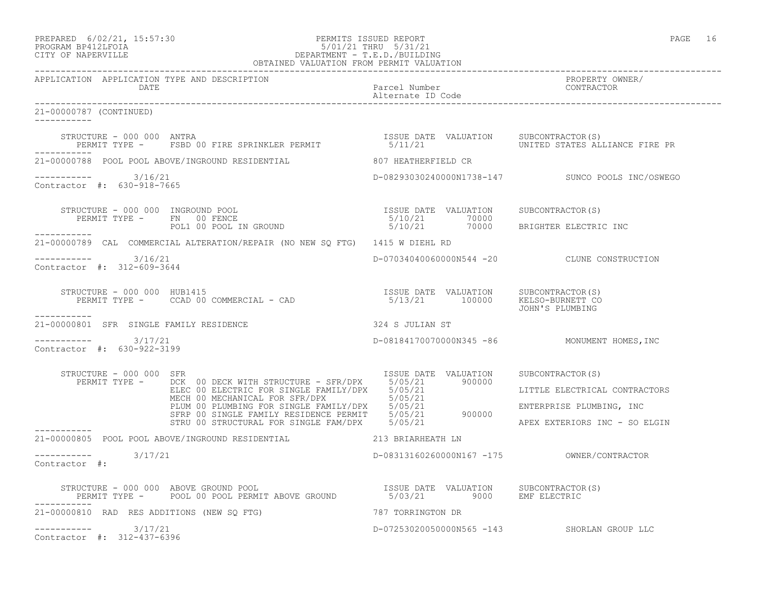## PREPARED 6/02/21, 15:57:30 PERMITS ISSUED REPORT PAGE 16 PROGRAM BP412LFOIA 5/01/21 THRU 5/31/21 CITY OF NAPERVILLE DEPARTMENT - T.E.D./BUILDING

|                                                                | OBTAINED VALUATION FROM PERMIT VALUATION                                                                                                                                                                                                                                                                                                                                                                                                  |                                    |                                                                                            |
|----------------------------------------------------------------|-------------------------------------------------------------------------------------------------------------------------------------------------------------------------------------------------------------------------------------------------------------------------------------------------------------------------------------------------------------------------------------------------------------------------------------------|------------------------------------|--------------------------------------------------------------------------------------------|
| APPLICATION APPLICATION TYPE AND DESCRIPTION<br>DATE           | ____________________________________                                                                                                                                                                                                                                                                                                                                                                                                      | Parcel Number<br>Alternate ID Code | PROPERTY OWNER/<br>CONTRACTOR                                                              |
| 21-00000787 (CONTINUED)<br>___________                         |                                                                                                                                                                                                                                                                                                                                                                                                                                           |                                    |                                                                                            |
| STRUCTURE - 000 000 ANTRA                                      |                                                                                                                                                                                                                                                                                                                                                                                                                                           |                                    |                                                                                            |
|                                                                | 21-00000788 POOL POOL ABOVE/INGROUND RESIDENTIAL 607 HEATHERFIELD CR                                                                                                                                                                                                                                                                                                                                                                      |                                    |                                                                                            |
| $--------- 3/16/21$<br>Contractor #: 630-918-7665              |                                                                                                                                                                                                                                                                                                                                                                                                                                           |                                    | D-08293030240000N1738-147 SUNCO POOLS INC/OSWEGO                                           |
|                                                                | $\begin{array}{cccc} \texttt{STRUCTURE} & - & 000 & 000 & \texttt{INGROUND POOL} & \texttt{ISSUE} \texttt{DATE} & \texttt{VALUATION} & \texttt{SUBCONTRACTOR(S)} \\ \texttt{PERMIT TYPE} & - & \texttt{FN} & 00 \texttt{ FENCE} & \texttt{GROUND} & \texttt{5/10/21} & 70000 & \texttt{BRIGHTER ELECTRIC INC} \\ \texttt{POL1} & 00 \texttt{POOL IN GROUND} & & \texttt{5/10/21} & 70000 & \texttt{BRIGHTER ELECTRIC INC} \\ \end{array}$ |                                    |                                                                                            |
|                                                                | 21-00000789 CAL COMMERCIAL ALTERATION/REPAIR (NO NEW SO FTG) 1415 W DIEHL RD                                                                                                                                                                                                                                                                                                                                                              |                                    |                                                                                            |
| $--------- 3/16/21$<br>Contractor #: 312-609-3644              |                                                                                                                                                                                                                                                                                                                                                                                                                                           |                                    | D-07034040060000N544 -20 CLUNE CONSTRUCTION                                                |
| STRUCTURE - 000 000 HUB1415                                    | STRUCTURE - 000 000 HUB1415<br>PERMIT TYPE - CCAD 00 COMMERCIAL - CAD 6 (2000) 13/21 100000 KELSO-BURNETT                                                                                                                                                                                                                                                                                                                                 |                                    | JOHN'S PLUMBING                                                                            |
| . _ _ _ _ _ _ _ _ _<br>21-00000801 SFR SINGLE FAMILY RESIDENCE | 324 S JULIAN ST                                                                                                                                                                                                                                                                                                                                                                                                                           |                                    |                                                                                            |
| $--------$ 3/17/21<br>Contractor #: 630-922-3199               |                                                                                                                                                                                                                                                                                                                                                                                                                                           |                                    | D-08184170070000N345 -86 MONUMENT HOMES, INC                                               |
| STRUCTURE - 000 000 SFR                                        | RUCTURE - 000 000 SFR<br>PERMIT TYPE - DCK 00 DECK WITH STRUCTURE - SFR/DPX 5/05/21 900000<br>ELEC 00 ELECTRIC FOR SINGLE FAMILY/DPX 5/05/21 LITTLE ELECTRICAI<br>MECH 00 MECHANICAL FOR SFR/DPX 5/05/21 FLUM 00 PLUMBING FOR SINGL                                                                                                                                                                                                       |                                    | LITTLE ELECTRICAL CONTRACTORS<br>ENTERPRISE PLUMBING, INC<br>APEX EXTERIORS INC - SO ELGIN |
|                                                                | 21-00000805 POOL POOL ABOVE/INGROUND RESIDENTIAL 213 BRIARHEATH LN                                                                                                                                                                                                                                                                                                                                                                        |                                    |                                                                                            |
| $--------- 3/17/21$<br>Contractor #:                           |                                                                                                                                                                                                                                                                                                                                                                                                                                           |                                    |                                                                                            |
|                                                                |                                                                                                                                                                                                                                                                                                                                                                                                                                           |                                    |                                                                                            |
| 21-00000810 RAD RES ADDITIONS (NEW SO FTG)                     |                                                                                                                                                                                                                                                                                                                                                                                                                                           | 787 TORRINGTON DR                  |                                                                                            |
| $--------- 3/17/21$<br>Contractor #: 312-437-6396              |                                                                                                                                                                                                                                                                                                                                                                                                                                           |                                    | D-07253020050000N565 -143 SHORLAN GROUP LLC                                                |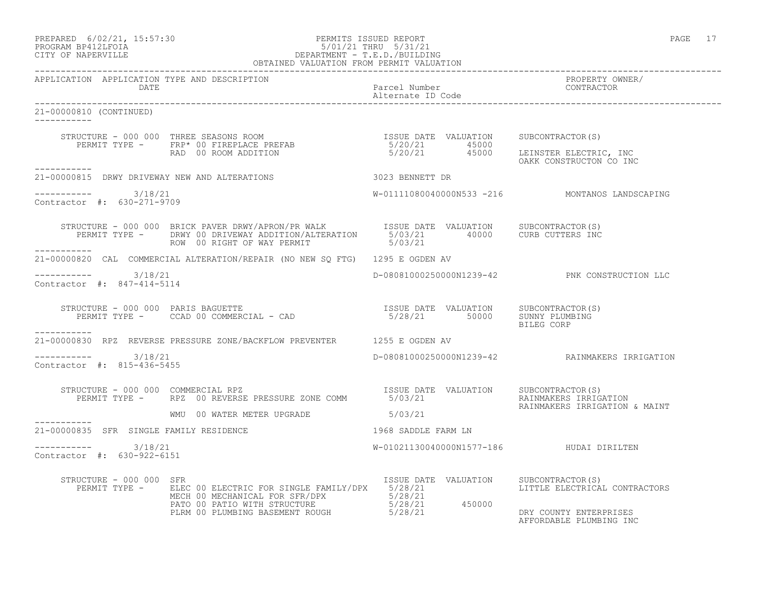### PREPARED 6/02/21, 15:57:30 PERMITS ISSUED REPORT PAGE 17 PROGRAM BP412LFOIA 5/01/21 THRU 5/31/21 CITY OF NAPERVILLE DEPARTMENT - T.E.D./BUILDING OBTAINED VALUATION FROM PERMIT VALUATION

------------------------------------------------------------------------------------------------------------------------------------ APPLICATION APPLICATION TYPE AND DESCRIPTION PROPERTY OWNER/ DATE Parcel Number CONTRACTOR Alternate ID Code ------------------------------------------------------------------------------------------------------------------------------------ 21-00000810 (CONTINUED) ----------- STRUCTURE - 000 000 THREE SEASONS ROOM **ISSUE DATE VALUATION** SUBCONTRACTOR(S) PERMIT TYPE - FRP\* 00 FIREPLACE PREFAB  $5/20/21$  45000 RAD 00 ROOM ADDITION 5/20/21 45000 LEINSTER ELECTRIC, INC HOOOO LEINSTER ELECTRIC, INC<br>0AKK CONSTRUCTON CO INC ----------- 21-00000815 DRWY DRIVEWAY NEW AND ALTERATIONS 3023 BENNETT DR  $--------- 3/18/21$ W-01111080040000N533 -216 MONTANOS LANDSCAPING Contractor #: 630-271-9709 STRUCTURE - 000 000 BRICK PAVER DRWY/APRON/PR WALK ISSUE DATE VALUATION SUBCONTRACTOR(S) PERMIT TYPE - DRWY 00 DRIVEWAY ADDITION/ALTERATION 5/03/21 40000 CURB CUTTERS INC ROW 00 RIGHT OF WAY PERMIT 6/03/21 ----------- 21-00000820 CAL COMMERCIAL ALTERATION/REPAIR (NO NEW SQ FTG) 1295 E OGDEN AV \_\_\_\_\_\_\_\_\_\_\_ ----------- 3/18/21 D-08081000250000N1239-42 PNK CONSTRUCTION LLC Contractor #: 847-414-5114 STRUCTURE - 000 000 PARIS BAGUETTE ISSUE DATE VALUATION SUBCONTRACTOR(S) PERMIT TYPE - CCAD 00 COMMERCIAL - CAD 5/28/21 50000 SUNNY PLUMBING BILEG CORP ----------- 21-00000830 RPZ REVERSE PRESSURE ZONE/BACKFLOW PREVENTER 1255 E OGDEN AV  $--------- 3/18/21$ ----------- 3/18/21 D-08081000250000N1239-42 RAINMAKERS IRRIGATION Contractor #: 815-436-5455 STRUCTURE - 000 000 COMMERCIAL RPZ<br>PERMIT TYPE - RPZ 00 REVERSE PRESSURE ZONE COMM 5/03/21 FRALUATION RAINMAKERS IRRIGA 5/03/21 RAINMAKERS IRRIGATION RAINMAKERS IRRIGATION & MAINT WMU 00 WATER METER UPGRADE ----------- 21-00000835 SFR SINGLE FAMILY RESIDENCE 1968 SADDLE FARM LN \_\_\_\_\_\_\_\_\_\_\_ ----------- 3/18/21 W-01021130040000N1577-186 HUDAI DIRILTEN Contractor #: 630-922-6151 STRUCTURE - 000 000 SFR ISSUE DATE VALUATION SUBCONTRACTOR(S) PERMIT TYPE - ELEC 00 ELECTRIC FOR SINGLE FAMILY/DPX 5/28/21 LITTLE ELECTRICAL CONTRACTORS MECH 00 MECHANICAL FOR SFR/DPX 5/28/21 PATO 00 PATIO WITH STRUCTURE  $5/28/21$  450000 PLRM 00 PLUMBING BASEMENT ROUGH  $5/28/21$  DRY COUNTY ENTERPRISES

AFFORDABLE PLUMBING INC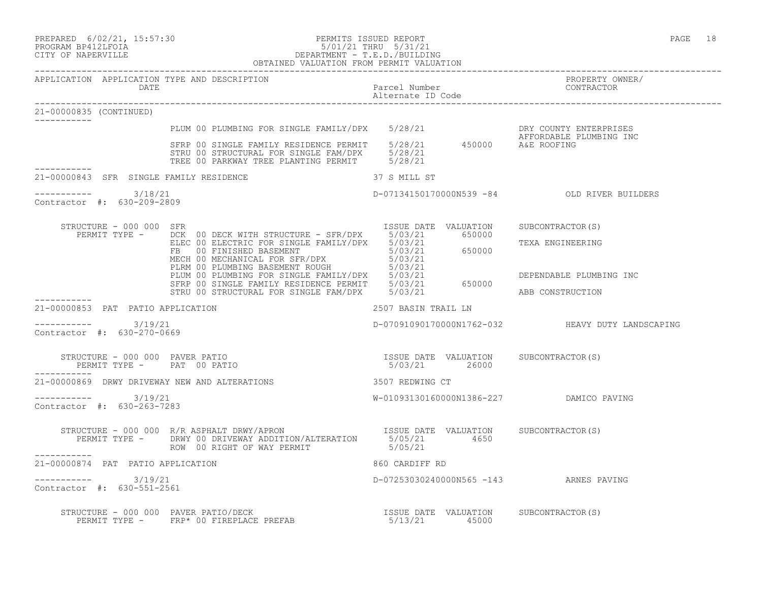### PREPARED 6/02/21, 15:57:30 PERMITS ISSUED REPORT PAGE 18 PROGRAM BP412LFOIA 5/01/21 THRU 5/31/21 CITY OF NAPERVILLE DEPARTMENT - T.E.D./BUILDING OBTAINED VALUATION FROM PERMIT VALUATION

------------------------------------------------------------------------------------------------------------------------------------ APPLICATION APPLICATION TYPE AND DESCRIPTION PROPERTY OWNER/ DATE Parcel Number Contractor of the Parcel Number Contractor of the Parcel Number Contractor of the Parcel Number Alternate ID Code ------------------------------------------------------------------------------------------------------------------------------------ 21-00000835 (CONTINUED) ----------- PLUM 00 PLUMBING FOR SINGLE FAMILY/DPX 5/28/21 THE DRY COUNTY ENTERPRISES AFFORDABLE PLUMBING INC SFRP 00 SINGLE FAMILY RESIDENCE PERMIT 5/28/21 450000 A&E ROOFING STRU 00 STRUCTURAL FOR SINGLE FAM/DPX 5/28/21 TREE 00 PARKWAY TREE PLANTING PERMIT 5/28/21 ----------- 21-00000843 SFR SINGLE FAMILY RESIDENCE 37 S MILL ST  $--------- 3/18/21$ ----------- 3/18/21 D-07134150170000N539 -84 OLD RIVER BUILDERS Contractor #: 630-209-2809 STRUCTURE - 000 000 SFR ISSUE DATE VALUATION SUBCONTRACTOR(S) PERMIT TYPE - DCK 00 DECK WITH STRUCTURE - SFR/DPX 5/03/21 650000 ELEC 00 ELECTRIC FOR SINGLE FAMILY/DPX 5/03/21 TEXA ENGINEERING FB 00 FINISHED BASEMENT 65/03/21 650000 MECH 00 MECHANICAL FOR SFR/DPX 5/03/21 PLRM 00 PLUMBING BASEMENT ROUGH 5/03/21 PLUM 00 PLUMBING FOR SINGLE FAMILY/DPX 5/03/21 DEPENDABLE PLUMBING INC SFRP 00 SINGLE FAMILY RESIDENCE PERMIT 5/03/21 650000 STRU 00 STRUCTURAL FOR SINGLE FAM/DPX 5/03/21 ABB CONSTRUCTION ----------- 21-00000853 PAT PATIO APPLICATION 2507 BASIN TRAIL LN  $--------- 3/19/21$ D-07091090170000N1762-032 HEAVY DUTY LANDSCAPING Contractor #: 630-270-0669 STRUCTURE - 000 000 PAVER PATIO ISSUE DATE VALUATION SUBCONTRACTOR(S) PERMIT TYPE - PAT 00 PATIO 5/03/21 26000 ----------- 21-00000869 DRWY DRIVEWAY NEW AND ALTERATIONS 3507 REDWING CT ----------- 3/19/21 W-01093130160000N1386-227 DAMICO PAVING Contractor #: 630-263-7283 STRUCTURE - 000 000 R/R ASPHALT DRWY/APRON ISSUE DATE VALUATION SUBCONTRACTOR(S) PERMIT TYPE - DRWY 00 DRIVEWAY ADDITION/ALTERATION 5/05/21 4650 ROW 00 RIGHT OF WAY PERMIT 6/05/21 ----------- 21-00000874 PAT PATIO APPLICATION 860 CARDIFF RD \_\_\_\_\_\_\_\_\_\_\_ ----------- 3/19/21 D-07253030240000N565 -143 ARNES PAVING Contractor #: 630-551-2561 STRUCTURE - 000 000 PAVER PATIO/DECK ISSUE DATE VALUATION SUBCONTRACTOR(S) PERMIT TYPE - FRP\* 00 FIREPLACE PREFAB 5/13/21 45000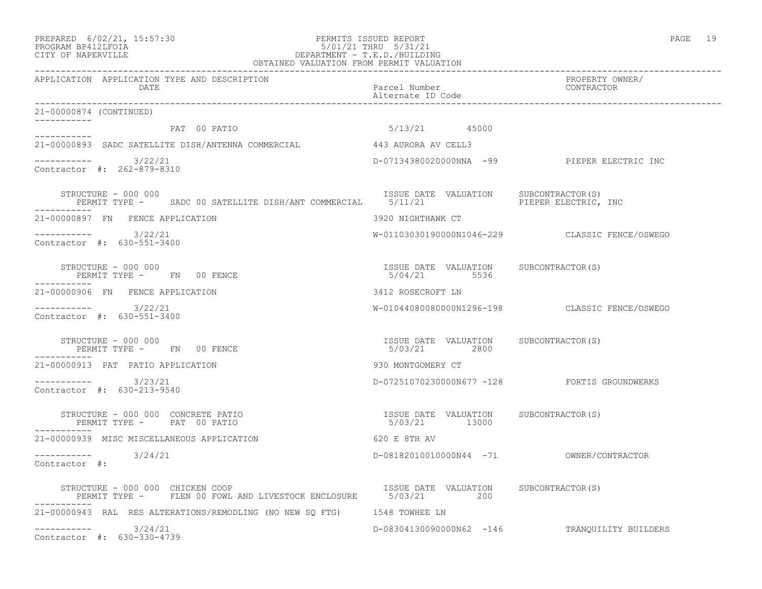21-00000874 (CONTINUED)

 $--------- 3/22/21$ 

Contractor #: 262-879-8310

Contractor #: 630-551-3400

Contractor #: 630-551-3400

Contractor #: 630-213-9540

PERMIT TYPE - FN 00 FENCE

PERMIT TYPE - FN 00 FENCE

PERMIT TYPE - PAT 00 PATIO

21-00000939 MISC MISCELLANEOUS APPLICATION 620 E 8TH AV

-----------

-----------

-----------

-----------

-----------

### PREPARED 6/02/21, 15:57:30 PERMITS ISSUED REPORT PAGE 19 PROGRAM BP412LFOIA 5/01/21 THRU 5/31/21 CITY OF NAPERVILLE DEPARTMENT - T.E.D./BUILDING OBTAINED VALUATION FROM PERMIT VALUATION

------------------------------------------------------------------------------------------------------------------------------------ APPLICATION APPLICATION TYPE AND DESCRIPTION PROPERTY OWNER/ DATE PARTICLE IN PARTICLE IN THE PARTICLE IN THE PARTICLE IN THE PARTICLE IN THE PARTICLE IN THE PARTICLE IN THE PARTICLE IN THE PARTICLE IN THE PARTICLE IN THE PARTICLE IN THE PARTICLE IN THE PARTICLE IN THE PARTICLE IN T Alternate ID Code ------------------------------------------------------------------------------------------------------------------------------------ PAT 00 PATIO 6/13/21 45000 21-00000893 SADC SATELLITE DISH/ANTENNA COMMERCIAL 443 AURORA AV CELL3 D-07134380020000NNA -99 PIEPER ELECTRIC INC STRUCTURE - 000 000<br>PERMIT TYPE - SADC 00 SATELLITE DISH/ANT COMMERCIAL 5/11/21 PIEPER ELECTRIC, INC PERMIT TYPE - SADC 00 SATELLITE DISH/ANT COMMERCIAL 5/11/21 21-00000897 FN FENCE APPLICATION 3920 NIGHTHAWK CT

----------- 3/22/21 W-01103030190000N1046-229 CLASSIC FENCE/OSWEGO

STRUCTURE - 000 000 ISSUE DATE VALUATION SUBCONTRACTOR(S)

21-00000906 FN FENCE APPLICATION 3412 ROSECROFT LN

----------- 3/22/21 W-01044080080000N1296-198 CLASSIC FENCE/OSWEGO

STRUCTURE - 000 000 ISSUE DATE VALUATION SUBCONTRACTOR(S)

21-00000913 PAT PATIO APPLICATION 930 MONTGOMERY CT

----------- 3/23/21 D-07251070230000N677 -128 FORTIS GROUNDWERKS

STRUCTURE - 000 000 CONCRETE PATIO ISSUE DATE VALUATION SUBCONTRACTOR(S)

----------- 3/24/21 D-08182010010000N44 -71 OWNER/CONTRACTOR

Contractor #:

-----------

STRUCTURE - 000 000 CHICKEN COOP **ISSUE DATE VALUATION** SUBCONTRACTOR(S) PERMIT TYPE - FLEN 00 FOWL AND LIVESTOCK ENCLOSURE 5/03/21 200 ----------- 21-00000943 RAL RES ALTERATIONS/REMODLING (NO NEW SQ FTG) 1548 TOWHEE LN ----------- 3/24/21 D-08304130090000N62 -146 TRANQUILITY BUILDERS Contractor #: 630-330-4739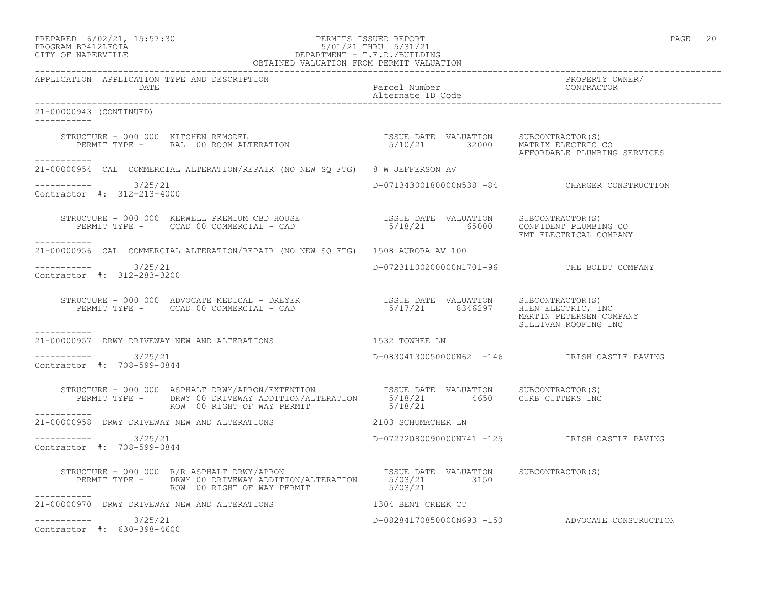| PREPARED            | $6/02/21$ , $15:57:30$ |  |
|---------------------|------------------------|--|
| DDACDAM RDA19T FATA |                        |  |

## PREPARED 6/02/21, 15:57:30 PERMITS ISSUED REPORT<br>PROGRAM BP412LFOIA PAGE 20<br>
5/01/21 THRU 5/31/21 PROGRAM BP412LFOIA 5/01/21 THRU 5/31/21 CITY OF NAPERVILLE CITY OF NAPERVILLE DEPARTMENT - T.E.D./BUILDING

| OBTAINED VALUATION FROM PERMIT VALUATION                                                                                                                                                                                         |                                            |                                                                 |
|----------------------------------------------------------------------------------------------------------------------------------------------------------------------------------------------------------------------------------|--------------------------------------------|-----------------------------------------------------------------|
| APPLICATION APPLICATION TYPE AND DESCRIPTION<br>Parcel Number<br>Parcel Number<br>Alternate ID Code<br>Parcel Number<br>CONTRACTOR<br><b>DATE</b>                                                                                |                                            | PROPERTY OWNER/                                                 |
| 21-00000943 (CONTINUED)<br>------------                                                                                                                                                                                          |                                            |                                                                 |
| ------------                                                                                                                                                                                                                     |                                            | AFFORDABLE PLUMBING SERVICES                                    |
| 21-00000954 CAL COMMERCIAL ALTERATION/REPAIR (NO NEW SQ FTG) 8 W JEFFERSON AV                                                                                                                                                    |                                            |                                                                 |
| $--------$ 3/25/21<br>Contractor #: 312-213-4000                                                                                                                                                                                 |                                            | D-07134300180000N538 -84 CHARGER CONSTRUCTION                   |
| STRUCTURE - 000 000 KERWELL PREMIUM CBD HOUSE                    ISSUE DATE VALUATION    SUBCONTRACTOR(S)<br>PERMIT TYPE -     CCAD 00 COMMERCIAL - CAD                            5/18/21       65000     CONFIDENT PLUMBING CO |                                            | EMT ELECTRICAL COMPANY                                          |
| 21-00000956 CAL COMMERCIAL ALTERATION/REPAIR (NO NEW SQ FTG) 1508 AURORA AV 100                                                                                                                                                  |                                            |                                                                 |
| $--------- 3/25/21$<br>Contractor #: 312-283-3200                                                                                                                                                                                | D-07231100200000N1701-96 THE BOLDT COMPANY |                                                                 |
|                                                                                                                                                                                                                                  |                                            | MARTIN PETERSEN COMPANY<br>SULLIVAN ROOFING INC                 |
| 21-00000957 DRWY DRIVEWAY NEW AND ALTERATIONS 4532 TOWHER LN                                                                                                                                                                     |                                            |                                                                 |
| $--------- 3/25/21$<br>Contractor #: 708-599-0844                                                                                                                                                                                |                                            | D-08304130050000N62 -146 IRISH CASTLE PAVING                    |
| STRUCTURE - 000 000 ASPHALT DRWY/APRON/EXTENTION ISSUE DATE VALUATION SUBCONTRACTOR(S)<br>PERMIT TYPE - DRWY 00 DRIVEWAY ADDITION/ALTERATION 5/18/21 4650 CURB CUTTERS INC<br>ROW 00 RIGHT OF WAY PERMIT<br>------------         | 5/18/21                                    |                                                                 |
| 21-00000958 DRWY DRIVEWAY NEW AND ALTERATIONS 2103 SCHUMACHER LN                                                                                                                                                                 |                                            |                                                                 |
| ----------- 3/25/21<br>Contractor #: 708-599-0844                                                                                                                                                                                |                                            | D-07272080090000N741 -125                   IRISH CASTLE PAVING |
| STRUCTURE - 000 000 R/R ASPHALT DRWY/APRON<br>PERMIT TYPE - DRWY 00 DRIVEWAY ADDITION/ALTERATION 5/03/21<br>FALUATION 3150<br>FALUATION 3150<br>ROW 00 RIGHT OF WAY PERMIT<br>------------                                       | 5/03/21                                    |                                                                 |
| 21-00000970 DRWY DRIVEWAY NEW AND ALTERATIONS THE RESOLUTION CREEK CT                                                                                                                                                            |                                            |                                                                 |
| $--------- 3/25/21$<br>Contractor #: 630-398-4600                                                                                                                                                                                |                                            | D-08284170850000N693 -150 ADVOCATE CONSTRUCTION                 |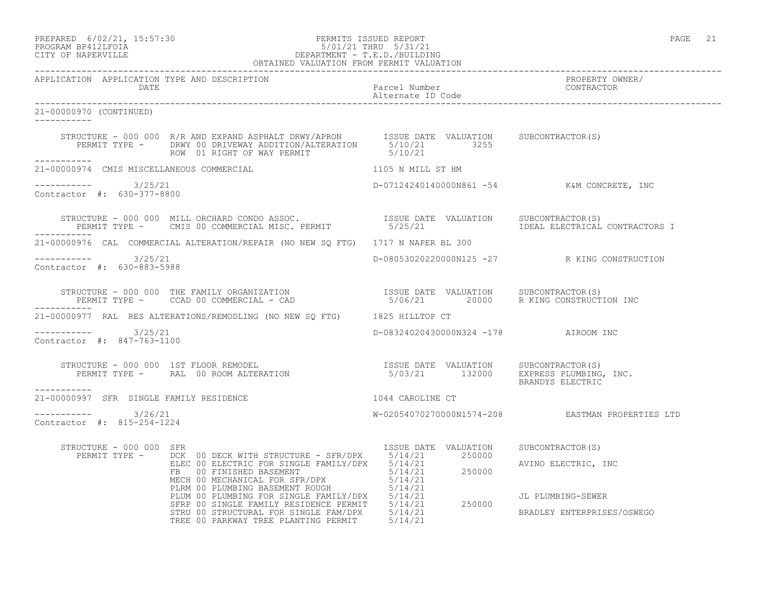### PREPARED 6/02/21, 15:57:30 PERMITS ISSUED REPORT PAGE 21 PROGRAM BP412LFOIA 5/01/21 THRU 5/31/21 CITY OF NAPERVILLE DEPARTMENT - T.E.D./BUILDING OBTAINED VALUATION FROM PERMIT VALUATION

------------------------------------------------------------------------------------------------------------------------------------ APPLICATION APPLICATION TYPE AND DESCRIPTION PROPERTY OWNER/ DATE Parcel Number Alternate ID Code ------------------------------------------------------------------------------------------------------------------------------------ 21-00000970 (CONTINUED) ----------- STRUCTURE - 000 000 R/R AND EXPAND ASPHALT DRWY/APRON ISSUE DATE VALUATION SUBCONTRACTOR(S) PERMIT TYPE - DRWY 00 DRIVEWAY ADDITION/ALTERATION 5/10/21 3255 ROW 01 RIGHT OF WAY PERMIT 6/10/21 ----------- 21-00000974 CMIS MISCELLANEOUS COMMERCIAL 1105 N MILL ST HM \_\_\_\_\_\_\_\_\_\_\_ ----------- 3/25/21 D-07124240140000N861 -54 K&M CONCRETE, INC Contractor #: 630-377-8800 STRUCTURE - 000 000 MILL ORCHARD CONDO ASSOC. ISSUE DATE VALUATION SUBCONTRACTOR(S) PERMIT TYPE - CMIS 00 COMMERCIAL MISC. PERMIT 6/25/21 IDEAL ELECTRICAL CONTRACTORS I ----------- 21-00000976 CAL COMMERCIAL ALTERATION/REPAIR (NO NEW SQ FTG) 1717 N NAPER BL 300 ----------- 3/25/21 D-08053020220000N125 -27 R KING CONSTRUCTION Contractor #: 630-883-5988 STRUCTURE - 000 000 THE FAMILY ORGANIZATION ISSUE DATE VALUATION SUBCONTRACTOR(S) PERMIT TYPE - CCAD 00 COMMERCIAL - CAD 5/06/21 20000 R KING CONSTRUCTION INC ----------- 21-00000977 RAL RES ALTERATIONS/REMODLING (NO NEW SQ FTG) 1825 HILLTOP CT ----------- 3/25/21 D-08324020430000N324 -178 AIROOM INC Contractor #: 847-763-1100 STRUCTURE - 000 000 1ST FLOOR REMODEL ISSUE DATE VALUATION SUBCONTRACTOR(S) PERMIT TYPE - RAL 00 ROOM ALTERATION 6/03/21 132000 EXPRESS PLUMBING, INC. BRANDYS ELECTRIC ----------- 21-00000997 SFR SINGLE FAMILY RESIDENCE 1044 CAROLINE CT  $--------- 3/26/21$ W-02054070270000N1574-208 EASTMAN PROPERTIES LTD Contractor #: 815-254-1224 STRUCTURE - 000 000 SFR ISSUE DATE VALUATION SUBCONTRACTOR(S) PERMIT TYPE - DCK 00 DECK WITH STRUCTURE - SFR/DPX 5/14/21 250000 ELEC 00 ELECTRIC FOR SINGLE FAMILY/DPX 5/14/21 AVINO ELECTRIC, INC FB 00 FINISHED BASEMENT 6714/21 250000 MECH 00 MECHANICAL FOR SFR/DPX 5/14/21 PLRM 00 PLUMBING BASEMENT ROUGH 5/14/21 PLUM 00 PLUMBING FOR SINGLE FAMILY/DPX 5/14/21 JL PLUMBING-SEWER SFRP 00 SINGLE FAMILY RESIDENCE PERMIT 5/14/21 250000 STRU 00 STRUCTURAL FOR SINGLE FAM/DPX 5/14/21 BRADLEY ENTERPRISES/OSWEGO TREE 00 PARKWAY TREE PLANTING PERMIT 5/14/21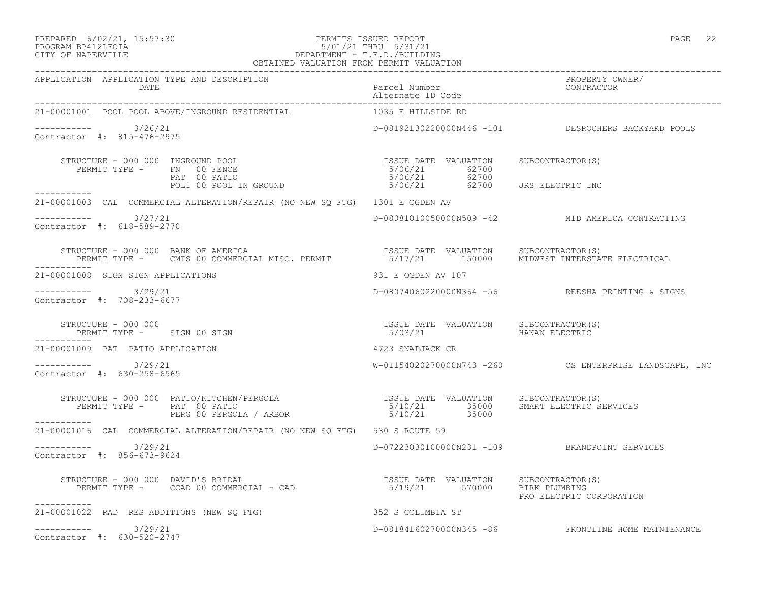## PREPARED 6/02/21, 15:57:30 PERMITS ISSUED REPORT PAGE 22<br>PROGRAM BP412LFOIA PAGE 22 PROGRAM BP412LFOIA PROGRAM BP412LFOIA 5/01/21 THRU 5/31/21 CITY OF NAPERVILLE DEPARTMENT - T.E.D./BUILDING

| OBTAINED VALUATION FROM PERMIT VALUATION                                                                                                                                                                                                                                                                                                           |                                       |                                                        |
|----------------------------------------------------------------------------------------------------------------------------------------------------------------------------------------------------------------------------------------------------------------------------------------------------------------------------------------------------|---------------------------------------|--------------------------------------------------------|
| APPLICATION APPLICATION TYPE AND DESCRIPTION                                                                                                                                                                                                                                                                                                       |                                       | PROPERTY OWNER/<br>CONTRACTOR                          |
| 21-00001001 POOL POOL ABOVE/INGROUND RESIDENTIAL                                                                                                                                                                                                                                                                                                   | 1035 E HILLSIDE RD                    |                                                        |
| $--------- 3/26/21$<br>Contractor #: 815-476-2975                                                                                                                                                                                                                                                                                                  |                                       | D-08192130220000N446 -101 DESROCHERS BACKYARD POOLS    |
| STRUCTURE - 000 000 INGROUND POOL<br>PERMIT TYPE - FN 00 FENCE<br>PAT 00 PATIO<br>POL1 00 POOL IN GROUND                                                                                                                                                                                                                                           | ISSUE DATE VALUATION SUBCONTRACTOR(S) |                                                        |
| 21-00001003 CAL COMMERCIAL ALTERATION/REPAIR (NO NEW SQ FTG) 1301 E OGDEN AV                                                                                                                                                                                                                                                                       |                                       |                                                        |
| $--------- 3/27/21$<br>Contractor #: 618-589-2770                                                                                                                                                                                                                                                                                                  |                                       | D-08081010050000N509 -42 MID AMERICA CONTRACTING       |
| STRUCTURE - 000 000 BANK OF AMERICA                                 ISSUE DATE VALUATION     SUBCONTRACTOR(S)<br>PERMIT TYPE -     CMIS 00 COMMERCIAL MISC. PERMIT             5/17/21       150000   MIDWEST INTERSTATE ELECTRIC                                                                                                                  |                                       |                                                        |
| 21-00001008 SIGN SIGN APPLICATIONS                                                                                                                                                                                                                                                                                                                 | 931 E OGDEN AV 107                    |                                                        |
| ----------- 3/29/21<br>Contractor #: 708-233-6677                                                                                                                                                                                                                                                                                                  |                                       | D-08074060220000N364 -56 REESHA PRINTING & SIGNS       |
| STRUCTURE - 000 000<br>STRUCTURE - UUU UUU<br>PERMIT TYPE - SIGN 00 SIGN                                                                                                                                                                                                                                                                           |                                       |                                                        |
| 21-00001009 PAT PATIO APPLICATION                                                                                                                                                                                                                                                                                                                  | 4723 SNAPJACK CR                      |                                                        |
| $--------- 3/29/21$<br>Contractor #: 630-258-6565                                                                                                                                                                                                                                                                                                  |                                       | W-01154020270000N743 -260 CS ENTERPRISE LANDSCAPE, INC |
|                                                                                                                                                                                                                                                                                                                                                    |                                       |                                                        |
| -----------<br>21-00001016 CAL COMMERCIAL ALTERATION/REPAIR (NO NEW SQ FTG) 530 S ROUTE 59                                                                                                                                                                                                                                                         |                                       |                                                        |
| $--------$ 3/29/21<br>Contractor #: 856-673-9624                                                                                                                                                                                                                                                                                                   |                                       | D-07223030100000N231 -109 BRANDPOINT SERVICES          |
| $\begin{array}{cccc} \texttt{STRUCTURE} - 000 000 \texttt{DAVID'S BRIDAL} \\ \texttt{PERMIT TYPE} - \texttt{CCAD 00 COMMERCIAL} - \texttt{CAD} & \texttt{SAD} \\ \end{array} \qquad \begin{array}{cccc} \texttt{ISSUE} \texttt{DATE} & \texttt{VALUATION} \\ \texttt{5/19/21} & \texttt{570000} \texttt{BIRK PLUMBING} \end{array}$<br>___________ |                                       | PRO ELECTRIC CORPORATION                               |
| 21-00001022 RAD RES ADDITIONS (NEW SO FTG)                                                                                                                                                                                                                                                                                                         | 352 S COLUMBIA ST                     |                                                        |
| $--------- 3/29/21$<br>Contractor #: 630-520-2747                                                                                                                                                                                                                                                                                                  |                                       | D-08184160270000N345 -86 FRONTLINE HOME MAINTENANCE    |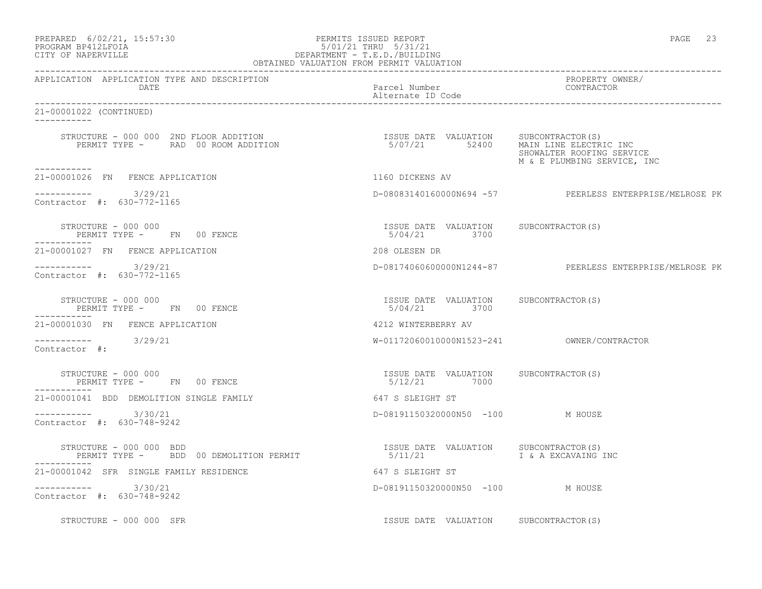PREPARED 6/02/21, 15:57:30 PERMITS ISSUED REPORT PAGE 23

## PROGRAM BP412LFOIA 5/01/21 THRU 5/31/21 CITY OF NAPERVILLE DEPARTMENT - T.E.D./BUILDING OBTAINED VALUATION FROM PERMIT VALUATION

------------------------------------------------------------------------------------------------------------------------------------ APPLICATION APPLICATION TYPE AND DESCRIPTION PROPERTY OWNER/ DATE Parcel Number CONTRACTOR Alternate ID Code ------------------------------------------------------------------------------------------------------------------------------------ 21-00001022 (CONTINUED) ----------- STRUCTURE - 000 000 2ND FLOOR ADDITION ISSUE DATE VALUATION SUBCONTRACTOR(S) PERMIT TYPE - RAD 00 ROOM ADDITION 5/07/21 52400 MAIN LINE ELECTRIC INC SHOWALTER ROOFING SERVICE M & E PLUMBING SERVICE, INC ----------- 21-00001026 FN FENCE APPLICATION 1160 DICKENS AV  $--------- 3/29/21$  $D-08083140160000N694 -57$  PEERLESS ENTERPRISE/MELROSE PK Contractor #: 630-772-1165 STRUCTURE - 000 000 ISSUE DATE VALUATION SUBCONTRACTOR(S) PERMIT TYPE - FN 00 FENCE ----------- 21-00001027 FN FENCE APPLICATION 208 OLESEN DR ----------- 3/29/21 D-08174060600000N1244-87 PEERLESS ENTERPRISE/MELROSE PK Contractor #: 630-772-1165 STRUCTURE - 000 000 ISSUE DATE VALUATION SUBCONTRACTOR(S) PERMIT TYPE - FN 00 FENCE 5/04/21 3700 ----------- 21-00001030 FN FENCE APPLICATION 4212 WINTERBERRY AV ----------- 3/29/21 W-01172060010000N1523-241 OWNER/CONTRACTOR Contractor #: STRUCTURE - 000 000 ISSUE DATE VALUATION SUBCONTRACTOR(S) PERMIT TYPE - FN 00 FENCE ----------- 21-00001041 BDD DEMOLITION SINGLE FAMILY 647 S SLEIGHT ST ----------- 3/30/21 D-08191150320000N50 -100 M HOUSE Contractor #: 630-748-9242 STRUCTURE - 000 000 BDD ISSUE DATE VALUATION SUBCONTRACTOR(S) PERMIT TYPE - BDD 00 DEMOLITION PERMIT 65/11/21 1 3 A EXCAVAING INC ----------- 21-00001042 SFR SINGLE FAMILY RESIDENCE 647 S SLEIGHT ST ----------- 3/30/21 D-08191150320000N50 -100 M HOUSE Contractor #: 630-748-9242 STRUCTURE - 000 000 SFR STRUCTURE - 000 OOD SFR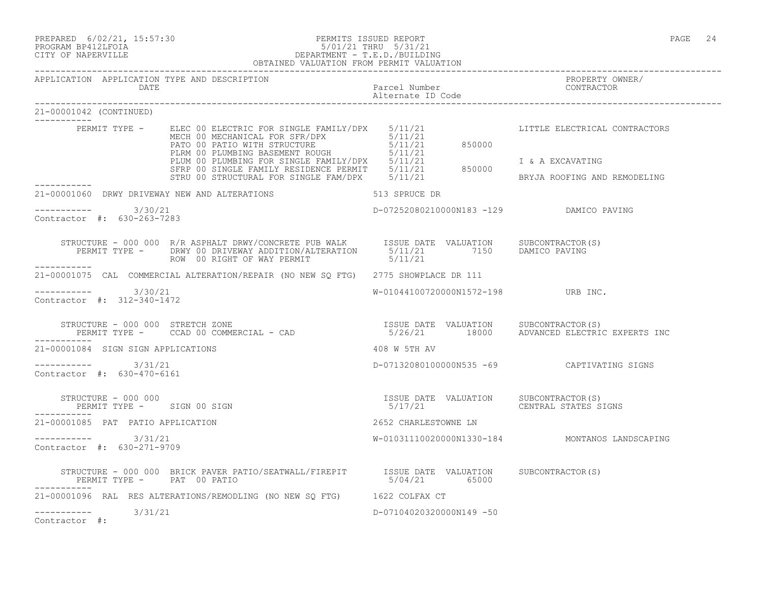PREPARED 6/02/21, 15:57:30 PERMITS ISSUED REPORT PAGE 24

## PROGRAM BP412LFOIA 5/01/21 THRU 5/31/21 CITY OF NAPERVILLE DEPARTMENT - T.E.D./BUILDING OBTAINED VALUATION FROM PERMIT VALUATION

------------------------------------------------------------------------------------------------------------------------------------

APPLICATION APPLICATION TYPE AND DESCRIPTION PROPERTY OWNER/ DATE DESCRIPTION OF PARTICULAR PARTICULAR PARTICULAR PARTICULAR POLITICAL PROPERTY AND TRUMPS AND TRUSTAN POLITICAL AND TRUST AND TRUST AND TRUST AND TRUST AND TRUST AND TRUST AND TRUST AND TRUST AND TRUST AND TRUST AND TR Alternate ID Code ------------------------------------------------------------------------------------------------------------------------------------ 21-00001042 (CONTINUED) ----------- PERMIT TYPE - ELEC 00 ELECTRIC FOR SINGLE FAMILY/DPX 5/11/21 LITTLE ELECTRICAL CONTRACTORS MECH 00 MECHANICAL FOR SFR/DPX 5/11/21 PATO 00 PATIO WITH STRUCTURE  $5/11/21$  850000 PLRM 00 PLUMBING BASEMENT ROUGH 5/11/21 PLUM 00 PLUMBING FOR SINGLE FAMILY/DPX 5/11/21 I & A EXCAVATING SFRP 00 SINGLE FAMILY RESIDENCE PERMIT 5/11/21 850000 STRU 00 STRUCTURAL FOR SINGLE FAM/DPX 5/11/21 THE BRYJA ROOFING AND REMODELING ----------- 21-00001060 DRWY DRIVEWAY NEW AND ALTERATIONS 513 SPRUCE DR ----------- 3/30/21 D-07252080210000N183 -129 DAMICO PAVING Contractor #: 630-263-7283 STRUCTURE - 000 000 R/R ASPHALT DRWY/CONCRETE PUB WALK ISSUE DATE VALUATION SUBCONTRACTOR(S) PERMIT TYPE - DRWY 00 DRIVEWAY ADDITION/ALTERATION 5/11/21 7150 DAMICO PAVING ROW 00 RIGHT OF WAY PERMIT  $5/11/21$ ----------- 21-00001075 CAL COMMERCIAL ALTERATION/REPAIR (NO NEW SQ FTG) 2775 SHOWPLACE DR 111 \_\_\_\_\_\_\_\_\_\_\_\_  $-3/30/21$  URB INC. Contractor #: 312-340-1472 STRUCTURE - 000 000 STRETCH ZONE ISSUE DATE VALUATION SUBCONTRACTOR(S) PERMIT TYPE - CCAD 00 COMMERCIAL - CAD 5/26/21 18000 ADVANCED ELECTRIC EXPERTS INC ----------- 21-00001084 SIGN SIGN APPLICATIONS 408 W 5TH AV ----------- 3/31/21 D-07132080100000N535 -69 CAPTIVATING SIGNS Contractor #: 630-470-6161 STRUCTURE - 000 000 ISSUE DATE VALUATION SUBCONTRACTOR(S) PERMIT TYPE - SIGN 00 SIGN ----------- 21-00001085 PAT PATIO APPLICATION 2652 CHARLESTOWNE LN ----------- 3/31/21 W-01031110020000N1330-184 MONTANOS LANDSCAPING Contractor #: 630-271-9709 STRUCTURE - 000 000 BRICK PAVER PATIO/SEATWALL/FIREPIT ISSUE DATE VALUATION SUBCONTRACTOR(S)<br>PERMIT TYPE - PAT 00 PATIO PATIO PERMIT TYPE - PAT 00 PATIO ----------- 21-00001096 RAL RES ALTERATIONS/REMODLING (NO NEW SQ FTG) 1622 COLFAX CT ----------- 3/31/21 D-07104020320000N149 -50 Contractor #: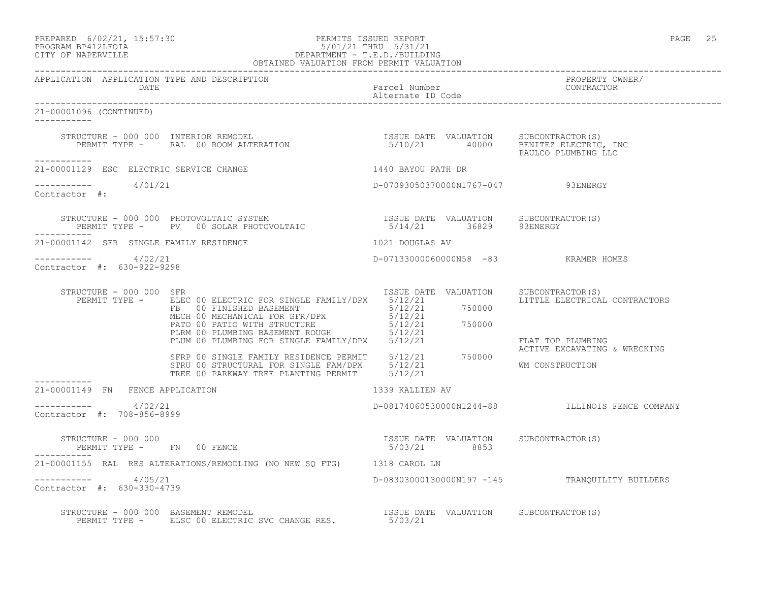### PREPARED 6/02/21, 15:57:30 PERMITS ISSUED REPORT PAGE 25 PROGRAM BP412LFOIA 5/01/21 THRU 5/31/21 CITY OF NAPERVILLE DEPARTMENT - T.E.D./BUILDING OBTAINED VALUATION FROM PERMIT VALUATION

------------------------------------------------------------------------------------------------------------------------------------ APPLICATION APPLICATION TYPE AND DESCRIPTION<br>DATE DATE Parcel Number CONTRACTOR Alternate ID Code ------------------------------------------------------------------------------------------------------------------------------------ 21-00001096 (CONTINUED) ----------- STRUCTURE - 000 000 INTERIOR REMODEL ISSUE DATE VALUATION SUBCONTRACTOR(S) PERMIT TYPE - RAL 00 ROOM ALTERATION 5/10/21 40000 BENITEZ ELECTRIC, INC PAULCO PLUMBING LLC ----------- 21-00001129 ESC ELECTRIC SERVICE CHANGE 145 1440 BAYOU PATH DR  $--------- 4/01/21$ D-07093050370000N1767-047 93ENERGY Contractor #: STRUCTURE - 000 000 PHOTOVOLTAIC SYSTEM ISSUE DATE VALUATION SUBCONTRACTOR(S) PERMIT TYPE - PV 00 SOLAR PHOTOVOLTAIC 65/14/21 36829 93ENERGY ----------- 21-00001142 SFR SINGLE FAMILY RESIDENCE 1021 DOUGLAS AV ----------- 4/02/21 D-07133000060000N58 -83 KRAMER HOMES Contractor #: 630-922-9298 STRUCTURE - 000 000 SFR<br>PERMIT TYPE - ELEC 00 ELECTRIC FOR SINGLE FAMILY/DPX 5/12/21 DATE VALUATION LITTLE ELECTRICAL CONTRACTORS PERMIT TYPE - ELEC 00 ELECTRIC FOR SINGLE FAMILY/DPX 5/12/21 FB 00 FINISHED BASEMENT 65/12/21 750000 MECH 00 MECHANICAL FOR SFR/DPX 5/12/21 PATO 00 PATIO WITH STRUCTURE  $5/12/21$  750000 PLRM 00 PLUMBING BASEMENT ROUGH 5/12/21 PLUM 00 PLUMBING FOR SINGLE FAMILY/DPX 5/12/21 FLAT TOP PLUMBING ACTIVE EXCAVATING & WRECKING SFRP 00 SINGLE FAMILY RESIDENCE PERMIT 5/12/21 750000 STRU 00 STRUCTURAL FOR SINGLE FAM/DPX 5/12/21 WM CONSTRUCTION TREE 00 PARKWAY TREE PLANTING PERMIT 5/12/21 ----------- 21-00001149 FN FENCE APPLICATION 1339 KALLIEN AV  $--------- 4/02/21$ ----------- 4/02/21 D-08174060530000N1244-88 ILLINOIS FENCE COMPANY Contractor #: 708-856-8999 STRUCTURE - 000 000 ISSUE DATE VALUATION SUBCONTRACTOR(S) PERMIT TYPE - FN 00 FENCE 5/03/21 8853 21-00001155 RAL RES ALTERATIONS/REMODLING (NO NEW SQ FTG) 1318 CAROL LN ----------- 4/05/21 D-08303000130000N197 -145 TRANQUILITY BUILDERS Contractor #: 630-330-4739 STRUCTURE - 000 000 BASEMENT REMODEL ISSUE DATE VALUATION SUBCONTRACTOR(S) PERMIT TYPE - ELSC 00 ELECTRIC SVC CHANGE RES. 5/03/21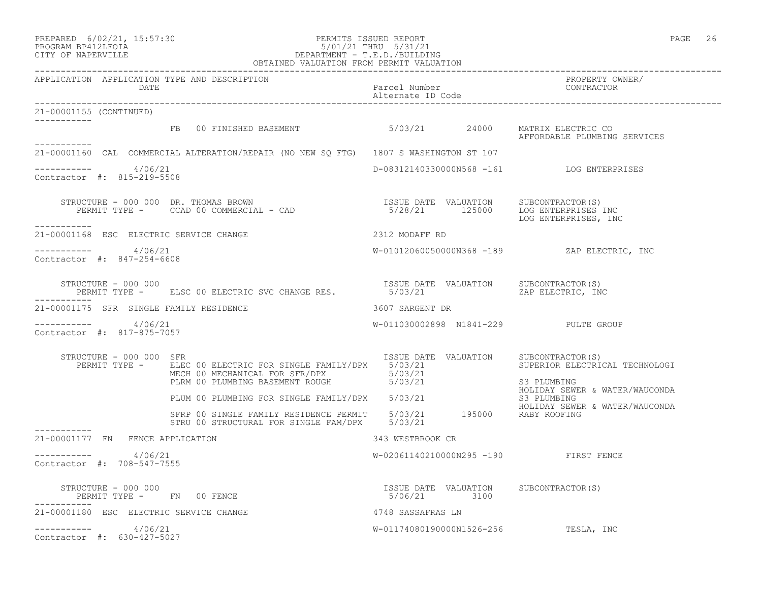| PREPARED | $6/02/21$ , $15:57:30$ |
|----------|------------------------|
|          |                        |

### PREPARED 6/02/21, 15:57:30 PERMITS ISSUED REPORT<br>PROGRAM BP412LFOIA PAGE 26 PROGRAM BP412LFOIA PROGRAM BP412LFOIA 5/01/21 THRU 5/31/21 CITY OF NAPERVILLE DEPARTMENT - T.E.D./BUILDING OBTAINED VALUATION FROM PERMIT VALUATION

| APPLICATION APPLICATION TYPE AND DESCRIPTION<br>DATE |                                                                                                                                                                                                                                                                          |                   |                 | Parcel Number<br>Alternate ID Code<br>--------<br>-------- |
|------------------------------------------------------|--------------------------------------------------------------------------------------------------------------------------------------------------------------------------------------------------------------------------------------------------------------------------|-------------------|-----------------|------------------------------------------------------------|
| 21-00001155 (CONTINUED)                              |                                                                                                                                                                                                                                                                          |                   |                 |                                                            |
| ----------                                           | FB 00 FINISHED BASEMENT 6703/21 24000 MATRIX ELECTRIC CO                                                                                                                                                                                                                 |                   |                 | AFFORDABLE PLUMBING SERVICES                               |
|                                                      | 21-00001160 CAL COMMERCIAL ALTERATION/REPAIR (NO NEW SQ FTG) 1807 S WASHINGTON ST 107                                                                                                                                                                                    |                   |                 |                                                            |
| $--------$ 4/06/21<br>Contractor #: 815-219-5508     |                                                                                                                                                                                                                                                                          |                   |                 | D-08312140330000N568 -161 LOG ENTERPRISES                  |
| -----------                                          | STRUCTURE - 000 000 DR. THOMAS BROWN<br>PERMIT TYPE - CCAD 00 COMMERCIAL - CAD (28/21 125000 LOG ENTERPRISES INC                                                                                                                                                         |                   |                 | LOG ENTERPRISES, INC                                       |
| 21-00001168 ESC ELECTRIC SERVICE CHANGE              |                                                                                                                                                                                                                                                                          | 2312 MODAFF RD    |                 |                                                            |
| ----------- 4/06/21<br>Contractor #: 847-254-6608    |                                                                                                                                                                                                                                                                          |                   |                 | W-01012060050000N368 -189 ZAP ELECTRIC, INC                |
|                                                      | $\begin{tabular}{lllllllll} \texttt{STRUCTURE} & - & 000 & 000 & & & & & \\ & & \texttt{PERMIT TYPE} & - & & \texttt{ELSC 00 ELECTRIC SVC CHANGE RES.} & & & & & \\ & & \texttt{PERMIT TYPE} & - & & \texttt{ELSC 00 ELECTRIC SVC CHANGE RES.} & & & & \\ \end{tabular}$ |                   |                 |                                                            |
| 21-00001175 SFR SINGLE FAMILY RESIDENCE              |                                                                                                                                                                                                                                                                          |                   | 3607 SARGENT DR |                                                            |
| $--------- 4/06/21$<br>Contractor #: 817-875-7057    |                                                                                                                                                                                                                                                                          |                   |                 | W-011030002898 N1841-229 PULTE GROUP                       |
| STRUCTURE - 000 000 SFR                              | PERMIT TYPE - ELEC 00 ELECTRIC FOR SINGLE FAMILY/DPX 5/03/21 SUPERIOR ELECTRICAL TECHNOLOGI<br>MECH 00 MECHANICAL FOR SFR/DPX 5/03/21 S3 PLUMBING MECH 00 PLUMBING BASEMENT ROUGH 5/03/21 S3 PLUMBING MATER (MAUGONER                                                    |                   |                 | ISSUE DATE VALUATION SUBCONTRACTOR (S)                     |
|                                                      | PLUM 00 PLUMBING FOR SINGLE FAMILY/DPX 5/03/21                                                                                                                                                                                                                           |                   |                 | HOLIDAY SEWER & WATER/WAUCONDA<br>S3 PLUMBING              |
|                                                      | HOLIDAY SEWER<br>SFRP 00 SINGLE FAMILY RESIDENCE PERMIT 5/03/21 195000 RABY ROOFING<br>STRIL 00 STRICTURAL FOR SINGLE FAM/DDY 5/00/01<br>STRU 00 STRUCTURAL FOR SINGLE FAM/DPX 5/03/21                                                                                   |                   |                 | HOLIDAY SEWER & WATER/WAUCONDA                             |
| 21-00001177 FN FENCE APPLICATION                     |                                                                                                                                                                                                                                                                          | 343 WESTBROOK CR  |                 |                                                            |
| $       4/06/21$<br>Contractor #: 708-547-7555       |                                                                                                                                                                                                                                                                          |                   |                 | W-02061140210000N295 -190 FIRST FENCE                      |
| $STRUCTURE - 000 000$                                | PERMIT TYPE - FN 00 FENCE                                                                                                                                                                                                                                                | 5/06/21 3100      |                 | ISSUE DATE VALUATION SUBCONTRACTOR(S)                      |
| 21-00001180 ESC ELECTRIC SERVICE CHANGE              |                                                                                                                                                                                                                                                                          | 4748 SASSAFRAS LN |                 |                                                            |
| $--------- 4/06/21$<br>Contractor #: 630-427-5027    |                                                                                                                                                                                                                                                                          |                   |                 | W-01174080190000N1526-256 TESLA, INC                       |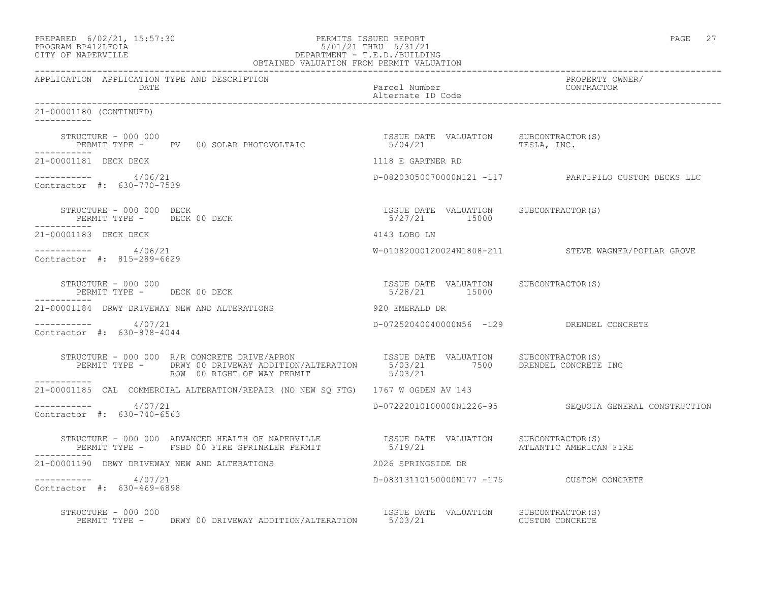| PREPARED                  | $6/02/21$ , $15:57:30$ |  |
|---------------------------|------------------------|--|
| <b>PROGRAME PRACTROTA</b> |                        |  |

### PREPARED 6/02/21, 15:57:30 PERMITS ISSUED REPORT PAGE 27 PROGRAM BP412LFOIA 5/01/21 THRU 5/31/21 CITY OF NAPERVILLE DEPARTMENT - T.E.D./BUILDING OBTAINED VALUATION FROM PERMIT VALUATION

------------------------------------------------------------------------------------------------------------------------------------ APPLICATION APPLICATION TYPE AND DESCRIPTION PROPERTY OWNER/ Parcel Number<br>Alternate ID Code Alternate ID Code ------------------------------------------------------------------------------------------------------------------------------------ 21-00001180 (CONTINUED) ----------- STRUCTURE - 000 000 ISSUE DATE VALUATION SUBCONTRACTOR(S) PERMIT TYPE - PV 00 SOLAR PHOTOVOLTAIC ----------- 21-00001181 DECK DECK 1118 E GARTNER RD ----------- 4/06/21 D-08203050070000N121 -117 PARTIPILO CUSTOM DECKS LLC Contractor #: 630-770-7539 STRUCTURE - 000 000 DECK ISSUE DATE VALUATION SUBCONTRACTOR(S) PERMIT TYPE - DECK 00 DECK ----------- 21-00001183 DECK DECK 4143 LOBO LN ----------- 4/06/21 W-01082000120024N1808-211 STEVE WAGNER/POPLAR GROVE Contractor #: 815-289-6629 STRUCTURE - 000 000 ISSUE DATE VALUATION SUBCONTRACTOR(S) PERMIT TYPE - DECK 00 DECK 16 16 16 16 17 16 16 17 15000 ----------- 21-00001184 DRWY DRIVEWAY NEW AND ALTERATIONS 920 EMERALD DR ----------- 4/07/21 D-07252040040000N56 -129 DRENDEL CONCRETE Contractor #: 630-878-4044 STRUCTURE - 000 000 R/R CONCRETE DRIVE/APRON ISSUE DATE VALUATION SUBCONTRACTOR(S) PERMIT TYPE - DRWY 00 DRIVEWAY ADDITION/ALTERATION 5/03/21 7500 DRENDEL CONCRETE INC ROW 00 RIGHT OF WAY PERMIT 6/03/21 ----------- 21-00001185 CAL COMMERCIAL ALTERATION/REPAIR (NO NEW SQ FTG) 1767 W OGDEN AV 143  $--------- 4/07/21$  $D-07222010100000N1226-95$  SEQUOIA GENERAL CONSTRUCTION Contractor #: 630-740-6563 STRUCTURE - 000 000 ADVANCED HEALTH OF NAPERVILLE ISSUE DATE VALUATION SUBCONTRACTOR(S) PERMIT TYPE - FSBD 00 FIRE SPRINKLER PERMIT 65/19/21 ATLANTIC AMERICAN FIRE 21-00001190 DRWY DRIVEWAY NEW AND ALTERATIONS 2026 SPRINGSIDE DR ----------- 4/07/21 D-08313110150000N177 -175 CUSTOM CONCRETE Contractor #: 630-469-6898

STRUCTURE - 000 000<br>
PERMIT TYPE - DRWY 00 DRIVEWAY ADDITION/ALTERATION 5/03/21 CUSTOM CONCRETE PERMIT TYPE - DRWY 00 DRIVEWAY ADDITION/ALTERATION 5/03/21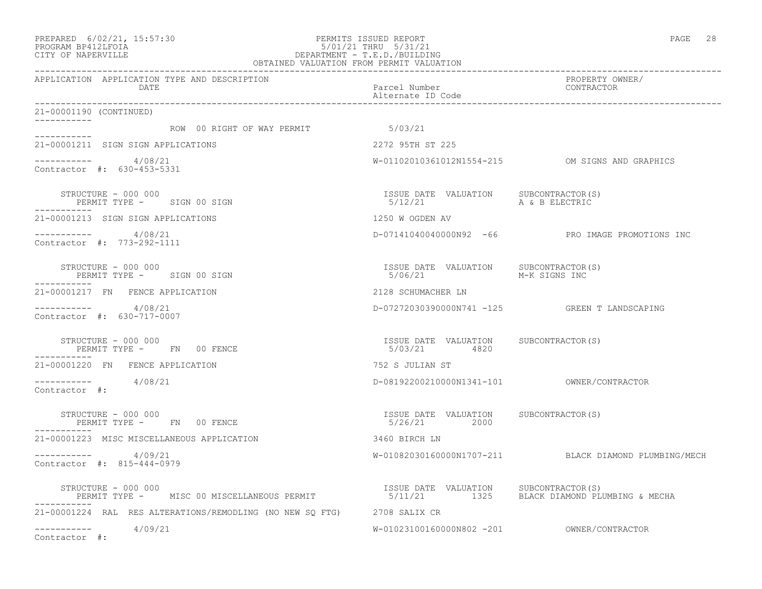#### PREPARED 6/02/21, 15:57:30 PERMITS ISSUED REPORT PAGE 28 PROGRAM BP412LFOIA 5/01/21 THRU 5/31/21 CITY OF NAPERVILLE DEPARTMENT - T.E.D./BUILDING OBTAINED VALUATION FROM PERMIT VALUATION

------------------------------------------------------------------------------------------------------------------------------------ APPLICATION APPLICATION TYPE AND DESCRIPTION PROPERTY OWNER/ DATE Parcel Number Contractor Contractor Contractor Parcel Number Alternate ID Code ------------------------------------------------------------------------------------------------------------------------------------ 21-00001190 (CONTINUED) ----------- ROW 00 RIGHT OF WAY PERMIT 6/03/21 ----------- 21-00001211 SIGN SIGN APPLICATIONS 2272 95TH ST 225  $--------- 4/08/21$ W-01102010361012N1554-215 OM SIGNS AND GRAPHICS Contractor #: 630-453-5331 STRUCTURE - 000 000 ISSUE DATE VALUATION SUBCONTRACTOR(S) PERMIT TYPE - SIGN 00 SIGN 5/12/21 A & B ELECTRIC ----------- 21-00001213 SIGN SIGN APPLICATIONS 1250 W OGDEN AV ----------- 4/08/21 D-07141040040000N92 -66 PRO IMAGE PROMOTIONS INC Contractor #: 773-292-1111 STRUCTURE - 000 000<br>
STRUCTURE - 000 000<br>
PERMIT TYPE - SIGN 00 SIGN PERMIT TYPE - SIGN 00 SIGN ----------- 21-00001217 FN FENCE APPLICATION 2128 SCHUMACHER LN ----------- 4/08/21 D-07272030390000N741 -125 GREEN T LANDSCAPING Contractor #: 630-717-0007 STRUCTURE - 000 000 ISSUE DATE VALUATION SUBCONTRACTOR(S) PERMIT TYPE - FN 00 FENCE ----------- 21-00001220 FN FENCE APPLICATION 752 S JULIAN ST ----------- 4/08/21 D-08192200210000N1341-101 OWNER/CONTRACTOR Contractor #: STRUCTURE - 000 000 ISSUE DATE VALUATION SUBCONTRACTOR(S) PERMIT TYPE - FN 00 FENCE ----------- 21-00001223 MISC MISCELLANEOUS APPLICATION 3460 BIRCH LN ----------- 4/09/21 W-01082030160000N1707-211 BLACK DIAMOND PLUMBING/MECH Contractor #: 815-444-0979 STRUCTURE - 000 000<br>PERMIT TYPE - MISC 00 MISCELLANEOUS PERMIT - TEAN 1925 - S/11/21 1325 - BLACK DIAMOND PLUME 5/11/21 1325 BLACK DIAMOND PLUMBING & MECHA ----------- 21-00001224 RAL RES ALTERATIONS/REMODLING (NO NEW SQ FTG) 2708 SALIX CR ----------- 4/09/21 W-01023100160000N802 -201 OWNER/CONTRACTOR Contractor #: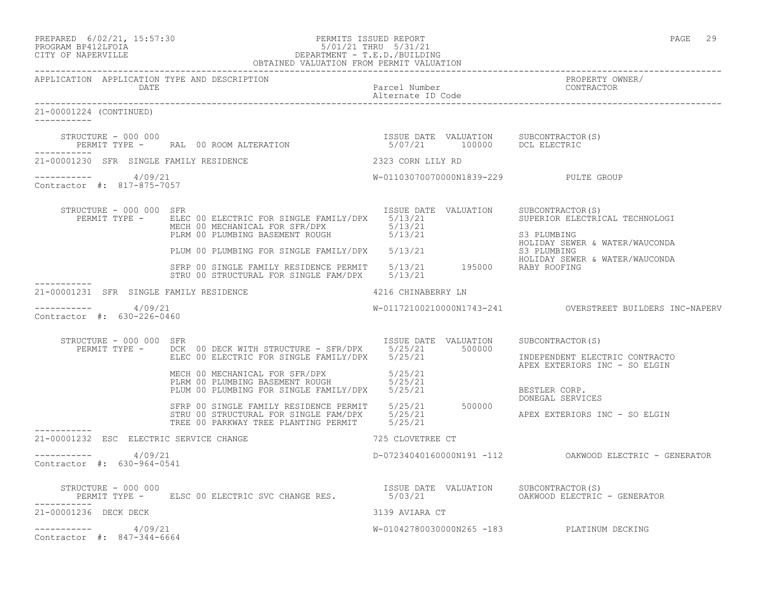| PREPARED 6/02/21, 15:57:30 | PERMITS ISSUED REPORT | PAGE | 29 |
|----------------------------|-----------------------|------|----|
|                            |                       |      |    |
| DDOCD3M DD419TDOT3         | E/01/01 munut E/01/01 |      |    |

# PROGRAM BP412LFOIA 5/01/21 THRU 5/31/21 CITY OF NAPERVILLE DEPARTMENT - T.E.D./BUILDING

|                                                       | OBTAINED VALUATION FROM PERMIT VALUATION                                                                                                                                                                                              |                                       |                                                                                     |
|-------------------------------------------------------|---------------------------------------------------------------------------------------------------------------------------------------------------------------------------------------------------------------------------------------|---------------------------------------|-------------------------------------------------------------------------------------|
| APPLICATION APPLICATION TYPE AND DESCRIPTION<br>DATE  |                                                                                                                                                                                                                                       | Parcel Number<br>Alternate ID Code    | PROPERTY OWNER/<br>CONTRACTOR                                                       |
| 21-00001224 (CONTINUED)<br>------------               |                                                                                                                                                                                                                                       |                                       |                                                                                     |
| STRUCTURE - 000 000                                   | PERMIT TYPE – RAL 00 ROOM ALTERATION 6.000 1000 100000 DCL ELECTRIC                                                                                                                                                                   | ISSUE DATE VALUATION SUBCONTRACTOR(S) |                                                                                     |
| 21-00001230 SFR SINGLE FAMILY RESIDENCE               |                                                                                                                                                                                                                                       | 2323 CORN LILY RD                     |                                                                                     |
| -----------     4/09/21<br>Contractor #: 817-875-7057 |                                                                                                                                                                                                                                       | W-01103070070000N1839-229 PULTE GROUP |                                                                                     |
| STRUCTURE - 000 000 SFR                               | PERMIT TYPE - ELEC 00 ELECTRIC FOR SINGLE FAMILY/DPX 5/13/21<br>MECH 00 MECHANICAL FOR SFR/DPX 5/13/21                                                                                                                                | ISSUE DATE VALUATION SUBCONTRACTOR(S) | SUPERIOR ELECTRICAL TECHNOLOGI<br>S3 PLUMBING                                       |
|                                                       | PLUM 00 PLUMBING FOR SINGLE FAMILY/DPX 5/13/21                                                                                                                                                                                        |                                       | HOLIDAY SEWER & WATER/WAUCONDA<br>S3 PLUMBING                                       |
|                                                       | SFRP 00 SINGLE FAMILY RESIDENCE PERMIT 5/13/21 195000 RABY ROOFING<br>STRU 00 STRUCTURAL FOR SINGLE FAM/DPX 5/13/21                                                                                                                   |                                       | HOLIDAY SEWER & WATER/WAUCONDA                                                      |
| 21-00001231 SFR SINGLE FAMILY RESIDENCE               |                                                                                                                                                                                                                                       | 4216 CHINABERRY LN                    |                                                                                     |
| $--------- 4/09/21$<br>Contractor #: 630-226-0460     |                                                                                                                                                                                                                                       |                                       |                                                                                     |
| STRUCTURE - 000 000 SFR                               | PERMIT TYPE - DCK 00 DECK WITH STRUCTURE - SFR/DPX 5/25/21 500000<br>ELEC 00 ELECTRIC FOR SINGLE FAMILY/DPX 5/25/21                                                                                                                   | ISSUE DATE VALUATION                  | SUBCONTRACTOR(S)<br>INDEPENDENT ELECTRIC CONTRACTO<br>APEX EXTERIORS INC - SO ELGIN |
|                                                       | MECH 00 MECHANICAL FOR SFR/DPX 5/25/21<br>PLRM 00 PLUMBING BASEMENT ROUGH 5/25/21<br>PLUM 00 PLUMBING FOR SINGLE FAMILY/DPX 5/25/21<br>SFRP 00 SINGLE FAMILY RESIDENCE PERMIT 5/25/21 500000<br>STRU 00 STRUCTURAL FOR SINGLE FAM/DPX |                                       | BESTLER CORP.<br>DONEGAL SERVICES                                                   |
|                                                       |                                                                                                                                                                                                                                       |                                       | APEX EXTERIORS INC - SO ELGIN                                                       |
| 21-00001232 ESC ELECTRIC SERVICE CHANGE               |                                                                                                                                                                                                                                       | 725 CLOVETREE CT                      |                                                                                     |
| $--------- 4/09/21$<br>Contractor #: 630-964-0541     |                                                                                                                                                                                                                                       |                                       | D-07234040160000N191 -112 CAKWOOD ELECTRIC - GENERATOR                              |
| STRUCTURE - 000 000                                   | PERMIT TYPE - ELSC 00 ELECTRIC SVC CHANGE RES. 5/03/21 600 COAKWOOD ELECTRIC - GENERATOR                                                                                                                                              | ISSUE DATE VALUATION SUBCONTRACTOR(S) |                                                                                     |
| 21-00001236 DECK DECK                                 |                                                                                                                                                                                                                                       | 3139 AVIARA CT                        |                                                                                     |
| $--------- 4/09/21$<br>Contractor #: 847-344-6664     |                                                                                                                                                                                                                                       |                                       | W-01042780030000N265 -183 PLATINUM DECKING                                          |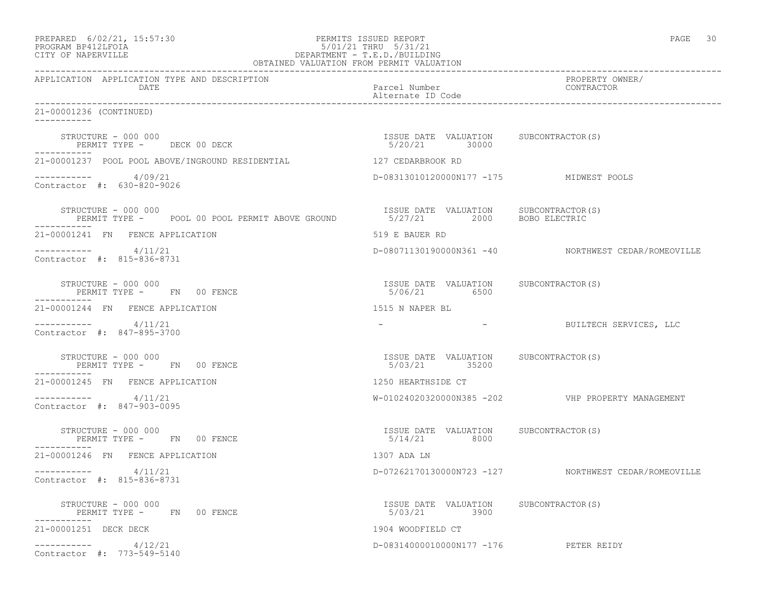| PREPARED | $6/02/21$ , $15:57:30$                  |  |
|----------|-----------------------------------------|--|
|          | $\begin{array}{c}\n\hline\n\end{array}$ |  |

## PREPARED 6/02/21, 15:57:30 PERMITS ISSUED REPORT PAGE 30 PROGRAM BP412LFOIA 5/01/21 THRU 5/31/21 CITY OF NAPERVILLE DEPARTMENT - T.E.D./BUILDING

| OBTAINED VALUATION FROM PERMIT VALUATION                                                                                            |                                                         |                                                      |
|-------------------------------------------------------------------------------------------------------------------------------------|---------------------------------------------------------|------------------------------------------------------|
| APPLICATION APPLICATION TYPE AND DESCRIPTION<br>DATE                                                                                | Parcel Number<br>Alternate ID Code                      | PROPERTY OWNER/<br>CONTRACTOR                        |
| 21-00001236 (CONTINUED)<br>___________                                                                                              |                                                         |                                                      |
| STRUCTURE - 000 000<br>PERMIT TYPE - DECK 00 DECK                                                                                   | ISSUE DATE VALUATION SUBCONTRACTOR (S)<br>5/20/21 30000 |                                                      |
| 21-00001237 POOL POOL ABOVE/INGROUND RESIDENTIAL 427 CEDARBROOK RD                                                                  |                                                         |                                                      |
| $--------- 4/09/21$<br>Contractor #: 630-820-9026                                                                                   | D-08313010120000N177 -175 MIDWEST POOLS                 |                                                      |
| STRUCTURE - 000 000<br>PERMIT TYPE - POOL 00 POOL PERMIT ABOVE GROUND  STRUE DATE VALUATION SUBCONTRACTOR(S)<br>STRUCTURE - 000 000 |                                                         |                                                      |
| 21-00001241 FN FENCE APPLICATION                                                                                                    | 519 E BAUER RD                                          |                                                      |
| $--------- 4/11/21$<br>Contractor #: 815-836-8731                                                                                   |                                                         | D-08071130190000N361 -40 NORTHWEST CEDAR/ROMEOVILLE  |
| STRUCTURE - 000 000<br>PERMIT TYPE - FN 00 FENCE                                                                                    | ISSUE DATE VALUATION SUBCONTRACTOR(S)<br>5/06/21 6500   |                                                      |
| 21-00001244 FN FENCE APPLICATION                                                                                                    | 1515 N NAPER BL                                         |                                                      |
| $------ 4/11/21$<br>Contractor #: 847-895-3700                                                                                      |                                                         | - BUILTECH SERVICES, LLC                             |
| STRUCTURE - 000 000<br>PERMIT TYPE - FN 00 FENCE                                                                                    | ISSUE DATE VALUATION SUBCONTRACTOR(S)<br>5/03/21 35200  |                                                      |
| 21-00001245 FN FENCE APPLICATION                                                                                                    | 1250 HEARTHSIDE CT                                      |                                                      |
| 4/11/21<br>Contractor #: 847-903-0095                                                                                               |                                                         | W-01024020320000N385 -202    VHP PROPERTY MANAGEMENT |
| STRUCTURE - 000 000<br>PERMIT TYPE - FN 00 FENCE<br>-----------                                                                     | ISSUE DATE VALUATION SUBCONTRACTOR(S)<br>5/14/21 8000   |                                                      |
| 21-00001246 FN FENCE APPLICATION                                                                                                    | 1307 ADA LN                                             |                                                      |
| $--------- 4/11/21$<br>Contractor #: 815-836-8731                                                                                   |                                                         | D-07262170130000N723 -127 NORTHWEST CEDAR/ROMEOVILLE |
| STRUCTURE - 000 000<br>PERMIT TYPE - FN 00 FENCE                                                                                    | ISSUE DATE VALUATION SUBCONTRACTOR(S)<br>5/03/21 3900   |                                                      |
| 21-00001251 DECK DECK                                                                                                               | 1904 WOODFIELD CT                                       |                                                      |
| $--------- 4/12/21$<br>Contractor #: 773-549-5140                                                                                   | D-08314000010000N177 -176 PETER REIDY                   |                                                      |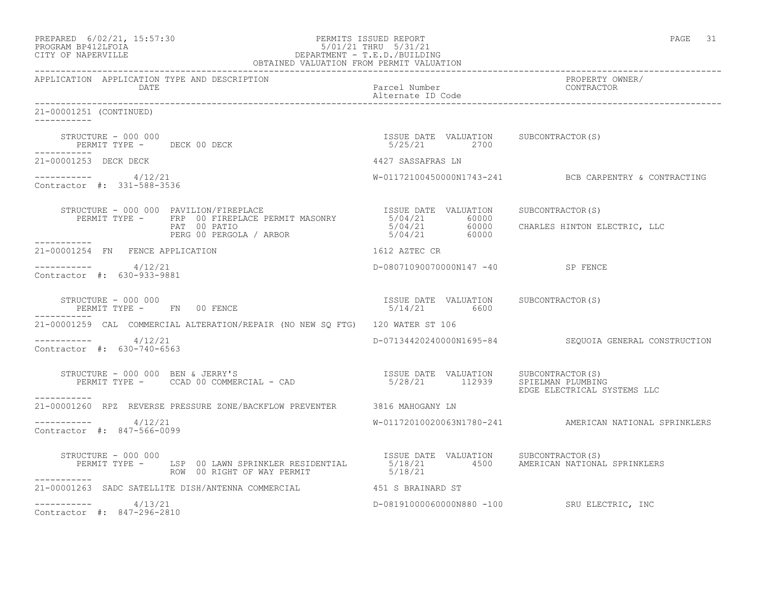| PREPARED 6/02/21, 15:57:30<br>PERMITS ISSUED REPORT 5/01/21 THRU 5/31/21<br>CITY OF NAPERVILLE DEPARTMENT - T.E.D./BUILDING<br>OBTAINED VALUATION FROM PERMIT VALUATION                                            |                                                       | PAGE 31                                                 |
|--------------------------------------------------------------------------------------------------------------------------------------------------------------------------------------------------------------------|-------------------------------------------------------|---------------------------------------------------------|
| APPLICATION APPLICATION TYPE AND DESCRIPTION<br>DATE                                                                                                                                                               | Parcel Number<br>Alternate ID Code                    | PROPERTY OWNER/<br>CONTRACTOR                           |
| 21-00001251 (CONTINUED)<br>-----------                                                                                                                                                                             |                                                       |                                                         |
| STRUCTURE - 000 000<br>STRUCTURE - 000 000<br>PERMIT TYPE - DECK 00 DECK<br>-----------                                                                                                                            | ISSUE DATE VALUATION SUBCONTRACTOR(S)<br>5/25/21 2700 |                                                         |
| 21-00001253 DECK DECK                                                                                                                                                                                              | 4427 SASSAFRAS LN                                     |                                                         |
| -----------     4/12/21<br>Contractor #: 331-588-3536                                                                                                                                                              |                                                       | $W-01172100450000N1743-241$ BCB CARPENTRY & CONTRACTING |
|                                                                                                                                                                                                                    |                                                       |                                                         |
| STRUCTURE - 000 000 PAVILION/FIREPLACE<br>PERMIT TYPE - FRP 00 FIREPLACE PERMIT MASONRY 5/04/21 60000 CHARLES HINTON ELECTRIC, LLC<br>PERG 00 PERGOLA / ARBOR 5/04/21 60000 CHARLES HINTON ELECTRIC, LLC           |                                                       |                                                         |
| 21-00001254 FN FENCE APPLICATION                                                                                                                                                                                   | 1612 AZTEC CR                                         |                                                         |
| -----------    4/12/21<br>Contractor #: 630-933-9881                                                                                                                                                               | D-08071090070000N147 -40 SP FENCE                     |                                                         |
| STRUCTURE - 000 000<br>PERMIT TYPE - FN 00 FENCE                                                                                                                                                                   | ISSUE DATE VALUATION SUBCONTRACTOR(S)<br>5/14/21 6600 |                                                         |
| 21-00001259 CAL COMMERCIAL ALTERATION/REPAIR (NO NEW SO FTG) 120 WATER ST 106                                                                                                                                      |                                                       |                                                         |
| $--------- 4/12/21$<br>Contractor #: 630-740-6563                                                                                                                                                                  |                                                       | D-07134420240000N1695-84 SEQUOIA GENERAL CONSTRUCTION   |
| $\begin{array}{cccc} \texttt{STRUCTURE} & - & 000 & 000 & \texttt{BEN} & \texttt{JERRY'S} \\ \texttt{PERMIT TYPE} & - & \texttt{CCAD} & 00 & \texttt{COMMERCIAL} & - & \texttt{CAD} \\ \end{array}$<br>----------- |                                                       | EDGE ELECTRICAL SYSTEMS LLC                             |
| 21-00001260 RPZ REVERSE PRESSURE ZONE/BACKFLOW PREVENTER 3816 MAHOGANY LN                                                                                                                                          |                                                       |                                                         |
| ----------     4/12/21<br>Contractor #: 847-566-0099                                                                                                                                                               |                                                       | W-01172010020063N1780-241 AMERICAN NATIONAL SPRINKLERS  |
| STRUCTURE - 000 000<br>PERMIT TYPE - LSP 00 LAWN SPRINKLER RESIDENTIAL 5/18/21 4500<br>ROW 00 RIGHT OF WAY PERMIT NUMBER 18/18/21<br>-----------                                                                   | ISSUE DATE VALUATION SUBCONTRACTOR(S)                 | AMERICAN NATIONAL SPRINKLERS                            |
| 21-00001263 SADC SATELLITE DISH/ANTENNA COMMERCIAL 451 S BRAINARD ST                                                                                                                                               |                                                       |                                                         |
| $--------- 4/13/21$<br>Contractor #: 847-296-2810                                                                                                                                                                  |                                                       | D-08191000060000N880 -100 SRU ELECTRIC, INC             |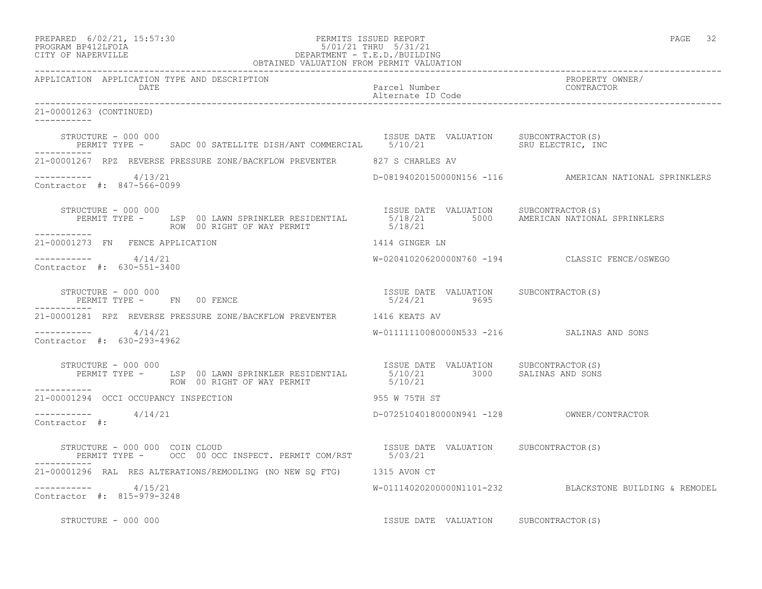| PREPARED | $6/02/21$ , $15:57:30$ |  |
|----------|------------------------|--|
| -------- |                        |  |

## PREPARED 6/02/21, 15:57:30 PERMITS ISSUED REPORT<br>PROGRAM BP412LFOIA PAGE 32<br>
9/01/21 THRU 5/31/21 PROGRAM BP412LFOIA 5/01/21 THRU 5/31/21 CITY OF NAPERVILLE DEPARTMENT - T.E.D./BUILDING

| OBTAINED VALUATION FROM PERMIT VALUATION                                                                                                                                            |                                                       |                                                         |
|-------------------------------------------------------------------------------------------------------------------------------------------------------------------------------------|-------------------------------------------------------|---------------------------------------------------------|
| APPLICATION APPLICATION TYPE AND DESCRIPTION<br>DATE                                                                                                                                | Parcel Number<br>Alternate ID Code                    | PROPERTY OWNER/<br>CONTRACTOR                           |
| 21-00001263 (CONTINUED)<br>___________                                                                                                                                              |                                                       |                                                         |
| STRUCTURE - 000 000<br>PERMIT TYPE - SADC 00 SATELLITE DISH/ANT COMMERCIAL 5/10/21 SRU ELECTRIC, INC                                                                                |                                                       |                                                         |
| 21-00001267 RPZ REVERSE PRESSURE ZONE/BACKFLOW PREVENTER 627 S CHARLES AV                                                                                                           |                                                       |                                                         |
| $--------- 4/13/21$<br>Contractor #: 847-566-0099                                                                                                                                   |                                                       | D-08194020150000N156 -116 AMERICAN NATIONAL SPRINKLERS  |
| STRUCTURE - 000 000<br>STRUCTURE - 000 000<br>PERMIT TYPE - LSP 00 LAWN SPRINKLER RESIDENTIAL 5/18/21 5000 AMERICAN NATIONAL SPRINKLERS<br>ROW 00 RIGHT OF WAY PERMIT<br>__________ | 5/18/21                                               |                                                         |
| 21-00001273 FN FENCE APPLICATION                                                                                                                                                    | 1414 GINGER LN                                        |                                                         |
| -----------     4/14/21<br>Contractor #: 630-551-3400                                                                                                                               |                                                       | W-02041020620000N760 -194 CLASSIC FENCE/OSWEGO          |
| STRUCTURE - 000 000<br>PERMIT TYPE - FN 00 FENCE                                                                                                                                    | ISSUE DATE VALUATION SUBCONTRACTOR(S)<br>5/24/21 9695 |                                                         |
| 21-00001281 RPZ REVERSE PRESSURE ZONE/BACKFLOW PREVENTER 1416 KEATS AV                                                                                                              |                                                       |                                                         |
| $--------- 4/14/21$<br>Contractor #: 630-293-4962                                                                                                                                   | W-011111110080000N533 -216  SALINAS AND SONS          |                                                         |
| STRUCTURE - 000 000                                                                                                                                                                 |                                                       |                                                         |
| ------------<br>21-00001294 OCCI OCCUPANCY INSPECTION                                                                                                                               | 955 W 75TH ST                                         |                                                         |
| -----------     4/14/21<br>Contractor #:                                                                                                                                            |                                                       |                                                         |
|                                                                                                                                                                                     |                                                       |                                                         |
| 21-00001296 RAL RES ALTERATIONS/REMODLING (NO NEW SQ FTG) 1315 AVON CT                                                                                                              |                                                       |                                                         |
| -----------    4/15/21<br>Contractor #: 815-979-3248                                                                                                                                |                                                       | W-01114020200000N1101-232 BLACKSTONE BUILDING & REMODEL |
| STRUCTURE - 000 000                                                                                                                                                                 | ISSUE DATE VALUATION SUBCONTRACTOR(S)                 |                                                         |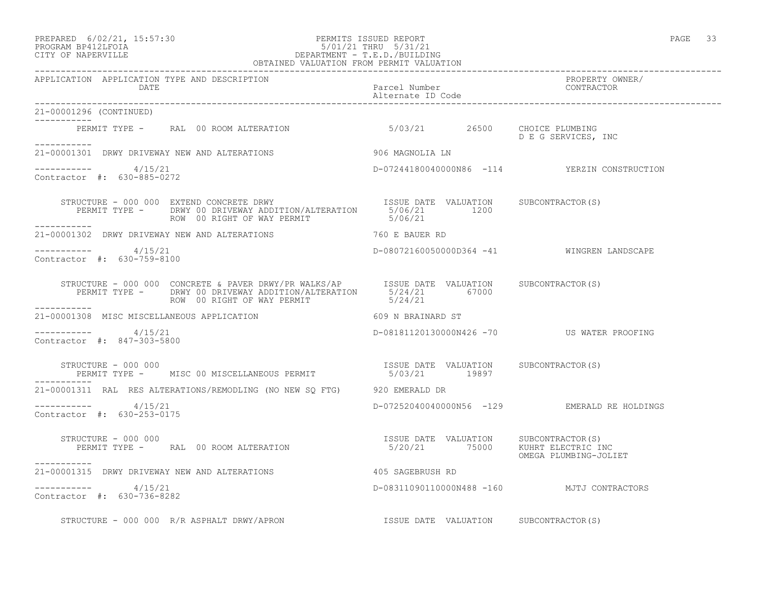### PREPARED 6/02/21, 15:57:30 PERMITS ISSUED REPORT PAGE 33 PROGRAM BP412LFOIA 5/01/21 THRU 5/31/21 CITY OF NAPERVILLE DEPARTMENT - T.E.D./BUILDING OBTAINED VALUATION FROM PERMIT VALUATION

------------------------------------------------------------------------------------------------------------------------------------ APPLICATION APPLICATION TYPE AND DESCRIPTION<br>DATE barcel Number Parcel Number (CONTRACTOR DATE Parcel Number CONTRACTOR Alternate ID Code ------------------------------------------------------------------------------------------------------------------------------------ 21-00001296 (CONTINUED) ----------- PERMIT TYPE - RAL 00 ROOM ALTERATION 5/03/21 26500 CHOICE PLUMBING D E G SERVICES, INC ----------- 21-00001301 DRWY DRIVEWAY NEW AND ALTERATIONS 906 MAGNOLIA LN  $--------- 4/15/21$ D-07244180040000N86 -114 YERZIN CONSTRUCTION Contractor #: 630-885-0272 STRUCTURE - 000 000 EXTEND CONCRETE DRWY ISSUE DATE VALUATION SUBCONTRACTOR(S) PERMIT TYPE - DRWY 00 DRIVEWAY ADDITION/ALTERATION 5/06/21 1200 ROW 00 RIGHT OF WAY PERMIT 6/06/21 ----------- 21-00001302 DRWY DRIVEWAY NEW AND ALTERATIONS 760 E BAUER RD \_\_\_\_\_\_\_\_\_\_\_ ----------- 4/15/21 D-08072160050000D364 -41 WINGREN LANDSCAPE Contractor #: 630-759-8100 STRUCTURE - 000 000 CONCRETE & PAVER DRWY/PR WALKS/AP ISSUE DATE VALUATION SUBCONTRACTOR(S) PERMIT TYPE - DRWY 00 DRIVEWAY ADDITION/ALTERATION 5/24/21 67000 ROW 00 RIGHT OF WAY PERMIT 6/24/21 ----------- 21-00001308 MISC MISCELLANEOUS APPLICATION 609 N BRAINARD ST  $--------- 4/15/21$ D-08181120130000N426 -70 US WATER PROOFING Contractor #: 847-303-5800 STRUCTURE - 000 000 ISSUE DATE VALUATION SUBCONTRACTOR(S) PERMIT TYPE - MISC 00 MISCELLANEOUS PERMIT 5/03/21 19897 ----------- 21-00001311 RAL RES ALTERATIONS/REMODLING (NO NEW SQ FTG) 920 EMERALD DR ----------- 4/15/21 D-07252040040000N56 -129 EMERALD RE HOLDINGS Contractor #: 630-253-0175 STRUCTURE - 000 000 ISSUE DATE VALUATION SUBCONTRACTOR(S) PERMIT TYPE - RAL 00 ROOM ALTERATION OMEGA PLUMBING-JOLIET ----------- 21-00001315 DRWY DRIVEWAY NEW AND ALTERATIONS 405 SAGEBRUSH RD  $--------- 4/15/21$ D-08311090110000N488 -160 MJTJ CONTRACTORS Contractor #: 630-736-8282 STRUCTURE - 000 000 R/R ASPHALT DRWY/APRON ISSUE DATE VALUATION SUBCONTRACTOR(S)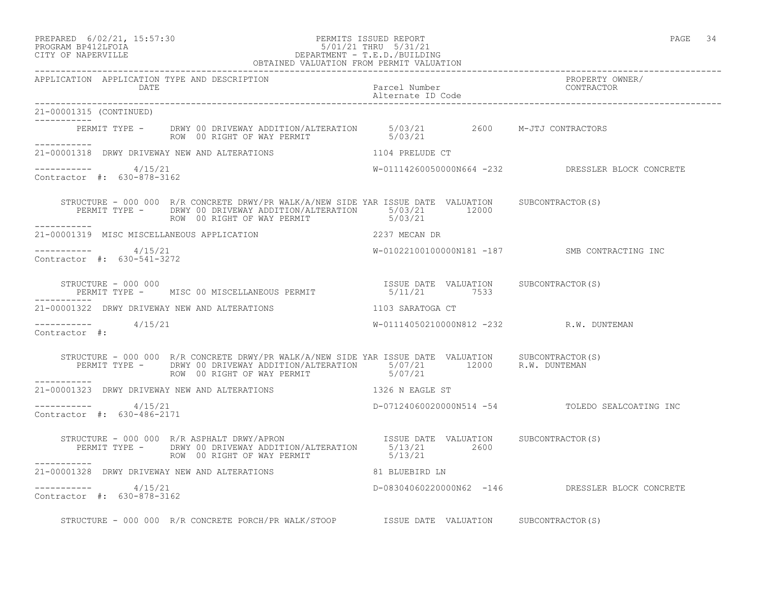## PREPARED 6/02/21, 15:57:30 PERMITS ISSUED REPORT PAGE 34 PROGRAM BP412LFOIA 5/01/21 THRU 5/31/21 CITY OF NAPERVILLE DEPARTMENT - T.E.D./BUILDING

|                                                      | OBTAINED VALUATION FROM PERMIT VALUATION                                                                                                                                                                                                                 |                                    |                                                   |
|------------------------------------------------------|----------------------------------------------------------------------------------------------------------------------------------------------------------------------------------------------------------------------------------------------------------|------------------------------------|---------------------------------------------------|
| APPLICATION APPLICATION TYPE AND DESCRIPTION<br>DATE |                                                                                                                                                                                                                                                          | Parcel Number<br>Alternate ID Code | PROPERTY OWNER/<br>CONTRACTOR                     |
| 21-00001315 (CONTINUED)                              |                                                                                                                                                                                                                                                          |                                    |                                                   |
|                                                      | PERMIT TYPE - DRWY 00 DRIVEWAY ADDITION/ALTERATION 5/03/21 2600 M-JTJ CONTRACTORS<br>ROW 00 RIGHT OF WAY PERMIT 5/03/21                                                                                                                                  |                                    |                                                   |
|                                                      | 21-00001318 DRWY DRIVEWAY NEW AND ALTERATIONS 100 1104 PRELUDE CT                                                                                                                                                                                        |                                    |                                                   |
| $--------- 4/15/21$<br>Contractor #: 630-878-3162    |                                                                                                                                                                                                                                                          |                                    | W-01114260050000N664 -232 DRESSLER BLOCK CONCRETE |
| ------------                                         | STRUCTURE - 000 000 R/R CONCRETE DRWY/PR WALK/A/NEW SIDE YAR ISSUE DATE VALUATION SUBCONTRACTOR(S)<br>PERMIT TYPE - DRWY 00 DRIVEWAY ADDITION/ALTERATION 5/03/21 12000<br>ROW 00 RIGHT OF WAY PERMIT 5/03/21                                             |                                    |                                                   |
|                                                      | 21-00001319 MISC MISCELLANEOUS APPLICATION 2237 MECAN DR                                                                                                                                                                                                 |                                    |                                                   |
| $--------- 4/15/21$<br>Contractor #: 630-541-3272    |                                                                                                                                                                                                                                                          |                                    | W-01022100100000N181 -187 SMB CONTRACTING INC     |
|                                                      |                                                                                                                                                                                                                                                          |                                    |                                                   |
| ------------                                         | 21-00001322 DRWY DRIVEWAY NEW AND ALTERATIONS 1103 SARATOGA CT                                                                                                                                                                                           |                                    |                                                   |
| $--------- 4/15/21$<br>Contractor #:                 |                                                                                                                                                                                                                                                          |                                    | W-01114050210000N812 -232 R.W. DUNTEMAN           |
| <u> - - - - - - - - - - - - - -</u>                  | STRUCTURE - 000 000 R/R CONCRETE DRWY/PR WALK/A/NEW SIDE YAR ISSUE DATE VALUATION SUBCONTRACTOR(S)<br>PERMIT TYPE - DRWY 00 DRIVEWAY ADDITION/ALTERATION 5/07/21 12000 R.W. DUNTEMAN<br>ROW 00 RIGHT OF WAY PERMIT 5/07/21<br>ROW 00 RIGHT OF WAY PERMIT |                                    |                                                   |
|                                                      | 21-00001323 DRWY DRIVEWAY NEW AND ALTERATIONS 1326 N EAGLE ST                                                                                                                                                                                            |                                    |                                                   |
| $--------- 4/15/21$<br>Contractor #: 630-486-2171    |                                                                                                                                                                                                                                                          |                                    | D-07124060020000N514 -54 TOLEDO SEALCOATING INC   |
|                                                      | STRUCTURE - 000 000 R/R ASPHALT DRWY/APRON<br>PERMIT TYPE - DRWY 00 DRIVEWAY ADDITION/ALTERATION 5/13/21 2600<br>ROW 00 RIGHT OF WAY PERMIT 5/13/21 2600                                                                                                 |                                    |                                                   |
| ____________                                         | 21-00001328 DRWY DRIVEWAY NEW AND ALTERATIONS 61 BLUEBIRD LN                                                                                                                                                                                             |                                    |                                                   |
| $--------- 4/15/21$<br>Contractor #: 630-878-3162    |                                                                                                                                                                                                                                                          |                                    | D-08304060220000N62 -146 DRESSLER BLOCK CONCRETE  |
|                                                      | STRUCTURE - 000 000 R/R CONCRETE PORCH/PR WALK/STOOP ISSUE DATE VALUATION SUBCONTRACTOR(S)                                                                                                                                                               |                                    |                                                   |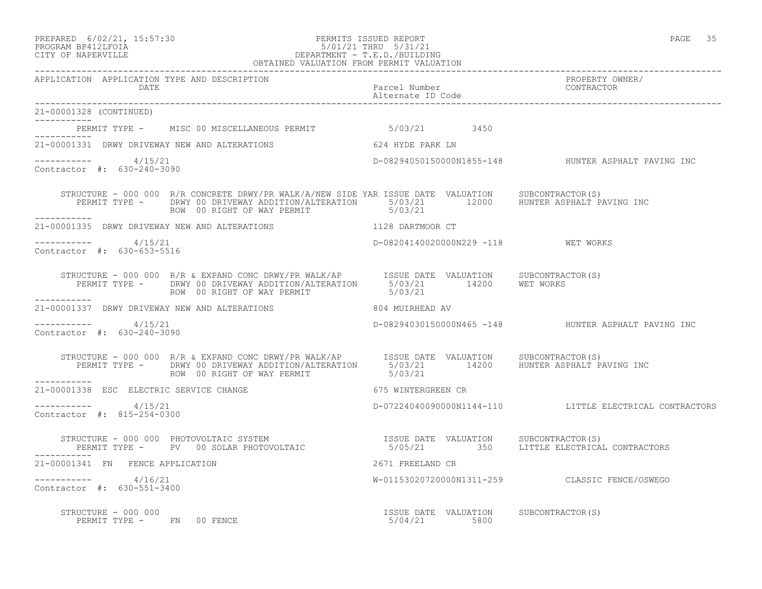### PREPARED 6/02/21, 15:57:30 PERMITS ISSUED REPORT PAGE 35 PROGRAM BP412LFOIA 5/01/21 THRU 5/31/21 CITY OF NAPERVILLE DEPARTMENT - T.E.D./BUILDING OBTAINED VALUATION FROM PERMIT VALUATION

------------------------------------------------------------------------------------------------------------------------------------ APPLICATION APPLICATION TYPE AND DESCRIPTION<br>DATE bated parcel Number property owner/ DATE Parcel Number CONTRACTOR Alternate ID Code ------------------------------------------------------------------------------------------------------------------------------------ 21-00001328 (CONTINUED) ----------- PERMIT TYPE - MISC 00 MISCELLANEOUS PERMIT 6/03/21 3450 ----------- 21-00001331 DRWY DRIVEWAY NEW AND ALTERATIONS 624 HYDE PARK LN  $--------- 4/15/21$ D-08294050150000N1855-148 HUNTER ASPHALT PAVING INC Contractor #: 630-240-3090 STRUCTURE - 000 000 R/R CONCRETE DRWY/PR WALK/A/NEW SIDE YAR ISSUE DATE VALUATION SUBCONTRACTOR(S) PERMIT TYPE - DRWY 00 DRIVEWAY ADDITION/ALTERATION 5/03/21 12000 HUNTER ASPHALT PAVING INC ROW 00 RIGHT OF WAY PERMIT 6/03/21 ----------- 21-00001335 DRWY DRIVEWAY NEW AND ALTERATIONS 1128 DARTMOOR CT \_\_\_\_\_\_\_\_\_\_\_ ----------- 4/15/21 D-08204140020000N229 -118 WET WORKS Contractor #: 630-653-5516 STRUCTURE - 000 000 R/R & EXPAND CONC DRWY/PR WALK/AP ISSUE DATE VALUATION SUBCONTRACTOR(S) PERMIT TYPE - DRWY 00 DRIVEWAY ADDITION/ALTERATION 5/03/21 14200 WET WORKS ROW 00 RIGHT OF WAY PERMIT 6/03/21 ----------- 21-00001337 DRWY DRIVEWAY NEW AND ALTERATIONS 804 MUIRHEAD AV ----------- 4/15/21 D-08294030150000N465 -148 HUNTER ASPHALT PAVING INC Contractor #: 630-240-3090 STRUCTURE - 000 000 R/R & EXPAND CONC DRWY/PR WALK/AP ISSUE DATE VALUATION SUBCONTRACTOR(S) PERMIT TYPE - DRWY 00 DRIVEWAY ADDITION/ALTERATION 5/03/21 14200 HUNTER ASPHALT PAVING INC ROW 00 RIGHT OF WAY PERMIT 6/03/21 ----------- 21-00001338 ESC ELECTRIC SERVICE CHANGE 675 WINTERGREEN CR  $--------- 4/15/21$ D-07224040090000N1144-110 LITTLE ELECTRICAL CONTRACTORS Contractor #: 815-254-0300 STRUCTURE - 000 000 PHOTOVOLTAIC SYSTEM ISSUE DATE VALUATION SUBCONTRACTOR(S) 5/05/21 350 LITTLE ELECTRICAL CONTRACTORS 21-00001341 FN FENCE APPLICATION 2671 FREELAND CR ----------- 4/16/21 W-01153020720000N1311-259 CLASSIC FENCE/OSWEGO Contractor #: 630-551-3400 STRUCTURE - 000 000 ISSUE DATE VALUATION SUBCONTRACTOR(S) PERMIT TYPE - FN 00 FENCE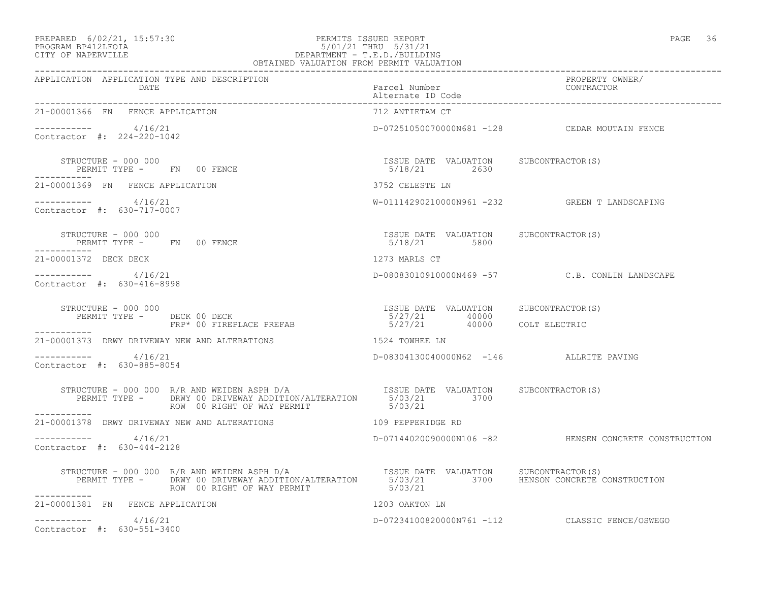## PREPARED 6/02/21, 15:57:30 PERMITS ISSUED REPORT PAGE 36 PROGRAM BP412LFOIA 5/01/21 THRU 5/31/21 CITY OF NAPERVILLE DEPARTMENT - T.E.D./BUILDING

| OBTAINED VALUATION FROM PERMIT VALUATION                                                                                                                                           |                                                         |                                                       |  |  |
|------------------------------------------------------------------------------------------------------------------------------------------------------------------------------------|---------------------------------------------------------|-------------------------------------------------------|--|--|
| APPLICATION APPLICATION TYPE AND DESCRIPTION<br><b>DATE</b>                                                                                                                        | Parcel Number<br>Alternate ID Code                      | PROPERTY OWNER/<br>CONTRACTOR                         |  |  |
| 21-00001366 FN FENCE APPLICATION                                                                                                                                                   | 712 ANTIETAM CT                                         |                                                       |  |  |
| $--------$ 4/16/21<br>Contractor #: 224-220-1042                                                                                                                                   |                                                         | D-07251050070000N681 -128 CEDAR MOUTAIN FENCE         |  |  |
| STRUCTURE - 000 000<br>PERMIT TYPE -       FN     00 FENCE                                                                                                                         | ISSUE DATE VALUATION SUBCONTRACTOR(S)<br>$5/18/21$ 2630 |                                                       |  |  |
| 21-00001369 FN FENCE APPLICATION                                                                                                                                                   | 3752 CELESTE LN                                         |                                                       |  |  |
| $--------- 4/16/21$<br>Contractor #: 630-717-0007                                                                                                                                  |                                                         | W-01114290210000N961 -232 GREEN T LANDSCAPING         |  |  |
| STRUCTURE - 000 000<br>PERMIT TYPE - FN 00 FENCE<br>-----------                                                                                                                    | ISSUE DATE VALUATION SUBCONTRACTOR(S)<br>5/18/21 5800   |                                                       |  |  |
| 21-00001372 DECK DECK                                                                                                                                                              | 1273 MARLS CT                                           |                                                       |  |  |
| ----------- 4/16/21<br>Contractor #: 630-416-8998                                                                                                                                  |                                                         | D-08083010910000N469 -57 C.B. CONLIN LANDSCAPE        |  |  |
| STRUCTURE - 000 000                                                                                                                                                                |                                                         |                                                       |  |  |
| STRUCTURE - 000 000<br>PERMIT TYPE - DECK 00 DECK PREFAB 5/27/21 40000 COLT ELECTRIC<br>FRP* 00 FIREPLACE PREFAB 5/27/21 40000 COLT ELECTRIC                                       |                                                         |                                                       |  |  |
| 21-00001373 DRWY DRIVEWAY NEW AND ALTERATIONS THE RELATION RANGER IN                                                                                                               |                                                         |                                                       |  |  |
| -----------     4/16/21<br>Contractor #: 630-885-8054                                                                                                                              | D-08304130040000N62 -146 ALLRITE PAVING                 |                                                       |  |  |
| STRUCTURE - 000 000 R/R AND WEIDEN ASPH D/A<br>PERMIT TYPE - DRWY 00 DRIVEWAY ADDITION/ALTERATION 5/03/21 3700<br>ROW 00 RIGHT OF WAY PERMIT<br>-----------                        | 5/03/21                                                 |                                                       |  |  |
| 21-00001378 DRWY DRIVEWAY NEW AND ALTERATIONS THE RESERVED OF THE RESERVED ON A 21-00001378 DRWY DRIVEWAY NEW AND ALTERATIONS                                                      |                                                         |                                                       |  |  |
| ----------- 4/16/21<br>Contractor #: 630-444-2128                                                                                                                                  |                                                         | D-07144020090000N106 -82 HENSEN CONCRETE CONSTRUCTION |  |  |
| STRUCTURE - 000 000 R/R AND WEIDEN ASPH D/A<br>PERMIT TYPE - DRWY 00 DRIVEWAY ADDITION/ALTERATION 5/03/21 3700 HENSON CONCRETE CONSTRUCTION<br>ROW 00 RIGHT OF WAY PERMIT 15/03/21 |                                                         |                                                       |  |  |
| 21-00001381 FN FENCE APPLICATION                                                                                                                                                   | 1203 OAKTON LN                                          |                                                       |  |  |
| $--------- 4/16/21$<br>Contractor #: 630-551-3400                                                                                                                                  |                                                         | D-07234100820000N761 -112 CLASSIC FENCE/OSWEGO        |  |  |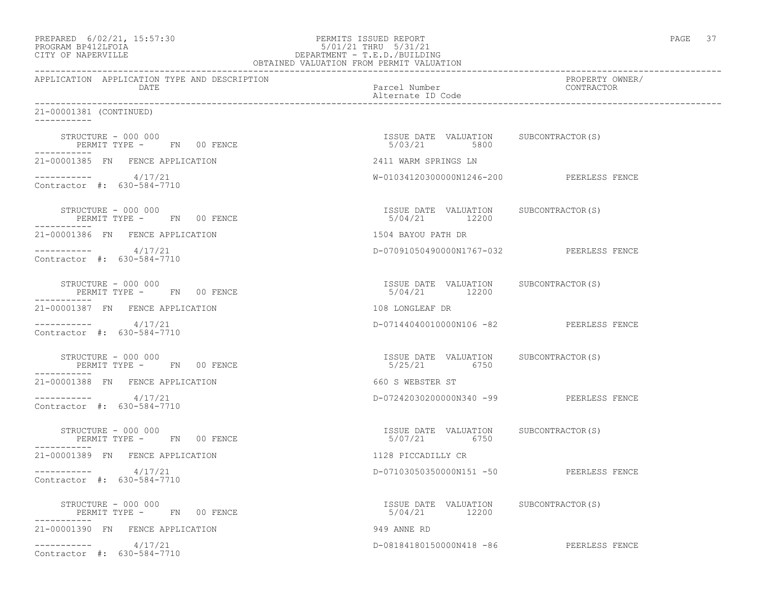| PREPARED | $6/02/21$ , $15:57:30$ |  |
|----------|------------------------|--|
| -------- | ----------             |  |

# PREPARED 6/02/21, 15:57:30 PERMITS ISSUED REPORT PAGE 37 PROGRAM BP412LFOIA 5/01/21 THRU 5/31/21 CITY OF NAPERVILLE DEPARTMENT - T.E.D./BUILDING

| OBTAINED VALUATION FROM PERMIT VALUATION                             |                                                         |                               |  |  |
|----------------------------------------------------------------------|---------------------------------------------------------|-------------------------------|--|--|
| APPLICATION APPLICATION TYPE AND DESCRIPTION<br>DATE                 | Parcel Number<br>Alternate ID Code                      | PROPERTY OWNER/<br>CONTRACTOR |  |  |
| 21-00001381 (CONTINUED)<br>___________                               |                                                         |                               |  |  |
| STRUCTURE - 000 000<br>PERMIT TYPE - FN 00 FENCE                     | ISSUE DATE VALUATION SUBCONTRACTOR(S)<br>5/03/21 5800   |                               |  |  |
| 21-00001385 FN FENCE APPLICATION                                     | 2411 WARM SPRINGS LN                                    |                               |  |  |
| $--------- 4/17/21$<br>Contractor #: 630-584-7710                    | W-01034120300000N1246-200 PEERLESS FENCE                |                               |  |  |
| STRUCTURE - 000 000<br>$F = 000000$<br>$F = 000000$<br>$F = 0000000$ | ISSUE DATE VALUATION SUBCONTRACTOR (S)<br>5/04/21 12200 |                               |  |  |
| 21-00001386 FN FENCE APPLICATION                                     | 1504 BAYOU PATH DR                                      |                               |  |  |
| $--------- 4/17/21$<br>Contractor #: 630-584-7710                    | D-07091050490000N1767-032 PEERLESS FENCE                |                               |  |  |
| STRUCTURE - 000 000<br>PERMIT TYPE - FN 00 FENCE                     | ISSUE DATE VALUATION SUBCONTRACTOR(S)<br>5/04/21 12200  |                               |  |  |
| 21-00001387 FN FENCE APPLICATION                                     | 108 LONGLEAF DR                                         |                               |  |  |
| $--------- 4/17/21$<br>Contractor #: 630-584-7710                    | D-07144040010000N106 -82 PEERLESS FENCE                 |                               |  |  |
| STRUCTURE - 000 000<br>PERMIT TYPE - FN 00 FENCE                     | ISSUE DATE VALUATION SUBCONTRACTOR (S)<br>5/25/21 6750  |                               |  |  |
| 21-00001388 FN FENCE APPLICATION                                     | 660 S WEBSTER ST                                        |                               |  |  |
| $--------- 4/17/21$<br>Contractor #: 630-584-7710                    | D-07242030200000N340 -99 PEERLESS FENCE                 |                               |  |  |
| STRUCTURE - 000 000<br>PERMIT TYPE - FN 00 FENCE<br>-----------      | ISSUE DATE VALUATION SUBCONTRACTOR(S)<br>5/07/21 6750   |                               |  |  |
| 21-00001389 FN FENCE APPLICATION                                     | 1128 PICCADILLY CR                                      |                               |  |  |
| $--------- 4/17/21$<br>Contractor #: 630-584-7710                    | D-07103050350000N151 -50 PEERLESS FENCE                 |                               |  |  |
| STRUCTURE - 000 000<br>PERMIT TYPE - FN 00 FENCE                     | ISSUE DATE VALUATION SUBCONTRACTOR(S)<br>5/04/21 12200  |                               |  |  |
| 21-00001390 FN FENCE APPLICATION                                     | 949 ANNE RD                                             |                               |  |  |
| 4/17/21<br>Contractor #: 630-584-7710                                | D-08184180150000N418 -86 PEERLESS FENCE                 |                               |  |  |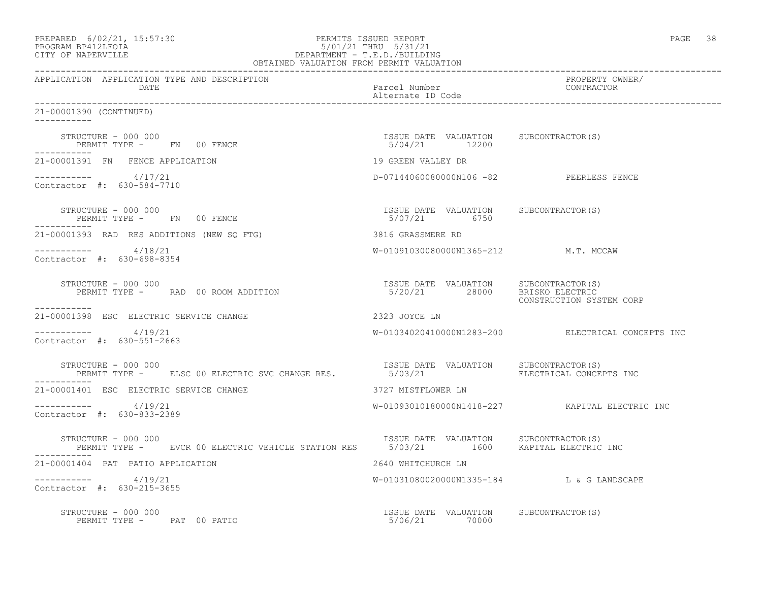| PREPARED 6/02/21, 15:57:30<br>PROGRAM BP412LFOIA<br>CITY OF NAPERVILLE<br>CITY OF NAPERVILLE<br>CEPARTMENT - T.E.D./BUILDING<br>CEPARTMENT - T.E.D./BUILDING<br>CEPARTMENT - T.E.D./BUILDING<br>CEPARTMENT - T.E.D./BUILDING<br>CEPARTMENT - T |                                                                        | PAGE 38                                           |
|------------------------------------------------------------------------------------------------------------------------------------------------------------------------------------------------------------------------------------------------|------------------------------------------------------------------------|---------------------------------------------------|
| APPLICATION APPLICATION TYPE AND DESCRIPTION<br>DATE                                                                                                                                                                                           | Parcel Number<br>Alternate ID Code                                     | PROPERTY OWNER/<br>CONTRACTOR                     |
| 21-00001390 (CONTINUED)<br>-----------                                                                                                                                                                                                         |                                                                        |                                                   |
| STRUCTURE - 000 000<br>PERMIT TYPE - FN 00 FENCE                                                                                                                                                                                               | ISSUE DATE VALUATION SUBCONTRACTOR(S)<br>5/04/21 12200                 |                                                   |
| 21-00001391 FN FENCE APPLICATION                                                                                                                                                                                                               | 19 GREEN VALLEY DR                                                     |                                                   |
| $--------- 4/17/21$<br>Contractor #: 630-584-7710                                                                                                                                                                                              | D-07144060080000N106 -82 PEERLESS FENCE                                |                                                   |
| STRUCTURE - 000 000<br>PERMIT TYPE - FN 00 FENCE                                                                                                                                                                                               | ISSUE DATE VALUATION SUBCONTRACTOR(S)<br>5/07/21 6750                  |                                                   |
| 21-00001393 RAD RES ADDITIONS (NEW SQ FTG)                                                                                                                                                                                                     | 3816 GRASSMERE RD                                                      |                                                   |
| $--------- 4/18/21$<br>Contractor #: 630-698-8354                                                                                                                                                                                              | W-01091030080000N1365-212 M.T. MCCAW                                   |                                                   |
| STRUCTURE - 000 000<br>PERMIT TYPE - RAD 00 ROOM ADDITION<br>-----------                                                                                                                                                                       | ISSUE DATE VALUATION SUBCONTRACTOR(S)<br>5/20/21 28000 BRISKO ELECTRIC | CONSTRUCTION SYSTEM CORP                          |
| 21-00001398 ESC ELECTRIC SERVICE CHANGE                                                                                                                                                                                                        | 2323 JOYCE LN                                                          |                                                   |
| $--------- 4/19/21$<br>Contractor #: 630-551-2663                                                                                                                                                                                              |                                                                        | W-01034020410000N1283-200 ELECTRICAL CONCEPTS INC |
| STRUCTURE – 000 000<br>PERMIT TYPE - ELSC 00 ELECTRIC SVC CHANGE RES.                                                                                                                                                                          |                                                                        | ELECTRICAL CONCEPTS INC                           |
| 21-00001401 ESC ELECTRIC SERVICE CHANGE                                                                                                                                                                                                        | 3727 MISTFLOWER LN                                                     |                                                   |
| $--------- 4/19/21$<br>Contractor #: 630-833-2389                                                                                                                                                                                              |                                                                        | W-01093010180000N1418-227 KAPITAL ELECTRIC INC    |
| STRUCTURE - 000 000<br>PERMIT TYPE -      EVCR 00 ELECTRIC VEHICLE STATION RES       5/03/21         1600     KAPITAL ELECTRIC INC                                                                                                             |                                                                        |                                                   |
| 21-00001404 PAT PATIO APPLICATION                                                                                                                                                                                                              | 2640 WHITCHURCH LN                                                     |                                                   |
| -----------    4/19/21<br>Contractor #: 630-215-3655                                                                                                                                                                                           | W-01031080020000N1335-184 L & G LANDSCAPE                              |                                                   |
| STRUCTURE - 000 000<br>PERMIT TYPE - PAT 00 PATIO                                                                                                                                                                                              | ISSUE DATE VALUATION SUBCONTRACTOR(S)<br>5/06/21 70000                 |                                                   |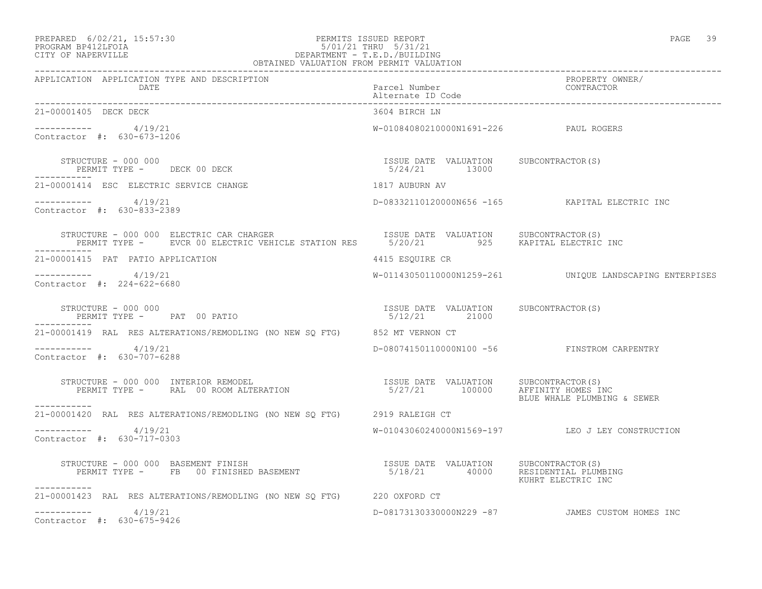#### PREPARED 6/02/21, 15:57:30 PERMITS ISSUED REPORT PAGE 39 PROGRAM BP412LFOIA 5/01/21 THRU 5/31/21 CITY OF NAPERVILLE DEPARTMENT - T.E.D./BUILDING OBTAINED VALUATION FROM PERMIT VALUATION

| APPLICATION APPLICATION TYPE AND DESCRIPTION PACKERTY POWER PROPERTY OWNER (PROPERTY OWNER PACKERTY OUR PROPERTY<br>DATE Parcel Number alternate ID Code (Alternate ID Code enterproper parcel alternate ID Code enterproper parc    |                                                        |                                                         |
|--------------------------------------------------------------------------------------------------------------------------------------------------------------------------------------------------------------------------------------|--------------------------------------------------------|---------------------------------------------------------|
| 21-00001405 DECK DECK                                                                                                                                                                                                                | 3604 BIRCH LN                                          |                                                         |
| ----------- 4/19/21<br>Contractor #: 630-673-1206                                                                                                                                                                                    | W-01084080210000N1691-226 PAUL ROGERS                  |                                                         |
| STRUCTURE - 000 000<br>PERMIT TYPE - DECK 00 DECK                                                                                                                                                                                    | ISSUE DATE VALUATION SUBCONTRACTOR(S)<br>5/24/21 13000 |                                                         |
| 1817 AUBURN AV<br>21-00001414 ESC ELECTRIC SERVICE CHANGE                                                                                                                                                                            |                                                        |                                                         |
| -----------     4/19/21<br>Contractor #: 630-833-2389                                                                                                                                                                                |                                                        | D-08332110120000N656 -165 KAPITAL ELECTRIC INC          |
| STRUCTURE - 000 000 ELECTRIC CAR CHARGER                       ISSUE DATE VALUATION     SUBCONTRACTOR(S)<br>PERMIT TYPE -     EVCR 00 ELECTRIC VEHICLE STATION RES       5/20/21         925     KAPITAL ELECTRIC INC<br>----------- |                                                        |                                                         |
| 21-00001415 PAT PATIO APPLICATION                                                                                                                                                                                                    | 4415 ESOUIRE CR                                        |                                                         |
| $--------- 4/19/21$<br>Contractor #: 224-622-6680                                                                                                                                                                                    |                                                        | W-01143050110000N1259-261 UNIQUE LANDSCAPING ENTERPISES |
| STRUCTURE - 000 000<br>PERMIT TYPE - PAT 00 PATIO<br>___________                                                                                                                                                                     | ISSUE DATE VALUATION SUBCONTRACTOR(S)<br>5/12/21 21000 |                                                         |
| 21-00001419 RAL RES ALTERATIONS/REMODLING (NO NEW SQ FTG) 852 MT VERNON CT                                                                                                                                                           |                                                        |                                                         |
| $--------- 4/19/21$<br>Contractor #: 630-707-6288                                                                                                                                                                                    |                                                        | D-08074150110000N100 -56 FINSTROM CARPENTRY             |
| ___________                                                                                                                                                                                                                          |                                                        | BLUE WHALE PLUMBING & SEWER                             |
| 21-00001420 RAL RES ALTERATIONS/REMODLING (NO NEW SQ FTG) 2919 RALEIGH CT                                                                                                                                                            |                                                        |                                                         |
| $--------- 4/19/21$<br>Contractor #: 630-717-0303                                                                                                                                                                                    |                                                        | W-01043060240000N1569-197 LEO J LEY CONSTRUCTION        |
| STRUCTURE - 000 000 BASEMENT FINISH<br>PERMIT TYPE - FB 00 FINISHED BASEMENT                                    5/18/21         40000    RESIDENTIAL PLUMBING<br>KUHRT ELECTRIC INC<br>-----------                                   |                                                        |                                                         |
| 21-00001423 RAL RES ALTERATIONS/REMODLING (NO NEW SQ FTG) 220 OXFORD CT                                                                                                                                                              |                                                        |                                                         |
| $--------- 4/19/21$<br>Contractor #: 630-675-9426                                                                                                                                                                                    |                                                        | D-08173130330000N229 -87 JAMES CUSTOM HOMES INC         |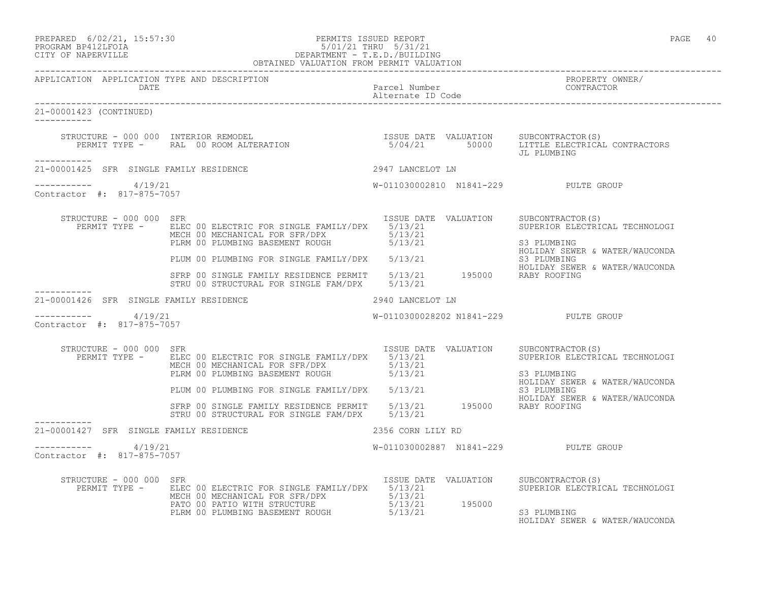## PREPARED 6/02/21, 15:57:30 PERMITS ISSUED REPORT PAGE 40 PROGRAM BP412LFOIA 5/01/21 THRU 5/31/21 CITY OF NAPERVILLE DEPARTMENT - T.E.D./BUILDING

|                                                       | OBTAINED VALUATION FROM PERMIT VALUATION                                                                                                                                                                                                        |                                       |                                                                                                     |
|-------------------------------------------------------|-------------------------------------------------------------------------------------------------------------------------------------------------------------------------------------------------------------------------------------------------|---------------------------------------|-----------------------------------------------------------------------------------------------------|
| APPLICATION APPLICATION TYPE AND DESCRIPTION          |                                                                                                                                                                                                                                                 |                                       | PROPERTY OWNER/<br>CONTRACTOR                                                                       |
| 21-00001423 (CONTINUED)                               |                                                                                                                                                                                                                                                 |                                       |                                                                                                     |
| __________                                            |                                                                                                                                                                                                                                                 |                                       | JL PLUMBING                                                                                         |
| 21-00001425 SFR SINGLE FAMILY RESIDENCE               |                                                                                                                                                                                                                                                 | 2947 LANCELOT LN                      |                                                                                                     |
| $--------- 4/19/21$<br>Contractor #: 817-875-7057     |                                                                                                                                                                                                                                                 | W-011030002810 N1841-229 PULTE GROUP  |                                                                                                     |
| STRUCTURE - 000 000 SFR                               | PERMIT TYPE - ELEC 00 ELECTRIC FOR SINGLE FAMILY/DPX 5/13/21<br>NECH OU BLECTRIC FOR SINGLE FAMILY/DPX 5/13/21<br>MECH 00 MECHANICAL FOR SFR/DPX 5/13/21<br>PLRM 00 PLUMBING BASEMENT ROUGH 5/13/21                                             | ISSUE DATE VALUATION SUBCONTRACTOR(S) | SUPERIOR ELECTRICAL TECHNOLOGI<br>S3 PLUMBING                                                       |
|                                                       |                                                                                                                                                                                                                                                 |                                       | HOLIDAY SEWER & WATER/WAUCONDA                                                                      |
|                                                       | PLUM 00 PLUMBING FOR SINGLE FAMILY/DPX 5/13/21 63 PLUMBING<br>SFRP 00 SINGLE FAMILY RESIDENCE PERMIT 5/13/21 195000 RABY ROOFING<br>SFRP 00 SINGLE FAMILY RESIDENCE PERMIT 5/13/21 195000 RABY ROOFING<br>STRU 00 STRUCTURAL FOR SINGLE FAM/DPX | 5/13/21                               | HOLIDAY SEWER & WATER/WAUCONDA                                                                      |
| 21-00001426 SFR SINGLE FAMILY RESIDENCE               | 2940 LANCELOT LN                                                                                                                                                                                                                                |                                       |                                                                                                     |
| -----------     4/19/21<br>Contractor #: 817-875-7057 |                                                                                                                                                                                                                                                 | W-0110300028202 N1841-229 PULTE GROUP |                                                                                                     |
| STRUCTURE - 000 000 SFR                               | PERMIT TYPE - ELEC 00 ELECTRIC FOR SINGLE FAMILY/DPX 5/13/21<br>MECH 00 MECHANICAL FOR SFR/DPX 5/13/21<br>PLRM 00 PLUMBING BASEMENT ROUGH 5/13/21                                                                                               | ISSUE DATE VALUATION                  | SUBCONTRACTOR(S)<br>SUPERIOR ELECTRICAL TECHNOLOGI<br>S3 PLUMBING<br>HOLIDAY SEWER & WATER/WAUCONDA |
|                                                       | PLEM OO PLUMBING FOR SINGLE FAMILY/DPX 5/13/21                                                                                                                                                                                                  |                                       | S3 PLUMBING<br>HOLIDAY SEWER & WATER/WAUCONDA                                                       |
|                                                       | SFRP 00 SINGLE FAMILY RESIDENCE PERMIT 5/13/21 195000 RABY ROOFING<br>STRU 00 STRUCTURAL FOR SINGLE FAM/DPX 5/13/21                                                                                                                             |                                       |                                                                                                     |
| 21-00001427 SFR SINGLE FAMILY RESIDENCE               |                                                                                                                                                                                                                                                 | 2356 CORN LILY RD                     |                                                                                                     |
| $--------- 4/19/21$<br>Contractor #: 817-875-7057     |                                                                                                                                                                                                                                                 | W-011030002887 N1841-229 PULTE GROUP  |                                                                                                     |
| STRUCTURE - 000 000 SFR                               | PERMIT TYPE - ELEC 00 ELECTRIC FOR SINGLE FAMILY/DPX 5/13/21<br>ELEC 00 ELECTRIC FOR SINGLE FAMILIZING CONTRACT 5/13/21<br>MECH 00 MECHANICAL FOR SFR/DPX 5/13/21<br>PATO 00 PATIO WITH STRUCTURE 5/13/21 195000                                | ISSUE DATE VALUATION                  | SUBCONTRACTOR (S)<br>SUPERIOR ELECTRICAL TECHNOLOGI<br>S3 PLUMBING                                  |

HOLIDAY SEWER & WATER/WAUCONDA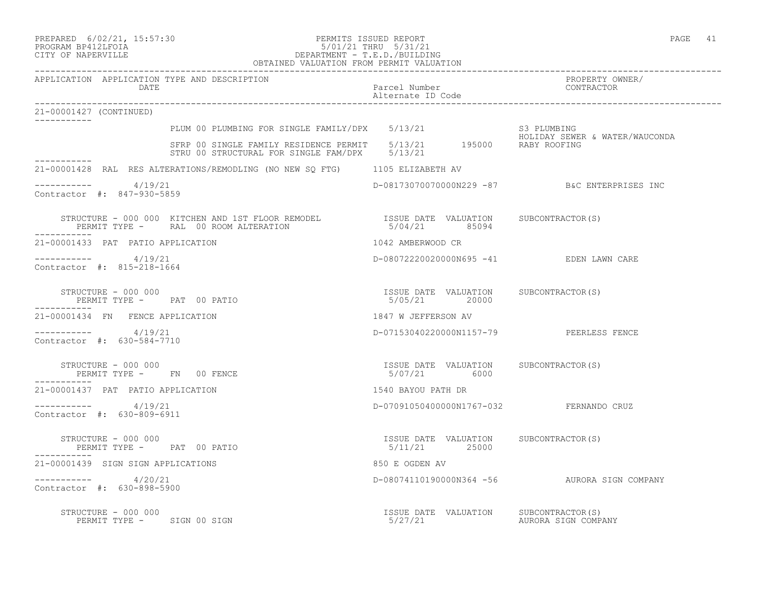#### PREPARED 6/02/21, 15:57:30 PERMITS ISSUED REPORT<br>PROGRAM BP412LFOIA PAGE 41 PROGRAM BP412LFOIA 5/01/21 THRU 5/31/21 CITY OF NAPERVILLE DEPARTMENT - T.E.D./BUILDING OBTAINED VALUATION FROM PERMIT VALUATION

| APPLICATION APPLICATION TYPE AND DESCRIPTION<br>DATE                                                                                                                                                             | Parcel Number<br>Alternate ID Code                      | PROPERTY OWNER/<br>FRUPERII UW<br>CONTRACTOR |
|------------------------------------------------------------------------------------------------------------------------------------------------------------------------------------------------------------------|---------------------------------------------------------|----------------------------------------------|
| 21-00001427 (CONTINUED)                                                                                                                                                                                          |                                                         |                                              |
|                                                                                                                                                                                                                  |                                                         |                                              |
| PLUM 00 PLUMBING FOR SINGLE FAMILY/DPX 5/13/21 S3 PLUMBING<br>SFRP 00 SINGLE FAMILY RESIDENCE PERMIT 5/13/21 195000 RABY ROOFING<br>5/13/21 195000 RABY ROOFING<br>STRU 00 STRUCTURAL FOR SINGLE FAM/DPX 5/13/21 |                                                         |                                              |
| 21-00001428 RAL RES ALTERATIONS/REMODLING (NO NEW SQ FTG) 1105 ELIZABETH AV                                                                                                                                      |                                                         |                                              |
| -----------     4/19/21<br>Contractor #: 847-930-5859                                                                                                                                                            | D-08173070070000N229 -87 B&C ENTERPRISES INC            |                                              |
| STRUCTURE - 000 000 KITCHEN AND 1ST FLOOR REMODEL TSSUE DATE VALUATION SUBCONTRACTOR(S)<br>PERMIT TYPE - RAL 00 ROOM ALTERATION 5/04/21 85094                                                                    |                                                         |                                              |
| 21-00001433 PAT PATIO APPLICATION                                                                                                                                                                                | 1042 AMBERWOOD CR                                       |                                              |
| $--------- 4/19/21$<br>Contractor #: 815-218-1664                                                                                                                                                                | D-08072220020000N695 -41 EDEN LAWN CARE                 |                                              |
| STRUCTURE - 000 000<br>PERMIT TYPE - PAT 00 PATIO                                                                                                                                                                | ISSUE DATE VALUATION SUBCONTRACTOR(S)<br>5/05/21 20000  |                                              |
| 21-00001434 FN FENCE APPLICATION                                                                                                                                                                                 | 1847 W JEFFERSON AV                                     |                                              |
| ----------- 4/19/21<br>Contractor #: 630-584-7710                                                                                                                                                                | D-07153040220000N1157-79 PEERLESS FENCE                 |                                              |
| STRUCTURE - 000 000<br>PERMIT TYPE - FN 00 FENCE                                                                                                                                                                 | ISSUE DATE VALUATION SUBCONTRACTOR(S)<br>5/07/21 6000   |                                              |
| 21-00001437 PAT PATIO APPLICATION                                                                                                                                                                                | 1540 BAYOU PATH DR                                      |                                              |
| $--------- 4/19/21$<br>Contractor #: 630-809-6911                                                                                                                                                                | D-07091050400000N1767-032 FERNANDO CRUZ                 |                                              |
| STRUCTURE - 000 000<br>PERMIT TYPE - PAT 00 PATIO                                                                                                                                                                | ISSUE DATE VALUATION SUBCONTRACTOR (S)<br>5/11/21 25000 |                                              |
| 21-00001439 SIGN SIGN APPLICATIONS                                                                                                                                                                               | 850 E OGDEN AV                                          |                                              |
| $----------$ 4/20/21<br>Contractor #: 630-898-5900                                                                                                                                                               |                                                         | D-08074110190000N364 -56 AURORA SIGN COMPANY |
| STRUCTURE - 000 000                                                                                                                                                                                              | ISSUE DATE VALUATION SUBCONTRACTOR(S)                   |                                              |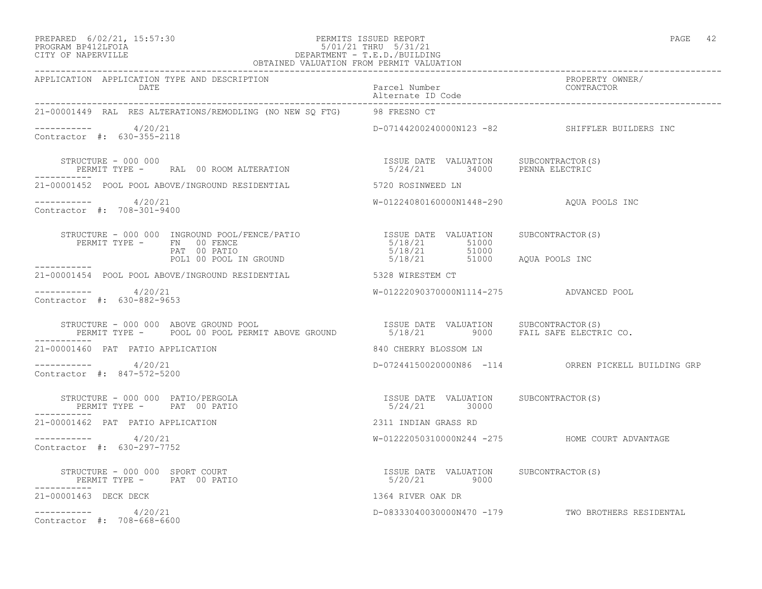#### PREPARED 6/02/21, 15:57:30 PERMITS ISSUED REPORT PAGE 42 PROGRAM BP412LFOIA 5/01/21 THRU 5/31/21 CITY OF NAPERVILLE DEPARTMENT - T.E.D./BUILDING OBTAINED VALUATION FROM PERMIT VALUATION

| APPLICATION APPLICATION TYPE AND DESCRIPTION<br>DATE                                                                                                                                                                                                                                                                                                                                                                                                                               | Parcel Number<br>Alternate ID Code                                    | PROPERTY OWNER/<br>CONTRACTOR                       |
|------------------------------------------------------------------------------------------------------------------------------------------------------------------------------------------------------------------------------------------------------------------------------------------------------------------------------------------------------------------------------------------------------------------------------------------------------------------------------------|-----------------------------------------------------------------------|-----------------------------------------------------|
| 21-00001449 RAL RES ALTERATIONS/REMODLING (NO NEW SQ FTG) 98 FRESNO CT                                                                                                                                                                                                                                                                                                                                                                                                             |                                                                       |                                                     |
| $--------- 4/20/21$<br>Contractor #: 630-355-2118                                                                                                                                                                                                                                                                                                                                                                                                                                  |                                                                       | D-07144200240000N123 -82 SHIFFLER BUILDERS INC      |
| STRUCTURE - 000 000<br>PERMIT TYPE - RAL 00 ROOM ALTERATION                                                                                                                                                                                                                                                                                                                                                                                                                        | ISSUE DATE VALUATION SUBCONTRACTOR(S)<br>5/24/21 34000 PENNA ELECTRIC |                                                     |
| 21-00001452 POOL POOL ABOVE/INGROUND RESIDENTIAL 5720 ROSINWEED LN                                                                                                                                                                                                                                                                                                                                                                                                                 |                                                                       |                                                     |
| -----------    4/20/21<br>Contractor #: 708-301-9400                                                                                                                                                                                                                                                                                                                                                                                                                               | W-01224080160000N1448-290 AQUA POOLS INC                              |                                                     |
| STRUCTURE - 000 000 INGROUND POOL/FENCE/PATIO<br>PERMIT TYPE - FN 00 FENCE<br>PERMIT TYPE - FN 00 FENCE<br>PATIO PATIO<br>PERMIT TYPE - FN 00 FENCE<br>PAT 00 PATIO PATIO S/18/21 51000<br>POL1 00 POOL IN GROUND 5/18/21 51000 AQUA POOLS INC                                                                                                                                                                                                                                     |                                                                       |                                                     |
|                                                                                                                                                                                                                                                                                                                                                                                                                                                                                    |                                                                       |                                                     |
| 21-00001454 POOL POOL ABOVE/INGROUND RESIDENTIAL 5328 WIRESTEM CT                                                                                                                                                                                                                                                                                                                                                                                                                  |                                                                       |                                                     |
| $--------- 4/20/21$<br>Contractor #: 630-882-9653                                                                                                                                                                                                                                                                                                                                                                                                                                  | W-01222090370000N1114-275 ADVANCED POOL                               |                                                     |
|                                                                                                                                                                                                                                                                                                                                                                                                                                                                                    |                                                                       |                                                     |
| 21-00001460 PAT PATIO APPLICATION                                                                                                                                                                                                                                                                                                                                                                                                                                                  | 840 CHERRY BLOSSOM LN                                                 |                                                     |
| $--------- 4/20/21$<br>Contractor #: 847-572-5200                                                                                                                                                                                                                                                                                                                                                                                                                                  |                                                                       | D-07244150020000N86 -114 ORREN PICKELL BUILDING GRP |
| STRUCTURE - 000 000 PATIO/PERGOLA<br>PERMIT TYPE - PAT 00 PATIO<br>___________                                                                                                                                                                                                                                                                                                                                                                                                     | ISSUE DATE VALUATION SUBCONTRACTOR(S)<br>5/24/21 30000                |                                                     |
| 21-00001462 PAT PATIO APPLICATION                                                                                                                                                                                                                                                                                                                                                                                                                                                  | 2311 INDIAN GRASS RD                                                  |                                                     |
| $--------- 4/20/21$<br>Contractor #: 630-297-7752                                                                                                                                                                                                                                                                                                                                                                                                                                  |                                                                       | W-01222050310000N244 -275 HOME COURT ADVANTAGE      |
| $\begin{array}{cccc} \texttt{STRUCTURE} & - & 000 & 000 & \texttt{SPORT COURT} \\ \texttt{PERMIT TYPE} & - & \texttt{PAT} & 00 & \texttt{PATIO} \\ \end{array} \qquad \begin{array}{cccc} \texttt{TSSUE} & \texttt{DATE} & \texttt{VALUATION} \\ & 5/20/21 & 9000 \\ \end{array} \qquad \begin{array}{cccc} \texttt{SUBCONTRACTOR(S)} & \texttt{SUBCONTRACTOR(S)} \\ \texttt{SUSOR} & \texttt{SUSOR} & \texttt{SUSOR} \\ \end{array}$<br>PERMIT TYPE - PAT 00 PATIO<br>----------- |                                                                       |                                                     |
| 21-00001463 DECK DECK                                                                                                                                                                                                                                                                                                                                                                                                                                                              | 1364 RIVER OAK DR                                                     |                                                     |
| $--------- 4/20/21$<br>Contractor #: 708-668-6600                                                                                                                                                                                                                                                                                                                                                                                                                                  |                                                                       | D-08333040030000N470 -179 TWO BROTHERS RESIDENTAL   |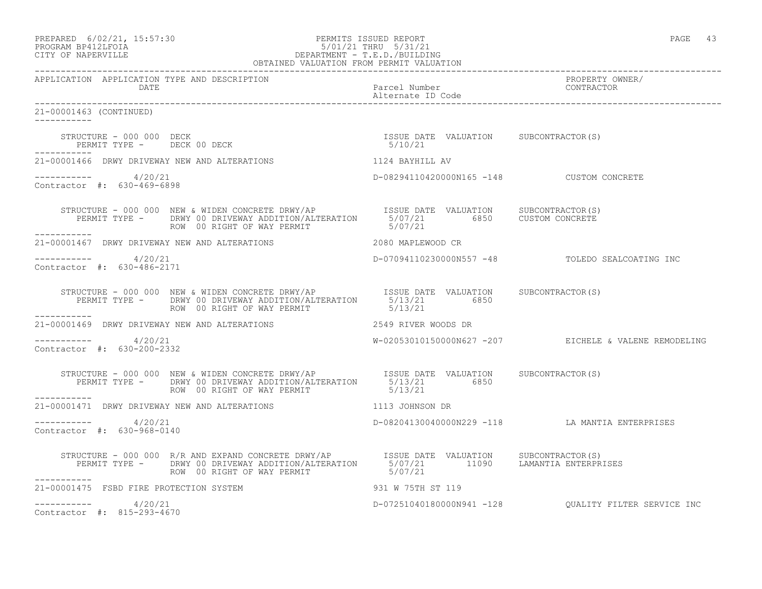|                   | PREPARED 6/02/21, 15:57:30 | PERMITS ISSUED REPORT | PAGE |  |
|-------------------|----------------------------|-----------------------|------|--|
| EDOCRAM RRATTEOTA |                            | 5/01/21 TUDII 5/31/21 |      |  |

#### PROGRAM BP412LFOIA 5/01/21 THRU 5/31/21 CITY OF NAPERVILLE DEPARTMENT - T.E.D./BUILDING OBTAINED VALUATION FROM PERMIT VALUATION ------------------------------------------------------------------------------------------------------------------------------------

APPLICATION APPLICATION TYPE AND DESCRIPTION PROPERTY OWNER/

 DATE Parcel Number CONTRACTOR Alternate ID Code ------------------------------------------------------------------------------------------------------------------------------------ 21-00001463 (CONTINUED) ----------- STRUCTURE – 000 000 DECK ISSUE DATE VALUATION SUBCONTRACTOR(S) PERMIT TYPE - DECK 00 DECK ----------- 21-00001466 DRWY DRIVEWAY NEW AND ALTERATIONS 1124 BAYHILL AV ----------- 4/20/21 D-08294110420000N165 -148 CUSTOM CONCRETE Contractor #: 630-469-6898 STRUCTURE - 000 000 NEW & WIDEN CONCRETE DRWY/AP ISSUE DATE VALUATION SUBCONTRACTOR(S) PERMIT TYPE - DRWY 00 DRIVEWAY ADDITION/ALTERATION 5/07/21 6850 CUSTOM CONCRETE ROW 00 RIGHT OF WAY PERMIT 6/07/21 ----------- 21-00001467 DRWY DRIVEWAY NEW AND ALTERATIONS 2080 MAPLEWOOD CR ---------------------- 4/20/21 D-07094110230000N557 -48 TOLEDO SEALCOATING INC Contractor #: 630-486-2171 STRUCTURE - 000 000 NEW & WIDEN CONCRETE DRWY/AP **ISSUE DATE VALUATION** SUBCONTRACTOR(S) PERMIT TYPE - DRWY 00 DRIVEWAY ADDITION/ALTERATION 5/13/21 6850 ROW 00 RIGHT OF WAY PERMIT ----------- 21-00001469 DRWY DRIVEWAY NEW AND ALTERATIONS 2549 RIVER WOODS DR  $--------- 4/20/21$ W-02053010150000N627 -207 EICHELE & VALENE REMODELING Contractor #: 630-200-2332 STRUCTURE - 000 000 NEW & WIDEN CONCRETE DRWY/AP **ISSUE DATE** VALUATION SUBCONTRACTOR(S) PERMIT TYPE - DRWY 00 DRIVEWAY ADDITION/ALTERATION 5/13/21 6850 ROW 00 RIGHT OF WAY PERMIT 6/13/21 21-00001471 DRWY DRIVEWAY NEW AND ALTERATIONS 1113 JOHNSON DR ----------- 4/20/21 D-08204130040000N229 -118 LA MANTIA ENTERPRISES Contractor #: 630-968-0140 STRUCTURE - 000 000 R/R AND EXPAND CONCRETE DRWY/AP ISSUE DATE VALUATION SUBCONTRACTOR(S) PERMIT TYPE - DRWY 00 DRIVEWAY ADDITION/ALTERATION 5/07/21 11090 LAMANTIA ENTERPRISES ROW 00 RIGHT OF WAY PERMIT 6/07/21 ----------- 21-00001475 FSBD FIRE PROTECTION SYSTEM 931 W 75TH ST 119  $--------- 4/20/21$ ----------- 4/20/21 D-07251040180000N941 -128 QUALITY FILTER SERVICE INC Contractor #: 815-293-4670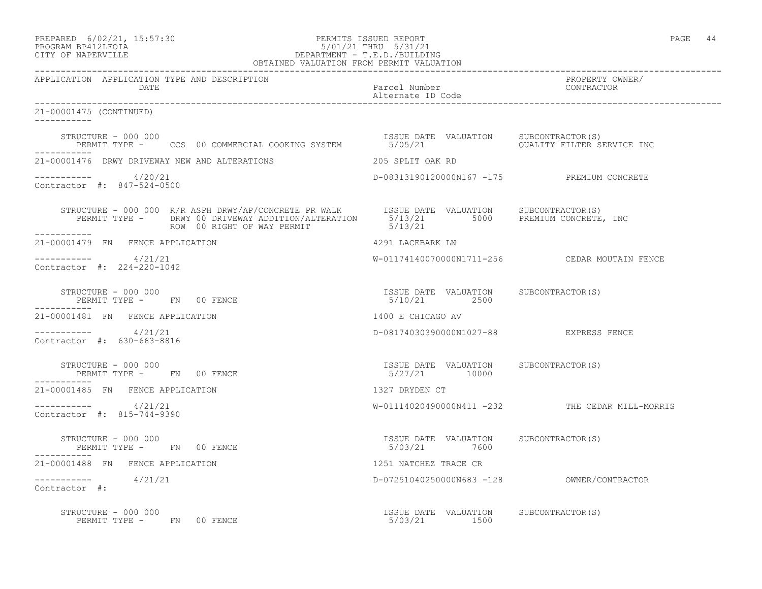## PREPARED 6/02/21, 15:57:30 PERMITS ISSUED REPORT PAGE 44 PROGRAM BP412LFOIA 5/01/21 THRU 5/31/21 CITY OF NAPERVILLE DEPARTMENT - T.E.D./BUILDING

| OBTAINED VALUATION FROM PERMIT VALUATION                                                                                                                                                     |                                                        |                                                 |  |  |
|----------------------------------------------------------------------------------------------------------------------------------------------------------------------------------------------|--------------------------------------------------------|-------------------------------------------------|--|--|
| APPLICATION APPLICATION TYPE AND DESCRIPTION<br>DATE                                                                                                                                         | Parcel Number<br>Alternate ID Code                     | PROPERTY OWNER/<br>CONTRACTOR                   |  |  |
| 21-00001475 (CONTINUED)                                                                                                                                                                      |                                                        |                                                 |  |  |
| STRUCTURE - 000 000<br>PERMIT TYPE - CCS 00 COMMERCIAL COOKING SYSTEM 5/05/21 UALUATION QUALITY FILTER SERVICE INC<br>STRUCTURE - 000 000                                                    |                                                        |                                                 |  |  |
| 21-00001476 DRWY DRIVEWAY NEW AND ALTERATIONS                                                                                                                                                | 205 SPLIT OAK RD                                       |                                                 |  |  |
| $--------- 4/20/21$<br>Contractor #: 847-524-0500                                                                                                                                            | D-08313190120000N167 -175 PREMIUM CONCRETE             |                                                 |  |  |
| STRUCTURE - 000 000 R/R ASPH DRWY/AP/CONCRETE PR WALK<br>PERMIT TYPE - DRWY 00 DRIVEWAY ADDITION/ALTERATION 5/13/21 5000 PREMIUM CONCRETE, INC<br>ROW 00 RIGHT OF WAY PERMIT<br>____________ | 5/13/21                                                |                                                 |  |  |
| 21-00001479 FN FENCE APPLICATION                                                                                                                                                             | 4291 LACEBARK LN                                       |                                                 |  |  |
| $--------- 4/21/21$<br>Contractor #: 224-220-1042                                                                                                                                            |                                                        |                                                 |  |  |
| STRUCTURE - 000 000<br>PERMIT TYPE - FN 00 FENCE<br>-----------                                                                                                                              | ISSUE DATE VALUATION SUBCONTRACTOR(S)<br>5/10/21 2500  |                                                 |  |  |
| 21-00001481 FN FENCE APPLICATION                                                                                                                                                             | 1400 E CHICAGO AV                                      |                                                 |  |  |
| $--------- 4/21/21$<br>Contractor #: 630-663-8816                                                                                                                                            | D-08174030390000N1027-88 EXPRESS FENCE                 |                                                 |  |  |
| STRUCTURE - 000 000<br>PERMIT TYPE - FN 00 FENCE                                                                                                                                             | ISSUE DATE VALUATION SUBCONTRACTOR(S)<br>5/27/21 10000 |                                                 |  |  |
| 21-00001485 FN FENCE APPLICATION                                                                                                                                                             | 1327 DRYDEN CT                                         |                                                 |  |  |
| $--------- 4/21/21$<br>Contractor #: 815-744-9390                                                                                                                                            |                                                        | W-01114020490000N411 -232 THE CEDAR MILL-MORRIS |  |  |
| STRUCTURE - 000 000<br>PERMIT TYPE - FN 00 FENCE                                                                                                                                             | ISSUE DATE VALUATION SUBCONTRACTOR(S)<br>5/03/21 7600  |                                                 |  |  |
| 21-00001488 FN FENCE APPLICATION                                                                                                                                                             | 1251 NATCHEZ TRACE CR                                  |                                                 |  |  |
| $--------- 4/21/21$<br>Contractor #:                                                                                                                                                         |                                                        |                                                 |  |  |
| STRUCTURE - 000 000<br>PERMIT TYPE - FN 00 FENCE                                                                                                                                             | ISSUE DATE VALUATION SUBCONTRACTOR(S)<br>5/03/21 1500  |                                                 |  |  |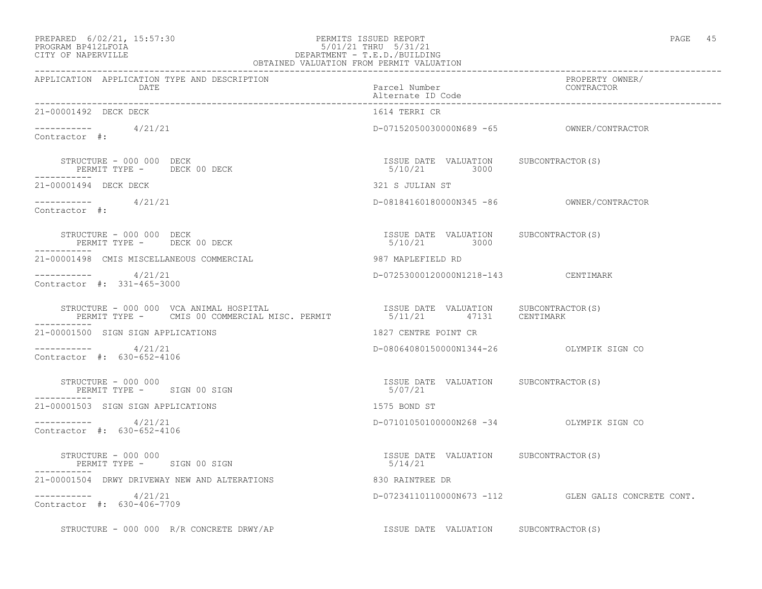## PREPARED 6/02/21, 15:57:30 PERMITS ISSUED REPORT PAGE 45 PROGRAM BP412LFOIA 5/01/21 THRU 5/31/21 CITY OF NAPERVILLE DEPARTMENT - T.E.D./BUILDING

| 1<br>ι- |  |
|---------|--|
|---------|--|

|                                                                                                                                                                                                                               | OBTAINED VALUATION FROM PERMIT VALUATION              |                                                     |
|-------------------------------------------------------------------------------------------------------------------------------------------------------------------------------------------------------------------------------|-------------------------------------------------------|-----------------------------------------------------|
| APPLICATION APPLICATION TYPE AND DESCRIPTION<br>DATE                                                                                                                                                                          | Parcel Number<br>Alternate ID Code                    | PROPERTY OWNER/<br>CONTRACTOR                       |
| 21-00001492 DECK DECK                                                                                                                                                                                                         | 1614 TERRI CR                                         |                                                     |
| $       4/21/21$<br>Contractor #:                                                                                                                                                                                             |                                                       |                                                     |
| STRUCTURE - 000 000 DECK<br>PERMIT TYPE - DECK 00 DECK                                                                                                                                                                        | ISSUE DATE VALUATION SUBCONTRACTOR(S)<br>5/10/21 3000 |                                                     |
| 21-00001494 DECK DECK                                                                                                                                                                                                         | 321 S JULIAN ST                                       |                                                     |
| $--------- 4/21/21$<br>Contractor #:                                                                                                                                                                                          |                                                       |                                                     |
| STRUCTURE - 000 000 DECK<br>PERMIT TYPE - DECK 00 DECK                                                                                                                                                                        | ISSUE DATE VALUATION SUBCONTRACTOR(S)<br>5/10/21 3000 |                                                     |
| 21-00001498 CMIS MISCELLANEOUS COMMERCIAL                                                                                                                                                                                     | 987 MAPLEFIELD RD                                     |                                                     |
| $---------$ 4/21/21<br>Contractor #: 331-465-3000                                                                                                                                                                             | D-07253000120000N1218-143 CENTIMARK                   |                                                     |
| STRUCTURE - 000 000 VCA ANIMAL HOSPITAL<br>STRUCTURE - 000 000 VCA ANIMAL HOSPITAL (S) TRUCTURE - 000 000 VCA ANIMAL HOSPITAL ISC. PERMIT TYPE - CMIS 00 COMMERCIAL MISC. PERMIT (S) $5/11/21$ 47131 (ENTIMARK<br>----------- |                                                       |                                                     |
| 21-00001500 SIGN SIGN APPLICATIONS                                                                                                                                                                                            | 1827 CENTRE POINT CR                                  |                                                     |
| $--------- 4/21/21$<br>Contractor #: 630-652-4106                                                                                                                                                                             | D-08064080150000N1344-26 OLYMPIK SIGN CO              |                                                     |
| STRUCTURE - 000 000<br>PERMIT TYPE - SIGN 00 SIGN                                                                                                                                                                             | ISSUE DATE VALUATION SUBCONTRACTOR(S)<br>5/07/21      |                                                     |
| 21-00001503 SIGN SIGN APPLICATIONS                                                                                                                                                                                            | 1575 BOND ST                                          |                                                     |
| $--------- 4/21/21$<br>Contractor #: 630-652-4106                                                                                                                                                                             | D-07101050100000N268 -34 OLYMPIK SIGN CO              |                                                     |
| STRUCTURE - 000 000<br>PERMIT TYPE - SIGN 00 SIGN                                                                                                                                                                             | ISSUE DATE VALUATION SUBCONTRACTOR(S)<br>5/14/21      |                                                     |
| 21-00001504 DRWY DRIVEWAY NEW AND ALTERATIONS                                                                                                                                                                                 | 830 RAINTREE DR                                       |                                                     |
| $--------- 4/21/21$<br>Contractor #: 630-406-7709                                                                                                                                                                             |                                                       | D-07234110110000N673 -112 GLEN GALIS CONCRETE CONT. |
| STRUCTURE - 000 000 R/R CONCRETE DRWY/AP                                                                                                                                                                                      | ISSUE DATE VALUATION SUBCONTRACTOR(S)                 |                                                     |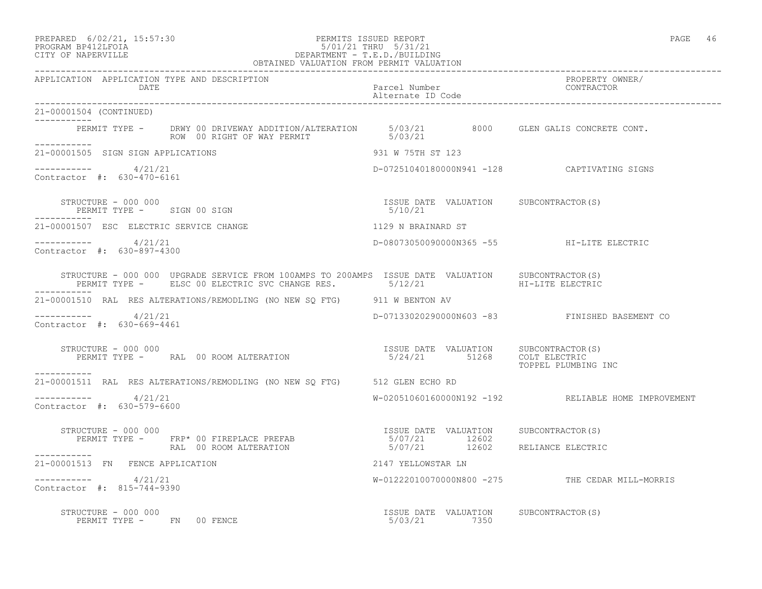#### PREPARED 6/02/21, 15:57:30 PERMITS ISSUED REPORT PAGE 46 PROGRAM BP412LFOIA 5/01/21 THRU 5/31/21 CITY OF NAPERVILLE DEPARTMENT - T.E.D./BUILDING OBTAINED VALUATION FROM PERMIT VALUATION

| APPLICATION APPLICATION TYPE AND DESCRIPTION<br>DATE                                                                                                                                                                                                                                                                                                | Parcel Number<br>Alternate ID Code                    | PROPERTY OWNER/<br>CONTRACTOR                       |
|-----------------------------------------------------------------------------------------------------------------------------------------------------------------------------------------------------------------------------------------------------------------------------------------------------------------------------------------------------|-------------------------------------------------------|-----------------------------------------------------|
| 21-00001504 (CONTINUED)                                                                                                                                                                                                                                                                                                                             |                                                       |                                                     |
| PERMIT TYPE - DRWY 00 DRIVEWAY ADDITION/ALTERATION 5/03/21 8000 GLEN GALIS CONCRETE CONT.<br>ROW 00 RIGHT OF WAY PERMIT 5/03/21<br>___________                                                                                                                                                                                                      |                                                       |                                                     |
| 21-00001505 SIGN SIGN APPLICATIONS                                                                                                                                                                                                                                                                                                                  | 931 W 75TH ST 123                                     |                                                     |
| $--------- 4/21/21$<br>Contractor #: 630-470-6161                                                                                                                                                                                                                                                                                                   |                                                       | D-07251040180000N941 -128 CAPTIVATING SIGNS         |
| STRUCTURE - 000 000<br>PERMIT TYPE - SIGN 00 SIGN<br>-----------                                                                                                                                                                                                                                                                                    | ISSUE DATE VALUATION SUBCONTRACTOR(S)<br>5/10/21      |                                                     |
| 21-00001507 ESC ELECTRIC SERVICE CHANGE                                                                                                                                                                                                                                                                                                             | 1129 N BRAINARD ST                                    |                                                     |
| $--------- 4/21/21$<br>Contractor #: 630-897-4300                                                                                                                                                                                                                                                                                                   | D-08073050090000N365 -55 HI-LITE ELECTRIC             |                                                     |
| $\begin{tabular}{lllllllllll} \texttt{STRUCTURE} & - & 000 & 000 & \texttt{UPGRADE} & \texttt{SERVICE} & \texttt{FROM} & 100AMPS & T0 & 200AMPS & \texttt{ISSUE} & \texttt{DATE} & \texttt{VALUATION} & & \texttt{SUBCONTRACTOR(S)} \\ & & & & & & & & \\ \texttt{PERMIT TYPE} & - & & & & & & \\ \texttt{ELSCTRIC} & & & & & & & \\ \end{tabular}$ |                                                       |                                                     |
| 21-00001510 RAL RES ALTERATIONS/REMODLING (NO NEW SQ FTG) 911 W BENTON AV                                                                                                                                                                                                                                                                           |                                                       |                                                     |
| $--------- 4/21/21$<br>Contractor #: 630-669-4461                                                                                                                                                                                                                                                                                                   |                                                       | D-07133020290000N603 -83 FINISHED BASEMENT CO       |
| STRUCTURE - 000 000                                                                                                                                                                                                                                                                                                                                 |                                                       | TOPPEL PLUMBING INC                                 |
| 21-00001511 RAL RES ALTERATIONS/REMODLING (NO NEW SQ FTG) 512 GLEN ECHO RD                                                                                                                                                                                                                                                                          |                                                       |                                                     |
| $--------- 4/21/21$<br>Contractor #: 630-579-6600                                                                                                                                                                                                                                                                                                   |                                                       | W-02051060160000N192 -192 RELIABLE HOME IMPROVEMENT |
| STRUCTURE - 000 000                                                                                                                                                                                                                                                                                                                                 |                                                       |                                                     |
| FIRUCTURE - 000 000<br>PERMIT TYPE - FRP* 00 FIREPLACE PREFAB - 12602<br>RAL 00 ROOM ALTERATION 5/07/21 12602 RELIANCE ELECTRIC                                                                                                                                                                                                                     |                                                       |                                                     |
| ___________<br>21-00001513 FN FENCE APPLICATION                                                                                                                                                                                                                                                                                                     | 2147 YELLOWSTAR LN                                    |                                                     |
| $--------- 4/21/21$<br>Contractor #: 815-744-9390                                                                                                                                                                                                                                                                                                   |                                                       | W-01222010070000N800 -275 THE CEDAR MILL-MORRIS     |
| STRUCTURE - 000 000<br>PERMIT TYPE - FN 00 FENCE                                                                                                                                                                                                                                                                                                    | ISSUE DATE VALUATION SUBCONTRACTOR(S)<br>5/03/21 7350 |                                                     |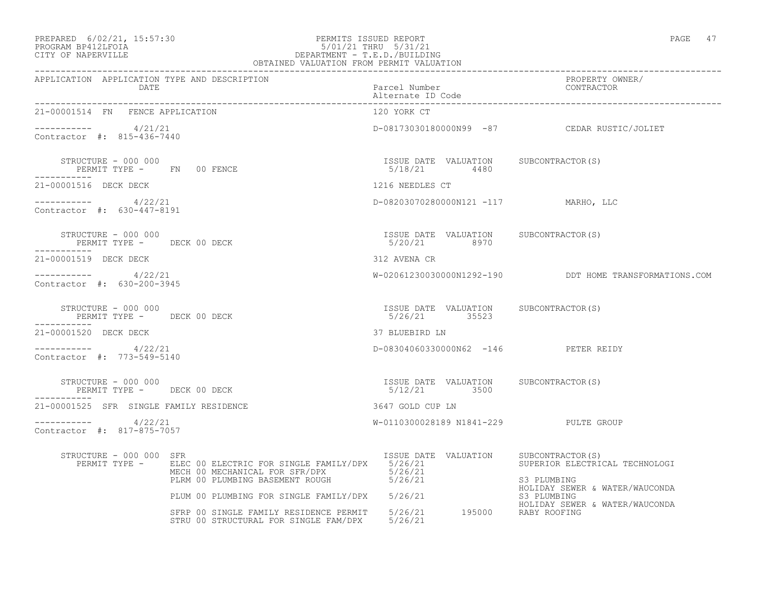# PREPARED 6/02/21, 15:57:30 PERMITS ISSUED REPORT PAGE 47<br>PROGRAM BP412LFOIA PAGE 47 PROGRAM BP412LFOIA 5/01/21 THRU 5/31/21 CITY OF NAPERVILLE DEPARTMENT - T.E.D./BUILDING

|                                                                   | OBTAINED VALUATION FROM PERMIT VALUATION                                                                                                          |                                                        |                                                                                 |
|-------------------------------------------------------------------|---------------------------------------------------------------------------------------------------------------------------------------------------|--------------------------------------------------------|---------------------------------------------------------------------------------|
| APPLICATION APPLICATION TYPE AND DESCRIPTION<br>DATE              |                                                                                                                                                   | Parcel Number<br>Alternate ID Code                     | PROPERTY OWNER/<br>CONTRACTOR                                                   |
| 21-00001514 FN FENCE APPLICATION                                  |                                                                                                                                                   | 120 YORK CT                                            |                                                                                 |
| $--------- 4/21/21$<br>Contractor #: 815-436-7440                 |                                                                                                                                                   |                                                        | D-08173030180000N99 -87 CEDAR RUSTIC/JOLIET                                     |
| STRUCTURE - 000 000<br>PERMIT TYPE - FN 00 FENCE<br>-----------   |                                                                                                                                                   | ISSUE DATE VALUATION SUBCONTRACTOR(S)<br>5/18/21 4480  |                                                                                 |
| 21-00001516 DECK DECK                                             |                                                                                                                                                   | 1216 NEEDLES CT                                        |                                                                                 |
| $--------- 4/22/21$<br>Contractor #: 630-447-8191                 |                                                                                                                                                   | D-08203070280000N121 -117 MARHO, LLC                   |                                                                                 |
| STRUCTURE - 000 000<br>PERMIT TYPE - DECK 00 DECK<br>------------ |                                                                                                                                                   | ISSUE DATE VALUATION SUBCONTRACTOR(S)<br>5/20/21 8970  |                                                                                 |
| 21-00001519 DECK DECK                                             |                                                                                                                                                   | 312 AVENA CR                                           |                                                                                 |
| $--------- 4/22/21$<br>Contractor #: 630-200-3945                 |                                                                                                                                                   |                                                        | W-02061230030000N1292-190 DDT HOME TRANSFORMATIONS.COM                          |
| STRUCTURE - 000 000<br>PERMIT TYPE - DECK 00 DECK<br>-----------  |                                                                                                                                                   | ISSUE DATE VALUATION SUBCONTRACTOR(S)<br>5/26/21 35523 |                                                                                 |
| 21-00001520 DECK DECK                                             |                                                                                                                                                   | 37 BLUEBIRD LN                                         |                                                                                 |
| $--------- 4/22/21$<br>Contractor #: 773-549-5140                 |                                                                                                                                                   | D-08304060330000N62 -146 PETER REIDY                   |                                                                                 |
| STRUCTURE - 000 000<br>PERMIT TYPE - DECK 00 DECK<br>-----------  |                                                                                                                                                   | ISSUE DATE VALUATION SUBCONTRACTOR(S)<br>5/12/21 3500  |                                                                                 |
| 21-00001525 SFR SINGLE FAMILY RESIDENCE                           |                                                                                                                                                   | 3647 GOLD CUP LN                                       |                                                                                 |
| $--------- 4/22/21$<br>Contractor #: 817-875-7057                 |                                                                                                                                                   | W-0110300028189 N1841-229 PULTE GROUP                  |                                                                                 |
| STRUCTURE - 000 000 SFR                                           | PERMIT TYPE - ELEC 00 ELECTRIC FOR SINGLE FAMILY/DPX 5/26/21<br>MECH 00 MECHANICAL FOR SFR/DPX 5/26/21<br>PLRM 00 PLUMBING BASEMENT ROUGH 5/26/21 | ISSUE DATE VALUATION SUBCONTRACTOR(S)                  | SUPERIOR ELECTRICAL TECHNOLOGI<br>S3 PLUMBING<br>HOLIDAY SEWER & WATER/WAUCONDA |
|                                                                   | PLUM 00 PLUMBING FOR SINGLE FAMILY/DPX 5/26/21                                                                                                    |                                                        | S3 PLUMBING<br>HOLIDAY SEWER & WATER/WAUCONDA                                   |
|                                                                   | SFRP 00 SINGLE FAMILY RESIDENCE PERMIT 5/26/21 195000 RABY ROOFING<br>STRU 00 STRUCTURAL FOR SINGLE FAM/DPX 5/26/21                               |                                                        |                                                                                 |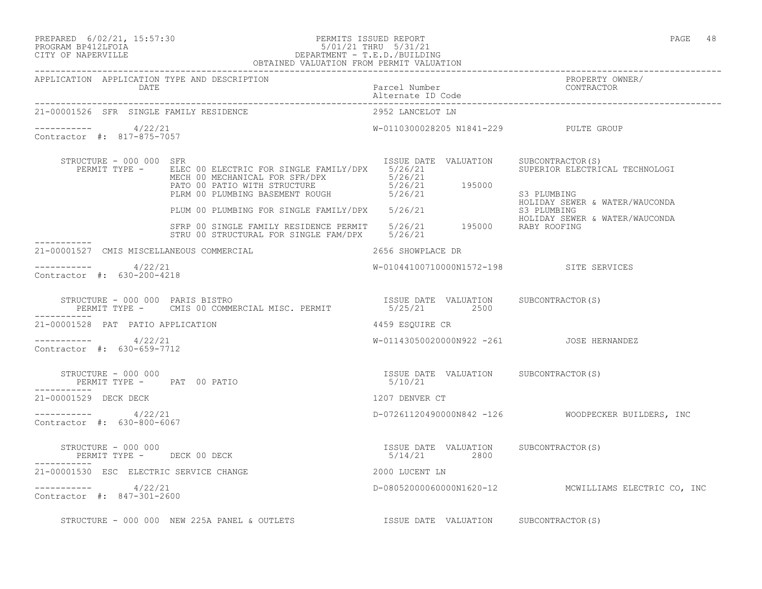## PREPARED 6/02/21, 15:57:30 PERMITS ISSUED REPORT PAGE 48 PROGRAM BP412LFOIA 5/01/21 THRU 5/31/21 CITY OF NAPERVILLE DEPARTMENT - T.E.D./BUILDING

|                                                      | OBTAINED VALUATION FROM PERMIT VALUATION                                                                                                                                                                                                                                                                                                                      |                                                     |                                                                                                                                                                           |
|------------------------------------------------------|---------------------------------------------------------------------------------------------------------------------------------------------------------------------------------------------------------------------------------------------------------------------------------------------------------------------------------------------------------------|-----------------------------------------------------|---------------------------------------------------------------------------------------------------------------------------------------------------------------------------|
| APPLICATION APPLICATION TYPE AND DESCRIPTION<br>DATE |                                                                                                                                                                                                                                                                                                                                                               | Parcel Number<br>Alternational<br>Alternate ID Code | PROPERTY OWNER/<br>CONTRACTOR<br>--------------------------------------                                                                                                   |
| 21-00001526 SFR SINGLE FAMILY RESIDENCE              |                                                                                                                                                                                                                                                                                                                                                               | 2952 LANCELOT LN                                    |                                                                                                                                                                           |
| ----------- 4/22/21<br>Contractor #: 817-875-7057    |                                                                                                                                                                                                                                                                                                                                                               |                                                     | W-0110300028205 N1841-229 PULTE GROUP                                                                                                                                     |
| STRUCTURE - 000 000 SFR                              | PERMIT TYPE - ELECTO ELECTRIC FOR SINGLE FAMILY/DPX 5/26/21<br>PERMIT TYPE - ELECTO MECHANICAI FOR SERVINGY 5/26/21<br>ELEC 00 ELECTRIC FOR SINGLE FAMILY/DPX 5/20/21<br>MECH 00 MECHANICAL FOR SFR/DPX 5/26/21<br>PATO 00 PATIO WITH STRUCTURE 5/26/21 195000<br>PLRM 00 PLUMBING BASEMENT ROUGH 5/26/21 195000<br>PLUM 00 PLUMBING FOR SINGLE FAMILY/DPX 5/ |                                                     | ISSUE DATE VALUATION SUBCONTRACTOR(S)<br>SUPERIOR ELECTRICAL TECHNOLOGI<br>S3 PLUMBING<br>HOLIDAY SEWER & WATER/WAUCONDA<br>S3 PLUMBING<br>HOLIDAY SEWER & WATER/WAUCONDA |
|                                                      | HOLIDAY SEWER<br>STRU 00 STRUCTURAL FOR SINGLE FAM/DPX 5/26/21 195000 RABY ROOFING<br>STRU 00 STRUCTURAL FOR SINGLE FAM/DPX 5/26/21                                                                                                                                                                                                                           |                                                     |                                                                                                                                                                           |
| 21-00001527 CMIS MISCELLANEOUS COMMERCIAL            | 2656 SHOWPLACE DR                                                                                                                                                                                                                                                                                                                                             |                                                     |                                                                                                                                                                           |
| $--------- 4/22/21$<br>Contractor #: 630-200-4218    |                                                                                                                                                                                                                                                                                                                                                               |                                                     | W-01044100710000N1572-198 SITE SERVICES                                                                                                                                   |
|                                                      | STRUCTURE - 000 000 PARIS BISTRO<br>PERMIT TYPE - CMIS 00 COMMERCIAL MISC. PERMIT - 5/25/21 2500                                                                                                                                                                                                                                                              |                                                     |                                                                                                                                                                           |
| 21-00001528 PAT PATIO APPLICATION                    |                                                                                                                                                                                                                                                                                                                                                               | 4459 ESOUIRE CR                                     |                                                                                                                                                                           |
| $--------- 4/22/21$<br>Contractor #: 630-659-7712    |                                                                                                                                                                                                                                                                                                                                                               |                                                     | W-01143050020000N922 -261 JOSE HERNANDEZ                                                                                                                                  |
| $STRUCTURE - 000 000$<br>PERMIT TYPE - PAT 00 PATIO  | ISSUE DATE VALUATION SUBCONTRACTOR(S)                                                                                                                                                                                                                                                                                                                         | 5/10/21                                             |                                                                                                                                                                           |
| 21-00001529 DECK DECK                                |                                                                                                                                                                                                                                                                                                                                                               | 1207 DENVER CT                                      |                                                                                                                                                                           |
| $--------- 4/22/21$<br>Contractor #: 630-800-6067    |                                                                                                                                                                                                                                                                                                                                                               |                                                     | D-07261120490000N842 -126 WOODPECKER BUILDERS, INC                                                                                                                        |
| STRUCTURE - 000 000                                  | STRUCTURE - 000 000<br>PERMIT TYPE - DECK 00 DECK<br>--------                                                                                                                                                                                                                                                                                                 |                                                     | ISSUE DATE VALUATION SUBCONTRACTOR(S)<br>5/14/21 2800                                                                                                                     |
| 21-00001530 ESC ELECTRIC SERVICE CHANGE              |                                                                                                                                                                                                                                                                                                                                                               | 2000 LUCENT LN                                      |                                                                                                                                                                           |
| $--------- 4/22/21$<br>Contractor #: 847-301-2600    |                                                                                                                                                                                                                                                                                                                                                               |                                                     | D-08052000060000N1620-12 MCWILLIAMS ELECTRIC CO, INC                                                                                                                      |
|                                                      | STRUCTURE - 000 000 NEW 225A PANEL & OUTLETS TSSUE DATE VALUATION SUBCONTRACTOR(S)                                                                                                                                                                                                                                                                            |                                                     |                                                                                                                                                                           |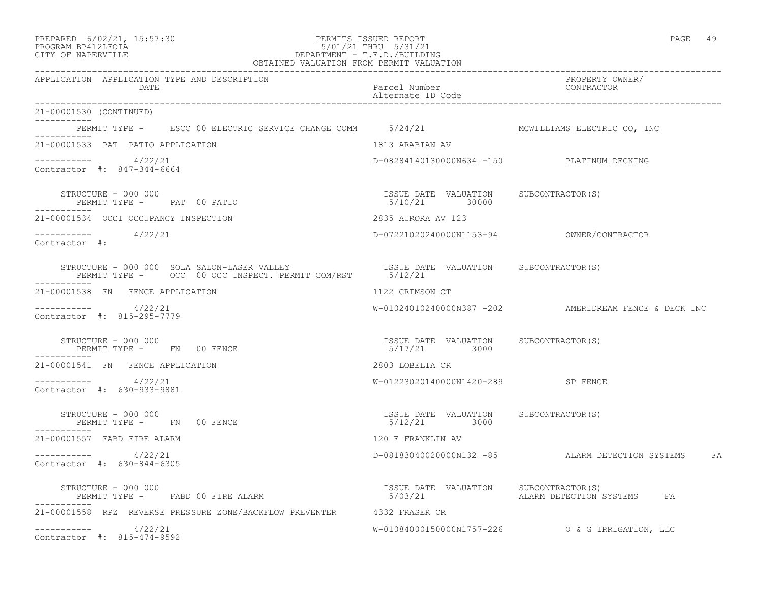| PREPARED | $6/02/21$ , $15:57:30$ |  |
|----------|------------------------|--|
| -------- |                        |  |

## PREPARED 6/02/21, 15:57:30 PERMITS ISSUED REPORT PAGE 49 PROGRAM BP412LFOIA 5/01/21 THRU 5/31/21 CITY OF NAPERVILLE DEPARTMENT - T.E.D./BUILDING

| OBTAINED VALUATION FROM PERMIT VALUATION                                                                                                                                                                                                                                                                                                                                                                                                                                      |                                                                    |                                                         |
|-------------------------------------------------------------------------------------------------------------------------------------------------------------------------------------------------------------------------------------------------------------------------------------------------------------------------------------------------------------------------------------------------------------------------------------------------------------------------------|--------------------------------------------------------------------|---------------------------------------------------------|
| APPLICATION APPLICATION TYPE AND DESCRIPTION<br><b>DATE</b>                                                                                                                                                                                                                                                                                                                                                                                                                   | Parcel Number<br>Alternate ID Code<br>____________________________ | PROPERTY OWNER/<br>CONTRACTOR                           |
| 21-00001530 (CONTINUED)<br>___________                                                                                                                                                                                                                                                                                                                                                                                                                                        |                                                                    |                                                         |
|                                                                                                                                                                                                                                                                                                                                                                                                                                                                               |                                                                    |                                                         |
| 21-00001533 PAT PATIO APPLICATION                                                                                                                                                                                                                                                                                                                                                                                                                                             | 1813 ARABIAN AV                                                    |                                                         |
| $--------- 4/22/21$<br>Contractor #: 847-344-6664                                                                                                                                                                                                                                                                                                                                                                                                                             | D-08284140130000N634 -150 PLATINUM DECKING                         |                                                         |
| STRUCTURE - 000 000<br>PERMIT TYPE - PAT 00 PATIO                                                                                                                                                                                                                                                                                                                                                                                                                             | ISSUE DATE VALUATION SUBCONTRACTOR(S)<br>5/10/21 30000             |                                                         |
| 21-00001534 OCCI OCCUPANCY INSPECTION                                                                                                                                                                                                                                                                                                                                                                                                                                         | 2835 AURORA AV 123                                                 |                                                         |
| $--------$ 4/22/21<br>Contractor #:                                                                                                                                                                                                                                                                                                                                                                                                                                           |                                                                    |                                                         |
| -----------                                                                                                                                                                                                                                                                                                                                                                                                                                                                   |                                                                    |                                                         |
| 21-00001538 FN FENCE APPLICATION                                                                                                                                                                                                                                                                                                                                                                                                                                              | 1122 CRIMSON CT                                                    |                                                         |
| $--------- 4/22/21$<br>Contractor #: 815-295-7779                                                                                                                                                                                                                                                                                                                                                                                                                             |                                                                    | $W-01024010240000N387 -202$ AMERIDREAM FENCE & DECK INC |
| PERMIT TYPE - FN 00 FENCE                                                                                                                                                                                                                                                                                                                                                                                                                                                     | ISSUE DATE VALUATION SUBCONTRACTOR(S)<br>5/17/21 3000              |                                                         |
| 21-00001541 FN FENCE APPLICATION                                                                                                                                                                                                                                                                                                                                                                                                                                              | 2803 LOBELIA CR                                                    |                                                         |
| $--------- 4/22/21$<br>Contractor #: 630-933-9881                                                                                                                                                                                                                                                                                                                                                                                                                             | W-01223020140000N1420-289 SP FENCE                                 |                                                         |
| STRUCTURE - 000 000<br>PERMIT TYPE - FN 00 FENCE                                                                                                                                                                                                                                                                                                                                                                                                                              | ISSUE DATE VALUATION SUBCONTRACTOR(S)<br>5/12/21 3000              |                                                         |
| 21-00001557 FABD FIRE ALARM                                                                                                                                                                                                                                                                                                                                                                                                                                                   | 120 E FRANKLIN AV                                                  |                                                         |
| $----------$ 4/22/21<br>Contractor #: 630-844-6305                                                                                                                                                                                                                                                                                                                                                                                                                            |                                                                    | D-08183040020000N132 -85 ALARM DETECTION SYSTEMS FA     |
| $\begin{array}{cccc}\n & \texttt{if} & \texttt{if} & \texttt{if} & \texttt{if} & \texttt{if} \\  & \texttt{if} & \texttt{if} & \texttt{if} & \texttt{if} \\  & \texttt{if} & \texttt{if} & \texttt{if} & \texttt{if} \\  & \texttt{if} & \texttt{if} & \texttt{if} & \texttt{if} \\  & \texttt{if} & \texttt{if} & \texttt{if} & \texttt{if} \\  & \texttt{if} & \texttt{if} & \texttt{if} & \texttt{if} \\  & \texttt{if} & \texttt{if} & \texttt{if} & \texttt{if} \\  & \$ |                                                                    |                                                         |
| 21-00001558 RPZ REVERSE PRESSURE ZONE/BACKFLOW PREVENTER 4332 FRASER CR                                                                                                                                                                                                                                                                                                                                                                                                       |                                                                    |                                                         |
| $--------- 4/22/21$<br>Contractor #: 815-474-9592                                                                                                                                                                                                                                                                                                                                                                                                                             |                                                                    |                                                         |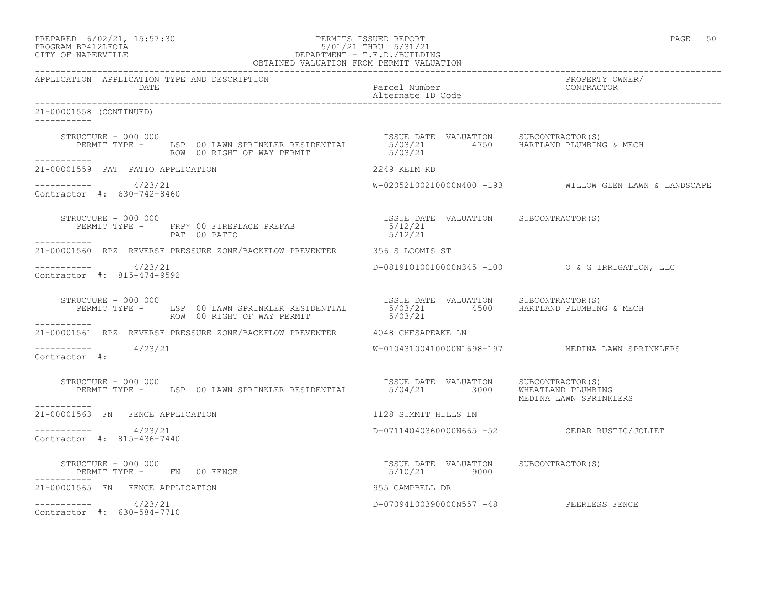| PREPARED | $6/02/21$ , $15:57:30$ |  |
|----------|------------------------|--|
| -------- | ----------             |  |

# PREPARED 6/02/21, 15:57:30 PERMITS ISSUED REPORT PAGE 50 PROGRAM BP412LFOIA 5/01/21 THRU 5/31/21 CITY OF NAPERVILLE DEPARTMENT - T.E.D./BUILDING

| OBTAINED VALUATION FROM PERMIT VALUATION                                                                                                                                                                                                                                           |                                         |                                                        |
|------------------------------------------------------------------------------------------------------------------------------------------------------------------------------------------------------------------------------------------------------------------------------------|-----------------------------------------|--------------------------------------------------------|
| APPLICATION APPLICATION TYPE AND DESCRIPTION<br>DATE                                                                                                                                                                                                                               | Parcel Number<br>Alternate ID Code      | PROPERTY OWNER/<br>CONTRACTOR                          |
| 21-00001558 (CONTINUED)<br>------------                                                                                                                                                                                                                                            |                                         |                                                        |
| יוועט פון דאסטאנט ISSUE DATE VALUATION SUBCONTRACTOR(S)<br>PERMIT TYPE - LSP 00 LAWN SPRINKLER RESIDENTIAL 5/03/21 4750 HARTLAND PLUMBING & MECH<br>-----------                                                                                                                    |                                         |                                                        |
| 21-00001559 PAT PATIO APPLICATION                                                                                                                                                                                                                                                  | 2249 KEIM RD                            |                                                        |
| $--------- 4/23/21$<br>Contractor #: 630-742-8460                                                                                                                                                                                                                                  |                                         | W-02052100210000N400 -193 WILLOW GLEN LAWN & LANDSCAPE |
| STRUCTURE - 000 000<br>$\begin{array}{cccc} \texttt{STRUCTURE} & - & 000 & 000 \\ \texttt{PERMIT TYPE} & - & \texttt{FRP*} & 00 & \texttt{FIREPLACE} & \texttt{PREFAB} & 5/12/21 \\ \texttt{PART} & 00 & \texttt{PATIC} & \texttt{PRTIO} & 5/12/21 \\ \end{array}$<br>PAT 00 PATIO |                                         |                                                        |
| 21-00001560 RPZ REVERSE PRESSURE ZONE/BACKFLOW PREVENTER 356 S LOOMIS ST                                                                                                                                                                                                           |                                         |                                                        |
| $--------- 4/23/21$<br>Contractor $\#: 815 - 474 - 9592$                                                                                                                                                                                                                           |                                         | D-08191010010000N345 -100 0 & G IRRIGATION, LLC        |
| STRUCTURE - 000 000<br>PERMIT TYPE - LSP 00 LAWN SPRINKLER RESIDENTIAL 5/03/21 4500 HARTLAND PLUMBING & MECH<br>------ ROW 00 RIGHT OF WAY PERMIT 5/03/21<br>STRUCTURE - 000 000                                                                                                   |                                         |                                                        |
| 21-00001561 RPZ REVERSE PRESSURE ZONE/BACKFLOW PREVENTER 4048 CHESAPEAKE LN                                                                                                                                                                                                        |                                         |                                                        |
| $--------$ 4/23/21<br>Contractor #:                                                                                                                                                                                                                                                |                                         | W-01043100410000N1698-197 MEDINA LAWN SPRINKLERS       |
| STRUCTURE - 000 000<br>PERMIT TYPE - LSP 00 LAWN SPRINKLER RESIDENTIAL 5/04/21 3000 WHEATLAND PLUMBING                                                                                                                                                                             | ISSUE DATE VALUATION SUBCONTRACTOR (S)  | MEDINA LAWN SPRINKLERS                                 |
| -----------<br>21-00001563 FN FENCE APPLICATION                                                                                                                                                                                                                                    | 1128 SUMMIT HILLS LN                    |                                                        |
| $--------- 4/23/21$<br>Contractor #: 815-436-7440                                                                                                                                                                                                                                  |                                         | D-07114040360000N665 -52 CEDAR RUSTIC/JOLIET           |
| TSSUE DATE VALUATION SUBCONTRACTOR(S)<br>5/10/21 9000 9000<br>STRUCTURE - 000 000<br>PERMIT TYPE - FN 00 FENCE<br>___________                                                                                                                                                      |                                         |                                                        |
| 21-00001565 FN FENCE APPLICATION                                                                                                                                                                                                                                                   | 955 CAMPBELL DR                         |                                                        |
| $--------- 4/23/21$<br>Contractor #: 630-584-7710                                                                                                                                                                                                                                  | D-07094100390000N557 -48 PEERLESS FENCE |                                                        |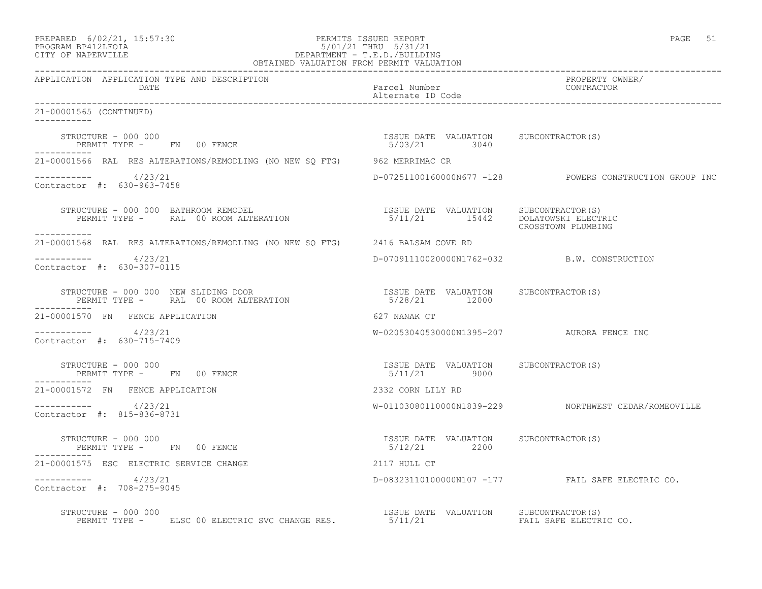| PREPARED            | $6/02/21$ , $15:57:30$ |  |
|---------------------|------------------------|--|
| DDOCD3M DD410T DOT3 |                        |  |

# PREPARED 6/02/21, 15:57:30 PERMITS ISSUED REPORT<br>PROGRAM BP412LFOIA PAGE 51 PROGRAM BP412LFOIA PROGRAM BP412LFOIA 5/01/21 THRU 5/31/21 CITY OF NAPERVILLE DEPARTMENT - T.E.D./BUILDING

| OBTAINED VALUATION FROM PERMIT VALUATION                                                                                                                                                                                                                                                                                                                                     |                                                       |                                                         |
|------------------------------------------------------------------------------------------------------------------------------------------------------------------------------------------------------------------------------------------------------------------------------------------------------------------------------------------------------------------------------|-------------------------------------------------------|---------------------------------------------------------|
| APPLICATION APPLICATION TYPE AND DESCRIPTION<br>DATE                                                                                                                                                                                                                                                                                                                         | Parcel Number<br>Alternate ID Code                    | PROPERTY OWNER/<br>CONTRACTOR                           |
| 21-00001565 (CONTINUED)                                                                                                                                                                                                                                                                                                                                                      |                                                       |                                                         |
| $\begin{array}{cccccccccc} \texttt{STRUCTURE} & - & 000 & 000 & & & & & & \\ \texttt{PERMIT TYPE} & - & & \texttt{FN} & 00 & \texttt{FENCE} & & & & & \\ \end{array} \hspace{2.5cm} \begin{array}{cccccccccc} \texttt{SSUB} & \texttt{DATE} & \texttt{VALUATION} & \texttt{SUBCONTRACTOR(S)} \\ & & 5/03/21 & & 3040 & & \\ \end{array}$                                     |                                                       |                                                         |
| 21-00001566 RAL RES ALTERATIONS/REMODLING (NO NEW SQ FTG) 962 MERRIMAC CR                                                                                                                                                                                                                                                                                                    |                                                       |                                                         |
| $--------$ 4/23/21<br>Contractor #: 630-963-7458                                                                                                                                                                                                                                                                                                                             |                                                       | D-07251100160000N677 -128 POWERS CONSTRUCTION GROUP INC |
| STRUCTURE - 000 000 BATHROOM REMODEL<br>PERMIT TYPE - RAL 00 ROOM ALTERATION 15/11/21 15442 DOLATOWSKI ELECTRIC                                                                                                                                                                                                                                                              |                                                       | CROSSTOWN PLUMBING                                      |
| 21-00001568 RAL RES ALTERATIONS/REMODLING (NO NEW SQ FTG) 2416 BALSAM COVE RD                                                                                                                                                                                                                                                                                                |                                                       |                                                         |
| $--------$ 4/23/21<br>Contractor #: 630-307-0115                                                                                                                                                                                                                                                                                                                             | D-07091110020000N1762-032 B.W. CONSTRUCTION           |                                                         |
|                                                                                                                                                                                                                                                                                                                                                                              |                                                       |                                                         |
| 21-00001570 FN FENCE APPLICATION                                                                                                                                                                                                                                                                                                                                             | 627 NANAK CT                                          |                                                         |
| $--------- 4/23/21$<br>Contractor #: 630-715-7409                                                                                                                                                                                                                                                                                                                            | W-02053040530000N1395-207 AURORA FENCE INC            |                                                         |
| STRUCTURE - 000 000<br>PERMIT TYPE - FN 00 FENCE                                                                                                                                                                                                                                                                                                                             | ISSUE DATE VALUATION SUBCONTRACTOR(S)<br>5/11/21 9000 |                                                         |
| 21-00001572 FN FENCE APPLICATION                                                                                                                                                                                                                                                                                                                                             | 2332 CORN LILY RD                                     |                                                         |
| $--------- 4/23/21$<br>Contractor #: 815-836-8731                                                                                                                                                                                                                                                                                                                            |                                                       | W-01103080110000N1839-229 NORTHWEST CEDAR/ROMEOVILLE    |
| STRUCTURE - 000 000<br>PERMIT TYPE - FN 00 FENCE                                                                                                                                                                                                                                                                                                                             | ISSUE DATE VALUATION SUBCONTRACTOR(S)<br>5/12/21 2200 |                                                         |
| 21-00001575 ESC ELECTRIC SERVICE CHANGE                                                                                                                                                                                                                                                                                                                                      | 2117 HULL CT                                          |                                                         |
| -----------    4/23/21<br>Contractor #: 708-275-9045                                                                                                                                                                                                                                                                                                                         |                                                       | D-08323110100000N107 -177 FAIL SAFE ELECTRIC CO.        |
| $\begin{array}{cccc} \texttt{STRUCTURE} & - & 000 & 000 \\ \texttt{PERMIT TYPE} & - & \texttt{ELSC 00 ELECTRIC SVC CHANGE RES} & - & 5/11/21 \\ \end{array} \qquad \begin{array}{cccc} \texttt{ISSUE} & \texttt{DATE} & \texttt{VALUATION} & \texttt{SUBCONTRACTOR(S)} \\ \texttt{FAIL SATE} & \texttt{ELECTR} & - & \texttt{SUE} & - \\ \end{array}$<br>STRUCTURE - 000 000 |                                                       | FAIL SAFE ELECTRIC CO.                                  |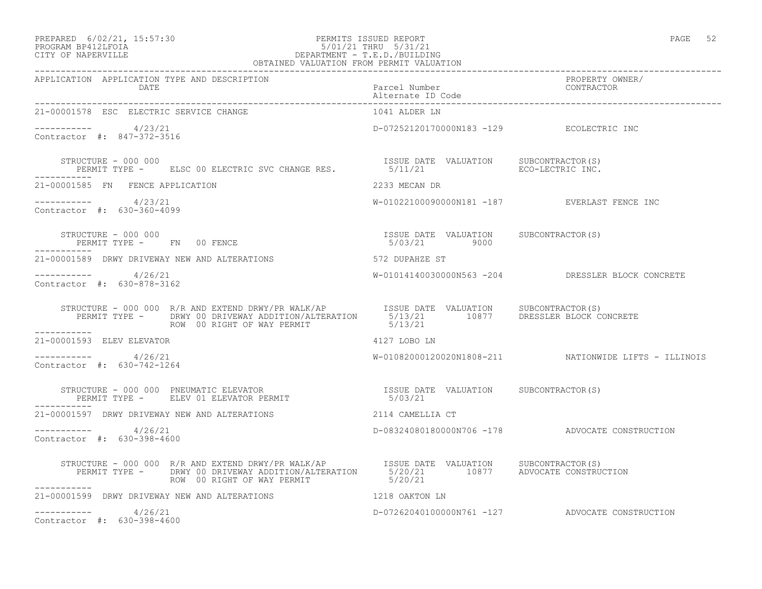#### PREPARED 6/02/21, 15:57:30 PERMITS ISSUED REPORT PAGE 52 PROGRAM BP412LFOIA 5/01/21 THRU 5/31/21 CITY OF NAPERVILLE DEPARTMENT - T.E.D./BUILDING OBTAINED VALUATION FROM PERMIT VALUATION

| APPLICATION APPLICATION TYPE AND DESCRIPTION PACKER PACKER PACKER PROPERTY OWNER (DATE<br>DATE Parcel Number Packer Dubber (Date particles of the contractor alternate ID Code enterproperment of the contraction of the contract                    |                                                       |                                                       |
|------------------------------------------------------------------------------------------------------------------------------------------------------------------------------------------------------------------------------------------------------|-------------------------------------------------------|-------------------------------------------------------|
| 21-00001578 ESC ELECTRIC SERVICE CHANGE                                                                                                                                                                                                              | 1041 ALDER LN                                         |                                                       |
| $--------- 4/23/21$<br>Contractor #: 847-372-3516                                                                                                                                                                                                    | D-07252120170000N183 -129 ECOLECTRIC INC              |                                                       |
| STRUCTURE - 000 000<br>STRUCTURE - 000 000<br>PERMIT TYPE - ELSC 00 ELECTRIC SVC CHANGE RES. S/11/21 BERMIT TYPE - ELSC 00 ELECTRIC SVC CHANGE RES. 5/11/21                                                                                          |                                                       |                                                       |
| 21-00001585 FN FENCE APPLICATION                                                                                                                                                                                                                     | 2233 MECAN DR                                         |                                                       |
| $--------- 4/23/21$<br>Contractor #: 630-360-4099                                                                                                                                                                                                    |                                                       | W-01022100090000N181 -187 EVERLAST FENCE INC          |
| STRUCTURE - 000 000<br>PERMIT TYPE - FN 00 FENCE                                                                                                                                                                                                     | ISSUE DATE VALUATION SUBCONTRACTOR(S)<br>5/03/21 9000 |                                                       |
| 21-00001589 DRWY DRIVEWAY NEW AND ALTERATIONS                                                                                                                                                                                                        | 572 DUPAHZE ST                                        |                                                       |
| $--------- 4/26/21$<br>Contractor #: 630-878-3162                                                                                                                                                                                                    |                                                       | W-01014140030000N563 -204 DRESSLER BLOCK CONCRETE     |
| STRUCTURE - 000 000 R/R AND EXTEND DRWY/PR WALK/AP   ISSUE DATE VALUATION SUBCONTRACTOR(S)<br>PERMIT TYPE - DRWY 00 DRIVEWAY ADDITION/ALTERATION   5/13/21   10877  DRESSLER BLOCK CONCRETE<br>--------                                              |                                                       |                                                       |
| ___________<br>21-00001593 ELEV ELEVATOR                                                                                                                                                                                                             | 4127 LOBO LN                                          |                                                       |
| $--------- 4/26/21$<br>Contractor #: 630-742-1264                                                                                                                                                                                                    |                                                       | W-01082000120020N1808-211 NATIONWIDE LIFTS - ILLINOIS |
| STRUCTURE – 000 000 PNEUMATIC ELEVATOR<br>PERMIT TYPE –    ELEV 01 ELEVATOR PERMIT                             5/03/21                                                                                                                               |                                                       |                                                       |
| 21-00001597 DRWY DRIVEWAY NEW AND ALTERATIONS 2114 CAMELLIA CT                                                                                                                                                                                       |                                                       |                                                       |
| $--------- 4/26/21$<br>Contractor #: 630-398-4600                                                                                                                                                                                                    |                                                       | D-08324080180000N706 -178 ADVOCATE CONSTRUCTION       |
| STRUCTURE - 000 000 R/R AND EXTEND DRWY/PR WALK/AP        ISSUE DATE VALUATION      SUBCONTRACTOR(S)<br>PERMIT TYPE -        DRWY 00 DRIVEWAY ADDITION/ALTERATION        5/20/21          10877      ADVOCATE CONSTRUCTION<br>ROW  0<br>------------ |                                                       |                                                       |
| 21-00001599 DRWY DRIVEWAY NEW AND ALTERATIONS THE RESERVE THAT RESERVE THE RESERVE OF THE RESERVE TH                                                                                                                                                 |                                                       |                                                       |
| $--------- 4/26/21$<br>Contractor #: 630-398-4600                                                                                                                                                                                                    |                                                       | D-07262040100000N761 -127 ADVOCATE CONSTRUCTION       |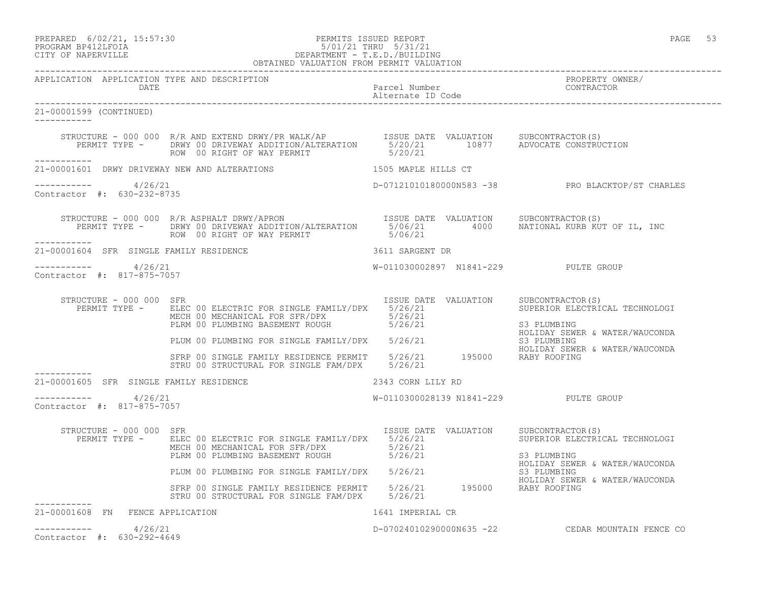## PREPARED 6/02/21, 15:57:30 PERMITS ISSUED REPORT PAGE 53 PROGRAM BP412LFOIA 5/01/21 THRU 5/31/21 CITY OF NAPERVILLE DEPARTMENT - T.E.D./BUILDING

|                                                       | OBTAINED VALUATION FROM PERMIT VALUATION                                                                                                                                                                                                            |                                            |                                                                                 |
|-------------------------------------------------------|-----------------------------------------------------------------------------------------------------------------------------------------------------------------------------------------------------------------------------------------------------|--------------------------------------------|---------------------------------------------------------------------------------|
| APPLICATION APPLICATION TYPE AND DESCRIPTION<br>DATE  |                                                                                                                                                                                                                                                     | Parcel Number<br>Alternate ID Code         | PROPERTY OWNER/<br>CONTRACTOR                                                   |
| 21-00001599 (CONTINUED)<br>-----------                |                                                                                                                                                                                                                                                     |                                            |                                                                                 |
|                                                       | STRUCTURE - 000 000 R/R AND EXTEND DRWY/PR WALK/AP SSUE DATE VALUATION SUBCONTRACTOR(S)<br>PERMIT TYPE - DRWY 00 DRIVEWAY ADDITION/ALTERATION 5/20/21 10877 ADVOCATE CONSTRUCTION<br>ROW 00 RIGHT OF WAY PERMIT 5/20/21 10877 ADVOCATE CONSTRUCTION |                                            |                                                                                 |
| 21-00001601 DRWY DRIVEWAY NEW AND ALTERATIONS         |                                                                                                                                                                                                                                                     | 1505 MAPLE HILLS CT                        |                                                                                 |
| $--------- 4/26/21$<br>Contractor #: 630-232-8735     |                                                                                                                                                                                                                                                     |                                            | D-07121010180000N583 -38 PRO BLACKTOP/ST CHARLES                                |
| ___________                                           | STRUCTURE - 000 000 R/R ASPHALT DRWY/APRON USSUE DATE VALUATION SUBCONTRACTOR(S)<br>PERMIT TYPE - DRWY 00 DRIVEWAY ADDITION/ALTERATION 5/06/21 4000 NATIONAL KURB KUT OF IL, INC                                                                    |                                            |                                                                                 |
| 21-00001604 SFR SINGLE FAMILY RESIDENCE               |                                                                                                                                                                                                                                                     | 3611 SARGENT DR                            |                                                                                 |
| -----------     4/26/21<br>Contractor #: 817-875-7057 |                                                                                                                                                                                                                                                     | W-011030002897 N1841-229 PULTE GROUP       |                                                                                 |
| STRUCTURE - 000 000 SFR                               | PERMIT TYPE - ELEC 00 ELECTRIC FOR SINGLE FAMILY/DPX 5/26/21<br>MECH 00 MECHANICAL FOR SFR/DPX<br>PLRM 00 PLUMBING BASEMENT ROUGH 5/26/21                                                                                                           | ISSUE DATE VALUATION SUBCONTRACTOR(S)      | SUPERIOR ELECTRICAL TECHNOLOGI<br>S3 PLUMBING                                   |
|                                                       | PLUM 00 PLUMBING FOR SINGLE FAMILY/DPX 5/26/21                                                                                                                                                                                                      |                                            | HOLIDAY SEWER & WATER/WAUCONDA<br>S3 PLUMBING<br>HOLIDAY SEWER & WATER/WAUCONDA |
|                                                       | SFRP 00 SINGLE FAMILY RESIDENCE PERMIT 5/26/21 195000 RABY ROOFING<br>STRU 00 STRUCTURAL FOR SINGLE FAM/DPX 5/26/21                                                                                                                                 |                                            |                                                                                 |
| 21-00001605 SFR SINGLE FAMILY RESIDENCE               |                                                                                                                                                                                                                                                     | 2343 CORN LILY RD                          |                                                                                 |
| $--------- 4/26/21$<br>Contractor #: 817-875-7057     |                                                                                                                                                                                                                                                     | W-0110300028139 N1841-229 PULTE GROUP      |                                                                                 |
| STRUCTURE - 000 000 SFR                               | PERMIT TYPE - ELEC 00 ELECTRIC FOR SINGLE FAMILY/DPX 5/26/21<br>MECH 00 MECHANICAL FOR SFR/DPX<br>PLRM 00 PLUMBING BASEMENT ROUGH                                                                                                                   | ISSUE DATE VALUATION<br>5/26/21<br>5/26/21 | SUBCONTRACTOR(S)<br>SUPERIOR ELECTRICAL TECHNOLOGI<br>S3 PLUMBING               |
|                                                       | PLUM 00 PLUMBING FOR SINGLE FAMILY/DPX 5/26/21                                                                                                                                                                                                      |                                            | HOLIDAY SEWER & WATER/WAUCONDA<br>S3 PLUMBING                                   |
|                                                       | SFRP 00 SINGLE FAMILY RESIDENCE PERMIT 5/26/21 195000 RABY ROOFING<br>STRU 00 STRUCTURAL FOR SINGLE FAM/DPX 5/26/21                                                                                                                                 |                                            | HOLIDAY SEWER & WATER/WAUCONDA                                                  |
| 21-00001608 FN FENCE APPLICATION                      |                                                                                                                                                                                                                                                     | 1641 IMPERIAL CR                           |                                                                                 |
| 4/26/21<br>Contractor #: 630-292-4649                 |                                                                                                                                                                                                                                                     |                                            | D-07024010290000N635 -22 CEDAR MOUNTAIN FENCE CO                                |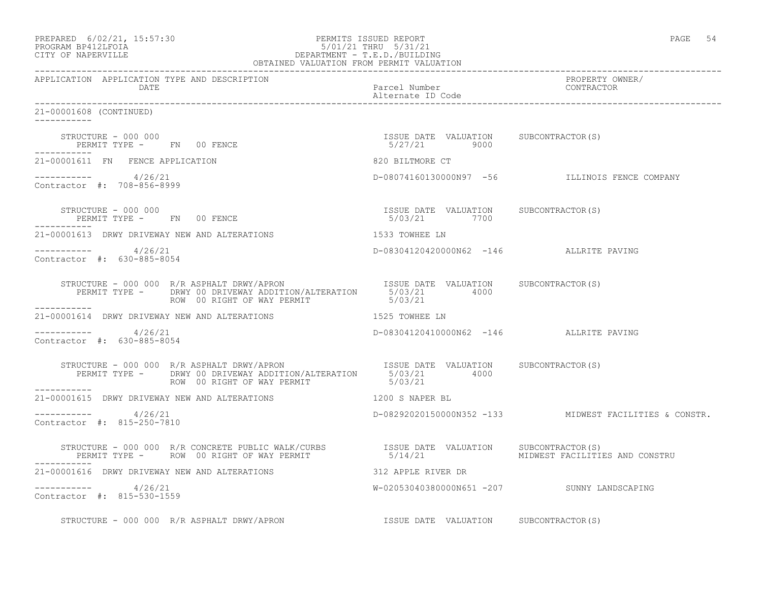| PREPARED 6/02/21, 15:57:30<br>5/01/21 1<br>DEPARTMENT - T.E.D./BUILDING<br>OBTAINED VALUATION FROM PERMIT VALUATION<br>PROGRAM BP412LFOIA<br>CITY OF NAPERVILLE                                          |                                                       | PAGE 54                                                |
|----------------------------------------------------------------------------------------------------------------------------------------------------------------------------------------------------------|-------------------------------------------------------|--------------------------------------------------------|
| APPLICATION APPLICATION TYPE AND DESCRIPTION<br>DATE                                                                                                                                                     | Parcel Number<br>Alternate ID Code                    | PROPERTY OWNER/<br>CONTRACTOR                          |
| 21-00001608 (CONTINUED)<br>-----------                                                                                                                                                                   |                                                       |                                                        |
| STRUCTURE - 000 000<br>PERMIT TYPE - FN 00 FENCE                                                                                                                                                         | ISSUE DATE VALUATION SUBCONTRACTOR(S)<br>5/27/21 9000 |                                                        |
| 21-00001611 FN FENCE APPLICATION                                                                                                                                                                         | 820 BILTMORE CT                                       |                                                        |
| ---------- 4/26/21<br>Contractor #: 708-856-8999                                                                                                                                                         |                                                       | D-08074160130000N97 -56 ILLINOIS FENCE COMPANY         |
| STRUCTURE - 000 000<br>PERMIT TYPE - FN 00 FENCE                                                                                                                                                         | ISSUE DATE VALUATION SUBCONTRACTOR(S)<br>5/03/21 7700 |                                                        |
| 21-00001613 DRWY DRIVEWAY NEW AND ALTERATIONS                                                                                                                                                            | 1533 TOWHEE LN                                        |                                                        |
| $--------- 4/26/21$<br>Contractor #: 630-885-8054                                                                                                                                                        | D-08304120420000N62 -146 ALLRITE PAVING               |                                                        |
| STRUCTURE - 000 000 R/R ASPHALT DRWY/APRON<br>PERMIT TYPE - DRWY 00 DRIVEWAY ADDITION/ALTERATION 5/03/21 4000<br>ROW 00 RIGHT OF WAY PERMIT                                                              | 5/03/21                                               |                                                        |
| 21-00001614 DRWY DRIVEWAY NEW AND ALTERATIONS 4525 TOWHEE LN                                                                                                                                             |                                                       |                                                        |
| $--------- 4/26/21$<br>Contractor #: 630-885-8054                                                                                                                                                        | D-08304120410000N62 -146 ALLRITE PAVING               |                                                        |
| STRUCTURE - 000 000 R/R ASPHALT DRWY/APRON ISSUE DATE VALUATION SUBCONTRACTOR(S)<br>PERMIT TYPE - DRWY 00 DRIVEWAY ADDITION/ALTERATION 5/03/21 4000<br>ROW 00 RIGHT OF WAY PERMIT 5/03/21<br>----------- |                                                       |                                                        |
| 21-00001615 DRWY DRIVEWAY NEW AND ALTERATIONS                                                                                                                                                            | 1200 S NAPER BL                                       |                                                        |
| $--------- 4/26/21$<br>Contractor #: 815-250-7810                                                                                                                                                        |                                                       | D-08292020150000N352 -133 MIDWEST FACILITIES & CONSTR. |
| STRUCTURE - 000 000 R/R CONCRETE PUBLIC WALK/CURBS<br>PERMIT TYPE - ROW 00 RIGHT OF WAY PERMIT 6/14/21                                                                                                   | ISSUE DATE VALUATION                                  | SUBCONTRACTOR(S)<br>MIDWEST FACILITIES AND CONSTRU     |
| 21-00001616 DRWY DRIVEWAY NEW AND ALTERATIONS                                                                                                                                                            | 312 APPLE RIVER DR                                    |                                                        |
| $--------- 4/26/21$<br>Contractor #: 815-530-1559                                                                                                                                                        |                                                       | W-02053040380000N651 -207 SUNNY LANDSCAPING            |
| STRUCTURE - 000 000 R/R ASPHALT DRWY/APRON                                                                                                                                                               | ISSUE DATE VALUATION SUBCONTRACTOR(S)                 |                                                        |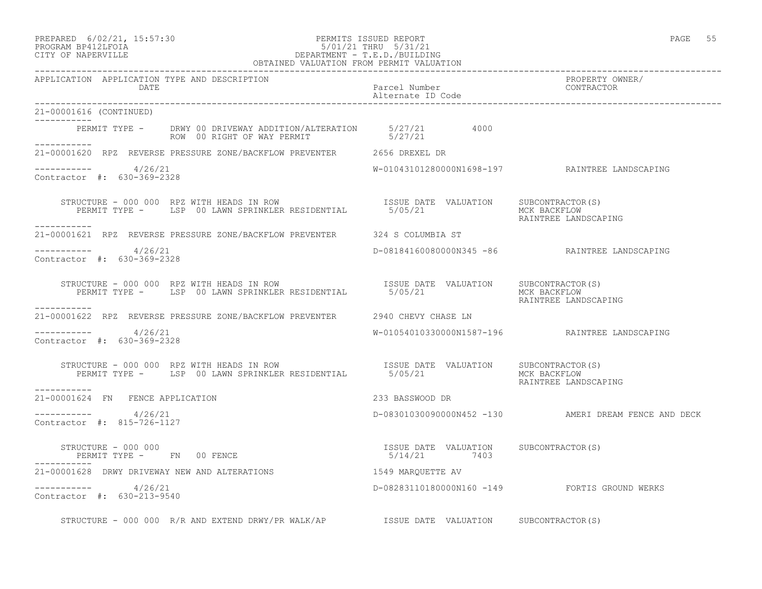#### PREPARED 6/02/21, 15:57:30 PERMITS ISSUED REPORT PAGE 55 PROGRAM BP412LFOIA 5/01/21 THRU 5/31/21 CITY OF NAPERVILLE DEPARTMENT - T.E.D./BUILDING

| OBTAINED VALUATION FROM PERMIT VALUATION                                                                                                                                                                                                                                                                                                                                  |                                    |                                                      |
|---------------------------------------------------------------------------------------------------------------------------------------------------------------------------------------------------------------------------------------------------------------------------------------------------------------------------------------------------------------------------|------------------------------------|------------------------------------------------------|
| APPLICATION APPLICATION TYPE AND DESCRIPTION<br>DATE                                                                                                                                                                                                                                                                                                                      | Parcel Number<br>Alternate ID Code | PROPERTY OWNER/<br>CONTRACTOR                        |
| 21-00001616 (CONTINUED)                                                                                                                                                                                                                                                                                                                                                   |                                    |                                                      |
| PERMIT TYPE - DRWY 00 DRIVEWAY ADDITION/ALTERATION 5/27/21 4000<br>ROW 00 RIGHT OF WAY PERMIT 5/27/21<br>___________                                                                                                                                                                                                                                                      |                                    |                                                      |
| 21-00001620 RPZ REVERSE PRESSURE ZONE/BACKFLOW PREVENTER 2656 DREXEL DR                                                                                                                                                                                                                                                                                                   |                                    |                                                      |
| $--------- 4/26/21$<br>Contractor #: 630-369-2328                                                                                                                                                                                                                                                                                                                         |                                    | W-01043101280000N1698-197 RAINTREE LANDSCAPING       |
| STRUCTURE - 000 000 RPZ WITH HEADS IN ROW TSSUE DATE VALUATION SUBCONTRACTOR(S)<br>PERMIT TYPE - LSP 00 LAWN SPRINKLER RESIDENTIAL 5/05/21 MCK BACKFLOW RAINTREE LANDSCAPING<br>-----------                                                                                                                                                                               |                                    |                                                      |
| 21-00001621 RPZ REVERSE PRESSURE ZONE/BACKFLOW PREVENTER 324 S COLUMBIA ST                                                                                                                                                                                                                                                                                                |                                    |                                                      |
| $--------- 4/26/21$<br>Contractor #: 630-369-2328                                                                                                                                                                                                                                                                                                                         |                                    | D-08184160080000N345 -86 RAINTREE LANDSCAPING        |
| STRUCTURE - 000 000 RPZ WITH HEADS IN ROW<br>PERMIT TYPE - LSP 00 LAWN SPRINKLER RESIDENTIAL 5/05/21 MORE MORE MORE POWER CONTRACTOR (S)<br>-----------                                                                                                                                                                                                                   |                                    | MUK BAUNEBU.<br>RAINTREE LANDSCAPING                 |
| 21-00001622 RPZ REVERSE PRESSURE ZONE/BACKFLOW PREVENTER 2940 CHEVY CHASE LN                                                                                                                                                                                                                                                                                              |                                    |                                                      |
| $--------- 4/26/21$<br>Contractor #: 630-369-2328                                                                                                                                                                                                                                                                                                                         |                                    | W-01054010330000N1587-196 RAINTREE LANDSCAPING       |
| STRUCTURE - 000 000 RPZ WITH HEADS IN ROW<br>PERMIT TYPE - LSP 00 LAWN SPRINKLER RESIDENTIAL 5/05/21 MCK BACKFLOW<br>-----------                                                                                                                                                                                                                                          |                                    | RAINTREE LANDSCAPING                                 |
| 21-00001624 FN FENCE APPLICATION                                                                                                                                                                                                                                                                                                                                          | 233 BASSWOOD DR                    |                                                      |
| ----------- 4/26/21<br>Contractor #: 815-726-1127                                                                                                                                                                                                                                                                                                                         |                                    | D-08301030090000N452 -130 AMERI DREAM FENCE AND DECK |
| STRUCTURE - 000 000<br>$\begin{array}{cccccccccc} \texttt{STRUCTURE} & - & 000 & 000 & & & & & & & \\ \texttt{PERMIT TYPE} & - & \texttt{FN} & 00 & \texttt{FENCE} & & & & & & \\ \end{array} \hspace{2.5in} \begin{array}{cccccccccc} \texttt{SUE} & \texttt{DATE} & \texttt{VALUATION} & \texttt{SUBCONTRACTOR(S)} \\ \texttt{S/14/21} & 7403 & & & & & \\ \end{array}$ |                                    |                                                      |
| 21-00001628 DRWY DRIVEWAY NEW AND ALTERATIONS 1549 MARQUETTE AV                                                                                                                                                                                                                                                                                                           |                                    |                                                      |
| $--------- 4/26/21$<br>Contractor #: 630-213-9540                                                                                                                                                                                                                                                                                                                         |                                    | D-08283110180000N160 -149 FORTIS GROUND WERKS        |
| STRUCTURE - 000 000 R/R AND EXTEND DRWY/PR WALK/AP STSUE DATE VALUATION SUBCONTRACTOR(S)                                                                                                                                                                                                                                                                                  |                                    |                                                      |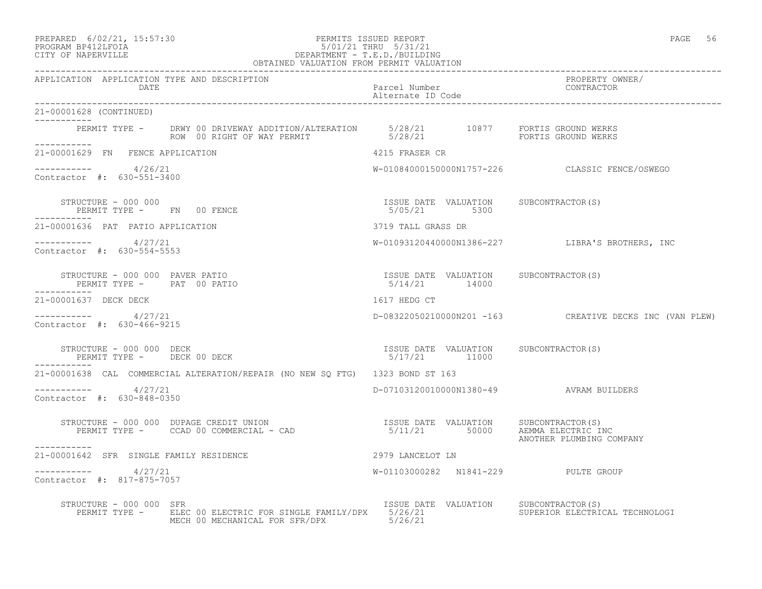#### PREPARED 6/02/21, 15:57:30 PERMITS ISSUED REPORT PAGE 56 PROGRAM BP412LFOIA 5/01/21 THRU 5/31/21 CITY OF NAPERVILLE DEPARTMENT - T.E.D./BUILDING

| OBTAINED VALUATION FROM PERMIT VALUATION                                                                                                                                                                                                                                                                                                                                                      |                                                       |                                                         |
|-----------------------------------------------------------------------------------------------------------------------------------------------------------------------------------------------------------------------------------------------------------------------------------------------------------------------------------------------------------------------------------------------|-------------------------------------------------------|---------------------------------------------------------|
| APPLICATION APPLICATION TYPE AND DESCRIPTION<br>DATE                                                                                                                                                                                                                                                                                                                                          | Parcel Number<br>Alternate ID Code                    | PROPERTY OWNER/<br>CONTRACTOR                           |
| 21-00001628 (CONTINUED)<br>----------                                                                                                                                                                                                                                                                                                                                                         |                                                       |                                                         |
| PERMIT TYPE - DRWY 00 DRIVEWAY ADDITION/ALTERATION 5/28/21 10877 FORTIS GROUND WERKS<br>ROW 00 RIGHT OF WAY PERMIT 5/28/21 5/28/21 FORTIS GROUND WERKS<br>___________                                                                                                                                                                                                                         |                                                       |                                                         |
| 21-00001629 FN FENCE APPLICATION                                                                                                                                                                                                                                                                                                                                                              | 4215 FRASER CR                                        |                                                         |
| $--------- 4/26/21$<br>Contractor #: 630-551-3400                                                                                                                                                                                                                                                                                                                                             |                                                       | W-01084000150000N1757-226 CLASSIC FENCE/OSWEGO          |
| STRUCTURE - 000 000<br>PERMIT TYPE -     FN   00 FENCE                                                                                                                                                                                                                                                                                                                                        | ISSUE DATE VALUATION SUBCONTRACTOR(S)<br>5/05/21 5300 |                                                         |
| 21-00001636 PAT PATIO APPLICATION                                                                                                                                                                                                                                                                                                                                                             | 3719 TALL GRASS DR                                    |                                                         |
| $--------- 4/27/21$<br>Contractor #: 630-554-5553                                                                                                                                                                                                                                                                                                                                             |                                                       | W-01093120440000N1386-227 LIBRA'S BROTHERS, INC         |
| $\begin{array}{cccc} \texttt{STRUCTURE} & - & 000 & 000 & \texttt{PAVER} \texttt{ PATIO} \\ \texttt{PERMIT TYPE} & - & \texttt{PAT} & 00 \texttt{ PATIO} \\ \end{array} \qquad \begin{array}{cccc} \texttt{TSSUE} & \texttt{DATE} & \texttt{VALUATION} \\ & 5/14/21 & 14000 \\ \end{array} \qquad \begin{array}{cccc} \texttt{SUECOMTRACTOR(S)} \\ \end{array}$<br>PERMIT TYPE - PAT 00 PATIO |                                                       |                                                         |
| 21-00001637 DECK DECK                                                                                                                                                                                                                                                                                                                                                                         | 1617 HEDG CT                                          |                                                         |
| $--------- 4/27/21$<br>Contractor #: 630-466-9215                                                                                                                                                                                                                                                                                                                                             |                                                       | D-08322050210000N201 -163 CREATIVE DECKS INC (VAN PLEW) |
| $\begin{array}{cccc} \texttt{STRUCTURE} & - & 000 & 000 & \texttt{DECK} \\ \texttt{PERMIT TYPE} & - & - & - & - \\ \texttt{PERMIT TYPE} & - & - & - \\ \end{array}$                                                                                                                                                                                                                           |                                                       |                                                         |
| 21-00001638 CAL COMMERCIAL ALTERATION/REPAIR (NO NEW SQ FTG) 1323 BOND ST 163                                                                                                                                                                                                                                                                                                                 |                                                       |                                                         |
| -----------    4/27/21<br>Contractor #: 630-848-0350                                                                                                                                                                                                                                                                                                                                          | D-07103120010000N1380-49 AVRAM BUILDERS               |                                                         |
| STRUCTURE – 000 000 DUPAGE CREDIT UNION                              ISSUE DATE VALUATION     SUBCONTRACTOR(S)<br>PERMIT TYPE –      CCAD 00 COMMERCIAL – CAD                                 5/11/21           50000      AEMMA<br>-----------                                                                                                                                               |                                                       | ANOTHER PLUMBING COMPANY                                |
| 21-00001642 SFR SINGLE FAMILY RESIDENCE                                                                                                                                                                                                                                                                                                                                                       | 2979 LANCELOT LN                                      |                                                         |
| $--------- 4/27/21$<br>Contractor #: 817-875-7057                                                                                                                                                                                                                                                                                                                                             | W-01103000282 N1841-229 PULTE GROUP                   |                                                         |
| STRUCTURE - 000 000 SFR<br>PERMIT TYPE - ELEC 00 ELECTRIC FOR SINGLE FAMILY/DPX 5/26/21<br>MECH 00 MECHANICAL FOR SFR/DPX 5/26/21                                                                                                                                                                                                                                                             | ISSUE DATE VALUATION SUBCONTRACTOR(S)                 | SUPERIOR ELECTRICAL TECHNOLOGI                          |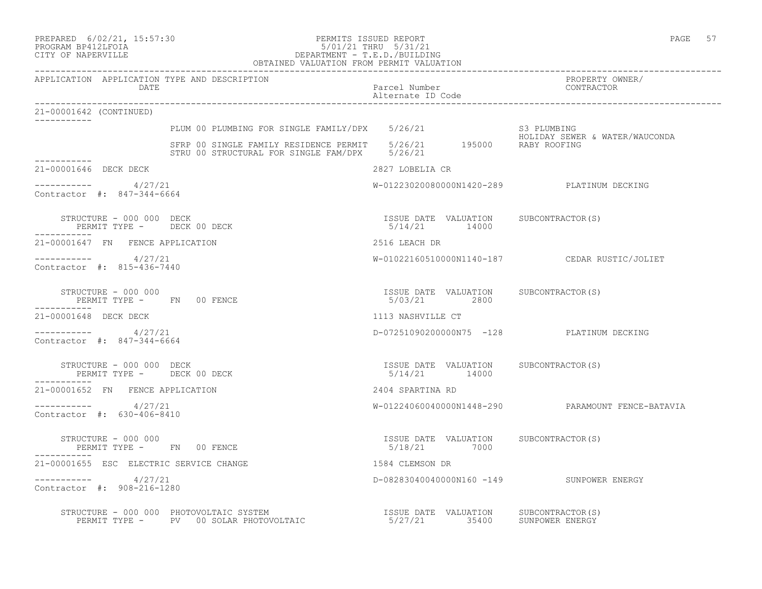#### PREPARED 6/02/21, 15:57:30 PERMITS ISSUED REPORT PAGE 57 PROGRAM BP412LFOIA 5/01/21 THRU 5/31/21 CITY OF NAPERVILLE DEPARTMENT - T.E.D./BUILDING OBTAINED VALUATION FROM PERMIT VALUATION

------------------------------------------------------------------------------------------------------------------------------------ APPLICATION APPLICATION TYPE AND DESCRIPTION PROPERTY OWNER/ Parcel Number Alternate ID Code ------------------------------------------------------------------------------------------------------------------------------------ 21-00001642 (CONTINUED) ----------- PLUM 00 PLUMBING FOR SINGLE FAMILY/DPX 5/26/21 S3 PLUMBING HOLIDAY SEWER & WATER/WAUCONDA SFRP 00 SINGLE FAMILY RESIDENCE PERMIT 5/26/21 195000 RABY ROOFING STRU 00 STRUCTURAL FOR SINGLE FAM/DPX 5/26/21 ----------- 21-00001646 DECK DECK 2827 LOBELIA CR  $--------- 4/27/21$ W-01223020080000N1420-289 PLATINUM DECKING Contractor #: 847-344-6664 STRUCTURE - 000 000 DECK ISSUE DATE VALUATION SUBCONTRACTOR(S) PERMIT TYPE - DECK 00 DECK ----------- 21-00001647 FN FENCE APPLICATION 2516 LEACH DR ----------- 4/27/21 W-01022160510000N1140-187 CEDAR RUSTIC/JOLIET Contractor #: 815-436-7440 STRUCTURE - 000 000 ISSUE DATE VALUATION SUBCONTRACTOR(S) PERMIT TYPE - FN 00 FENCE ----------- 21-00001648 DECK DECK 1113 NASHVILLE CT ----------- 4/27/21 D-07251090200000N75 -128 PLATINUM DECKING Contractor #: 847-344-6664 STRUCTURE - 000 000 DECK ISSUE DATE VALUATION SUBCONTRACTOR(S) PERMIT TYPE - DECK 00 DECK ----------- 21-00001652 FN FENCE APPLICATION 2404 SPARTINA RD ----------- 4/27/21 W-01224060040000N1448-290 PARAMOUNT FENCE-BATAVIA Contractor #: 630-406-8410 STRUCTURE - 000 000 ISSUE DATE VALUATION SUBCONTRACTOR(S) PERMIT TYPE - FN 00 FENCE 21-00001655 ESC ELECTRIC SERVICE CHANGE 1584 CLEMSON DR ----------- 4/27/21 D-08283040040000N160 -149 SUNPOWER ENERGY Contractor #: 908-216-1280 STRUCTURE - 000 000 PHOTOVOLTAIC SYSTEM ISSUE DATE VALUATION SUBCONTRACTOR(S) PERMIT TYPE - PV 00 SOLAR PHOTOVOLTAIC 6/27/21 35400 SUNPOWER ENERGY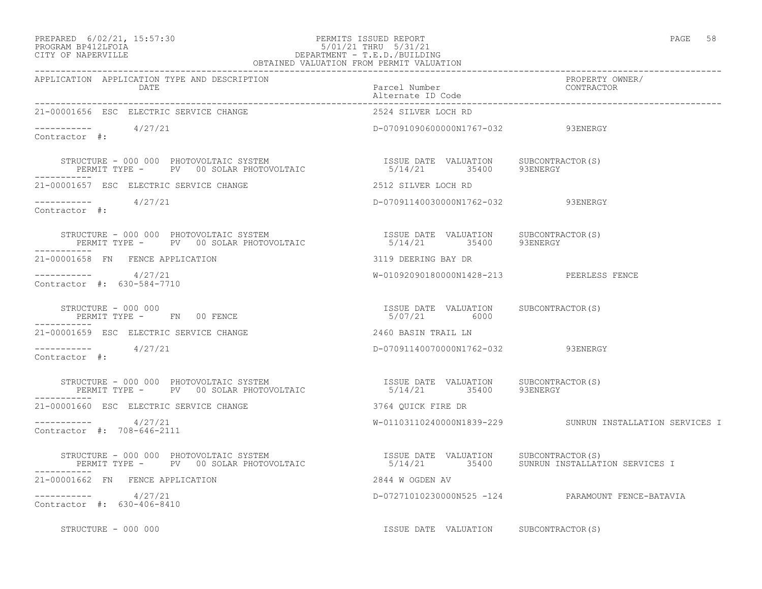#### PREPARED 6/02/21, 15:57:30 PERMITS ISSUED REPORT PAGE 58 PROGRAM BP412LFOIA 5/01/21 THRU 5/31/21 CITY OF NAPERVILLE DEPARTMENT - T.E.D./BUILDING OBTAINED VALUATION FROM PERMIT VALUATION

| APPLICATION APPLICATION TYPE AND DESCRIPTION<br>DATE                                                                                                                                                                      | PROPERTY OWNER/<br>Parcel Number<br>Alternate ID Code<br>--------- |                                                          |
|---------------------------------------------------------------------------------------------------------------------------------------------------------------------------------------------------------------------------|--------------------------------------------------------------------|----------------------------------------------------------|
| 21-00001656 ESC ELECTRIC SERVICE CHANGE                                                                                                                                                                                   | 2524 SILVER LOCH RD                                                |                                                          |
| $--------- 4/27/21$<br>Contractor #:                                                                                                                                                                                      | D-07091090600000N1767-032 93ENERGY                                 |                                                          |
| STRUCTURE – 000 000 PHOTOVOLTAIC SYSTEM                             ISSUE DATE VALUATION     SUBCONTRACTOR(S)<br>PERMIT TYPE –     PV   00 SOLAR PHOTOVOLTAIC                       5/14/21        35400       93ENERGY   |                                                                    |                                                          |
| 21-00001657 ESC ELECTRIC SERVICE CHANGE                                                                                                                                                                                   | 2512 SILVER LOCH RD                                                |                                                          |
| $--------- 4/27/21$<br>Contractor #:                                                                                                                                                                                      | D-07091140030000N1762-032 93ENERGY                                 |                                                          |
| STRUCTURE - 000 000 PHOTOVOLTAIC SYSTEM                             ISSUE DATE VALUATION     SUBCONTRACTOR(S)<br>PERMIT TYPE -      PV  00 SOLAR PHOTOVOLTAIC                   5/14/21       35400      93ENERGY         |                                                                    |                                                          |
| 21-00001658 FN FENCE APPLICATION                                                                                                                                                                                          | 3119 DEERING BAY DR                                                |                                                          |
| $--------- 4/27/21$<br>Contractor #: 630-584-7710                                                                                                                                                                         | W-01092090180000N1428-213 PEERLESS FENCE                           |                                                          |
| STRUCTURE - 000 000<br>PERMIT TYPE - FN 00 FENCE                                                                                                                                                                          | ISSUE DATE VALUATION SUBCONTRACTOR(S)<br>5/07/21 6000              |                                                          |
| 21-00001659 ESC ELECTRIC SERVICE CHANGE                                                                                                                                                                                   | 2460 BASIN TRAIL LN                                                |                                                          |
| $---------$ 4/27/21<br>Contractor #:                                                                                                                                                                                      | D-07091140070000N1762-032 93ENERGY                                 |                                                          |
| STRUCTURE - 000 000 PHOTOVOLTAIC SYSTEM                           ISSUE DATE VALUATION     SUBCONTRACTOR(S)<br>PERMIT TYPE -     PV   00 SOLAR PHOTOVOLTAIC                     5/14/21       35400     93ENERGY          |                                                                    |                                                          |
| 21-00001660 ESC ELECTRIC SERVICE CHANGE                                                                                                                                                                                   | 3764 QUICK FIRE DR                                                 |                                                          |
| $--------- 4/27/21$<br>Contractor #: 708-646-2111                                                                                                                                                                         |                                                                    | W-01103110240000N1839-229 SUNRUN INSTALLATION SERVICES I |
| STRUCTURE - 000 000 PHOTOVOLTAIC SYSTEM                       ISSUE DATE VALUATION   SUBCONTRACTOR(S)<br>PERMIT TYPE -   PV  00 SOLAR PHOTOVOLTAIC                  5/14/21        35400   SUNRUN INSTALLATION SERVICES I |                                                                    |                                                          |
| 21-00001662 FN FENCE APPLICATION                                                                                                                                                                                          | 2844 W OGDEN AV                                                    |                                                          |
| $--------- 4/27/21$<br>Contractor #: 630-406-8410                                                                                                                                                                         |                                                                    | D-07271010230000N525 -124 PARAMOUNT FENCE-BATAVIA        |
| STRUCTURE - 000 000                                                                                                                                                                                                       | ISSUE DATE VALUATION SUBCONTRACTOR(S)                              |                                                          |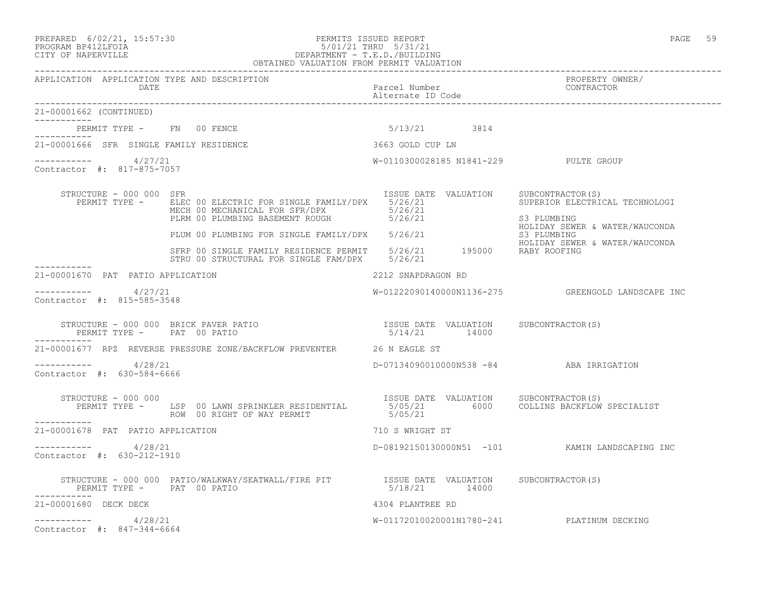#### PREPARED 6/02/21, 15:57:30 PERMITS ISSUED REPORT PAGE 59 PROGRAM BP412LFOIA 5/01/21 THRU 5/31/21 CITY OF NAPERVILLE DEPARTMENT - T.E.D./BUILDING OBTAINED VALUATION FROM PERMIT VALUATION

------------------------------------------------------------------------------------------------------------------------------------

| APPLICATION APPLICATION TYPE AND DESCRIPTION<br>DATE                |                                                                                                                     | Parcel Number<br>Alternate ID Code                               | PROPERTY OWNER/<br>CONTRACTOR                                                                       |
|---------------------------------------------------------------------|---------------------------------------------------------------------------------------------------------------------|------------------------------------------------------------------|-----------------------------------------------------------------------------------------------------|
| 21-00001662 (CONTINUED)                                             |                                                                                                                     |                                                                  |                                                                                                     |
| PERMIT TYPE - FN 00 FENCE                                           |                                                                                                                     | 5/13/21 3814                                                     |                                                                                                     |
| 21-00001666 SFR SINGLE FAMILY RESIDENCE                             |                                                                                                                     | 3663 GOLD CUP LN                                                 |                                                                                                     |
| 4/27/21<br>___________<br>Contractor #: 817-875-7057                |                                                                                                                     | W-0110300028185 N1841-229 PULTE GROUP                            |                                                                                                     |
| STRUCTURE - 000 000 SFR<br>PERMIT TYPE -                            | ELEC 00 ELECTRIC FOR SINGLE FAMILY/DPX 5/26/21<br>MECH 00 MECHANICAL FOR SFR/DPX<br>PLRM 00 PLUMBING BASEMENT ROUGH | ISSUE DATE VALUATION<br>5/26/21<br>5/26/21                       | SUBCONTRACTOR(S)<br>SUPERIOR ELECTRICAL TECHNOLOGI<br>S3 PLUMBING<br>HOLIDAY SEWER & WATER/WAUCONDA |
|                                                                     | PLUM 00 PLUMBING FOR SINGLE FAMILY/DPX 5/26/21                                                                      |                                                                  | S3 PLUMBING<br>HOLIDAY SEWER & WATER/WAUCONDA                                                       |
|                                                                     | SFRP 00 SINGLE FAMILY RESIDENCE PERMIT 5/26/21 195000 RABY ROOFING<br>STRU 00 STRUCTURAL FOR SINGLE FAM/DPX 5/26/21 |                                                                  |                                                                                                     |
| 21-00001670 PAT PATIO APPLICATION                                   |                                                                                                                     | 2212 SNAPDRAGON RD                                               |                                                                                                     |
| ----------- 4/27/21<br>Contractor #: 815-585-3548                   |                                                                                                                     |                                                                  | W-01222090140000N1136-275 GREENGOLD LANDSCAPE INC                                                   |
| STRUCTURE - 000 000 BRICK PAVER PATIO<br>PERMIT TYPE - PAT 00 PATIO |                                                                                                                     | ISSUE DATE VALUATION SUBCONTRACTOR(S)<br>5/14/21 14000           |                                                                                                     |
|                                                                     | 21-00001677 RPZ REVERSE PRESSURE ZONE/BACKFLOW PREVENTER 26 N EAGLE ST                                              |                                                                  |                                                                                                     |
| ----------- 4/28/21<br>Contractor #: 630-584-6666                   |                                                                                                                     | D-07134090010000N538 -84 ABA IRRIGATION                          |                                                                                                     |
| STRUCTURE - 000 000<br>-----------                                  | PERMIT TYPE - LSP 00 LAWN SPRINKLER RESIDENTIAL<br>ROW 00 RIGHT OF WAY PERMIT                                       | ISSUE DATE VALUATION SUBCONTRACTOR(S)<br>5/05/21 6000<br>5/05/21 | COLLINS BACKFLOW SPECIALIST                                                                         |
| 21-00001678 PAT PATIO APPLICATION                                   |                                                                                                                     | 710 S WRIGHT ST                                                  |                                                                                                     |
| 4/28/21<br>------------<br>Contractor #: 630-212-1910               |                                                                                                                     |                                                                  | D-08192150130000N51 -101 KAMIN LANDSCAPING INC                                                      |
| PERMIT TYPE - PAT 00 PATIO<br>-----------                           | STRUCTURE - 000 000 PATIO/WALKWAY/SEATWALL/FIRE PIT TSSUE DATE VALUATION                                            | 5/18/21 14000                                                    | SUBCONTRACTOR(S)                                                                                    |
| 21-00001680 DECK DECK                                               |                                                                                                                     | 4304 PLANTREE RD                                                 |                                                                                                     |
| 4/28/21<br>Contractor #: 847-344-6664                               |                                                                                                                     | W-01172010020001N1780-241 PLATINUM DECKING                       |                                                                                                     |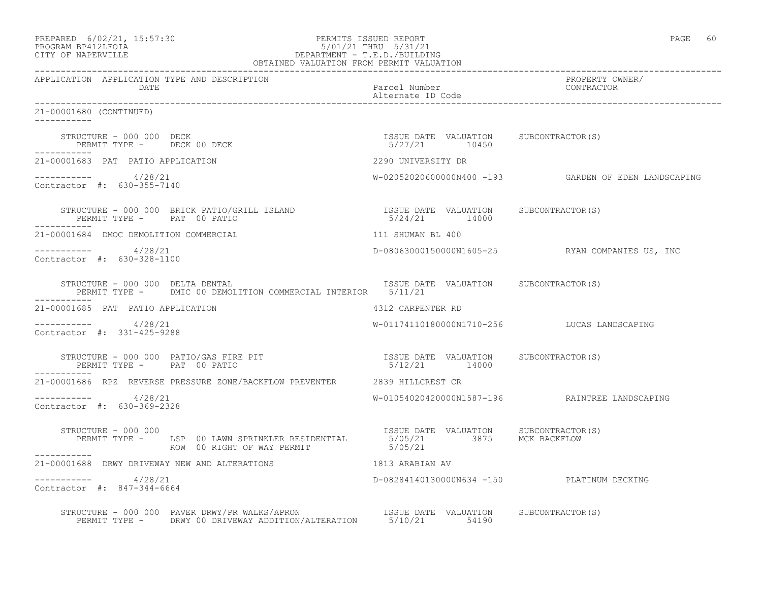| PREPARED | $6/02/21$ , $15:57:30$ |
|----------|------------------------|
|          |                        |

#### PREPARED 6/02/21, 15:57:30 PERMITS ISSUED REPORT<br>PROGRAM BP412LFOIA PAGE 60<br>5/01/21 THRU 5/31/21 PROGRAM BP412LFOIA 5/01/21 THRU 5/31/21 CITY OF NAPERVILLE DEPARTMENT - T.E.D./BUILDING OBTAINED VALUATION FROM PERMIT VALUATION

| APPLICATION APPLICATION TYPE AND DESCRIPTION                                                                                                                          |                                                        |                                                      |
|-----------------------------------------------------------------------------------------------------------------------------------------------------------------------|--------------------------------------------------------|------------------------------------------------------|
| 21-00001680 (CONTINUED)                                                                                                                                               |                                                        |                                                      |
| STRUCTURE - 000 000 DECK<br>PERMIT TYPE - DECK 00 DECK                                                                                                                | ISSUE DATE VALUATION SUBCONTRACTOR(S)<br>5/27/21 10450 |                                                      |
| 21-00001683 PAT PATIO APPLICATION                                                                                                                                     | 2290 UNIVERSITY DR                                     |                                                      |
| $--------- 4/28/21$<br>Contractor #: 630-355-7140                                                                                                                     |                                                        | W-02052020600000N400 -193 GARDEN OF EDEN LANDSCAPING |
| STRUCTURE - 000 000 BRICK PATIO/GRILL ISLAND<br>PERMIT TYPE - PAT 00 PATIO                                                                                            | ISSUE DATE VALUATION SUBCONTRACTOR(S)<br>5/24/21 14000 |                                                      |
| 21-00001684 DMOC DEMOLITION COMMERCIAL                                                                                                                                | 111 SHUMAN BL 400                                      |                                                      |
| $--------- 4/28/21$<br>Contractor #: 630-328-1100                                                                                                                     |                                                        | D-08063000150000N1605-25 RYAN COMPANIES US, INC      |
| STRUCTURE - 000 000 DELTA DENTAL<br>PERMIT TYPE - DMIC 00 DEMOLITION COMMERCIAL INTERIOR 5/11/21                                                                      | ISSUE DATE VALUATION SUBCONTRACTOR(S)                  |                                                      |
| -----------<br>21-00001685 PAT PATIO APPLICATION                                                                                                                      | 4312 CARPENTER RD                                      |                                                      |
| $--------- 4/28/21$<br>Contractor #: 331-425-9288                                                                                                                     |                                                        | W-01174110180000N1710-256 LUCAS LANDSCAPING          |
| STRUCTURE - 000 000 PATIO/GAS FIRE PIT<br>PERMIT TYPE - PAT 00 PATIO                                                                                                  | ISSUE DATE VALUATION SUBCONTRACTOR(S)<br>5/12/21 14000 |                                                      |
| 21-00001686 RPZ REVERSE PRESSURE ZONE/BACKFLOW PREVENTER 2839 HILLCREST CR                                                                                            |                                                        |                                                      |
| $--------- 4/28/21$<br>Contractor #: 630-369-2328                                                                                                                     |                                                        | W-01054020420000N1587-196  RAINTREE LANDSCAPING      |
| STRUCTURE - 000 000<br>PERMIT TYPE - LSP 00 LAWN SPRINKLER RESIDENTIAL 5/05/21 3875 MCK BACKFLOW<br>ROW 00 RIGHT OF WAY PERMIT 5/05/21 5/05/21<br>STRUCTURE - 000 000 |                                                        |                                                      |
| 21-00001688 DRWY DRIVEWAY NEW AND ALTERATIONS                                                                                                                         | 1813 ARABIAN AV                                        |                                                      |
| $--------- 4/28/21$<br>Contractor #: 847-344-6664                                                                                                                     | D-08284140130000N634 -150 PLATINUM DECKING             |                                                      |
|                                                                                                                                                                       |                                                        |                                                      |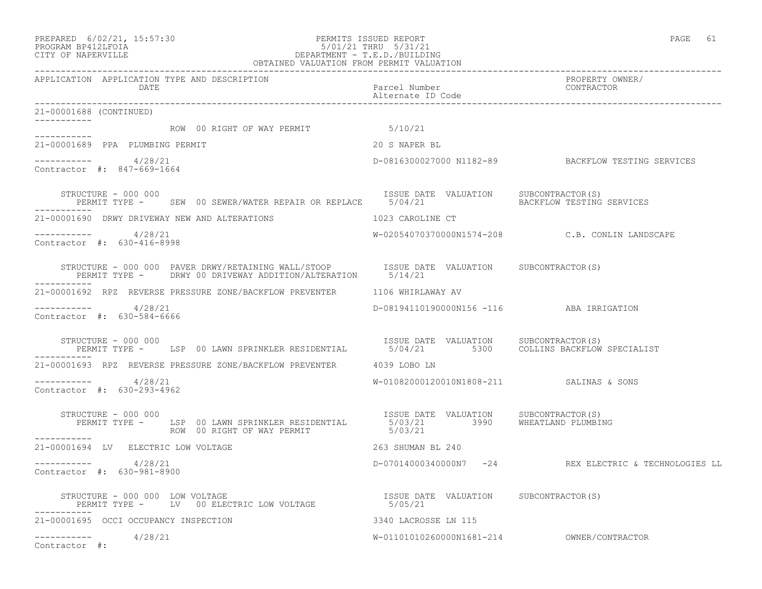#### PREPARED 6/02/21, 15:57:30 PERMITS ISSUED REPORT PAGE 61 PROGRAM BP412LFOIA 5/01/21 THRU 5/31/21 CITY OF NAPERVILLE DEPARTMENT - T.E.D./BUILDING OBTAINED VALUATION FROM PERMIT VALUATION ------------------------------------------------------------------------------------------------------------------------------------

| APPLICATION APPLICATION TYPE AND DESCRIPTION<br>DATE.                                                                                                                    | Parcel Number<br>Alternate ID Code       | PROPERTY OWNER/<br>CONTRACTOR                         |
|--------------------------------------------------------------------------------------------------------------------------------------------------------------------------|------------------------------------------|-------------------------------------------------------|
| 21-00001688 (CONTINUED)<br>-----------                                                                                                                                   |                                          |                                                       |
| ROW 00 RIGHT OF WAY PERMIT 5/10/21<br>-----------                                                                                                                        |                                          |                                                       |
| 21-00001689 PPA PLUMBING PERMIT                                                                                                                                          | 20 S NAPER BL                            |                                                       |
| $--------- 4/28/21$<br>Contractor #: 847-669-1664                                                                                                                        |                                          | D-0816300027000 N1182-89 BACKFLOW TESTING SERVICES    |
| STRUCTURE - 000 000<br>PERMIT TYPE - SEW 00 SEWER/WATER REPAIR OR REPLACE 5/04/21                                                                                        | ISSUE DATE VALUATION SUBCONTRACTOR(S)    | BACKFLOW TESTING SERVICES                             |
| 21-00001690 DRWY DRIVEWAY NEW AND ALTERATIONS                                                                                                                            | 1023 CAROLINE CT                         |                                                       |
| ----------- 4/28/21<br>Contractor #: 630-416-8998                                                                                                                        |                                          | $W-02054070370000N1574-208$ $C.B.$ CONLIN LANDSCAPE   |
|                                                                                                                                                                          |                                          |                                                       |
| 21-00001692 RPZ REVERSE PRESSURE ZONE/BACKFLOW PREVENTER 1106 WHIRLAWAY AV                                                                                               |                                          |                                                       |
| ----------- 4/28/21<br>Contractor #: 630-584-6666                                                                                                                        | D-08194110190000N156 -116 ABA IRRIGATION |                                                       |
| STRUCTURE - 000 000<br>PERMIT TYPE - LSP 00 LAWN SPRINKLER RESIDENTIAL 5/04/21 5300 COLLINS BACKFLOW SPECIALIST                                                          | ISSUE DATE VALUATION SUBCONTRACTOR(S)    |                                                       |
| 21-00001693 RPZ REVERSE PRESSURE ZONE/BACKFLOW PREVENTER 4039 LOBO LN                                                                                                    |                                          |                                                       |
| $--------- 4/28/21$<br>Contractor #: 630-293-4962                                                                                                                        | W-01082000120010N1808-211 SALINAS & SONS |                                                       |
| NOUTURE - UUU UUU<br>PERMIT TYPE - LSP 00 LAWN SPRINKLER RESIDENTIAL 15/03/21 3990 WHEATLAND PLUMBING<br>---- ROW 00 RIGHT OF WAY PERMIT 15/03/21<br>STRUCTURE - 000 000 |                                          |                                                       |
| 21-00001694 LV ELECTRIC LOW VOLTAGE                                                                                                                                      | 263 SHUMAN BL 240                        |                                                       |
| 4/28/21<br>Contractor #: 630-981-8900                                                                                                                                    |                                          | D-07014000340000N7 -24 REX ELECTRIC & TECHNOLOGIES LL |
|                                                                                                                                                                          |                                          |                                                       |
| 21-00001695 OCCI OCCUPANCY INSPECTION                                                                                                                                    | 3340 LACROSSE LN 115                     |                                                       |
| $--------$ 4/28/21<br>Contractor #:                                                                                                                                      |                                          |                                                       |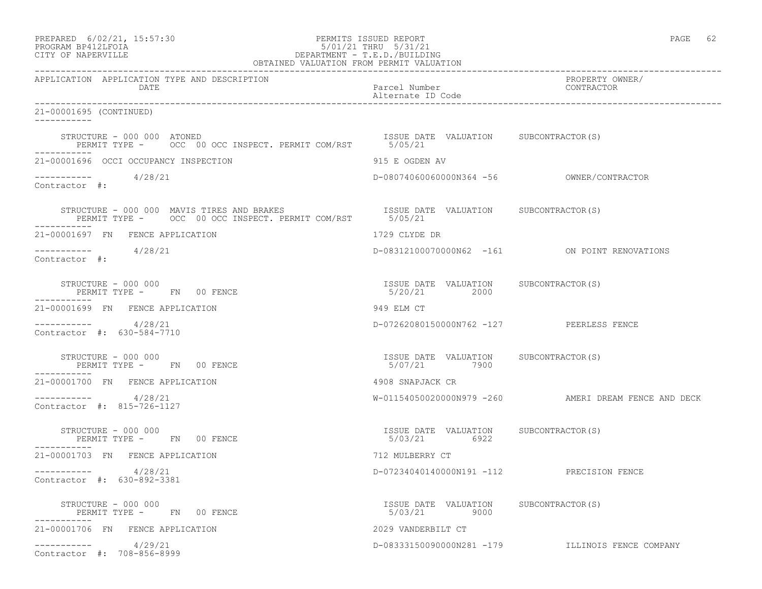| PREPARED    | $6/02/21$ , $15:57:30$ |  |
|-------------|------------------------|--|
| DD O OD 335 |                        |  |

## PREPARED 6/02/21, 15:57:30 PERMITS ISSUED REPORT PAGE 62 PROGRAM BP412LFOIA 5/01/21 THRU 5/31/21 CITY OF NAPERVILLE DEPARTMENT - T.E.D./BUILDING

| OBTAINED VALUATION FROM PERMIT VALUATION                                       |                                                       |                                                      |  |
|--------------------------------------------------------------------------------|-------------------------------------------------------|------------------------------------------------------|--|
| APPLICATION APPLICATION TYPE AND DESCRIPTION<br>DATE                           | Parcel Number<br>Alternate ID Code                    | PROPERTY OWNER/<br>CONTRACTOR                        |  |
| 21-00001695 (CONTINUED)<br>___________                                         |                                                       |                                                      |  |
| STRUCTURE - 000 000 ATONED<br>PERMIT TYPE - 0CC 00 OCC INSPECT. PERMIT COM/RST | ISSUE DATE VALUATION SUBCONTRACTOR(S)<br>5/05/21      |                                                      |  |
| 21-00001696 OCCI OCCUPANCY INSPECTION                                          | 915 E OGDEN AV                                        |                                                      |  |
| $--------- 4/28/21$<br>Contractor #:                                           |                                                       |                                                      |  |
|                                                                                |                                                       |                                                      |  |
| 21-00001697 FN FENCE APPLICATION                                               | 1729 CLYDE DR                                         |                                                      |  |
| $--------- 4/28/21$<br>Contractor #:                                           |                                                       | D-08312100070000N62 -161 ON POINT RENOVATIONS        |  |
| STRUCTURE - 000 000<br>PERMIT TYPE - FN 00 FENCE                               | ISSUE DATE VALUATION SUBCONTRACTOR(S)<br>5/20/21 2000 |                                                      |  |
| 21-00001699 FN FENCE APPLICATION                                               | 949 ELM CT                                            |                                                      |  |
| ___________<br>4/28/21<br>Contractor #: 630-584-7710                           | D-07262080150000N762 -127 PEERLESS FENCE              |                                                      |  |
| STRUCTURE - 000 000<br>PERMIT TYPE - FN 00 FENCE                               | ISSUE DATE VALUATION SUBCONTRACTOR(S)<br>5/07/21 7900 |                                                      |  |
| 21-00001700 FN FENCE APPLICATION                                               | 4908 SNAPJACK CR                                      |                                                      |  |
| 4/28/21<br>Contractor #: 815-726-1127                                          |                                                       | W-01154050020000N979 -260 AMERI DREAM FENCE AND DECK |  |
| STRUCTURE - 000 000<br>PERMIT TYPE - FN 00 FENCE<br>----------                 | ISSUE DATE VALUATION SUBCONTRACTOR(S)<br>5/03/21 6922 |                                                      |  |
| 21-00001703 FN FENCE APPLICATION                                               | 712 MULBERRY CT                                       |                                                      |  |
| -----------<br>4/28/21<br>Contractor #: 630-892-3381                           | D-07234040140000N191 -112 PRECISION FENCE             |                                                      |  |
| STRUCTURE - 000 000<br>PERMIT TYPE - FN 00 FENCE                               | ISSUE DATE VALUATION SUBCONTRACTOR(S)<br>5/03/21 9000 |                                                      |  |
| 21-00001706 FN FENCE APPLICATION                                               | 2029 VANDERBILT CT                                    |                                                      |  |
| 4/29/21<br>Contractor #: 708-856-8999                                          |                                                       | D-08333150090000N281 -179 ILLINOIS FENCE COMPANY     |  |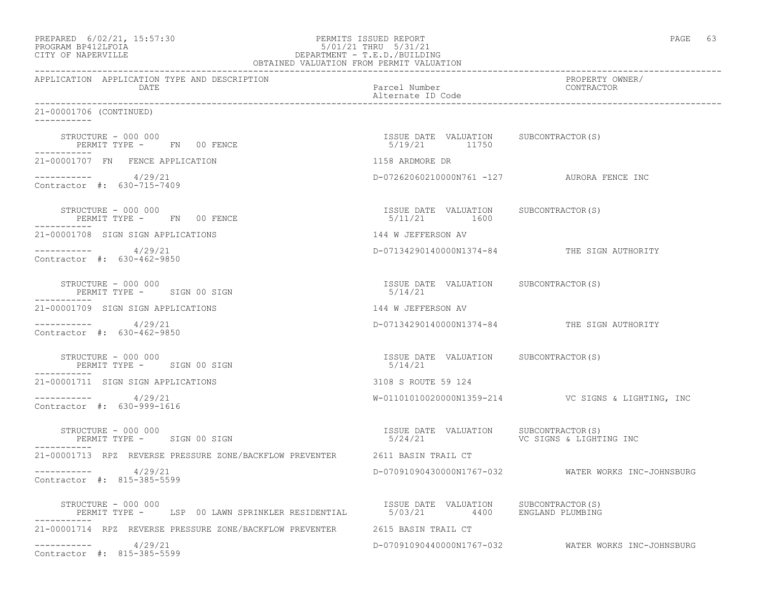| PREPARED            | $6/02/21$ , $15:57:30$ |  |
|---------------------|------------------------|--|
| DDOCD3M DD410T DOT3 |                        |  |

# PREPARED 6/02/21, 15:57:30 PERMITS ISSUED REPORT<br>PROGRAM BP412LFOIA PAGE 63 PROGRAM BP412LFOIA 5/01/21 THRU 5/31/21 CITY OF NAPERVILLE DEPARTMENT - T.E.D./BUILDING

| OBTAINED VALUATION FROM PERMIT VALUATION                                                             |                                                        |                                                       |
|------------------------------------------------------------------------------------------------------|--------------------------------------------------------|-------------------------------------------------------|
| APPLICATION APPLICATION TYPE AND DESCRIPTION<br>DATE                                                 | Parcel Number<br>Alternate ID Code                     | PROPERTY OWNER/<br>CONTRACTOR                         |
| 21-00001706 (CONTINUED)<br>___________                                                               |                                                        |                                                       |
| STRUCTURE - 000 000<br>PERMIT TYPE - FN 00 FENCE                                                     | ISSUE DATE VALUATION SUBCONTRACTOR(S)<br>5/19/21 11750 |                                                       |
| 21-00001707 FN FENCE APPLICATION                                                                     | 1158 ARDMORE DR                                        |                                                       |
| $--------- 4/29/21$<br>Contractor #: 630-715-7409                                                    | D-07262060210000N761 -127 AURORA FENCE INC             |                                                       |
| STRUCTURE - 000 000<br>PERMIT TYPE - FN 00 FENCE                                                     | ISSUE DATE VALUATION SUBCONTRACTOR(S)<br>5/11/21 1600  |                                                       |
| 21-00001708 SIGN SIGN APPLICATIONS                                                                   | 144 W JEFFERSON AV                                     |                                                       |
| ___________<br>4/29/21<br>Contractor #: 630-462-9850                                                 |                                                        | D-07134290140000N1374-84 THE SIGN AUTHORITY           |
| STRUCTURE - 000 000<br>PERMIT TYPE - SIGN 00 SIGN                                                    | ISSUE DATE VALUATION SUBCONTRACTOR(S)<br>5/14/21       |                                                       |
| 21-00001709 SIGN SIGN APPLICATIONS                                                                   | 144 W JEFFERSON AV                                     |                                                       |
| _________<br>4/29/21<br>Contractor #: 630-462-9850                                                   |                                                        | D-07134290140000N1374-84 THE SIGN AUTHORITY           |
| STRUCTURE - 000 000<br>PERMIT TYPE - SIGN 00 SIGN                                                    | ISSUE DATE VALUATION SUBCONTRACTOR(S)<br>5/14/21       |                                                       |
| 21-00001711 SIGN SIGN APPLICATIONS                                                                   | 3108 S ROUTE 59 124                                    |                                                       |
| 4/29/21<br>Contractor #: 630-999-1616                                                                |                                                        | W-01101010020000N1359-214    VC SIGNS & LIGHTING, INC |
| STRUCTURE - 000 000<br>PERMIT TYPE - SIGN 00 SIGN                                                    | ISSUE DATE VALUATION SUBCONTRACTOR(S)<br>5/24/21       | VC SIGNS & LIGHTING INC                               |
| 21-00001713 RPZ REVERSE PRESSURE ZONE/BACKFLOW PREVENTER 2611 BASIN TRAIL CT                         |                                                        |                                                       |
| ----------- 4/29/21<br>Contractor #: 815-385-5599                                                    |                                                        | D-07091090430000N1767-032 WATER WORKS INC-JOHNSBURG   |
| STRUCTURE - 000 000<br>PERMIT TYPE - LSP 00 LAWN SPRINKLER RESIDENTIAL 5/03/21 4400 ENGLAND PLUMBING |                                                        |                                                       |
| 21-00001714 RPZ REVERSE PRESSURE ZONE/BACKFLOW PREVENTER 2615 BASIN TRAIL CT                         |                                                        |                                                       |
| 4/29/21<br>___________<br>Contractor #: 815-385-5599                                                 |                                                        | D-07091090440000N1767-032 WATER WORKS INC-JOHNSBURG   |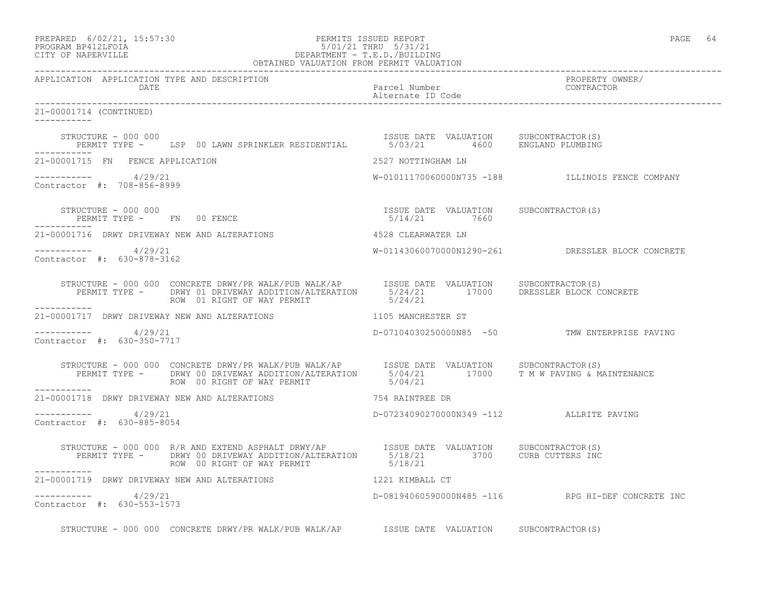| PREPARED | $6/02/21$ , $15:57:30$                  |  |
|----------|-----------------------------------------|--|
|          | $\begin{array}{c}\n\hline\n\end{array}$ |  |

## PREPARED 6/02/21, 15:57:30 PERMITS ISSUED REPORT<br>PROGRAM BP412LFOIA PAGE 64 PROGRAM BP412LFOIA 5/01/21 THRU 5/31/21 CITY OF NAPERVILLE DEPARTMENT - T.E.D./BUILDING

|                                                       | OBTAINED VALUATION FROM PERMIT VALUATION                                                                                                                                                                                                                                                                                                                         |                                          |                                                   |
|-------------------------------------------------------|------------------------------------------------------------------------------------------------------------------------------------------------------------------------------------------------------------------------------------------------------------------------------------------------------------------------------------------------------------------|------------------------------------------|---------------------------------------------------|
| APPLICATION APPLICATION TYPE AND DESCRIPTION<br>DATE  |                                                                                                                                                                                                                                                                                                                                                                  | Parcel Number<br>Alternate ID Code       | PROPERTY OWNER/<br>CONTRACTOR                     |
| 21-00001714 (CONTINUED)<br>___________                |                                                                                                                                                                                                                                                                                                                                                                  |                                          |                                                   |
|                                                       | STRUCTURE - 000 000<br>PERMIT TYPE - LSP 00 LAWN SPRINKLER RESIDENTIAL 6/03/21 4600 ENGLAND PLUMBING                                                                                                                                                                                                                                                             |                                          |                                                   |
| 21-00001715 FN FENCE APPLICATION                      |                                                                                                                                                                                                                                                                                                                                                                  | 2527 NOTTINGHAM LN                       |                                                   |
| $--------- 4/29/21$<br>Contractor #: 708-856-8999     |                                                                                                                                                                                                                                                                                                                                                                  |                                          | W-01011170060000N735 -188 ILLINOIS FENCE COMPANY  |
|                                                       | $\begin{array}{cccccccccc} \texttt{STRUCTURE} & - & 000 & 000 & & & & & & & \\ \texttt{PERMIT TYPE} & - & \texttt{FN} & 00 & \texttt{FENCE} & & & & & & \\ \end{array} \hspace{2cm} \begin{array}{cccccccccc} \texttt{TSSUE} & \texttt{DATE} & \texttt{VALUATION} & & \texttt{SUBCONTRACTOR(S)} \\ & & & & & & & \\ \texttt{5/14/21} & & & & & & \\ \end{array}$ |                                          |                                                   |
|                                                       | 21-00001716 DRWY DRIVEWAY NEW AND ALTERATIONS 4528 CLEARWATER LN                                                                                                                                                                                                                                                                                                 |                                          |                                                   |
| ----------- 4/29/21<br>Contractor #: 630-878-3162     |                                                                                                                                                                                                                                                                                                                                                                  |                                          | W-01143060070000N1290-261 DRESSLER BLOCK CONCRETE |
| ___________                                           | STRUCTURE - 000 000 CONCRETE DRWY/PR WALK/PUB WALK/AP ISSUE DATE VALUATION SUBCONTRACTOR(S)<br>PERMIT TYPE - DRWY 01 DRIVEWAY ADDITION/ALTERATION 5/24/21 17000 DRESSLER BLOCK CONCRETE<br>------                                                                                                                                                                |                                          |                                                   |
|                                                       | 21-00001717 DRWY DRIVEWAY NEW AND ALTERATIONS 1105 MANCHESTER ST                                                                                                                                                                                                                                                                                                 |                                          |                                                   |
| ----------- 4/29/21<br>Contractor #: 630-350-7717     |                                                                                                                                                                                                                                                                                                                                                                  |                                          | D-07104030250000N85 -50 TMW ENTERPRISE PAVING     |
| -----------                                           | STRUCTURE - 000 000 CONCRETE DRWY/PR WALK/PUB WALK/AP      ISSUE DATE VALUATION     SUBCONTRACTOR(S)<br>PERMIT TYPE -     DRWY 00 DRIVEWAY ADDITION/ALTERATION     5/04/21        17000     T M W PAVING & MAINTENANCE<br>ROW 00 RIG                                                                                                                             |                                          |                                                   |
|                                                       | 21-00001718 DRWY DRIVEWAY NEW AND ALTERATIONS 754 RAINTREE DR                                                                                                                                                                                                                                                                                                    |                                          |                                                   |
| -----------     4/29/21<br>Contractor #: 630-885-8054 |                                                                                                                                                                                                                                                                                                                                                                  | D-07234090270000N349 -112 ALLRITE PAVING |                                                   |
|                                                       | STRUCTURE - 000 000 R/R AND EXTEND ASPHALT DRWY/AP   ISSUE DATE VALUATION SUBCONTRACTOR(S)<br>PERMIT TYPE - DRWY 00 DRIVEWAY ADDITION/ALTERATION   5/18/21   3700   CURB CUTTERS INC<br>ROW 00 RIGHT OF WAY PERMIT   5/18/21                                                                                                                                     |                                          |                                                   |
|                                                       | 21-00001719 DRWY DRIVEWAY NEW AND ALTERATIONS 40 1221 KIMBALL CT                                                                                                                                                                                                                                                                                                 |                                          |                                                   |
| -----------    4/29/21<br>Contractor #: 630-553-1573  |                                                                                                                                                                                                                                                                                                                                                                  |                                          | D-08194060590000N485 -116 RPG HI-DEF CONCRETE INC |
|                                                       | STRUCTURE - 000 000 CONCRETE DRWY/PR WALK/PUB WALK/AP ISSUE DATE VALUATION SUBCONTRACTOR(S)                                                                                                                                                                                                                                                                      |                                          |                                                   |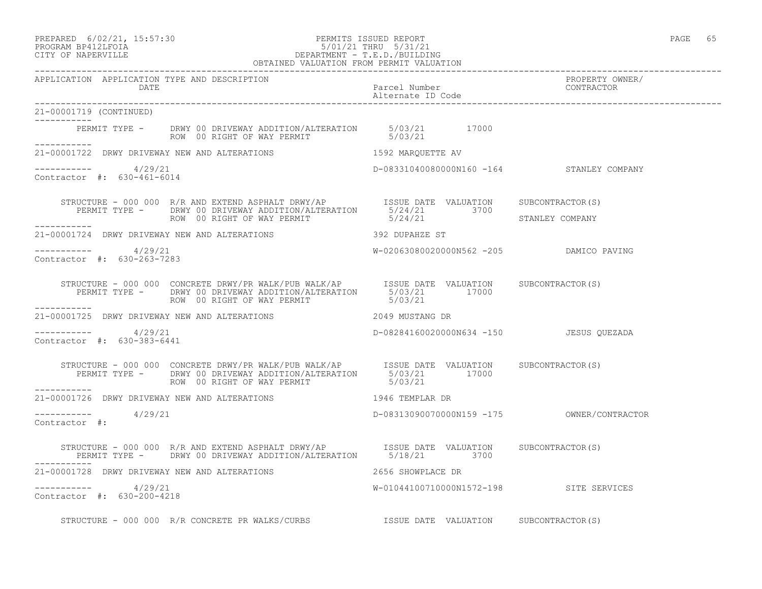## PREPARED 6/02/21, 15:57:30 PERMITS ISSUED REPORT PAGE 65 PROGRAM BP412LFOIA 5/01/21 THRU 5/31/21 CITY OF NAPERVILLE DEPARTMENT - T.E.D./BUILDING

|                                                       | OBTAINED VALUATION FROM PERMIT VALUATION                                                                                                                                                                 |                                           |                               |
|-------------------------------------------------------|----------------------------------------------------------------------------------------------------------------------------------------------------------------------------------------------------------|-------------------------------------------|-------------------------------|
| APPLICATION APPLICATION TYPE AND DESCRIPTION<br>DATE  |                                                                                                                                                                                                          | Parcel Number<br>Alternate ID Code        | PROPERTY OWNER/<br>CONTRACTOR |
| 21-00001719 (CONTINUED)                               |                                                                                                                                                                                                          |                                           |                               |
| . <u>_ _ _ _ _ _ _ _</u> _                            | PERMIT TYPE - DRWY 00 DRIVEWAY ADDITION/ALTERATION 5/03/21 17000<br>ROW 00 RIGHT OF WAY PERMIT 5/03/21                                                                                                   |                                           |                               |
|                                                       | 21-00001722 DRWY DRIVEWAY NEW AND ALTERATIONS THE RESERVED ON THE SERVICE THE AV                                                                                                                         |                                           |                               |
| $--------- 4/29/21$<br>Contractor #: 630-461-6014     |                                                                                                                                                                                                          | D-08331040080000N160 -164 STANLEY COMPANY |                               |
|                                                       | STRUCTURE - 000 000 R/R AND EXTEND ASPHALT DRWY/AP<br>PERMIT TYPE - DRWY 00 DRIVEWAY ADDITION/ALTERATION 5/24/21 3700<br>ROW 00 RIGHT OF WAY PERMIT STANLEY STANLEY COMPANY                              |                                           |                               |
| ------------                                          | 21-00001724 DRWY DRIVEWAY NEW AND ALTERATIONS 392 DUPAHZE ST                                                                                                                                             |                                           |                               |
| $--------- 4/29/21$<br>Contractor #: 630-263-7283     |                                                                                                                                                                                                          | W-02063080020000N562 -205 DAMICO PAVING   |                               |
|                                                       | STRUCTURE - 000 000 CONCRETE DRWY/PR WALK/PUB WALK/AP<br>PERMIT TYPE - DRWY 00 DRIVEWAY ADDITION/ALTERATION 5/03/21 17000<br>5/03/21 17000<br>ROW 00 RIGHT OF WAY PERMIT                                 | 5/03/21                                   |                               |
|                                                       |                                                                                                                                                                                                          |                                           |                               |
| -----------     4/29/21<br>Contractor #: 630-383-6441 |                                                                                                                                                                                                          | D-08284160020000N634 -150 JESUS QUEZADA   |                               |
|                                                       | STRUCTURE - 000 000 CONCRETE DRWY/PR WALK/PUB WALK/AP ISSUE DATE VALUATION SUBCONTRACTOR(S)<br>PERMIT TYPE - DRWY 00 DRIVEWAY ADDITION/ALTERATION 5/03/21 17000<br>ROW 00 RIGHT OF WAY PERMIT SAND 17002 |                                           |                               |
| ------------                                          | 21-00001726 DRWY DRIVEWAY NEW AND ALTERATIONS TWO MALLS REMPLAR DR                                                                                                                                       |                                           |                               |
| ----------- 4/29/21<br>Contractor #:                  |                                                                                                                                                                                                          |                                           |                               |
|                                                       | STRUCTURE - 000 000 R/R AND EXTEND ASPHALT DRWY/AP         ISSUE DATE VALUATION      SUBCONTRACTOR(S)<br>PERMIT TYPE -      DRWY 00 DRIVEWAY ADDITION/ALTERATION        5/18/21          3700            |                                           |                               |
|                                                       | 21-00001728 DRWY DRIVEWAY NEW AND ALTERATIONS THE RESERVE SHOWPLACE DR                                                                                                                                   |                                           |                               |
| $--------- 4/29/21$<br>Contractor #: 630-200-4218     |                                                                                                                                                                                                          | W-01044100710000N1572-198 SITE SERVICES   |                               |
|                                                       | STRUCTURE - 000 000 R/R CONCRETE PR WALKS/CURBS TSSUE DATE VALUATION SUBCONTRACTOR(S)                                                                                                                    |                                           |                               |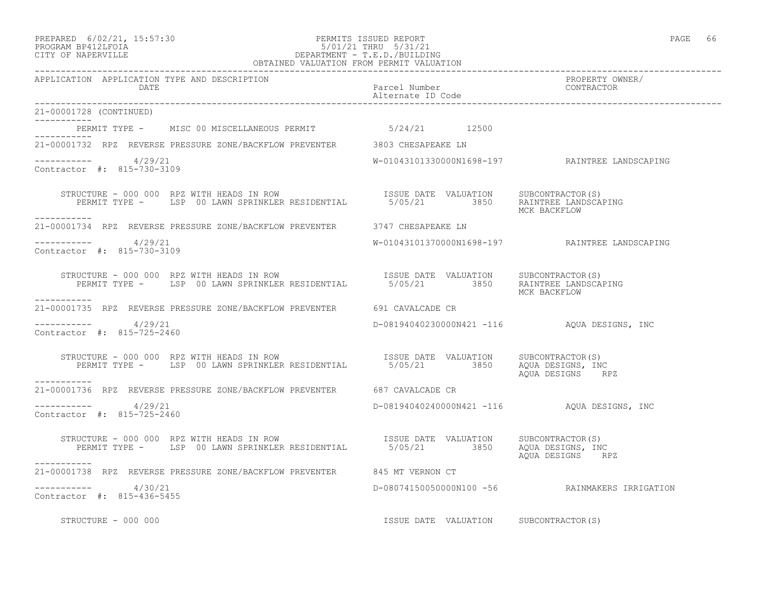## PREPARED 6/02/21, 15:57:30 PERMITS ISSUED REPORT PAGE 66 PROGRAM BP412LFOIA 5/01/21 THRU 5/31/21 CITY OF NAPERVILLE DEPARTMENT - T.E.D./BUILDING

| OBTAINED VALUATION FROM PERMIT VALUATION                                                                                                    |                                             |                                                |
|---------------------------------------------------------------------------------------------------------------------------------------------|---------------------------------------------|------------------------------------------------|
| APPLICATION APPLICATION TYPE AND DESCRIPTION<br>DATE                                                                                        | Parcel Number<br>Alternate ID Code          | PROPERTY OWNER/<br>CONTRACTOR                  |
| 21-00001728 (CONTINUED)                                                                                                                     |                                             |                                                |
| PERMIT TYPE - MISC 00 MISCELLANEOUS PERMIT 5/24/21 12500                                                                                    |                                             |                                                |
| ----------<br>21-00001732 RPZ REVERSE PRESSURE ZONE/BACKFLOW PREVENTER 3803 CHESAPEAKE LN                                                   |                                             |                                                |
| ----------- 4/29/21<br>Contractor #: 815-730-3109                                                                                           |                                             |                                                |
| STRUCTURE - 000 000 RPZ WITH HEADS IN ROW<br>PERMIT TYPE - LSP 00 LAWN SPRINKLER RESIDENTIAL 5/05/21 3850 RAINTREE LANDSCAPING              |                                             | MCK BACKFLOW                                   |
| 21-00001734 RPZ REVERSE PRESSURE ZONE/BACKFLOW PREVENTER 3747 CHESAPEAKE LN                                                                 |                                             |                                                |
| $--------- 4/29/21$<br>Contractor #: 815-730-3109                                                                                           |                                             | W-01043101370000N1698-197 RAINTREE LANDSCAPING |
| STRUCTURE - 000 000 RPZ WITH HEADS IN ROW<br>PERMIT TYPE - LSP 00 LAWN SPRINKLER RESIDENTIAL 5/05/21 3850 RAINTREE LANDSCAPING              |                                             | MCK BACKFLOW                                   |
| -----------<br>21-00001735 RPZ REVERSE PRESSURE ZONE/BACKFLOW PREVENTER 691 CAVALCADE CR                                                    |                                             |                                                |
| $--------- 4/29/21$<br>Contractor #: 815-725-2460                                                                                           | D-08194040230000N421 -116 AQUA DESIGNS, INC |                                                |
| STRUCTURE - 000 000 RPZ WITH HEADS IN ROW<br>PERMIT TYPE - LSP 00 LAWN SPRINKLER RESIDENTIAL 5/05/21 3850 AQUA DESIGNS, INC<br>------------ |                                             | AQUA DESIGNS RPZ                               |
| 21-00001736 RPZ REVERSE PRESSURE ZONE/BACKFLOW PREVENTER 687 CAVALCADE CR                                                                   |                                             |                                                |
| $--------- 4/29/21$<br>Contractor #: 815-725-2460                                                                                           | D-08194040240000N421 -116 AQUA DESIGNS, INC |                                                |
| STRUCTURE - 000 000 RPZ WITH HEADS IN ROW<br>PERMIT TYPE - LSP 00 LAWN SPRINKLER RESIDENTIAL 5/05/21 3850 AQUA DESIGNS, INC                 |                                             | AOUA DESIGNS RPZ                               |
| -----------<br>21-00001738 RPZ REVERSE PRESSURE ZONE/BACKFLOW PREVENTER 645 MT VERNON CT                                                    |                                             |                                                |
| ----------- 4/30/21<br>Contractor #: 815-436-5455                                                                                           |                                             | D-08074150050000N100 -56 RAINMAKERS IRRIGATION |
| STRUCTURE - 000 000                                                                                                                         | ISSUE DATE VALUATION SUBCONTRACTOR(S)       |                                                |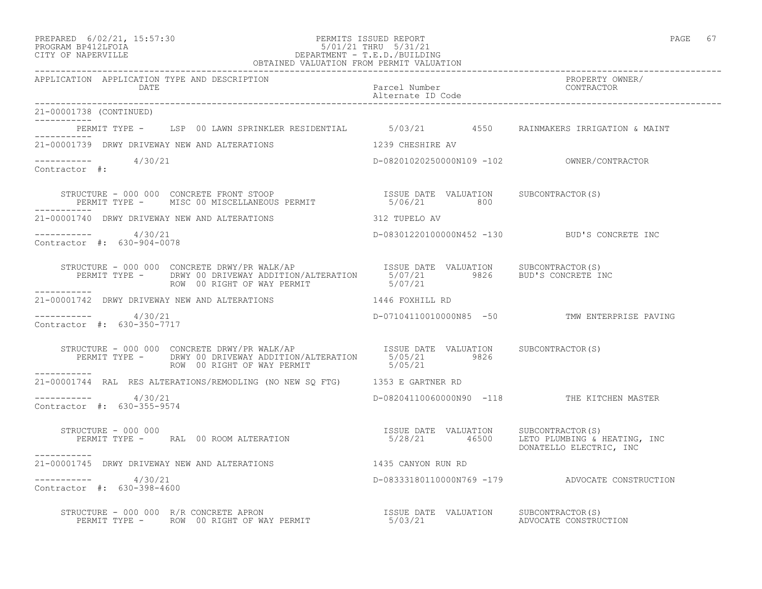## PREPARED 6/02/21, 15:57:30 PERMITS ISSUED REPORT PAGE 67 PROGRAM BP412LFOIA 5/01/21 THRU 5/31/21 CITY OF NAPERVILLE DEPARTMENT - T.E.D./BUILDING

| OBTAINED VALUATION FROM PERMIT VALUATION                                                                                                                                                                          |                                    |                                                 |  |  |
|-------------------------------------------------------------------------------------------------------------------------------------------------------------------------------------------------------------------|------------------------------------|-------------------------------------------------|--|--|
| APPLICATION APPLICATION TYPE AND DESCRIPTION<br>DATE                                                                                                                                                              | Parcel Number<br>Alternate ID Code | PROPERTY OWNER/<br>CONTRACTOR                   |  |  |
| 21-00001738 (CONTINUED)                                                                                                                                                                                           |                                    |                                                 |  |  |
| PERMIT TYPE - LSP 00 LAWN SPRINKLER RESIDENTIAL 5/03/21 4550 RAINMAKERS IRRIGATION & MAINT<br>-----------                                                                                                         |                                    |                                                 |  |  |
| 21-00001739 DRWY DRIVEWAY NEW AND ALTERATIONS THE RESONAL RESPONSIVE AV                                                                                                                                           |                                    |                                                 |  |  |
| ----------- 4/30/21<br>Contractor #:                                                                                                                                                                              |                                    |                                                 |  |  |
| STRUCTURE - 000 000 CONCRETE FRONT STOOP                              ISSUE DATE VALUATION     SUBCONTRACTOR(S)<br>PERMIT TYPE -      MISC 00 MISCELLANEOUS PERMIT                       5/06/21              800 |                                    |                                                 |  |  |
| 21-00001740 DRWY DRIVEWAY NEW AND ALTERATIONS THE RESERVED SET ON THE RESERVED AV                                                                                                                                 |                                    |                                                 |  |  |
| ----------- 4/30/21<br>Contractor #: 630-904-0078                                                                                                                                                                 |                                    | D-08301220100000N452 -130 BUD'S CONCRETE INC    |  |  |
| ___________                                                                                                                                                                                                       |                                    |                                                 |  |  |
| 21-00001742 DRWY DRIVEWAY NEW AND ALTERATIONS 1446 FOXHILL RD                                                                                                                                                     |                                    |                                                 |  |  |
| -----------    4/30/21<br>Contractor #: 630-350-7717                                                                                                                                                              |                                    | D-07104110010000N85 -50 TMW ENTERPRISE PAVING   |  |  |
| STRUCTURE - 000 000 CONCRETE DRWY/PR WALK/AP<br>PERMIT TYPE - DRWY 00 DRIVEWAY ADDITION/ALTERATION $\begin{array}{c} 5/65/21 & 9826 \end{array}$<br>ROW 00 RIGHT OF WAY PERMIT 5/05/21                            |                                    |                                                 |  |  |
| ___________<br>21-00001744 RAL RES ALTERATIONS/REMODLING (NO NEW SQ FTG) 1353 E GARTNER RD                                                                                                                        |                                    |                                                 |  |  |
| $--------$ 4/30/21<br>Contractor #: 630-355-9574                                                                                                                                                                  |                                    | D-08204110060000N90 -118 THE KITCHEN MASTER     |  |  |
| STRUCTURE – 000 000<br>PERMIT TYPE –     RAL 00 ROOM ALTERATION                                   5/28/21        46500     LETO PLUMBING & HEATING, INC<br>STRUCTURE - 000 000                                    |                                    | DONATELLO ELECTRIC, INC                         |  |  |
| 21-00001745 DRWY DRIVEWAY NEW AND ALTERATIONS                                                                                                                                                                     | 1435 CANYON RUN RD                 |                                                 |  |  |
| $----------$ 4/30/21<br>Contractor #: 630-398-4600                                                                                                                                                                |                                    | D-08333180110000N769 -179 ADVOCATE CONSTRUCTION |  |  |
|                                                                                                                                                                                                                   |                                    |                                                 |  |  |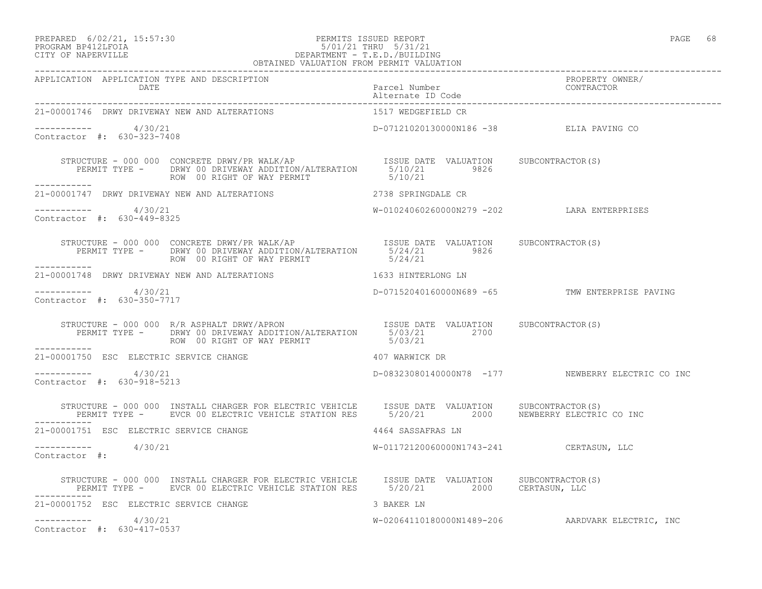# PREPARED 6/02/21, 15:57:30 PERMITS ISSUED REPORT PAGE 68 PROGRAM BP412LFOIA 5/01/21 THRU 5/31/21 CITY OF NAPERVILLE DEPARTMENT - T.E.D./BUILDING

|                                                       | OBTAINED VALUATION FROM PERMIT VALUATION                                                                                                                                                                                        |                                            |                                                   |
|-------------------------------------------------------|---------------------------------------------------------------------------------------------------------------------------------------------------------------------------------------------------------------------------------|--------------------------------------------|---------------------------------------------------|
| APPLICATION APPLICATION TYPE AND DESCRIPTION<br>DATE  |                                                                                                                                                                                                                                 | Parcel Number<br>Alternate ID Code         | PROPERTY OWNER/<br>CONTRACTOR                     |
| 21-00001746 DRWY DRIVEWAY NEW AND ALTERATIONS         |                                                                                                                                                                                                                                 | 1517 WEDGEFIELD CR                         |                                                   |
| -----------     4/30/21<br>Contractor #: 630-323-7408 |                                                                                                                                                                                                                                 | D-07121020130000N186 -38 ELIA PAVING CO    |                                                   |
|                                                       | STRUCTURE - 000 000 CONCRETE DRWY/PR WALK/AP<br>PERMIT TYPE - DRWY 00 DRIVEWAY ADDITION/ALTERATION 5/10/21 9826<br>ROW 00 RIGHT OF WAY PERMIT 5/10/21<br>ROW 00 RIGHT OF WAY PERMIT                                             |                                            |                                                   |
|                                                       |                                                                                                                                                                                                                                 |                                            |                                                   |
| ----------- 4/30/21<br>Contractor #: 630-449-8325     |                                                                                                                                                                                                                                 | W-01024060260000N279 -202 LARA ENTERPRISES |                                                   |
|                                                       |                                                                                                                                                                                                                                 |                                            |                                                   |
|                                                       | 21-00001748 DRWY DRIVEWAY NEW AND ALTERATIONS 4633 HINTERLONG LN                                                                                                                                                                |                                            |                                                   |
| $--------- 4/30/21$<br>Contractor #: 630-350-7717     |                                                                                                                                                                                                                                 |                                            | D-07152040160000N689 -65 TMW ENTERPRISE PAVING    |
|                                                       | STRUCTURE - 000 000 R/R ASPHALT DRWY/APRON ISSUE DATE VALUATION SUBCONTRACTOR(S)<br>PERMIT TYPE - DRWY 00 DRIVEWAY ADDITION/ALTERATION 5/03/21 2700<br>ROW 00 RIGHT OF WAY PERMIT S/03/21                                       |                                            |                                                   |
| 21-00001750 ESC ELECTRIC SERVICE CHANGE               | 407 WARWICK DR                                                                                                                                                                                                                  |                                            |                                                   |
| $--------- 4/30/21$<br>Contractor #: 630-918-5213     |                                                                                                                                                                                                                                 |                                            | D-08323080140000N78 -177 NEWBERRY ELECTRIC CO INC |
|                                                       | STRUCTURE - 000 000 INSTALL CHARGER FOR ELECTRIC VEHICLE                      ISSUE DATE VALUATION SUBCONTRACTOR(S)<br>PERMIT TYPE - EVCR 00 ELECTRIC VEHICLE STATION RES 5/20/21                 2000 NEWBERRY ELECTRIC CO INC |                                            |                                                   |
| 21-00001751 ESC ELECTRIC SERVICE CHANGE               |                                                                                                                                                                                                                                 | 4464 SASSAFRAS LN                          |                                                   |
| -----------     4/30/21<br>Contractor #:              |                                                                                                                                                                                                                                 | W-01172120060000N1743-241 CERTASUN, LLC    |                                                   |
|                                                       | STRUCTURE - 000 000 INSTALL CHARGER FOR ELECTRIC VEHICLE ISSUE DATE VALUATION SUBCONTRACTOR(S)<br>PERMIT TYPE - EVCR 00 ELECTRIC VEHICLE STATION RES 5/20/21 2000 CERTASUN, LLC                                                 |                                            |                                                   |
| 21-00001752 ESC ELECTRIC SERVICE CHANGE               | 3 BAKER LN                                                                                                                                                                                                                      |                                            |                                                   |
| $--------- 4/30/21$<br>Contractor #: 630-417-0537     |                                                                                                                                                                                                                                 |                                            | W-02064110180000N1489-206 AARDVARK ELECTRIC, INC  |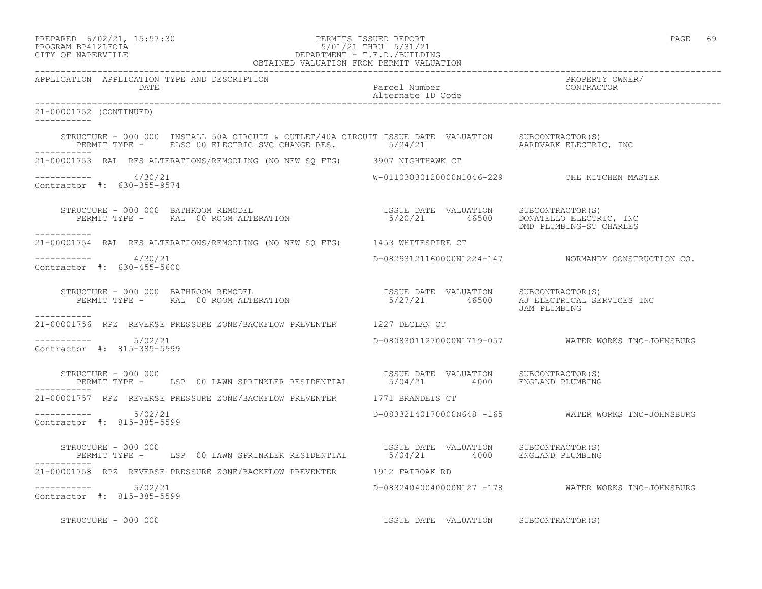| PREPARED | $6/02/21$ , $15:57:30$ |  |
|----------|------------------------|--|
|          | PROGRAM RP412LFOIA     |  |

# PREPARED 6/02/21, 15:57:30 PERMITS ISSUED REPORT PAGE 69 PROGRAM BP412LFOIA 5/01/21 THRU 5/31/21 CITY OF NAPERVILLE DEPARTMENT - T.E.D./BUILDING

| OBTAINED VALUATION FROM PERMIT VALUATION                                                                                                                                                                                                 |                                    |                                                     |
|------------------------------------------------------------------------------------------------------------------------------------------------------------------------------------------------------------------------------------------|------------------------------------|-----------------------------------------------------|
| APPLICATION APPLICATION TYPE AND DESCRIPTION<br>DATE                                                                                                                                                                                     | Parcel Number<br>Alternate ID Code | PROPERTY OWNER/<br>CONTRACTOR                       |
| 21-00001752 (CONTINUED)<br>___________                                                                                                                                                                                                   |                                    |                                                     |
| STRUCTURE - 000 000 INSTALL 50A CIRCUIT & OUTLET/40A CIRCUIT ISSUE DATE VALUATION SUBCONTRACTOR(S)<br>PERMIT TYPE - ELSC 00 ELECTRIC SVC CHANGE RES. 5/24/21 21 AARDVARK ELECTRIC, INC                                                   |                                    |                                                     |
| 21-00001753 RAL RES ALTERATIONS/REMODLING (NO NEW SQ FTG) 3907 NIGHTHAWK CT                                                                                                                                                              |                                    |                                                     |
| -----------     4/30/21<br>Contractor #: 630-355-9574                                                                                                                                                                                    |                                    | W-01103030120000N1046-229 THE KITCHEN MASTER        |
| $\begin{array}{cccc} \texttt{STRUCTURE} - 000 000 & \texttt{BATHROM REMODEL} \\ \texttt{PERMIT THE} - \texttt{RAL} & 00 ROM ALTERATION & \texttt{S} / 20 / 21 & 46500 & \texttt{DONATELLO ELECTRIC, INC} \\ \end{array}$<br>------------ |                                    | DMD PLUMBING-ST CHARLES                             |
| 21-00001754 RAL RES ALTERATIONS/REMODLING (NO NEW SO FTG)    1453 WHITESPIRE CT                                                                                                                                                          |                                    |                                                     |
| ----------- 4/30/21<br>Contractor #: 630-455-5600                                                                                                                                                                                        |                                    | D-08293121160000N1224-147 NORMANDY CONSTRUCTION CO. |
| STRUCTURE - 000 000 BATHROOM REMODEL<br>PERMIT TYPE -      RAL 00 ROOM ALTERATION                                   5/27/21       46500     AJ ELECTRICAL SERVICES INC<br>-----------                                                    |                                    | JAM PLUMBING                                        |
| 21-00001756 RPZ REVERSE PRESSURE ZONE/BACKFLOW PREVENTER 1227 DECLAN CT                                                                                                                                                                  |                                    |                                                     |
| -----------    5/02/21<br>Contractor #: 815-385-5599                                                                                                                                                                                     |                                    | D-08083011270000N1719-057 WATER WORKS INC-JOHNSBURG |
| STRUCTURE - 000 000<br>PERMIT TYPE - LSP 00 LAWN SPRINKLER RESIDENTIAL 6/04/21 4000 ENGLAND PLUMBING                                                                                                                                     |                                    |                                                     |
| 21-00001757 RPZ REVERSE PRESSURE ZONE/BACKFLOW PREVENTER 1771 BRANDEIS CT                                                                                                                                                                |                                    |                                                     |
| ----------- 5/02/21<br>Contractor #: 815-385-5599                                                                                                                                                                                        |                                    | D-08332140170000N648 -165 WATER WORKS INC-JOHNSBURG |
| STRUCTURE - 000 000<br>PERMIT TYPE - LSP 00 LAWN SPRINKLER RESIDENTIAL 6/04/21 4000 ENGLAND PLUMBING                                                                                                                                     |                                    |                                                     |
| 21-00001758 RPZ REVERSE PRESSURE ZONE/BACKFLOW PREVENTER 1912 FAIROAK RD                                                                                                                                                                 |                                    |                                                     |
| $--------- 5/02/21$<br>Contractor #: 815-385-5599                                                                                                                                                                                        |                                    | D-08324040040000N127 -178 WATER WORKS INC-JOHNSBURG |
| STRUCTURE - 000 000                                                                                                                                                                                                                      | ISSUE DATE VALUATION               | SUBCONTRACTOR(S)                                    |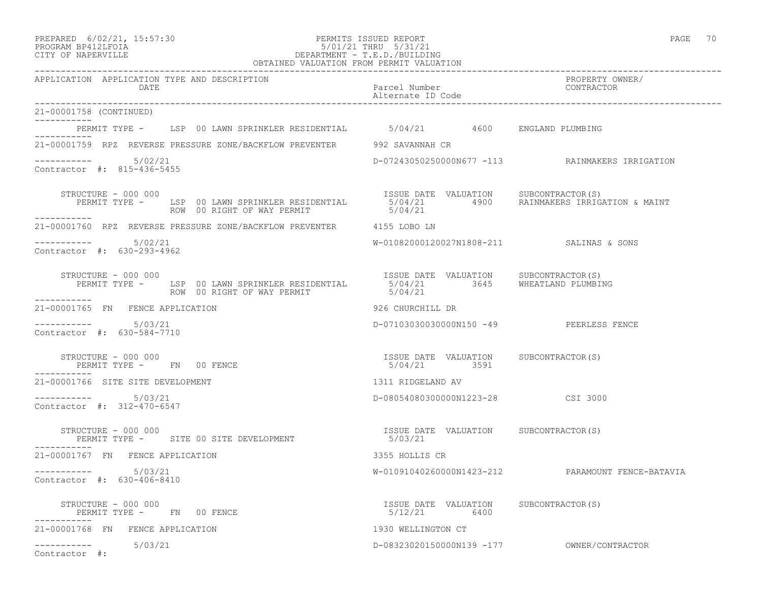#### PREPARED 6/02/21, 15:57:30 PERMITS ISSUED REPORT PAGE 70 PROGRAM BP412LFOIA 5/01/21 THRU 5/31/21 CITY OF NAPERVILLE DEPARTMENT - T.E.D./BUILDING OBTAINED VALUATION FROM PERMIT VALUATION

| APPLICATION APPLICATION TYPE AND DESCRIPTION<br><b>DATE</b>                                                                                                                                           | Parcel Number<br>Alternate ID Code                     | PROPERTY OWNER/<br>CONTRACTOR                     |
|-------------------------------------------------------------------------------------------------------------------------------------------------------------------------------------------------------|--------------------------------------------------------|---------------------------------------------------|
| 21-00001758 (CONTINUED)                                                                                                                                                                               |                                                        |                                                   |
| PERMIT TYPE - LSP 00 LAWN SPRINKLER RESIDENTIAL 5/04/21 4600 ENGLAND PLUMBING                                                                                                                         |                                                        |                                                   |
| ----------<br>21-00001759 RPZ REVERSE PRESSURE ZONE/BACKFLOW PREVENTER 992 SAVANNAH CR                                                                                                                |                                                        |                                                   |
| $--------- 5/02/21$<br>Contractor #: 815-436-5455                                                                                                                                                     |                                                        | D-07243050250000N677 -113 RAINMAKERS IRRIGATION   |
| STRUCTURE - 000 000<br>PERMIT TYPE - LSP 00 LAWN SPRINKLER RESIDENTIAL 5/04/21 4900 RAINMAKERS IRRIGATION & MAINT<br>------ ROW 00 RIGHT OF WAY PERMIT 5/04/21<br>STRUCTURE - 000 000<br>------------ |                                                        |                                                   |
| 21-00001760 RPZ REVERSE PRESSURE ZONE/BACKFLOW PREVENTER 4155 LOBO LN                                                                                                                                 |                                                        |                                                   |
| $--------- 5/02/21$<br>Contractor #: 630-293-4962                                                                                                                                                     | W-01082000120027N1808-211 SALINAS & SONS               |                                                   |
| STRUCTURE - 000 000<br>PERMIT TYPE - LSP 00 LAWN SPRINKLER RESIDENTIAL 5/04/21 3645 WHEATLAND PLUMBING<br>------ ROW 00 RIGHT OF WAY PERMIT 5/04/21<br>STRUCTURE - 000 000                            |                                                        |                                                   |
| 21-00001765 FN FENCE APPLICATION                                                                                                                                                                      | 926 CHURCHILL DR                                       |                                                   |
| Contractor #: 630-584-7710                                                                                                                                                                            | D-07103030030000N150 -49 PEERLESS FENCE                |                                                   |
| STRUCTURE - 000 000<br>PERMIT TYPE - FN 00 FENCE<br>------------                                                                                                                                      | ISSUE DATE VALUATION SUBCONTRACTOR (S)<br>5/04/21 3591 |                                                   |
| 21-00001766 SITE SITE DEVELOPMENT                                                                                                                                                                     | 1311 RIDGELAND AV                                      |                                                   |
| $--------- 5/03/21$<br>Contractor #: 312-470-6547                                                                                                                                                     | D-08054080300000N1223-28 CSI 3000                      |                                                   |
| STRUCTURE - 000 000<br>PERMIT TYPE - SITE 00 SITE DEVELOPMENT                                                                                                                                         | ISSUE DATE VALUATION SUBCONTRACTOR (S)<br>5/03/21      |                                                   |
| 21-00001767 FN FENCE APPLICATION                                                                                                                                                                      | 3355 HOLLIS CR                                         |                                                   |
| $-$ ---------- $5/03/21$<br>Contractor #: 630-406-8410                                                                                                                                                |                                                        | W-01091040260000N1423-212 PARAMOUNT FENCE-BATAVIA |
| STRUCTURE - 000 000<br>PERMIT TYPE - FN 00 FENCE                                                                                                                                                      | ISSUE DATE VALUATION SUBCONTRACTOR(S)<br>5/12/21 6400  |                                                   |
| 21-00001768 FN FENCE APPLICATION                                                                                                                                                                      | 1930 WELLINGTON CT                                     |                                                   |
| $--------- 5/03/21$<br>Contractor #:                                                                                                                                                                  |                                                        |                                                   |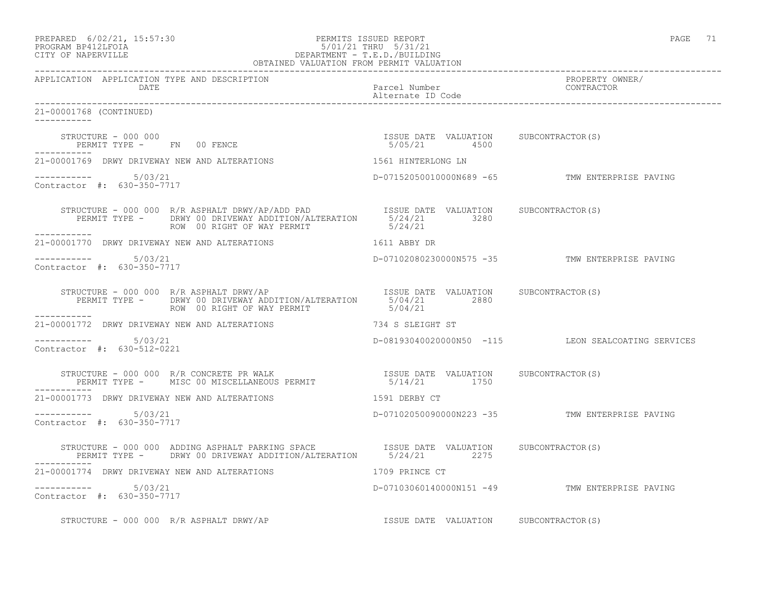| PREPARED 6/02/21, 15:57:30 | PERMITS ISSUED REPORT | PAGE |  |
|----------------------------|-----------------------|------|--|
| גדמת זרונותם ווגסממס       | 5/01/21 TUDII 5/31/21 |      |  |

## PROGRAM BP412LFOIA 5/01/21 THRU 5/31/21 CITY OF NAPERVILLE DEPARTMENT - T.E.D./BUILDING OBTAINED VALUATION FROM PERMIT VALUATION

------------------------------------------------------------------------------------------------------------------------------------ APPLICATION APPLICATION TYPE AND DESCRIPTION PROPERTY OWNER/ DATE Parcel Number Contractor Contractor Contractor Parcel Number Alternate ID Code ------------------------------------------------------------------------------------------------------------------------------------ 21-00001768 (CONTINUED) ----------- STRUCTURE - 000 000 ISSUE DATE VALUATION SUBCONTRACTOR(S) PERMIT TYPE - FN 00 FENCE ----------- 21-00001769 DRWY DRIVEWAY NEW AND ALTERATIONS 1561 HINTERLONG LN ----------- 5/03/21 D-07152050010000N689 -65 TMW ENTERPRISE PAVING Contractor #: 630-350-7717 STRUCTURE - 000 000 R/R ASPHALT DRWY/AP/ADD PAD **ISSUE DATE VALUATION** SUBCONTRACTOR(S) PERMIT TYPE - DRWY 00 DRIVEWAY ADDITION/ALTERATION 5/24/21 3280<br>ROW 00 RIGHT OF WAY PERMIT 5/24/21 ROW 00 RIGHT OF WAY PERMIT ----------- 21-00001770 DRWY DRIVEWAY NEW AND ALTERATIONS 1611 ABBY DR ----------- 5/03/21 D-07102080230000N575 -35 TMW ENTERPRISE PAVING Contractor #: 630-350-7717 STRUCTURE - 000 000 R/R ASPHALT DRWY/AP **ISSUE DATE VALUATION** SUBCONTRACTOR(S) PERMIT TYPE - DRWY 00 DRIVEWAY ADDITION/ALTERATION 5/04/21 2880 ROW 00 RIGHT OF WAY PERMIT ----------- 21-00001772 DRWY DRIVEWAY NEW AND ALTERATIONS 734 S SLEIGHT ST  $--------- 5/03/21$ D-08193040020000N50 -115 LEON SEALCOATING SERVICES Contractor #: 630-512-0221 STRUCTURE - 000 000 R/R CONCRETE PR WALK ISSUE DATE VALUATION SUBCONTRACTOR(S) PERMIT TYPE - MISC 00 MISCELLANEOUS PERMIT 5/14/21 1750 ----------- 21-00001773 DRWY DRIVEWAY NEW AND ALTERATIONS 1591 DERBY CT ----------- 5/03/21 D-07102050090000N223 -35 TMW ENTERPRISE PAVING Contractor #: 630-350-7717 STRUCTURE - 000 000 ADDING ASPHALT PARKING SPACE ISSUE DATE VALUATION SUBCONTRACTOR(S) PERMIT TYPE - DRWY 00 DRIVEWAY ADDITION/ALTERATION 5/24/21 2275 ----------- 21-00001774 DRWY DRIVEWAY NEW AND ALTERATIONS 1709 PRINCE CT ----------- 5/03/21 D-07103060140000N151 -49 TMW ENTERPRISE PAVING Contractor #: 630-350-7717 STRUCTURE - 000 000 R/R ASPHALT DRWY/AP **ISSUE DATE VALUATION** SUBCONTRACTOR(S)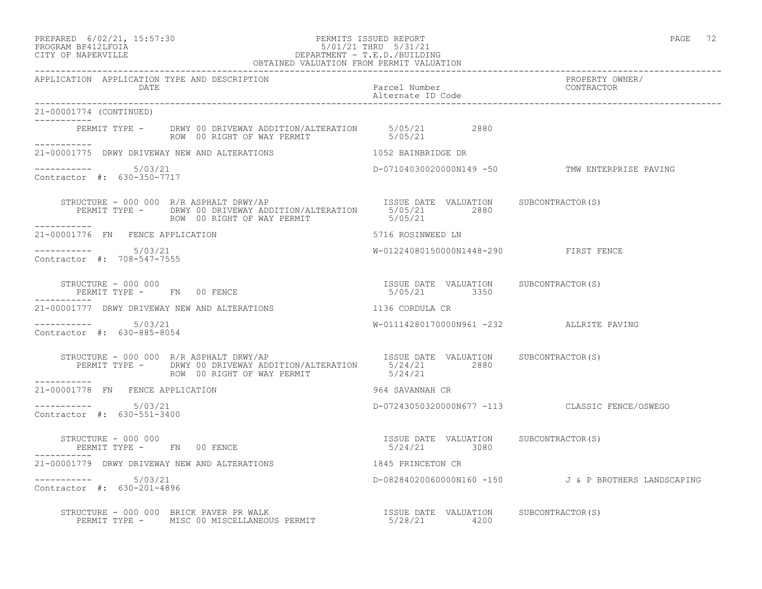## PREPARED 6/02/21, 15:57:30 PERMITS ISSUED REPORT PAGE 72 PROGRAM BP412LFOIA 5/01/21 THRU 5/31/21 CITY OF NAPERVILLE DEPARTMENT - T.E.D./BUILDING

|                                                        | OBTAINED VALUATION FROM PERMIT VALUATION                                                                                                                                                                                                            |                                                       |                                                      |
|--------------------------------------------------------|-----------------------------------------------------------------------------------------------------------------------------------------------------------------------------------------------------------------------------------------------------|-------------------------------------------------------|------------------------------------------------------|
| APPLICATION APPLICATION TYPE AND DESCRIPTION<br>DATE   |                                                                                                                                                                                                                                                     | Parcel Number<br>Alternate ID Code                    | PROPERTY OWNER/<br>CONTRACTOR                        |
| 21-00001774 (CONTINUED)<br>. <u>.</u>                  |                                                                                                                                                                                                                                                     |                                                       |                                                      |
| ------------                                           | PERMIT TYPE - DRWY 00 DRIVEWAY ADDITION/ALTERATION 5/05/21 2880<br>ROW 00 RIGHT OF WAY PERMIT 5/05/21                                                                                                                                               |                                                       |                                                      |
|                                                        | 21-00001775 DRWY DRIVEWAY NEW AND ALTERATIONS THE RESERVED ON THE RESERVED BR                                                                                                                                                                       |                                                       |                                                      |
| $--------- 5/03/21$<br>Contractor #: 630-350-7717      |                                                                                                                                                                                                                                                     |                                                       | D-07104030020000N149 -50 TMW ENTERPRISE PAVING       |
|                                                        |                                                                                                                                                                                                                                                     |                                                       |                                                      |
| 21-00001776 FN FENCE APPLICATION                       |                                                                                                                                                                                                                                                     | 5716 ROSINWEED LN                                     |                                                      |
| $--------- 5/03/21$<br>Contractor #: 708-547-7555      |                                                                                                                                                                                                                                                     | W-01224080150000N1448-290 FIRST FENCE                 |                                                      |
|                                                        | $\begin{array}{cccccccccc} \texttt{STRUCTURE} & - & 000 & 000 & & & & & & & \\ \texttt{PERMIT TYPE} & - & \texttt{FN} & 00 & \texttt{FENCE} & & & & & & \\ \texttt{PERMIT TYPE} & - & \texttt{FN} & 00 & \texttt{FENCE} & & & & & & \\ \end{array}$ |                                                       |                                                      |
|                                                        | 21-00001777 DRWY DRIVEWAY NEW AND ALTERATIONS                                                                                                                                                                                                       | 1136 CORDULA CR                                       |                                                      |
| $--------- 5/03/21$<br>Contractor #: 630-885-8054      |                                                                                                                                                                                                                                                     | W-01114280170000N961 -232 ALLRITE PAVING              |                                                      |
|                                                        |                                                                                                                                                                                                                                                     |                                                       |                                                      |
| 21-00001778 FN FENCE APPLICATION                       |                                                                                                                                                                                                                                                     | 964 SAVANNAH CR                                       |                                                      |
| $-$ ---------- $5/03/21$<br>Contractor #: 630-551-3400 |                                                                                                                                                                                                                                                     |                                                       | D-07243050320000N677 -113 CLASSIC FENCE/OSWEGO       |
| STRUCTURE - 000 000                                    | PERMIT TYPE - FN 00 FENCE                                                                                                                                                                                                                           | ISSUE DATE VALUATION SUBCONTRACTOR(S)<br>5/24/21 3080 |                                                      |
|                                                        | 21-00001779 DRWY DRIVEWAY NEW AND ALTERATIONS                                                                                                                                                                                                       | 1845 PRINCETON CR                                     |                                                      |
| $--------- 5/03/21$<br>Contractor #: 630-201-4896      |                                                                                                                                                                                                                                                     |                                                       | D-08284020060000N160 -150 J & P BROTHERS LANDSCAPING |
|                                                        | STRUCTURE – 000 000 BRICK PAVER PR WALK<br>PERMIT TYPE – MISC 00 MISCELLANEOUS PERMIT – 1990 5/28/21 4200                                                                                                                                           |                                                       |                                                      |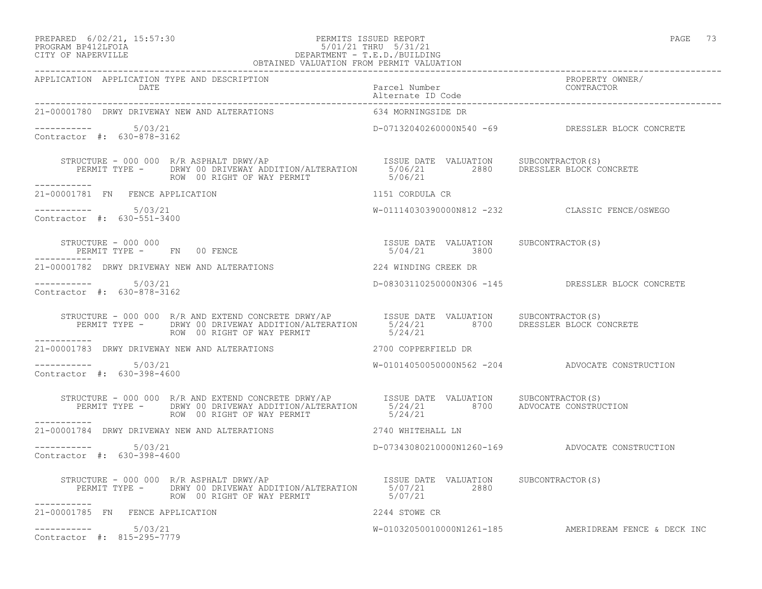#### PREPARED 6/02/21, 15:57:30 PERMITS ISSUED REPORT PAGE 73 PROGRAM BP412LFOIA 5/01/21 THRU 5/31/21 CITY OF NAPERVILLE DEPARTMENT - T.E.D./BUILDING OBTAINED VALUATION FROM PERMIT VALUATION

| APPLICATION APPLICATION TYPE AND DESCRIPTION<br><b>DATE</b>                                                                                                                                                                                                                                                          |                    |                                                       |
|----------------------------------------------------------------------------------------------------------------------------------------------------------------------------------------------------------------------------------------------------------------------------------------------------------------------|--------------------|-------------------------------------------------------|
| 21-00001780 DRWY DRIVEWAY NEW AND ALTERATIONS                                                                                                                                                                                                                                                                        | 634 MORNINGSIDE DR |                                                       |
| $--------- 5/03/21$<br>Contractor #: 630-878-3162                                                                                                                                                                                                                                                                    |                    | D-07132040260000N540 -69 DRESSLER BLOCK CONCRETE      |
|                                                                                                                                                                                                                                                                                                                      |                    |                                                       |
| 21-00001781 FN FENCE APPLICATION                                                                                                                                                                                                                                                                                     | 1151 CORDULA CR    |                                                       |
| $--------- 5/03/21$<br>Contractor #: 630-551-3400                                                                                                                                                                                                                                                                    |                    | W-01114030390000N812 -232 CLASSIC FENCE/OSWEGO        |
| $\begin{array}{cccccccc} \texttt{STRUCTURE} & - & 000 & 000 & \texttt{FN} & 00 & \texttt{FENCE} & \texttt{SODE} & \texttt{DATE} & \texttt{VALUATION} & \texttt{SUBCONTRACTOR(S)} \\ \texttt{PERMIT TYPE} & - & \texttt{FN} & 00 & \texttt{FENCE} & \texttt{SODE} & 000 & \texttt{S00} & \texttt{S00} \\ \end{array}$ |                    |                                                       |
| 21-00001782 DRWY DRIVEWAY NEW AND ALTERATIONS 224 WINDING CREEK DR                                                                                                                                                                                                                                                   |                    |                                                       |
| ----------- 5/03/21<br>Contractor #: 630-878-3162                                                                                                                                                                                                                                                                    |                    | D-08303110250000N306 -145 DRESSLER BLOCK CONCRETE     |
| STRUCTURE - 000 000 R/R AND EXTEND CONCRETE DRWY/AP  ISSUE DATE VALUATION SUBCONTRACTOR(S)<br>PERMIT TYPE - DRWY 00 DRIVEWAY ADDITION/ALTERATION 5/24/21 8700 DRESSLER BLOCK CONCRETE<br>--------<br>___________                                                                                                     |                    |                                                       |
| 21-00001783 DRWY DRIVEWAY NEW AND ALTERATIONS 2700 COPPERFIELD DR                                                                                                                                                                                                                                                    |                    |                                                       |
| $--------- 5/03/21$<br>Contractor #: 630-398-4600                                                                                                                                                                                                                                                                    |                    | W-01014050050000N562 -204 ADVOCATE CONSTRUCTION       |
| STRUCTURE - 000 000 R/R AND EXTEND CONCRETE DRWY/AP   ISSUE DATE VALUATION SUBCONTRACTOR(S)<br>PERMIT TYPE - DRWY 00 DRIVEWAY ADDITION/ALTERATION   5/24/21   8700 ADVOCATE CONSTRUCTION<br>ROW 00 RIGHT OF WAY PERMIT   5/24/21<br>-----------                                                                      |                    |                                                       |
| 21-00001784 DRWY DRIVEWAY NEW AND ALTERATIONS 42740 WHITEHALL LN                                                                                                                                                                                                                                                     |                    |                                                       |
| $--------- 5/03/21$<br>Contractor #: 630-398-4600                                                                                                                                                                                                                                                                    |                    | D-07343080210000N1260-169 ADVOCATE CONSTRUCTION       |
| STRUCTURE - 000 000 R/R ASPHALT DRWY/AP<br>PERMIT TYPE - DRWY 00 DRIVEWAY ADDITION/ALTERATION 5/07/21 2880<br>ROW 00 RIGHT OF WAY PERMIT STRIPS 2000 2880                                                                                                                                                            |                    |                                                       |
| 21-00001785 FN FENCE APPLICATION                                                                                                                                                                                                                                                                                     | 2244 STOWE CR      |                                                       |
| $--------- 5/03/21$<br>Contractor #: 815-295-7779                                                                                                                                                                                                                                                                    |                    | W-01032050010000N1261-185 AMERIDREAM FENCE & DECK INC |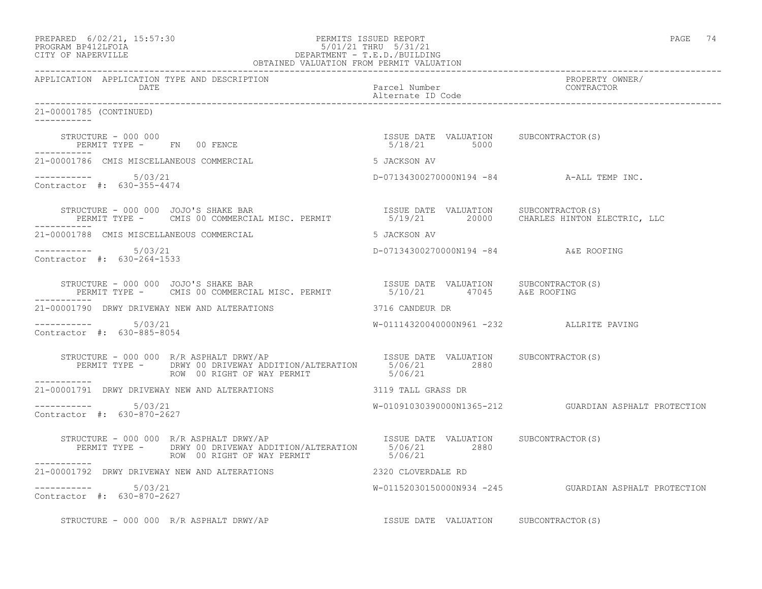|                    | PREPARED 6/02/21, 15:57:30 | PERMITS ISSUED REPORT   | PAGE | 74 |
|--------------------|----------------------------|-------------------------|------|----|
| BROCRAM BRATOTHOTA |                            | $101/01$ $101$ $101/01$ |      |    |

## PROGRAM BP412LFOIA 5/01/21 THRU 5/31/21 CITY OF NAPERVILLE DEPARTMENT - T.E.D./BUILDING OBTAINED VALUATION FROM PERMIT VALUATION

------------------------------------------------------------------------------------------------------------------------------------ APPLICATION APPLICATION TYPE AND DESCRIPTION PROPERTY OWNER/ DATE Parcel Number Alternate ID Code 21-00001785 (CONTINUED) ----------- STRUCTURE - 000 000 ISSUE DATE VALUATION SUBCONTRACTOR(S) PERMIT TYPE - FN 00 FENCE ----------- 21-00001786 CMIS MISCELLANEOUS COMMERCIAL SALL STRACKSON AV ----------- 5/03/21 5/03/21 D-07134300270000N194 -84 A-ALL TEMP INC. Contractor #: 630-355-4474 STRUCTURE - 000 000 JOJO'S SHAKE BAR ISSUE DATE VALUATION SUBCONTRACTOR(S) PERMIT TYPE - CMIS 00 COMMERCIAL MISC. PERMIT 5/19/21 20000 CHARLES HINTON ELECTRIC, LLC ----------- 21-00001788 CMIS MISCELLANEOUS COMMERCIAL SALL STRACKSON AV ----------- 5/03/21 D-07134300270000N194 -84 A&E ROOFING Contractor #: 630-264-1533 STRUCTURE - 000 000 JOJO'S SHAKE BAR ISSUE DATE VALUATION SUBCONTRACTOR(S) PERMIT TYPE - CMIS 00 COMMERCIAL MISC. PERMIT 6/10/21 47045 A&E ROOFING ----------- 21-00001790 DRWY DRIVEWAY NEW AND ALTERATIONS 3716 CANDEUR DR ----------- 5/03/21 W-01114320040000N961 -232 ALLRITE PAVING Contractor #: 630-885-8054 STRUCTURE - 000 000 R/R ASPHALT DRWY/AP ISSUE DATE VALUATION SUBCONTRACTOR(S) PERMIT TYPE - DRWY 00 DRIVEWAY ADDITION/ALTERATION 5/06/21 2880 ROW 00 RIGHT OF WAY PERMIT 6/06/21 ----------- 21-00001791 DRWY DRIVEWAY NEW AND ALTERATIONS 3119 TALL GRASS DR \_\_\_\_\_\_\_\_\_\_\_ ----------- 5/03/21 W-01091030390000N1365-212 GUARDIAN ASPHALT PROTECTION Contractor #: 630-870-2627 STRUCTURE - 000 000 R/R ASPHALT DRWY/AP ISSUE DATE VALUATION SUBCONTRACTOR(S) PERMIT TYPE - DRWY 00 DRIVEWAY ADDITION/ALTERATION 5/06/21 2880 ROW 00 RIGHT OF WAY PERMIT 6/06/21 ----------- 21-00001792 DRWY DRIVEWAY NEW AND ALTERATIONS 2320 CLOVERDALE RD  $--------- 5/03/21$ W-01152030150000N934 -245 GUARDIAN ASPHALT PROTECTION Contractor #: 630-870-2627 STRUCTURE - 000 000 R/R ASPHALT DRWY/AP **ISSUE DATE VALUATION** SUBCONTRACTOR(S)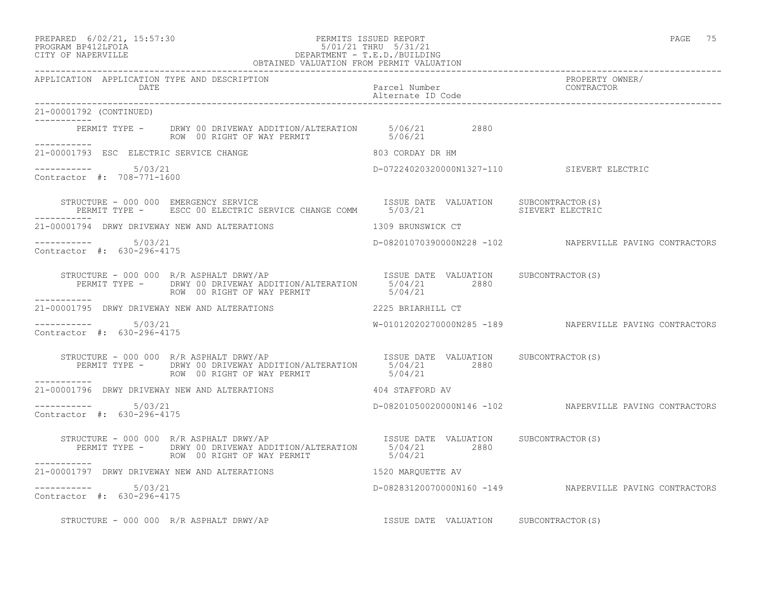#### PREPARED 6/02/21, 15:57:30 PERMITS ISSUED REPORT PAGE 75 PROGRAM BP412LFOIA 5/01/21 THRU 5/31/21 CITY OF NAPERVILLE DEPARTMENT - T.E.D./BUILDING

|                                                      | OBTAINED VALUATION FROM PERMIT VALUATION                                                                                                                                      |                                       |                                                         |
|------------------------------------------------------|-------------------------------------------------------------------------------------------------------------------------------------------------------------------------------|---------------------------------------|---------------------------------------------------------|
| APPLICATION APPLICATION TYPE AND DESCRIPTION<br>DATE |                                                                                                                                                                               | Parcel Number<br>Alternate ID Code    | PROPERTY OWNER/<br>CONTRACTOR                           |
| 21-00001792 (CONTINUED)                              |                                                                                                                                                                               |                                       |                                                         |
|                                                      | PERMIT TYPE - DRWY 00 DRIVEWAY ADDITION/ALTERATION 5/06/21 2880<br>ROW 00 RIGHT OF WAY PERMIT 5/06/21                                                                         |                                       |                                                         |
| 21-00001793 ESC ELECTRIC SERVICE CHANGE              | 803 CORDAY DR HM                                                                                                                                                              |                                       |                                                         |
| $--------- 5/03/21$<br>Contractor #: 708-771-1600    |                                                                                                                                                                               |                                       | D-07224020320000N1327-110 SIEVERT ELECTRIC              |
|                                                      | STRUCTURE - 000 000 EMERGENCY SERVICE (S) [ISSUE DATE VALUATION SUBCONTRACTOR<br>PERMIT TYPE - ESCC 00 ELECTRIC SERVICE CHANGE COMM 5/03/21 [ISSUE MALUATION SIEVERT ELECTRIC |                                       |                                                         |
|                                                      | 21-00001794 DRWY DRIVEWAY NEW AND ALTERATIONS                                                                                                                                 | 1309 BRUNSWICK CT                     |                                                         |
| $--------- 5/03/21$<br>Contractor #: 630-296-4175    |                                                                                                                                                                               |                                       | D-08201070390000N228 -102 NAPERVILLE PAVING CONTRACTORS |
|                                                      |                                                                                                                                                                               |                                       |                                                         |
|                                                      | 21-00001795 DRWY DRIVEWAY NEW AND ALTERATIONS 2225 BRIARHILL CT                                                                                                               |                                       |                                                         |
| $--------- 5/03/21$<br>Contractor #: 630-296-4175    |                                                                                                                                                                               |                                       | W-01012020270000N285 -189 NAPERVILLE PAVING CONTRACTORS |
| <u> Liberal Liberal I</u>                            |                                                                                                                                                                               |                                       |                                                         |
|                                                      | $21\texttt{-}00001796$ DRWY DRIVEWAY NEW AND ALTERATIONS $404$ STAFFORD AV                                                                                                    |                                       |                                                         |
| ----------- 5/03/21<br>Contractor #: 630-296-4175    |                                                                                                                                                                               |                                       | D-08201050020000N146 -102 NAPERVILLE PAVING CONTRACTORS |
|                                                      | STRUCTURE - 000 000 R/R ASPHALT DRWY/AP<br>PERMIT TYPE - DRWY 00 DRIVEWAY ADDITION/ALTERATION 5/04/21 2880<br>ROW 00 RIGHT OF WAY PERMIT 5/04/21                              | ISSUE DATE VALUATION SUBCONTRACTOR(S) |                                                         |
| ------------                                         | 21-00001797 DRWY DRIVEWAY NEW AND ALTERATIONS THE RESIDENCE OF AN ARQUETTE AV                                                                                                 |                                       |                                                         |
| $--------- 5/03/21$<br>Contractor #: 630-296-4175    |                                                                                                                                                                               |                                       | D-08283120070000N160 -149 NAPERVILLE PAVING CONTRACTORS |
|                                                      | STRUCTURE - 000 000 R/R ASPHALT DRWY/AP                                                                                                                                       | ISSUE DATE VALUATION SUBCONTRACTOR(S) |                                                         |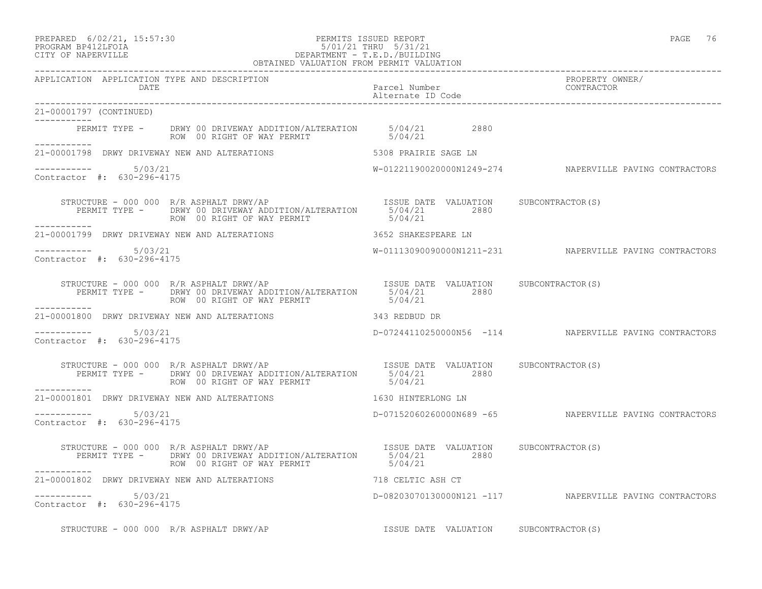PREPARED 6/02/21, 15:57:30 PERMITS ISSUED REPORT PAGE 76

# PROGRAM BP412LFOIA 5/01/21 THRU 5/31/21 CITY OF NAPERVILLE **DEPARTMENT - T.E.D./BUILDING**

|                                                      | OBTAINED VALUATION FROM PERMIT VALUATION                                                                                                                                          |                                               |                                                         |
|------------------------------------------------------|-----------------------------------------------------------------------------------------------------------------------------------------------------------------------------------|-----------------------------------------------|---------------------------------------------------------|
| APPLICATION APPLICATION TYPE AND DESCRIPTION<br>DATE |                                                                                                                                                                                   | Parcel Number<br>Alternate ID Code CONTRACTOR | PROPERTY OWNER/                                         |
| 21-00001797 (CONTINUED)<br>------------              |                                                                                                                                                                                   |                                               |                                                         |
|                                                      | PERMIT TYPE - DRWY 00 DRIVEWAY ADDITION/ALTERATION 5/04/21 2880<br>ROW 00 RIGHT OF WAY PERMIT 5/04/21                                                                             |                                               |                                                         |
|                                                      | 21-00001798 DRWY DRIVEWAY NEW AND ALTERATIONS THE SERIES OF STATE SAGE IN                                                                                                         |                                               |                                                         |
| ----------- 5/03/21<br>Contractor #: 630-296-4175    |                                                                                                                                                                                   |                                               | W-01221190020000N1249-274 NAPERVILLE PAVING CONTRACTORS |
| __________                                           | STRUCTURE - 000 000 R/R ASPHALT DRWY/AP<br>PERMIT TYPE - DRWY 00 DRIVEWAY ADDITION/ALTERATION 5/04/21 2880<br>ROW 00 RIGHT OF WAY PERMIT 5/04/21                                  |                                               |                                                         |
| 21-00001799 DRWY DRIVEWAY NEW AND ALTERATIONS        |                                                                                                                                                                                   | 3652 SHAKESPEARE LN                           |                                                         |
| ----------    5/03/21<br>Contractor #: 630-296-4175  |                                                                                                                                                                                   |                                               |                                                         |
|                                                      | STRUCTURE - 000 000 R/R ASPHALT DRWY/AP<br>PERMIT TYPE - DRWY 00 DRIVEWAY ADDITION/ALTERATION $5/0.4/21$ 2880<br>ROW 00 RIGHT OF WAY PERMIT 5/04/21                               |                                               |                                                         |
| ------------                                         | 21-00001800 DRWY DRIVEWAY NEW AND ALTERATIONS 343 REDBUD DR                                                                                                                       |                                               |                                                         |
| $--------$ 5/03/21<br>Contractor #: 630-296-4175     |                                                                                                                                                                                   |                                               | D-07244110250000N56 -114 NAPERVILLE PAVING CONTRACTORS  |
|                                                      | ROW 00 RIGHT OF WAY PERMIT                                                                                                                                                        | 5/04/21                                       |                                                         |
| -----------                                          | 21-00001801 DRWY DRIVEWAY NEW AND ALTERATIONS 4630 HINTERLONG LN                                                                                                                  |                                               |                                                         |
| Contractor #: 630-296-4175                           |                                                                                                                                                                                   |                                               | D-07152060260000N689 -65 NAPERVILLE PAVING CONTRACTORS  |
|                                                      | RUCTURE - 000 000 R/R ASPHALT DRWY/AP<br>PERMIT TYPE - DRWY 00 DRIVEWAY ADDITION/ALTERATION 5/04/21 2880<br>STRUCTURE - 000 000 R/R ASPHALT DRWY/AP<br>ROW 00 RIGHT OF WAY PERMIT | 5/04/21                                       |                                                         |
| 21-00001802 DRWY DRIVEWAY NEW AND ALTERATIONS        |                                                                                                                                                                                   | 718 CELTIC ASH CT                             |                                                         |
| -----------    5/03/21<br>Contractor #: 630-296-4175 |                                                                                                                                                                                   |                                               | D-08203070130000N121 -117 NAPERVILLE PAVING CONTRACTORS |
|                                                      | STRUCTURE - 000 000 R/R ASPHALT DRWY/AP                                                                                                                                           | ISSUE DATE VALUATION SUBCONTRACTOR(S)         |                                                         |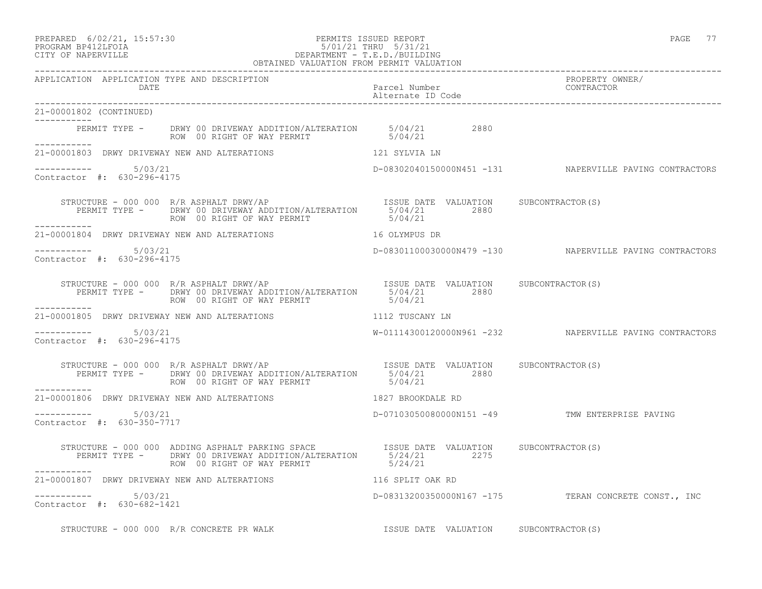### PREPARED 6/02/21, 15:57:30 PERMITS ISSUED REPORT PAGE 77 PROGRAM BP412LFOIA 5/01/21 THRU 5/31/21 CITY OF NAPERVILLE DEPARTMENT - T.E.D./BUILDING

|                                                      | OBTAINED VALUATION FROM PERMIT VALUATION                                                                                                                                                         |                                    |                                                         |
|------------------------------------------------------|--------------------------------------------------------------------------------------------------------------------------------------------------------------------------------------------------|------------------------------------|---------------------------------------------------------|
| APPLICATION APPLICATION TYPE AND DESCRIPTION<br>DATE |                                                                                                                                                                                                  | Parcel Number<br>Alternate ID Code | PROPERTY OWNER/<br>CONTRACTOR                           |
| 21-00001802 (CONTINUED)                              |                                                                                                                                                                                                  |                                    |                                                         |
|                                                      | PERMIT TYPE - DRWY 00 DRIVEWAY ADDITION/ALTERATION 5/04/21 2880<br>ROW 00 RIGHT OF WAY PERMIT 5/04/21                                                                                            |                                    |                                                         |
|                                                      | 21-00001803 DRWY DRIVEWAY NEW AND ALTERATIONS 121 SYLVIA LN                                                                                                                                      |                                    |                                                         |
| -----------    5/03/21<br>Contractor #: 630-296-4175 |                                                                                                                                                                                                  |                                    | D-08302040150000N451 -131 NAPERVILLE PAVING CONTRACTORS |
|                                                      | STRUCTURE - 000 000 R/R ASPHALT DRWY/AP<br>PERMIT TYPE - DRWY 00 DRIVEWAY ADDITION/ALTERATION 5/04/21 2880<br>ROW 00 RIGHT OF WAY PERMIT 5/04/21 5/04/21                                         |                                    |                                                         |
|                                                      | 21-00001804 DRWY DRIVEWAY NEW AND ALTERATIONS THE RELATION MANUS DR                                                                                                                              |                                    |                                                         |
| $--------$ 5/03/21<br>Contractor #: 630-296-4175     |                                                                                                                                                                                                  |                                    | D-08301100030000N479 -130 NAPERVILLE PAVING CONTRACTORS |
| ------------                                         | PERMIT TYPE - DRWY 00 DRIVEWAY ADDITION/ALTERATION 5/04/21 2880<br>ROW 00 RIGHT OF WAY PERMIT                                                                                                    | 5/04/21                            |                                                         |
|                                                      | 21-00001805 DRWY DRIVEWAY NEW AND ALTERATIONS THE RESERVE THAT TUSCANY LN                                                                                                                        |                                    |                                                         |
| Contractor $\#: 630 - 296 - 4175$                    |                                                                                                                                                                                                  |                                    | W-01114300120000N961 -232 NAPERVILLE PAVING CONTRACTORS |
|                                                      | STRUCTURE - 000 000 R/R ASPHALT DRWY/AP<br>PERMIT TYPE - DRWY 00 DRIVEWAY ADDITION/ALTERATION 5/04/21 2880 2880<br>ROW 00 RIGHT OF WAY PERMIT 5/04/21                                            |                                    |                                                         |
|                                                      | 21-00001806 DRWY DRIVEWAY NEW AND ALTERATIONS 1827 BROOKDALE RD                                                                                                                                  |                                    |                                                         |
| ----------- 5/03/21<br>Contractor #: 630-350-7717    |                                                                                                                                                                                                  |                                    | D-07103050080000N151 -49 TMW ENTERPRISE PAVING          |
| ___________                                          | STRUCTURE - 000 000 ADDING ASPHALT PARKING SPACE TISSUE DATE VALUATION SUBCONTRACTOR(S)<br>PERMIT TYPE - DRWY 00 DRIVEWAY ADDITION/ALTERATION 5/24/21 2275<br>ROW 00 RIGHT OF WAY PERMIT 5/24/21 |                                    |                                                         |
|                                                      | 21-00001807 DRWY DRIVEWAY NEW AND ALTERATIONS 4116 SPLIT OAK RD                                                                                                                                  |                                    |                                                         |
| $--------- 5/03/21$<br>Contractor #: 630-682-1421    |                                                                                                                                                                                                  |                                    | D-08313200350000N167 -175 TERAN CONCRETE CONST., INC    |

STRUCTURE - 000 000 R/R CONCRETE PR WALK **ISSUE DATE VALUATION** SUBCONTRACTOR(S)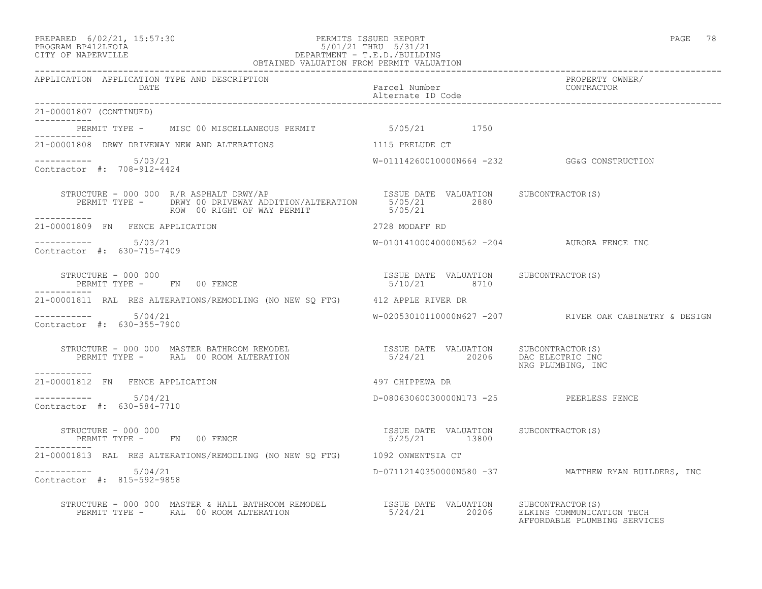#### PREPARED 6/02/21, 15:57:30 PERMITS ISSUED REPORT PAGE 78 PROGRAM BP412LFOIA 5/01/21 THRU 5/31/21 CITY OF NAPERVILLE DEPARTMENT - T.E.D./BUILDING OBTAINED VALUATION FROM PERMIT VALUATION

------------------------------------------------------------------------------------------------------------------------------------ APPLICATION APPLICATION TYPE AND DESCRIPTION PROPERTY OWNER/ DATE PARTICLE IN PARTICLE IN THE PARTICLE IN THE PARTICLE IN THE PARTICLE IN THE PARTICLE IN THE PARTICLE IN THE PARTICLE IN THE PARTICLE IN THE PARTICLE IN THE PARTICLE IN THE PARTICLE IN THE PARTICLE IN THE PARTICLE IN T Alternate ID Code ------------------------------------------------------------------------------------------------------------------------------------ 21-00001807 (CONTINUED) ----------- PERMIT TYPE - MISC 00 MISCELLANEOUS PERMIT 6/05/21 1750 ----------- 21-00001808 DRWY DRIVEWAY NEW AND ALTERATIONS 1115 PRELUDE CT  $--------- 5/03/21$ W-01114260010000N664 -232 GG&G CONSTRUCTION Contractor #: 708-912-4424 STRUCTURE - 000 000 R/R ASPHALT DRWY/AP **ISSUE DATE VALUATION** SUBCONTRACTOR(S) PERMIT TYPE - DRWY 00 DRIVEWAY ADDITION/ALTERATION 5/05/21 2880<br>ROW 00 RIGHT OF WAY PERMIT 5/05/21 ROW 00 RIGHT OF WAY PERMIT ----------- 21-00001809 FN FENCE APPLICATION 2728 MODAFF RD \_\_\_\_\_\_\_\_\_\_\_ ----------- 5/03/21 W-01014100040000N562 -204 AURORA FENCE INC Contractor #: 630-715-7409 STRUCTURE - 000 000 ISSUE DATE VALUATION SUBCONTRACTOR(S) PERMIT TYPE - FN 00 FENCE ----------- 21-00001811 RAL RES ALTERATIONS/REMODLING (NO NEW SQ FTG) 412 APPLE RIVER DR ----------- 5/04/21 W-02053010110000N627 -207 RIVER OAK CABINETRY & DESIGN Contractor #: 630-355-7900 STRUCTURE - 000 000 MASTER BATHROOM REMODEL ISSUE DATE VALUATION SUBCONTRACTOR(S) PERMIT TYPE - RAL 00 ROOM ALTERATION 5/24/21 20206 DAC ELECTRIC INC NRG PLUMBING, INC ----------- 21-00001812 FN FENCE APPLICATION 497 CHIPPEWA DR  $--------- 5/04/21$ D-08063060030000N173 -25 PEERLESS FENCE Contractor #: 630-584-7710 STRUCTURE - 000 000 ISSUE DATE VALUATION SUBCONTRACTOR(S) PERMIT TYPE - FN 00 FENCE 1999 1999 1999 12800 ----------- 21-00001813 RAL RES ALTERATIONS/REMODLING (NO NEW SQ FTG) 1092 ONWENTSIA CT ----------- 5/04/21 D-07112140350000N580 -37 MATTHEW RYAN BUILDERS, INC Contractor #: 815-592-9858 STRUCTURE - 000 000 MASTER & HALL BATHROOM REMODEL ISSUE DATE VALUATION SUBCONTRACTOR(S) PERMIT TYPE - RAL 00 ROOM ALTERATION 5/24/21 20206 ELKINS COMMUNICATION TECH 5/24/21 20206 ELKINS COMMUNICATION TECH<br>AFFORDABLE PLUMBING SERVICES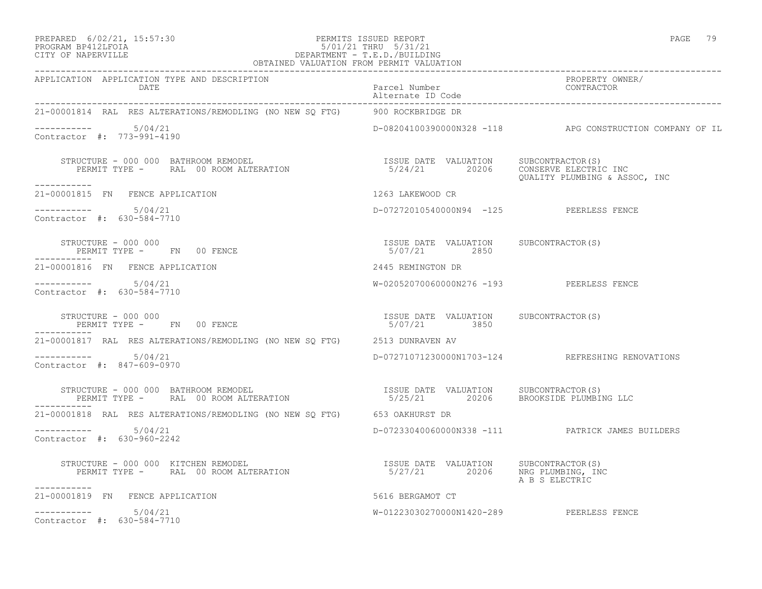#### PREPARED 6/02/21, 15:57:30 PERMITS ISSUED REPORT PAGE 79 PROGRAM BP412LFOIA 5/01/21 THRU 5/31/21 CITY OF NAPERVILLE DEPARTMENT - T.E.D./BUILDING OBTAINED VALUATION FROM PERMIT VALUATION

| APPLICATION APPLICATION TYPE AND DESCRIPTION                                                                                                                                                                                                      |                                                       |                                                          |
|---------------------------------------------------------------------------------------------------------------------------------------------------------------------------------------------------------------------------------------------------|-------------------------------------------------------|----------------------------------------------------------|
| 21-00001814 RAL RES ALTERATIONS/REMODLING (NO NEW SQ FTG) 900 ROCKBRIDGE DR                                                                                                                                                                       |                                                       |                                                          |
| Contractor #: 773-991-4190                                                                                                                                                                                                                        |                                                       | D-08204100390000N328 -118 APG CONSTRUCTION COMPANY OF IL |
| STRUCTURE - 000 000 BATHROOM REMODEL                                   ISSUE DATE VALUATION     SUBCONTRACTOR(S)<br>PERMIT TYPE -     RAL 00 ROOM ALTERATION                         5/24/21       20206    CONSERVE ELECTRIC INC<br>------------ |                                                       | QUALITY PLUMBING & ASSOC, INC                            |
| 21-00001815 FN FENCE APPLICATION                                                                                                                                                                                                                  | 1263 LAKEWOOD CR                                      |                                                          |
| Contractor #: 630-584-7710                                                                                                                                                                                                                        | D-07272010540000N94 -125 PEERLESS FENCE               |                                                          |
|                                                                                                                                                                                                                                                   |                                                       |                                                          |
| 21-00001816 FN FENCE APPLICATION                                                                                                                                                                                                                  | 2445 REMINGTON DR                                     |                                                          |
| $--------- 5/04/21$<br>Contractor #: 630-584-7710                                                                                                                                                                                                 | W-02052070060000N276 -193 PEERLESS FENCE              |                                                          |
| STRUCTURE - 000 000<br>PERMIT TYPE - FN 00 FENCE                                                                                                                                                                                                  | ISSUE DATE VALUATION SUBCONTRACTOR(S)<br>5/07/21 3850 |                                                          |
| 21-00001817 RAL RES ALTERATIONS/REMODLING (NO NEW SQ FTG) 2513 DUNRAVEN AV                                                                                                                                                                        |                                                       |                                                          |
| $--------- 5/04/21$<br>Contractor #: 847-609-0970                                                                                                                                                                                                 |                                                       | D-07271071230000N1703-124 REFRESHING RENOVATIONS         |
|                                                                                                                                                                                                                                                   |                                                       |                                                          |
| 21-00001818 RAL RES ALTERATIONS/REMODLING (NO NEW SQ FTG) 653 OAKHURST DR                                                                                                                                                                         |                                                       |                                                          |
| $--------- 5/04/21$<br>Contractor #: 630-960-2242                                                                                                                                                                                                 |                                                       | D-07233040060000N338 -111 PATRICK JAMES BUILDERS         |
| -----------                                                                                                                                                                                                                                       |                                                       | A B S ELECTRIC                                           |
| 21-00001819 FN FENCE APPLICATION                                                                                                                                                                                                                  | 5616 BERGAMOT CT                                      |                                                          |
| $--------- 5/04/21$<br>Contractor #: 630-584-7710                                                                                                                                                                                                 | W-01223030270000N1420-289 PEERLESS FENCE              |                                                          |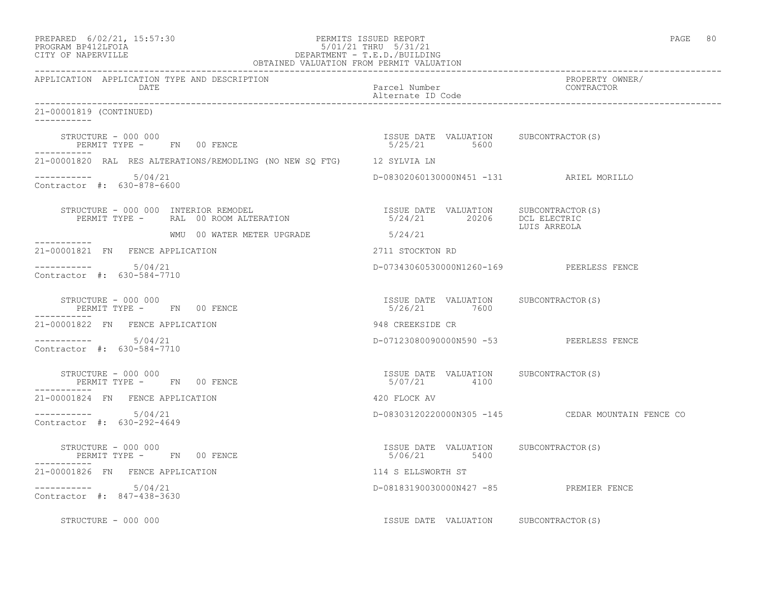| PREPARED | $6/02/21$ , $15:57:30$                                                                                                                                                                                                                                                                                                             |  |
|----------|------------------------------------------------------------------------------------------------------------------------------------------------------------------------------------------------------------------------------------------------------------------------------------------------------------------------------------|--|
|          | $\mathbb{R}$ $\mathbb{R}$ $\mathbb{R}$ $\mathbb{R}$ $\mathbb{R}$ $\mathbb{R}$ $\mathbb{R}$ $\mathbb{R}$ $\mathbb{R}$ $\mathbb{R}$ $\mathbb{R}$ $\mathbb{R}$ $\mathbb{R}$ $\mathbb{R}$ $\mathbb{R}$ $\mathbb{R}$ $\mathbb{R}$ $\mathbb{R}$ $\mathbb{R}$ $\mathbb{R}$ $\mathbb{R}$ $\mathbb{R}$ $\mathbb{R}$ $\mathbb{R}$ $\mathbb{$ |  |

# PREPARED 6/02/21, 15:57:30 PERMITS ISSUED REPORT<br>PROGRAM BP412LFOIA PAGE 80 PROGRAM BP412LFOIA 5/01/21 THRU 5/31/21 CITY OF NAPERVILLE DEPARTMENT - T.E.D./BUILDING

| OBTAINED VALUATION FROM PERMIT VALUATION                                                                                                                                                                                                                                                                             |                                                        |                                                   |
|----------------------------------------------------------------------------------------------------------------------------------------------------------------------------------------------------------------------------------------------------------------------------------------------------------------------|--------------------------------------------------------|---------------------------------------------------|
| APPLICATION APPLICATION TYPE AND DESCRIPTION<br>DATE                                                                                                                                                                                                                                                                 | Parcel Number<br>Alternate ID Code                     | PROPERTY OWNER/<br>CONTRACTOR                     |
| 21-00001819 (CONTINUED)                                                                                                                                                                                                                                                                                              |                                                        |                                                   |
| STRUCTURE - 000 000<br>STRUCTURE – 000 000<br>PERMIT TYPE – FN 00 FENCE – 1999 – 1999 – 1999 – 1999 – 1999 – 1999 – 1999 – 1999 – 1999 – 1999 – 1999 – 1999                                                                                                                                                          |                                                        |                                                   |
| 21-00001820 RAL RES ALTERATIONS/REMODLING (NO NEW SQ FTG) 12 SYLVIA LN                                                                                                                                                                                                                                               |                                                        |                                                   |
| $--------- 5/04/21$<br>Contractor #: 630-878-6600                                                                                                                                                                                                                                                                    | D-08302060130000N451 -131 ARIEL MORILLO                |                                                   |
| $\begin{array}{cccccccc} \texttt{STRUCTURE} & - & 000 & 000 & \texttt{INTERIOR} & \texttt{REMODEL} & & & & \\ \texttt{PERMIT TYPE} & - & \texttt{RAL} & 00 & \texttt{ROM} & \texttt{ALTERATION} & & & & \\ \texttt{PERMIT TYPE} & - & \texttt{RAL} & 00 & \texttt{ROM} & \texttt{ALTERATION} & & & & \\ \end{array}$ |                                                        | LUIS ARREOLA                                      |
|                                                                                                                                                                                                                                                                                                                      |                                                        |                                                   |
| 21-00001821 FN FENCE APPLICATION                                                                                                                                                                                                                                                                                     | 2711 STOCKTON RD                                       |                                                   |
| $--------- 5/04/21$<br>Contractor #: 630-584-7710                                                                                                                                                                                                                                                                    | D-07343060530000N1260-169 PEERLESS FENCE               |                                                   |
| STRUCTURE - 000 000<br>PERMIT TYPE -     FN   00 FENCE                                                                                                                                                                                                                                                               | ISSUE DATE VALUATION SUBCONTRACTOR(S)<br>5/26/21 7600  |                                                   |
| 21-00001822 FN FENCE APPLICATION                                                                                                                                                                                                                                                                                     | 948 CREEKSIDE CR                                       |                                                   |
| $--------- 5/04/21$<br>Contractor #: 630-584-7710                                                                                                                                                                                                                                                                    | D-07123080090000N590 -53 PEERLESS FENCE                |                                                   |
| $STRUCTURE = 000 000$<br>PERMIT TYPE - FN 00 FENCE                                                                                                                                                                                                                                                                   | ISSUE DATE VALUATION SUBCONTRACTOR(S)<br>5/07/21 4100  |                                                   |
| 21-00001824 FN FENCE APPLICATION                                                                                                                                                                                                                                                                                     | 420 FLOCK AV                                           |                                                   |
| $--------- 5/04/21$<br>Contractor #: 630-292-4649                                                                                                                                                                                                                                                                    |                                                        | D-08303120220000N305 -145 CEDAR MOUNTAIN FENCE CO |
| STRUCTURE - 000 000<br>PERMIT TYPE -      FN    00 FENCE                                                                                                                                                                                                                                                             | ISSUE DATE VALUATION SUBCONTRACTOR (S)<br>5/06/21 5400 |                                                   |
| 21-00001826 FN FENCE APPLICATION                                                                                                                                                                                                                                                                                     | 114 S ELLSWORTH ST                                     |                                                   |
| 5/04/21<br>Contractor #: 847-438-3630                                                                                                                                                                                                                                                                                | D-08183190030000N427 -85 PREMIER FENCE                 |                                                   |
| STRUCTURE - 000 000                                                                                                                                                                                                                                                                                                  | ISSUE DATE VALUATION SUBCONTRACTOR(S)                  |                                                   |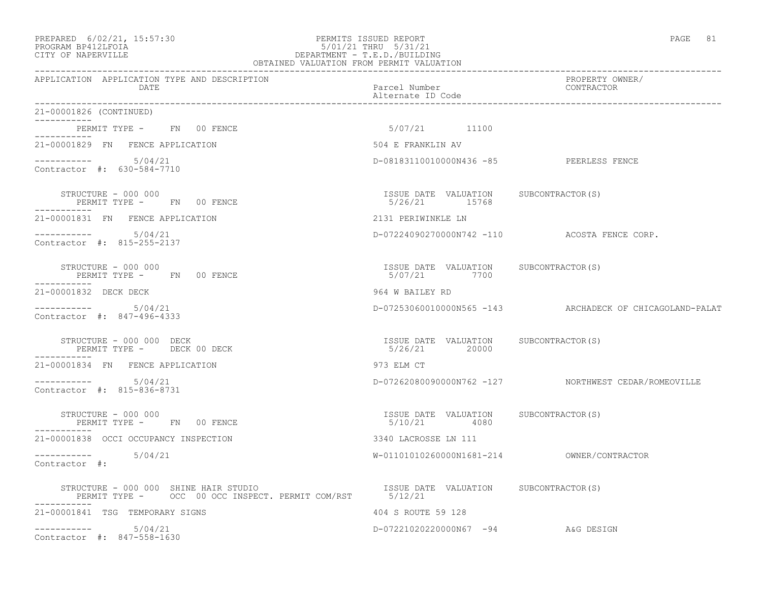## PREPARED 6/02/21, 15:57:30 PERMITS ISSUED REPORT PAGE 81 PROGRAM BP412LFOIA 5/01/21 THRU 5/31/21 CITY OF NAPERVILLE DEPARTMENT - T.E.D./BUILDING

| OBTAINED VALUATION FROM PERMIT VALUATION                                                                                                                                           |                                                        |                                                          |
|------------------------------------------------------------------------------------------------------------------------------------------------------------------------------------|--------------------------------------------------------|----------------------------------------------------------|
| APPLICATION APPLICATION TYPE AND DESCRIPTION<br>DATE                                                                                                                               | Parcel Number<br>Alternate ID Code                     | PROPERTY OWNER/<br>CONTRACTOR                            |
| 21-00001826 (CONTINUED)                                                                                                                                                            |                                                        |                                                          |
| PERMIT TYPE - FN 00 FENCE<br>-----------                                                                                                                                           | 5/07/21 11100                                          |                                                          |
| 21-00001829 FN FENCE APPLICATION                                                                                                                                                   | 504 E FRANKLIN AV                                      |                                                          |
| $--------- 5/04/21$<br>Contractor #: 630-584-7710                                                                                                                                  | D-08183110010000N436 -85 PEERLESS FENCE                |                                                          |
| STRUCTURE - 000 000<br>PERMIT TYPE - FN 00 FENCE                                                                                                                                   | ISSUE DATE VALUATION SUBCONTRACTOR(S)<br>5/26/21 15768 |                                                          |
| 21-00001831 FN FENCE APPLICATION                                                                                                                                                   | 2131 PERIWINKLE LN                                     |                                                          |
| $--------- 5/04/21$<br>Contractor #: 815-255-2137                                                                                                                                  |                                                        | D-07224090270000N742 -110 ACOSTA FENCE CORP.             |
| STRUCTURE - 000 000<br>PERMIT TYPE - FN 00 FENCE<br>-----------                                                                                                                    | ISSUE DATE VALUATION SUBCONTRACTOR(S)<br>5/07/21 7700  |                                                          |
| 21-00001832 DECK DECK                                                                                                                                                              | 964 W BAILEY RD                                        |                                                          |
| $--------- 5/04/21$<br>Contractor #: 847-496-4333                                                                                                                                  |                                                        | D-07253060010000N565 -143 ARCHADECK OF CHICAGOLAND-PALAT |
| STRUCTURE - 000 000 DECK<br>PERMIT TYPE - DECK 00 DECK                                                                                                                             | ISSUE DATE VALUATION SUBCONTRACTOR(S)<br>5/26/21 20000 |                                                          |
| 21-00001834 FN FENCE APPLICATION                                                                                                                                                   | 973 ELM CT                                             |                                                          |
| $--------- 5/04/21$<br>Contractor #: 815-836-8731                                                                                                                                  |                                                        | D-07262080090000N762 -127 NORTHWEST CEDAR/ROMEOVILLE     |
| STRUCTURE - 000 000<br>PERMIT TYPE - FN 00 FENCE                                                                                                                                   | ISSUE DATE VALUATION SUBCONTRACTOR(S)<br>5/10/21 4080  |                                                          |
| 21-00001838 OCCI OCCUPANCY INSPECTION                                                                                                                                              | 3340 LACROSSE LN 111                                   |                                                          |
| $--------- 5/04/21$<br>Contractor #:                                                                                                                                               |                                                        |                                                          |
| STRUCTURE - 000 000 SHINE HAIR STUDIO                             ISSUE DATE VALUATION     SUBCONTRACTOR(S)<br>PERMIT TYPE -     OCC  00 OCC INSPECT. PERMIT COM/RST       5/12/21 |                                                        |                                                          |
| 21-00001841 TSG TEMPORARY SIGNS                                                                                                                                                    | 404 S ROUTE 59 128                                     |                                                          |
| $--------- 5/04/21$<br>Contractor #: 847-558-1630                                                                                                                                  | D-07221020220000N67 -94 A&G DESIGN                     |                                                          |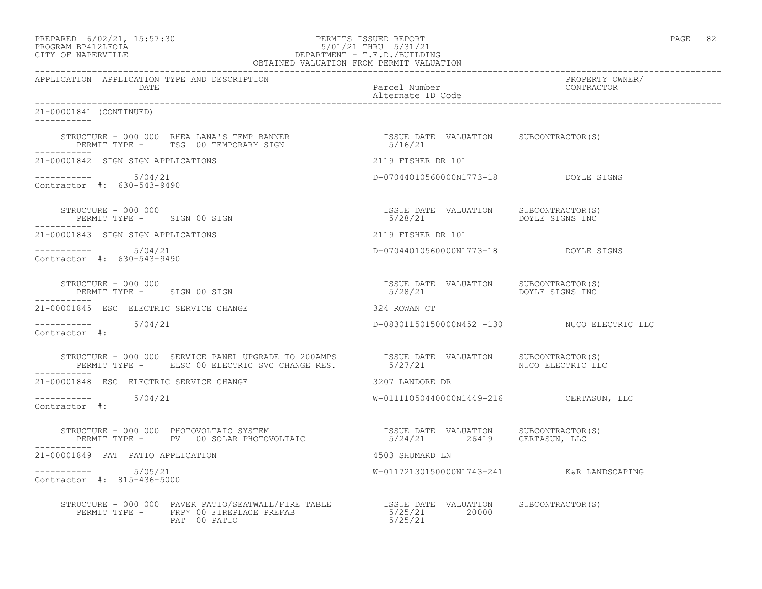# PREPARED 6/02/21, 15:57:30 PERMITS ISSUED REPORT PAGE 82 PROGRAM BP412LFOIA 5/01/21 THRU 5/31/21 CITY OF NAPERVILLE DEPARTMENT - T.E.D./BUILDING

|                                                      |                                                                                                                                                                                                                            | OBTAINED VALUATION FROM PERMIT VALUATION                         |                               |
|------------------------------------------------------|----------------------------------------------------------------------------------------------------------------------------------------------------------------------------------------------------------------------------|------------------------------------------------------------------|-------------------------------|
| APPLICATION APPLICATION TYPE AND DESCRIPTION<br>DATE |                                                                                                                                                                                                                            | Parcel Number<br>Alternate ID Code                               | PROPERTY OWNER/<br>CONTRACTOR |
| 21-00001841 (CONTINUED)                              |                                                                                                                                                                                                                            |                                                                  |                               |
| -----------                                          | STRUCTURE – 000 000 RHEA LANA'S TEMP BANNER                         ISSUE DATE VALUATION     SUBCONTRACTOR(S)<br>PERMIT TYPE –      TSG  00 TEMPORARY SIGN                                5/16/21                          |                                                                  |                               |
| 21-00001842 SIGN SIGN APPLICATIONS                   |                                                                                                                                                                                                                            | 2119 FISHER DR 101                                               |                               |
| Contractor #: 630-543-9490                           |                                                                                                                                                                                                                            | D-07044010560000N1773-18 DOYLE SIGNS                             |                               |
|                                                      | STRUCTURE - 000 000<br>PERMIT TYPE - SIGN 00 SIGN                                                                                                                                                                          | ISSUE DATE VALUATION SUBCONTRACTOR(S)<br>5/28/21 DOYLE SIGNS INC |                               |
| 21-00001843 SIGN SIGN APPLICATIONS                   |                                                                                                                                                                                                                            | 2119 FISHER DR 101                                               |                               |
| $--------- 5/04/21$<br>Contractor #: 630-543-9490    |                                                                                                                                                                                                                            | D-07044010560000N1773-18 DOYLE SIGNS                             |                               |
| ___________                                          | STRUCTURE - 000 000<br>PERMIT TYPE - SIGN 00 SIGN                                                                                                                                                                          | ISSUE DATE VALUATION SUBCONTRACTOR(S)<br>5/28/21 DOYLE SIGNS INC |                               |
| 21-00001845 ESC ELECTRIC SERVICE CHANGE              |                                                                                                                                                                                                                            | 324 ROWAN CT                                                     |                               |
| $--------- 5/04/21$<br>Contractor #:                 |                                                                                                                                                                                                                            | D-08301150150000N452 -130 NUCO ELECTRIC LLC                      |                               |
|                                                      | STRUCTURE – 000 000 SERVICE PANEL UPGRADE TO 200AMPS         ISSUE DATE VALUATION     SUBCONTRACTOR(S)<br>PERMIT TYPE –      ELSC 00 ELECTRIC SVC CHANGE RES.             5/27/21                        NUCO ELECTRIC LLC |                                                                  |                               |
| 21-00001848 ESC ELECTRIC SERVICE CHANGE              |                                                                                                                                                                                                                            | 3207 LANDORE DR                                                  |                               |
| $--------- 5/04/21$<br>Contractor #:                 |                                                                                                                                                                                                                            | W-01111050440000N1449-216 CERTASUN, LLC                          |                               |
|                                                      | STRUCTURE – 000 000 PHOTOVOLTAIC SYSTEM                            ISSUE DATE VALUATION     SUBCONTRACTOR(S)<br>PERMIT TYPE –     PV  00 SOLAR PHOTOVOLTAIC                    5/24/21       26419     CERTASUN, LLC       |                                                                  |                               |
| 21-00001849 PAT PATIO APPLICATION                    |                                                                                                                                                                                                                            | 4503 SHUMARD LN                                                  |                               |
| $--------- 5/05/21$<br>Contractor #: 815-436-5000    |                                                                                                                                                                                                                            | W-01172130150000N1743-241 K&R LANDSCAPING                        |                               |
|                                                      | STRUCTURE - 000 000 PAVER PATIO/SEATWALL/FIRE TABLE TABLE TSUE DATE VALUATION SUBCONTRACTOR(S)<br>PERMIT TYPE - FRP* 00 FIREPLACE PREFAB<br>PAT 00 PATIO                                                                   | 5/25/21 20000<br>5/25/21                                         |                               |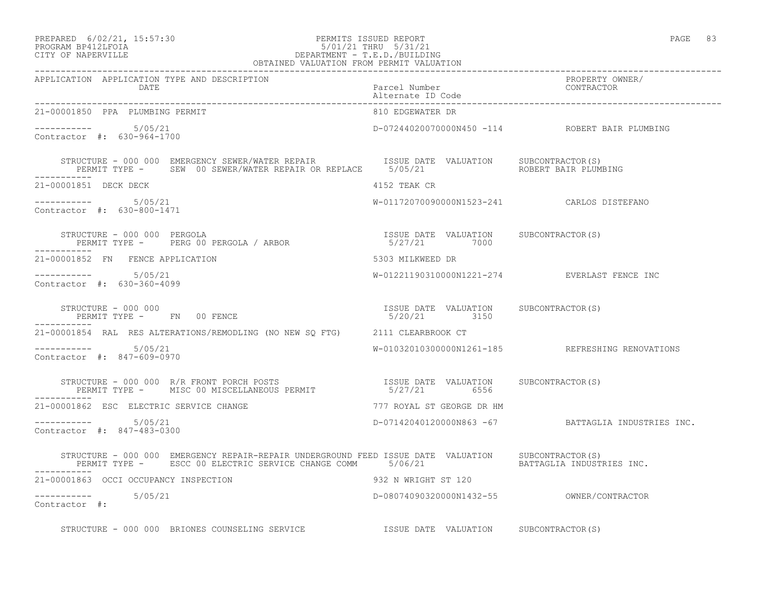## PREPARED 6/02/21, 15:57:30 PERMITS ISSUED REPORT PAGE 83 PROGRAM BP412LFOIA 5/01/21 THRU 5/31/21 CITY OF NAPERVILLE DEPARTMENT - T.E.D./BUILDING

|                                                      | OBTAINED VALUATION FROM PERMIT VALUATION                                                                                                                                                                                        |                                    |                                                       |
|------------------------------------------------------|---------------------------------------------------------------------------------------------------------------------------------------------------------------------------------------------------------------------------------|------------------------------------|-------------------------------------------------------|
| APPLICATION APPLICATION TYPE AND DESCRIPTION<br>DATE |                                                                                                                                                                                                                                 | Parcel Number<br>Alternate ID Code | PROPERTY OWNER/<br>CONTRACTOR                         |
| 21-00001850 PPA PLUMBING PERMIT                      |                                                                                                                                                                                                                                 | 810 EDGEWATER DR                   |                                                       |
| ----------- 5/05/21<br>Contractor #: 630-964-1700    |                                                                                                                                                                                                                                 |                                    | D-07244020070000N450 -114 ROBERT BAIR PLUMBING        |
| ------------                                         | STRUCTURE - 000 000 EMERGENCY SEWER/WATER REPAIR               ISSUE DATE VALUATION       SUBCONTRACTOR(S)<br>PERMIT TYPE -       SEW  00 SEWER/WATER REPAIR OR REPLACE      5/05/21                       ROBERT BAIR PLUMBING |                                    |                                                       |
| 21-00001851 DECK DECK                                |                                                                                                                                                                                                                                 | 4152 TEAK CR                       |                                                       |
| $--------- 5/05/21$<br>Contractor #: 630-800-1471    |                                                                                                                                                                                                                                 |                                    | W-01172070090000N1523-241 CARLOS DISTEFANO            |
| -----------                                          | SINUCIURE – UUU UUU PERGOLA (ARBOR 1SSUE DATE VALUATION SUBCONTRACTOR (S)                                                                                                                                                       |                                    |                                                       |
| 21-00001852 FN FENCE APPLICATION                     |                                                                                                                                                                                                                                 | 5303 MILKWEED DR                   |                                                       |
| ----------- 5/05/21<br>Contractor #: 630-360-4099    |                                                                                                                                                                                                                                 |                                    | W-01221190310000N1221-274 EVERLAST FENCE INC          |
| STRUCTURE - 000 000                                  | PERMIT TYPE - FN 00 FENCE                                                                                                                                                                                                       |                                    | ISSUE DATE VALUATION SUBCONTRACTOR(S)<br>5/20/21 3150 |
|                                                      | 21-00001854 RAL RES ALTERATIONS/REMODLING (NO NEW SQ FTG) 2111 CLEARBROOK CT                                                                                                                                                    |                                    |                                                       |
| $--------- 5/05/21$<br>Contractor #: 847-609-0970    |                                                                                                                                                                                                                                 |                                    | W-01032010300000N1261-185 REFRESHING RENOVATIONS      |
|                                                      | STRUCTURE – 000 000 R/R FRONT PORCH POSTS<br>PERMIT TYPE – MISC 00 MISCELLANEOUS PERMIT                         5/27/21          6556                                                                                           |                                    |                                                       |
|                                                      | 21-00001862 ESC ELECTRIC SERVICE CHANGE                                                                                                                                                                                         | 777 ROYAL ST GEORGE DR HM          |                                                       |
| $--------$ 5/05/21<br>Contractor #: 847-483-0300     |                                                                                                                                                                                                                                 |                                    | $D-07142040120000N863 -67$ BATTAGLIA INDUSTRIES INC.  |
|                                                      | STRUCTURE - 000 000 EMERGENCY REPAIR-REPAIR UNDERGROUND FEED ISSUE DATE VALUATION SUBCONTRACTOR(S)                                                                                                                              |                                    |                                                       |
| 21-00001863 OCCI OCCUPANCY INSPECTION                | 932 N WRIGHT ST 120                                                                                                                                                                                                             |                                    |                                                       |
| $--------$<br>Contractor #: 5/05/21                  |                                                                                                                                                                                                                                 |                                    |                                                       |
|                                                      | STRUCTURE - 000 000 BRIONES COUNSELING SERVICE TSSUE DATE VALUATION SUBCONTRACTOR(S)                                                                                                                                            |                                    |                                                       |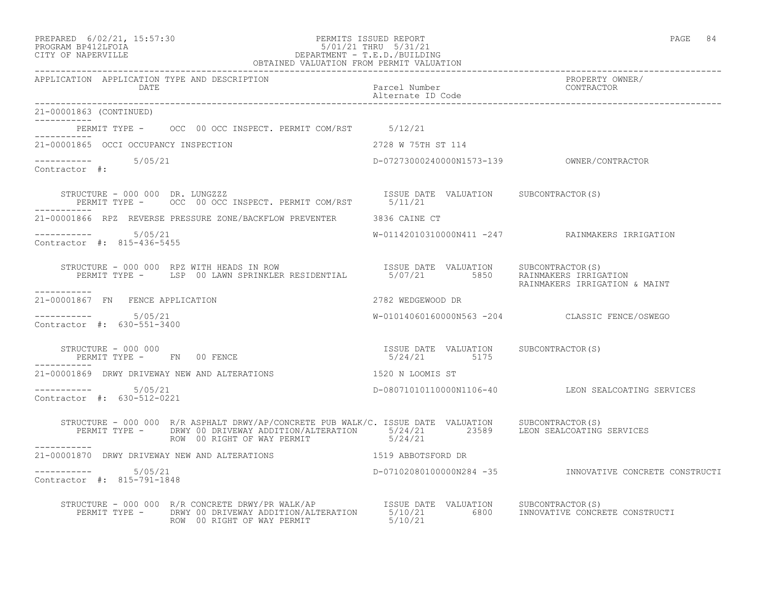| PREPARED | $6/02/21$ , $15:57:30$ |  |
|----------|------------------------|--|
| -------- |                        |  |

#### PREPARED 6/02/21, 15:57:30 PERMITS ISSUED REPORT<br>PROGRAM BP412LFOIA PAGE 84 PROGRAM BP412LFOIA 5/01/21 THRU 5/31/21 CITY OF NAPERVILLE DEPARTMENT - T.E.D./BUILDING OBTAINED VALUATION FROM PERMIT VALUATION

| 21-00001863 (CONTINUED)                                                                                                                                                                                                        |                                                       |                                                         |
|--------------------------------------------------------------------------------------------------------------------------------------------------------------------------------------------------------------------------------|-------------------------------------------------------|---------------------------------------------------------|
| PERMIT TYPE - OCC 00 OCC INSPECT. PERMIT COM/RST 5/12/21                                                                                                                                                                       |                                                       |                                                         |
| 21-00001865 OCCI OCCUPANCY INSPECTION                                                                                                                                                                                          | 2728 W 75TH ST 114                                    |                                                         |
| $--------- 5/05/21$<br>Contractor #:                                                                                                                                                                                           |                                                       |                                                         |
| STRUCTURE - 000 000 DR. LUNGZZZ<br>PERMIT TYPE - OCC 00 OCC INSPECT. PERMIT COM/RST 5/11/21<br>------------                                                                                                                    |                                                       |                                                         |
| 21-00001866 RPZ REVERSE PRESSURE ZONE/BACKFLOW PREVENTER 3836 CAINE CT                                                                                                                                                         |                                                       |                                                         |
| $--------- 5/05/21$<br>Contractor #: 815-436-5455                                                                                                                                                                              |                                                       | W-01142010310000N411 -247 RAINMAKERS IRRIGATION         |
| STRUCTURE - 000 000 RPZ WITH HEADS IN ROW [ISSUE DATE VALUATION SUBCONTRACTOR(S)<br>PERMIT TYPE - LSP 00 LAWN SPRINKLER RESIDENTIAL 5/07/21 5850 RAINMAKERS IRRIGATION                                                         |                                                       | RAINMAKERS IRRIGATION & MAINT                           |
| -----------<br>21-00001867 FN FENCE APPLICATION                                                                                                                                                                                | 2782 WEDGEWOOD DR                                     |                                                         |
| Contractor #: 630-551-3400                                                                                                                                                                                                     |                                                       | W-01014060160000N563 -204 CLASSIC FENCE/OSWEGO          |
| STRUCTURE - 000 000<br>STRUCTURE - UUU UUU<br>PERMIT TYPE -     FN   00 FENCE                                                                                                                                                  | ISSUE DATE VALUATION SUBCONTRACTOR(S)<br>5/24/21 5175 |                                                         |
| 21-00001869 DRWY DRIVEWAY NEW AND ALTERATIONS THE RESOLUTION ON LOOMIS ST                                                                                                                                                      |                                                       |                                                         |
| $--------- 5/05/21$<br>Contractor #: 630-512-0221                                                                                                                                                                              |                                                       | D-08071010110000N1106-40 LEON SEALCOATING SERVICES      |
| STRUCTURE - 000 000 R/R ASPHALT DRWY/AP/CONCRETE PUB WALK/C. ISSUE DATE VALUATION SUBCONTRACTOR(S)<br>PERMIT TYPE - DRWY 00 DRIVEWAY ADDITION/ALTERATION 5/24/21 23589 LEON SEALCOATING SERVICES<br>ROW 00 RIGHT OF WAY PERMIT | 5/24/21                                               |                                                         |
| 21-00001870 DRWY DRIVEWAY NEW AND ALTERATIONS THE RESERVE STATE STARBOTSFORD DR                                                                                                                                                |                                                       |                                                         |
| ----------- 5/05/21<br>Contractor #: 815-791-1848                                                                                                                                                                              |                                                       | D-07102080100000N284 -35 INNOVATIVE CONCRETE CONSTRUCTI |
| STRUCTURE - 000 000 R/R CONCRETE DRWY/PR WALK/AP<br>PERMIT TYPE - DRWY 00 DRIVEWAY ADDITION/ALTERATION 5/10/21 6800 INNOVATIVE CONCRETE CONSTRUCTI<br>ROW 00 RIGHT OF WAY PERMIT S/10/21 5/10/21                               |                                                       |                                                         |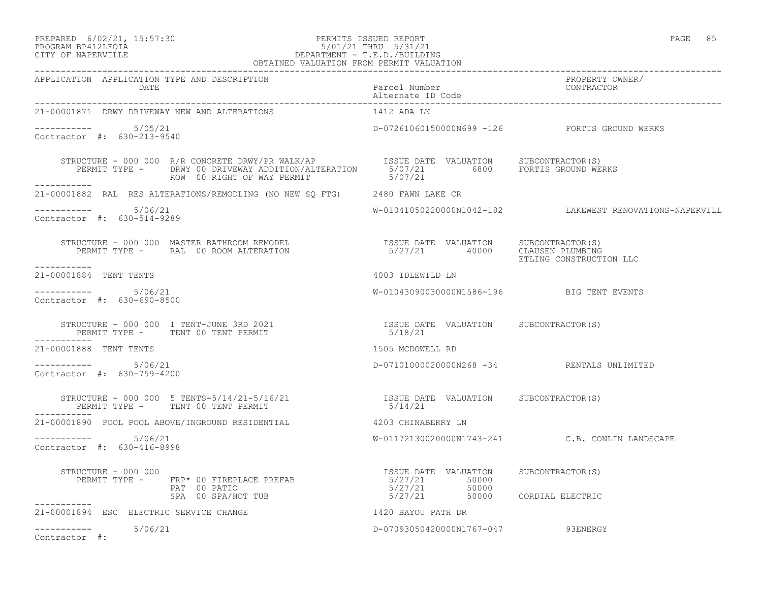#### PREPARED 6/02/21, 15:57:30 PERMITS ISSUED REPORT PAGE 85 PROGRAM BP412LFOIA 5/01/21 THRU 5/31/21 CITY OF NAPERVILLE DEPARTMENT - T.E.D./BUILDING OBTAINED VALUATION FROM PERMIT VALUATION

| APPLICATION APPLICATION TYPE AND DESCRIPTION                                                                                                                                                                                                                                                                                                                                                                                                            |                                           | PROPERTY OWNER/<br>CONTRACTOR                            |
|---------------------------------------------------------------------------------------------------------------------------------------------------------------------------------------------------------------------------------------------------------------------------------------------------------------------------------------------------------------------------------------------------------------------------------------------------------|-------------------------------------------|----------------------------------------------------------|
| 21-00001871 DRWY DRIVEWAY NEW AND ALTERATIONS                                                                                                                                                                                                                                                                                                                                                                                                           | 1412 ADA LN                               |                                                          |
| $--------- 5/05/21$<br>Contractor #: 630-213-9540                                                                                                                                                                                                                                                                                                                                                                                                       |                                           | D-07261060150000N699 -126 FORTIS GROUND WERKS            |
|                                                                                                                                                                                                                                                                                                                                                                                                                                                         |                                           |                                                          |
| 21-00001882 RAL RES ALTERATIONS/REMODLING (NO NEW SQ FTG) 2480 FAWN LAKE CR                                                                                                                                                                                                                                                                                                                                                                             |                                           |                                                          |
| $--------- 5/06/21$<br>Contractor #: 630-514-9289                                                                                                                                                                                                                                                                                                                                                                                                       |                                           | W-01041050220000N1042-182 LAKEWEST RENOVATIONS-NAPERVILL |
| STRUCTURE – 000 000 MASTER BATHROOM REMODEL                          ISSUE DATE VALUATION    SUBCONTRACTOR(S)<br>PERMIT TYPE –      RAL  00 ROOM ALTERATION                          5/27/21       40000    CLAUSEN PLUMBING<br>------------                                                                                                                                                                                                            |                                           | ETLING CONSTRUCTION LLC                                  |
| 21-00001884 TENT TENTS                                                                                                                                                                                                                                                                                                                                                                                                                                  | 4003 IDLEWILD LN                          |                                                          |
| $--------- 5/06/21$<br>Contractor #: 630-690-8500                                                                                                                                                                                                                                                                                                                                                                                                       | W-01043090030000N1586-196 BIG TENT EVENTS |                                                          |
|                                                                                                                                                                                                                                                                                                                                                                                                                                                         |                                           |                                                          |
| 21-00001888 TENT TENTS                                                                                                                                                                                                                                                                                                                                                                                                                                  | 1505 MCDOWELL RD                          |                                                          |
| $--------- 5/06/21$<br>Contractor #: 630-759-4200                                                                                                                                                                                                                                                                                                                                                                                                       |                                           | D-07101000020000N268 -34 RENTALS UNLIMITED               |
| $\begin{array}{cccc} \texttt{STRUCTURE} & - & 000 & 000 & 5 & \texttt{TENTS} -5/14/21 -5/16/21 & & & & & & \\ \texttt{PERMIT TYPE} & - & & \texttt{TENT } & 00 & \texttt{TENT} & \texttt{PERMIT} & & & & \\ \end{array}$<br>PERMIT TYPE - TENT 00 TENT PERMIT<br>-----------                                                                                                                                                                            |                                           |                                                          |
| 21-00001890 POOL POOL ABOVE/INGROUND RESIDENTIAL                                                                                                                                                                                                                                                                                                                                                                                                        | 4203 CHINABERRY LN                        |                                                          |
| $--------- 5/06/21$<br>Contractor #: 630-416-8998                                                                                                                                                                                                                                                                                                                                                                                                       |                                           | W-01172130020000N1743-241 C.B. CONLIN LANDSCAPE          |
| $\begin{array}{cccc} \texttt{STRUCTURE} & - & 000 & 000 \\ \texttt{PERMIT TYPE} & - & \texttt{FRP*} & 00 & \texttt{FIREPLACE} & \texttt{PREFAB} \\ \texttt{PERMIT TYPE} & - & \texttt{FRP*} & 00 & \texttt{PATHO} \\ \texttt{PAT} & 00 & \texttt{PATIO} \\ \texttt{SPA} & 00 & \texttt{SPA/HOT} & \texttt{TUB} \\ \texttt{SPA} & 00 & \texttt{SPA/HOT} & \texttt{TUB} \\ \end{array} \qquad \begin{array}{cccc} \texttt{ISSUE} & \texttt{DATE} & \text$ |                                           |                                                          |
| -----------                                                                                                                                                                                                                                                                                                                                                                                                                                             |                                           |                                                          |
| 21-00001894 ESC ELECTRIC SERVICE CHANGE                                                                                                                                                                                                                                                                                                                                                                                                                 | 1420 BAYOU PATH DR                        |                                                          |
| $--------- 5/06/21$<br>Contractor #:                                                                                                                                                                                                                                                                                                                                                                                                                    | D-07093050420000N1767-047 93ENERGY        |                                                          |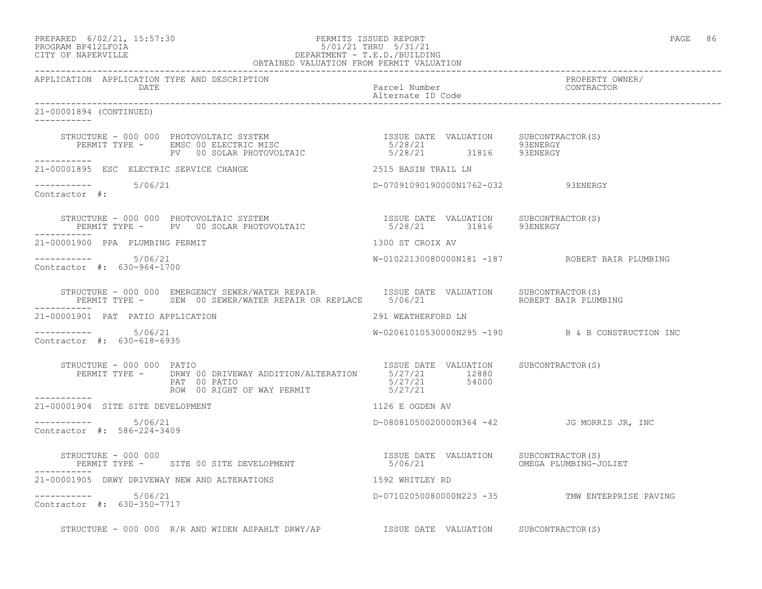#### PREPARED 6/02/21, 15:57:30 PERMITS ISSUED REPORT PAGE 86 PROGRAM BP412LFOIA 5/01/21 THRU 5/31/21 CITY OF NAPERVILLE DEPARTMENT - T.E.D./BUILDING OBTAINED VALUATION FROM PERMIT VALUATION

------------------------------------------------------------------------------------------------------------------------------------ APPLICATION APPLICATION TYPE AND DESCRIPTION PROPERTY OWNER/ DATE **Parcel Number** Parcel Number Alternate ID Code ------------------------------------------------------------------------------------------------------------------------------------ 21-00001894 (CONTINUED) ----------- STRUCTURE - 000 000 PHOTOVOLTAIC SYSTEM ISSUE DATE VALUATION SUBCONTRACTOR(S) PERMIT TYPE - EMSC 00 ELECTRIC MISC 65/28/21 5/28/21 PV 00 SOLAR PHOTOVOLTAIC 5/28/21 31816 93ENERGY ----------- 21-00001895 ESC ELECTRIC SERVICE CHANGE 2515 BASIN TRAIL LN  $--------- 5/06/21$ D-07091090190000N1762-032 93ENERGY Contractor #: STRUCTURE - 000 000 PHOTOVOLTAIC SYSTEM ISSUE DATE VALUATION SUBCONTRACTOR(S) PERMIT TYPE - PV 00 SOLAR PHOTOVOLTAIC 65/28/21 31816 93ENERGY ----------- 21-00001900 PPA PLUMBING PERMIT 1300 ST CROIX AV ----------- 5/06/21 W-01022130080000N181 -187 ROBERT BAIR PLUMBING Contractor #: 630-964-1700 STRUCTURE - 000 000 EMERGENCY SEWER/WATER REPAIR **ISSUE DATE VALUATION** SUBCONTRACTOR(S) PERMIT TYPE - SEW 00 SEWER/WATER REPAIR OR REPLACE 5/06/21 ROBERT BAIR PLUMBING ----------- 21-00001901 PAT PATIO APPLICATION 291 WEATHERFORD LN ----------- 5/06/21 W-02061010530000N295 -190 B & B CONSTRUCTION INC Contractor #: 630-618-6935 STRUCTURE - 000 000 PATIO **ISSUE DATE** VALUATION SUBCONTRACTOR(S) PERMIT TYPE - DRWY 00 DRIVEWAY ADDITION/ALTERATION 5/27/21 12880<br>PAT 00 PATIO 5/27/21 54000 PAT 00 PATIO 5/27/21 54000 ROW 00 RIGHT OF WAY PERMIT 6/27/21 ----------- 21-00001904 SITE SITE DEVELOPMENT 1126 E OGDEN AV ---------------------- 5/06/21 D-08081050020000N364 -42 JG MORRIS JR, INC Contractor #: 586-224-3409 STRUCTURE - 000 000 ISSUE DATE VALUATION SUBCONTRACTOR(S) PERMIT TYPE - SITE 00 SITE DEVELOPMENT ----------- 21-00001905 DRWY DRIVEWAY NEW AND ALTERATIONS 1592 WHITLEY RD ----------- 5/06/21 D-07102050080000N223 -35 TMW ENTERPRISE PAVING Contractor #: 630-350-7717 STRUCTURE - 000 000 R/R AND WIDEN ASPAHLT DRWY/AP ISSUE DATE VALUATION SUBCONTRACTOR(S)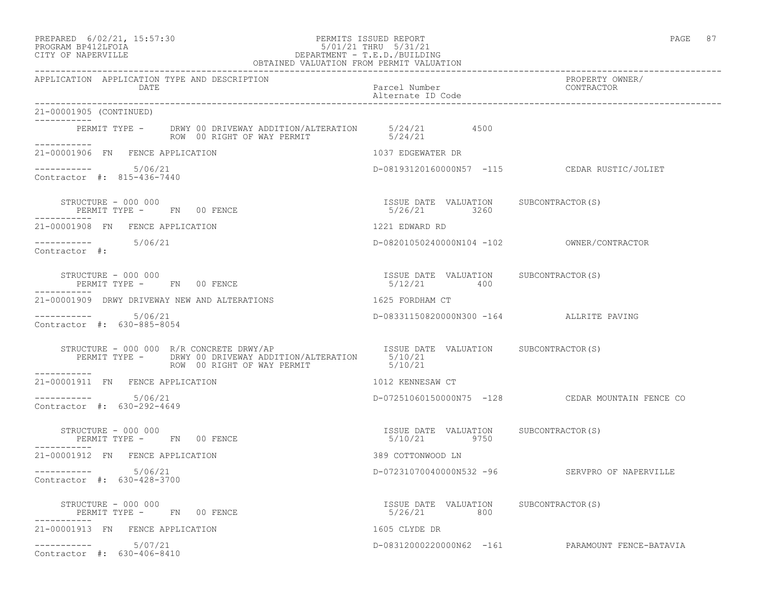## PREPARED 6/02/21, 15:57:30 PERMITS ISSUED REPORT PAGE 87 PROGRAM BP412LFOIA 5/01/21 THRU 5/31/21 CITY OF NAPERVILLE DEPARTMENT - T.E.D./BUILDING

| OBTAINED VALUATION FROM PERMIT VALUATION                                                                                                                                                                 |                                                        |                                                  |
|----------------------------------------------------------------------------------------------------------------------------------------------------------------------------------------------------------|--------------------------------------------------------|--------------------------------------------------|
| APPLICATION APPLICATION TYPE AND DESCRIPTION<br>DATE                                                                                                                                                     | Parcel Number<br>Alternate ID Code                     | PROPERTY OWNER/<br>CONTRACTOR                    |
| 21-00001905 (CONTINUED)<br>------------                                                                                                                                                                  |                                                        |                                                  |
| PERMIT TYPE - DRWY 00 DRIVEWAY ADDITION/ALTERATION 5/24/21 4500<br>ROW 00 RIGHT OF WAY PERMIT 5/24/21<br>___________                                                                                     |                                                        |                                                  |
| 21-00001906 FN FENCE APPLICATION                                                                                                                                                                         | 1037 EDGEWATER DR                                      |                                                  |
| $--------- 5/06/21$<br>Contractor #: 815-436-7440                                                                                                                                                        |                                                        | D-08193120160000N57 -115 CEDAR RUSTIC/JOLIET     |
| STRUCTURE - 000 000<br>PERMIT TYPE - FN 00 FENCE                                                                                                                                                         | ISSUE DATE VALUATION SUBCONTRACTOR(S)<br>5/26/21 3260  |                                                  |
| 21-00001908 FN FENCE APPLICATION                                                                                                                                                                         | 1221 EDWARD RD                                         |                                                  |
| $--------- 5/06/21$<br>Contractor #:                                                                                                                                                                     |                                                        |                                                  |
| STRUCTURE - 000 000<br>PERMIT TYPE - FN 00 FENCE                                                                                                                                                         | ISSUE DATE VALUATION SUBCONTRACTOR(S)<br>$5/12/21$ 400 |                                                  |
| 21-00001909 DRWY DRIVEWAY NEW AND ALTERATIONS                                                                                                                                                            | 1625 FORDHAM CT                                        |                                                  |
| $--------- 5/06/21$<br>Contractor #: 630-885-8054                                                                                                                                                        | D-08331150820000N300 -164 ALLRITE PAVING               |                                                  |
| STRUCTURE - 000 000 R/R CONCRETE DRWY/AP<br>PERMIT TYPE - DRWY 00 DRIVEWAY ADDITION/ALTERATION 5/10/21<br>ROW 00 RIGHT OF WAY PERMIT 5/10/21<br>STRUCTURE - 000 000 R/R CONCRETE DRWY/AP<br>------------ |                                                        |                                                  |
| 21-00001911 FN FENCE APPLICATION                                                                                                                                                                         | 1012 KENNESAW CT                                       |                                                  |
| 5/06/21<br>Contractor #: 630-292-4649                                                                                                                                                                    |                                                        | D-07251060150000N75 -128 CEDAR MOUNTAIN FENCE CO |
| STRUCTURE - 000 000<br>PERMIT TYPE - FN 00 FENCE                                                                                                                                                         | ISSUE DATE VALUATION SUBCONTRACTOR(S)<br>5/10/21 9750  |                                                  |
| 21-00001912 FN FENCE APPLICATION                                                                                                                                                                         | 389 COTTONWOOD LN                                      |                                                  |
| ----------- 5/06/21<br>Contractor #: 630-428-3700                                                                                                                                                        |                                                        | D-07231070040000N532 -96 SERVPRO OF NAPERVILLE   |
| STRUCTURE - 000 000<br>PERMIT TYPE - FN 00 FENCE                                                                                                                                                         | ISSUE DATE VALUATION SUBCONTRACTOR(S)<br>5/26/21 800   |                                                  |
| 21-00001913 FN FENCE APPLICATION                                                                                                                                                                         | 1605 CLYDE DR                                          |                                                  |
| 5/07/21<br>___________<br>Contractor #: 630-406-8410                                                                                                                                                     |                                                        | D-08312000220000N62 -161 PARAMOUNT FENCE-BATAVIA |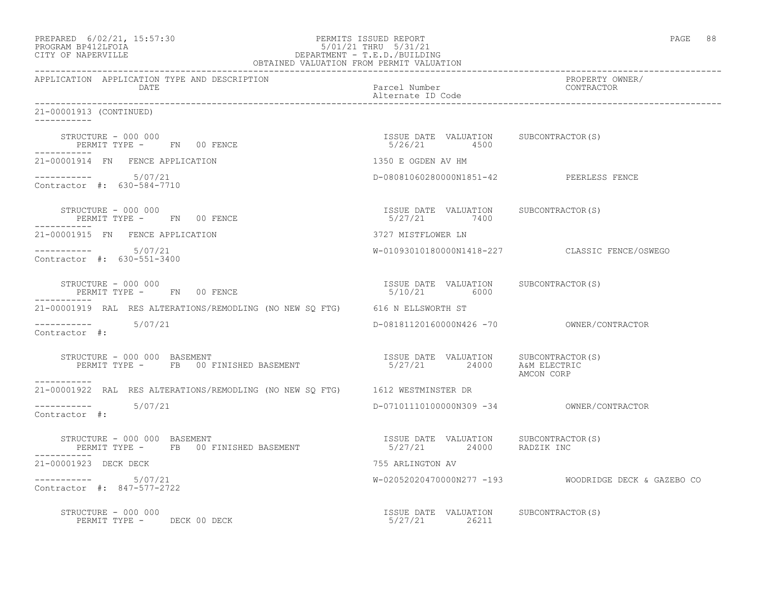| PREPARED 6/02/21, 15:57:30<br>PROGRAM BP412LFOIA 57:30<br>CITY OF NAPERVILLE DEPARTMENT - T.E.D./BUILDING<br>OBTAINED VALUATION FROM PERMIT VALUATION<br>OBTAINED VALUATION FROM PERMIT VALUATION |                                                                     | PAGE 88                                              |
|---------------------------------------------------------------------------------------------------------------------------------------------------------------------------------------------------|---------------------------------------------------------------------|------------------------------------------------------|
| APPLICATION APPLICATION TYPE AND DESCRIPTION<br>DATE                                                                                                                                              | Parcel Number<br>Alternate ID Code                                  | PROPERTY OWNER/<br>CONTRACTOR                        |
| 21-00001913 (CONTINUED)                                                                                                                                                                           |                                                                     |                                                      |
| STRUCTURE - 000 000<br>PERMIT TYPE - FN 00 FENCE                                                                                                                                                  | ISSUE DATE VALUATION SUBCONTRACTOR(S)<br>5/26/21 4500               |                                                      |
| 21-00001914 FN FENCE APPLICATION                                                                                                                                                                  | 1350 E OGDEN AV HM                                                  |                                                      |
| $--------$ 5/07/21<br>Contractor #: 630-584-7710                                                                                                                                                  | D-08081060280000N1851-42 PEERLESS FENCE                             |                                                      |
| STRUCTURE - 000 000<br>PERMIT TYPE - FN 00 FENCE                                                                                                                                                  | ISSUE DATE VALUATION SUBCONTRACTOR(S)<br>5/27/21 7400               |                                                      |
| 21-00001915 FN FENCE APPLICATION                                                                                                                                                                  | 3727 MISTFLOWER LN                                                  |                                                      |
| $--------- 5/07/21$<br>Contractor #: 630-551-3400                                                                                                                                                 |                                                                     | W-01093010180000N1418-227 CLASSIC FENCE/OSWEGO       |
| STRUCTURE - 000 000<br>PERMIT TYPE - FN 00 FENCE                                                                                                                                                  | ISSUE DATE VALUATION SUBCONTRACTOR(S)<br>5/10/21 6000               |                                                      |
| 21-00001919 RAL RES ALTERATIONS/REMODLING (NO NEW SQ FTG) 616 N ELLSWORTH ST                                                                                                                      |                                                                     |                                                      |
| $--------- 5/07/21$<br>Contractor #:                                                                                                                                                              |                                                                     |                                                      |
| STRUCTURE - 000 000 BASEMENT<br>PERMIT TYPE - FB 00 FINISHED BASEMENT<br>-----------                                                                                                              | ISSUE DATE VALUATION SUBCONTRACTOR(S)<br>5/27/21 24000 A&M ELECTRIC | AMCON CORP                                           |
| 21-00001922 RAL RES ALTERATIONS/REMODLING (NO NEW SQ FTG) 1612 WESTMINSTER DR                                                                                                                     |                                                                     |                                                      |
| $--------- 5/07/21$<br>Contractor #:                                                                                                                                                              |                                                                     |                                                      |
| STRUCTURE - 000 000 BASEMENT<br>PERMIT TYPE - FB 00 FINISHED BASEMENT<br>-----------                                                                                                              | ISSUE DATE VALUATION SUBCONTRACTOR(S)<br>5/27/21 24000 RADZIK INC   |                                                      |
| 21-00001923 DECK DECK                                                                                                                                                                             | 755 ARLINGTON AV                                                    |                                                      |
| $--------- 5/07/21$<br>Contractor #: 847-577-2722                                                                                                                                                 |                                                                     | W-02052020470000N277 -193 WOODRIDGE DECK & GAZEBO CO |
| STRUCTURE - 000 000<br>PERMIT TYPE - DECK 00 DECK                                                                                                                                                 | ISSUE DATE VALUATION SUBCONTRACTOR(S)<br>5/27/21 26211              |                                                      |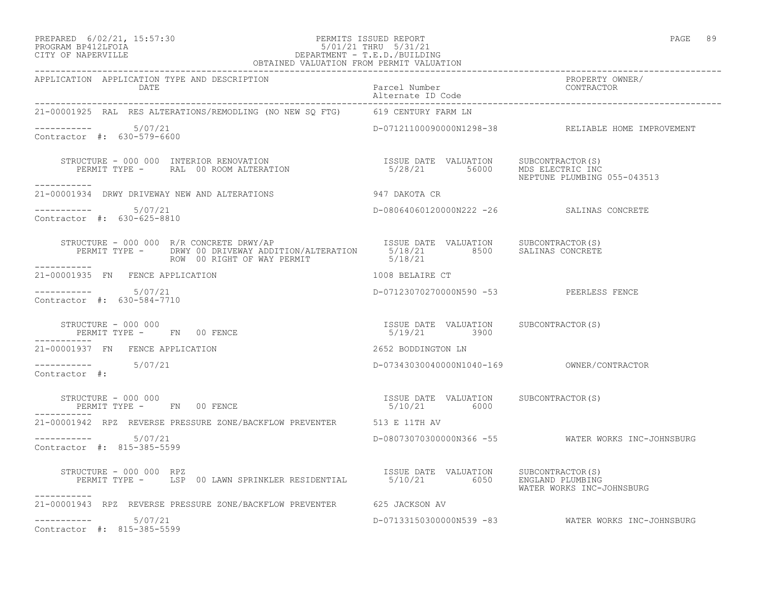## PREPARED 6/02/21, 15:57:30 PERMITS ISSUED REPORT PAGE 89 PROGRAM BP412LFOIA 5/01/21 THRU 5/31/21 CITY OF NAPERVILLE DEPARTMENT - T.E.D./BUILDING

| OBTAINED VALUATION FROM PERMIT VALUATION                                                                                      |                                                                       |                                                    |
|-------------------------------------------------------------------------------------------------------------------------------|-----------------------------------------------------------------------|----------------------------------------------------|
| APPLICATION APPLICATION TYPE AND DESCRIPTION<br>DATE                                                                          | Parcel Number<br>Alternate ID Code and CONTRACTOR                     | PROPERTY OWNER/                                    |
| 21-00001925 RAL RES ALTERATIONS/REMODLING (NO NEW SO FTG) 619 CENTURY FARM LN                                                 |                                                                       |                                                    |
| ---------- 5/07/21<br>Contractor #: 630-579-6600                                                                              |                                                                       | D-07121100090000N1298-38 RELIABLE HOME IMPROVEMENT |
| STRUCTURE – 000 000 INTERIOR RENOVATION<br>PERMIT TYPE – RAL 00 ROOM ALTERATION 1990 1990 1991 1992/21 56000 MDS ELECTRIC INC |                                                                       | NEPTUNE PLUMBING 055-043513                        |
| -----------<br>21-00001934 DRWY DRIVEWAY NEW AND ALTERATIONS 947 DAKOTA CR                                                    |                                                                       |                                                    |
| ----------- 5/07/21<br>Contractor #: 630-625-8810                                                                             | D-08064060120000N222 -26 SALINAS CONCRETE                             |                                                    |
|                                                                                                                               |                                                                       |                                                    |
| 21-00001935 $\,$ FN $\,$ FENCE APPLICATION $\,$ 1008 BELAIRE CT                                                               |                                                                       |                                                    |
| $--------- 5/07/21$<br>Contractor #: 630-584-7710                                                                             | D-07123070270000N590 -53 PEERLESS FENCE                               |                                                    |
|                                                                                                                               |                                                                       |                                                    |
| 21-00001937 FN FENCE APPLICATION                                                                                              |                                                                       |                                                    |
| $--------- 5/07/21$<br>Contractor #:                                                                                          | 2652 BODDINGTON LN<br>D-07343030040000N1040-169 OWNER/CONTRACTOR      |                                                    |
| STRUCTURE - 000 000<br>PERMIT TYPE - FN 00 FENCE                                                                              | ISSUE DATE VALUATION SUBCONTRACTOR(S)<br>5/10/21 6000<br>5/10/21 6000 |                                                    |
| 21-00001942 RPZ REVERSE PRESSURE ZONE/BACKFLOW PREVENTER 513 E 11TH AV                                                        |                                                                       |                                                    |
| -----------     5/07/21<br>Contractor #: 815-385-5599                                                                         |                                                                       | D-08073070300000N366 -55 WATER WORKS INC-JOHNSBURG |
| STRUCTURE - 000 000 RPZ                                                                                                       |                                                                       | WATER WORKS INC-JOHNSBURG                          |
| 21-00001943 RPZ REVERSE PRESSURE ZONE/BACKFLOW PREVENTER 625 JACKSON AV                                                       |                                                                       |                                                    |
| $--------- 5/07/21$<br>Contractor #: 815-385-5599                                                                             |                                                                       | D-07133150300000N539 -83 WATER WORKS INC-JOHNSBURG |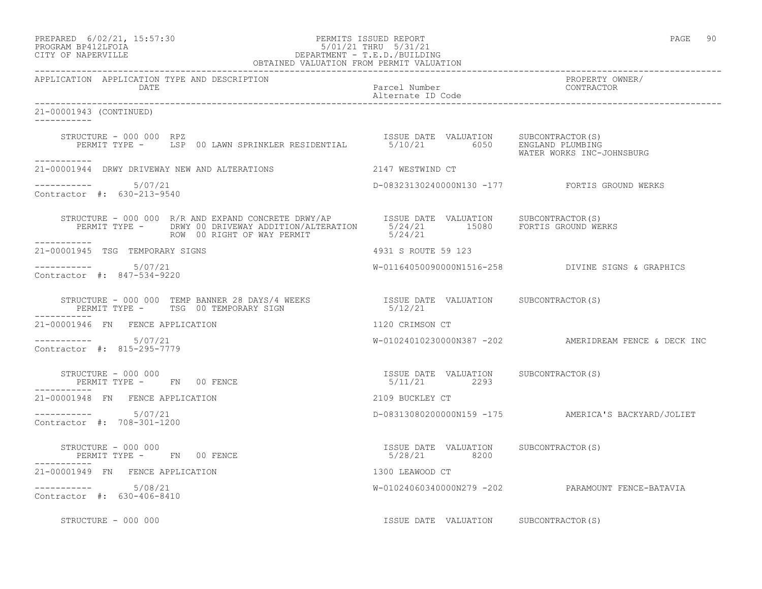| PREPARED            | $6/02/21$ , $15:57:30$ |
|---------------------|------------------------|
| DDOCDAM DDA10T DOTA |                        |

# PREPARED 6/02/21, 15:57:30 PERMITS ISSUED REPORT<br>PROGRAM BP412LFOIA PAGE 90<br>
5/01/21 THRU 5/31/21 PROGRAM BP412LFOIA 5/01/21 THRU 5/31/21 CITY OF NAPERVILLE CITY OF NAPERVILLE DEPARTMENT - T.E.D./BUILDING

| OBTAINED VALUATION FROM PERMIT VALUATION              |                                                                                                                                                                                     |                                       |                                                       |
|-------------------------------------------------------|-------------------------------------------------------------------------------------------------------------------------------------------------------------------------------------|---------------------------------------|-------------------------------------------------------|
| APPLICATION APPLICATION TYPE AND DESCRIPTION<br>DATE  |                                                                                                                                                                                     | Parcel Number<br>Alternate ID Code    | PROPERTY OWNER/<br>CONTRACTOR                         |
| 21-00001943 (CONTINUED)<br>___________                |                                                                                                                                                                                     |                                       |                                                       |
| STRUCTURE - 000 000 RPZ                               | STRUCTURE - 000 000 RPZ<br>PERMIT TYPE - LSP 00 LAWN SPRINKLER RESIDENTIAL 5/10/21 6050 ENGLAND PLUMBING                                                                            |                                       | WATER WORKS INC-JOHNSBURG                             |
| -----------                                           | 21-00001944 DRWY DRIVEWAY NEW AND ALTERATIONS 2147 WESTWIND CT                                                                                                                      |                                       |                                                       |
| Contractor #: 630-213-9540                            |                                                                                                                                                                                     |                                       | D-08323130240000N130 -177 FORTIS GROUND WERKS         |
| ___________                                           | STRUCTURE - 000 000 R/R AND EXPAND CONCRETE DRWY/AP  ISSUE DATE VALUATION SUBCONTRACTOR(S)<br>PERMIT TYPE - DRWY 00 DRIVEWAY ADDITION/ALTERATION  5/24/21 15080 FORTIS GROUND WERKS |                                       |                                                       |
| 21-00001945 TSG TEMPORARY SIGNS                       |                                                                                                                                                                                     | 4931 S ROUTE 59 123                   |                                                       |
| $--------- 5/07/21$<br>Contractor #: 847-534-9220     |                                                                                                                                                                                     |                                       | W-01164050090000N1516-258 DIVINE SIGNS & GRAPHICS     |
|                                                       |                                                                                                                                                                                     |                                       |                                                       |
| 21-00001946 FN FENCE APPLICATION                      |                                                                                                                                                                                     | 1120 CRIMSON CT                       |                                                       |
| -----------     5/07/21<br>Contractor #: 815-295-7779 |                                                                                                                                                                                     |                                       | W-01024010230000N387 -202 AMERIDREAM FENCE & DECK INC |
| ____________                                          |                                                                                                                                                                                     |                                       |                                                       |
| 21-00001948 FN FENCE APPLICATION                      |                                                                                                                                                                                     | 2109 BUCKLEY CT                       |                                                       |
| $--------- 5/07/21$<br>Contractor #: 708-301-1200     |                                                                                                                                                                                     |                                       | D-08313080200000N159 -175 AMERICA'S BACKYARD/JOLIET   |
|                                                       |                                                                                                                                                                                     |                                       |                                                       |
| 21-00001949 FN FENCE APPLICATION                      |                                                                                                                                                                                     | 1300 LEAWOOD CT                       |                                                       |
| $--------- 5/08/21$<br>Contractor #: 630-406-8410     |                                                                                                                                                                                     |                                       | W-01024060340000N279 -202 PARAMOUNT FENCE-BATAVIA     |
| STRUCTURE - 000 000                                   |                                                                                                                                                                                     | ISSUE DATE VALUATION SUBCONTRACTOR(S) |                                                       |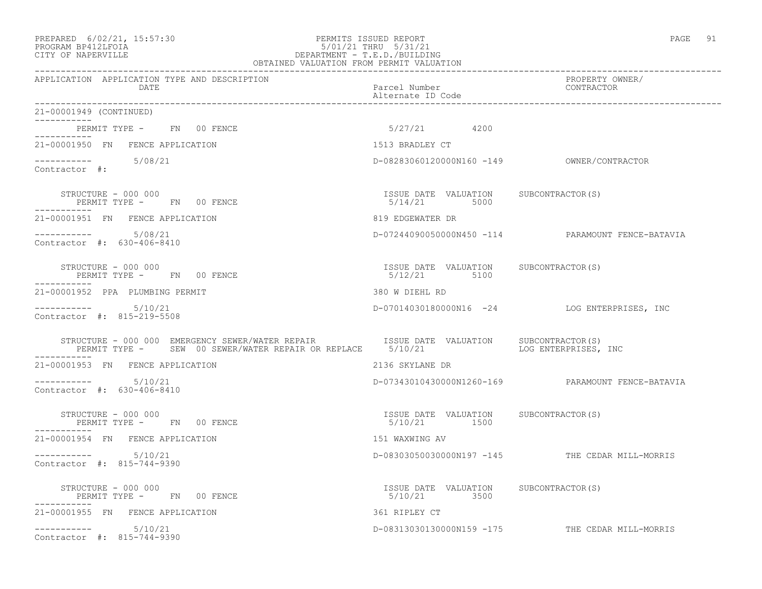# PREPARED 6/02/21, 15:57:30 PERMITS ISSUED REPORT PAGE 91 PROGRAM BP412LFOIA 5/01/21 THRU 5/31/21 CITY OF NAPERVILLE DEPARTMENT - T.E.D./BUILDING

| OBTAINED VALUATION FROM PERMIT VALUATION                                                                                                                                     |                                                       |                                                   |
|------------------------------------------------------------------------------------------------------------------------------------------------------------------------------|-------------------------------------------------------|---------------------------------------------------|
| APPLICATION APPLICATION TYPE AND DESCRIPTION<br>DATE                                                                                                                         | Parcel Number<br>Alternate ID Code                    | PROPERTY OWNER/<br>CONTRACTOR                     |
| 21-00001949 (CONTINUED)<br>___________                                                                                                                                       |                                                       |                                                   |
| PERMIT TYPE - FN 00 FENCE<br>. _ _ _ _ _ _ _ _ _ _                                                                                                                           | 5/27/21 4200                                          |                                                   |
| 21-00001950 FN FENCE APPLICATION                                                                                                                                             | 1513 BRADLEY CT                                       |                                                   |
| $--------- 5/08/21$<br>Contractor #:                                                                                                                                         |                                                       |                                                   |
| PERMIT TYPE - FN 00 FENCE                                                                                                                                                    | ISSUE DATE VALUATION SUBCONTRACTOR(S)<br>5/14/21 5000 |                                                   |
| 21-00001951 FN FENCE APPLICATION                                                                                                                                             | 819 EDGEWATER DR                                      |                                                   |
| ----------- 5/08/21<br>Contractor #: 630-406-8410                                                                                                                            |                                                       | D-07244090050000N450 -114 PARAMOUNT FENCE-BATAVIA |
| STRUCTURE - 000 000<br>PERMIT TYPE - FN 00 FENCE<br>------------                                                                                                             | ISSUE DATE VALUATION SUBCONTRACTOR(S)<br>5/12/21 5100 |                                                   |
| 21-00001952 PPA PLUMBING PERMIT                                                                                                                                              | 380 W DIEHL RD                                        |                                                   |
| $--------- 5/10/21$<br>Contractor #: 815-219-5508                                                                                                                            |                                                       | D-07014030180000N16 -24 LOG ENTERPRISES, INC      |
| STRUCTURE - 000 000 EMERGENCY SEWER/WATER REPAIR<br>ISSUE DATE VALUATION SUBCONTRACTOR(S)<br>PERMIT TYPE - SEW 00 SEWER/WATER REPAIR OR REPLACE 5/10/21 LOG ENTERPRISES, INC |                                                       |                                                   |
| 21-00001953 FN FENCE APPLICATION                                                                                                                                             | 2136 SKYLANE DR                                       |                                                   |
| $--------- 5/10/21$<br>Contractor #: 630-406-8410                                                                                                                            |                                                       | D-07343010430000N1260-169 PARAMOUNT FENCE-BATAVIA |
| STRUCTURE - 000 000<br>PERMIT TYPE - FN 00 FENCE                                                                                                                             | ISSUE DATE VALUATION SUBCONTRACTOR(S)<br>5/10/21 1500 |                                                   |
| 21-00001954 FN FENCE APPLICATION                                                                                                                                             | 151 WAXWING AV                                        |                                                   |
| $--------$ 5/10/21<br>Contractor #: 815-744-9390                                                                                                                             |                                                       | D-08303050030000N197 -145 THE CEDAR MILL-MORRIS   |
| STRUCTURE - 000 000<br>PERMIT TYPE - FN 00 FENCE                                                                                                                             | ISSUE DATE VALUATION SUBCONTRACTOR(S)<br>5/10/21 3500 |                                                   |
| 21-00001955 FN FENCE APPLICATION                                                                                                                                             | 361 RIPLEY CT                                         |                                                   |
| $--------$ 5/10/21<br>Contractor #: 815-744-9390                                                                                                                             |                                                       | D-08313030130000N159 -175 THE CEDAR MILL-MORRIS   |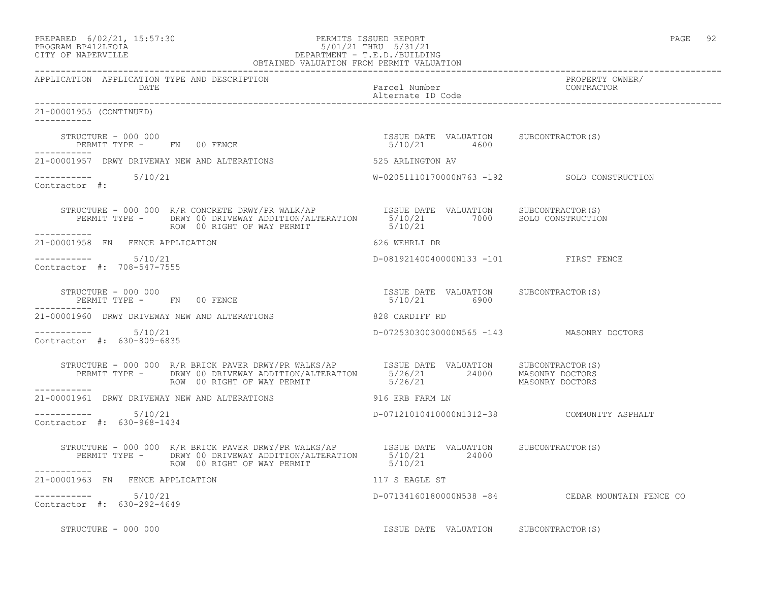| PREPARED 6/02/21, 15:57:30 | PERMITS ISSUED REPORT     | PAGE |
|----------------------------|---------------------------|------|
| גד∩ס זר4ומם מגם∩מם         | $5/01/01$ mupri $5/01/01$ |      |

## PROGRAM BP412LFOIA 5/01/21 THRU 5/31/21 CITY OF NAPERVILLE DEPARTMENT - T.E.D./BUILDING OBTAINED VALUATION FROM PERMIT VALUATION

------------------------------------------------------------------------------------------------------------------------------------

APPLICATION APPLICATION TYPE AND DESCRIPTION PROPERTY OWNER/ DATE Parcel Number Contractor Contractor Contractor Parcel Number Alternate ID Code ------------------------------------------------------------------------------------------------------------------------------------ 21-00001955 (CONTINUED) ----------- STRUCTURE - 000 000 ISSUE DATE VALUATION SUBCONTRACTOR(S) PERMIT TYPE - FN 00 FENCE ----------- 21-00001957 DRWY DRIVEWAY NEW AND ALTERATIONS 625 ARLINGTON AV ----------- 5/10/21 W-02051110170000N763 -192 SOLO CONSTRUCTION Contractor #: STRUCTURE - 000 000 R/R CONCRETE DRWY/PR WALK/AP ISSUE DATE VALUATION SUBCONTRACTOR(S) PERMIT TYPE - DRWY 00 DRIVEWAY ADDITION/ALTERATION 5/10/21 7000 SOLO CONSTRUCTION ROW 00 RIGHT OF WAY PERMIT 6/10/21 ----------- 21-00001958 FN FENCE APPLICATION 626 WEHRLI DR \_\_\_\_\_\_\_\_\_\_\_ ----------- 5/10/21 D-08192140040000N133 -101 FIRST FENCE Contractor #: 708-547-7555 STRUCTURE - 000 000 ISSUE DATE VALUATION SUBCONTRACTOR(S) PERMIT TYPE - FN 00 FENCE ----------- 21-00001960 DRWY DRIVEWAY NEW AND ALTERATIONS 828 CARDIFF RD ----------- 5/10/21 D-07253030030000N565 -143 MASONRY DOCTORS Contractor #: 630-809-6835 STRUCTURE - 000 000 R/R BRICK PAVER DRWY/PR WALKS/AP ISSUE DATE VALUATION SUBCONTRACTOR(S) PERMIT TYPE - DRWY 00 DRIVEWAY ADDITION/ALTERATION 5/26/21 24000 MASONRY DOCTORS ROW 00 RIGHT OF WAY PERMIT **600 FMAS** 5/26/21 MASONRY DOCTORS ----------- 21-00001961 DRWY DRIVEWAY NEW AND ALTERATIONS 916 ERB FARM LN  $--------- 5/10/21$ D-07121010410000N1312-38 COMMUNITY ASPHALT Contractor #: 630-968-1434 STRUCTURE - 000 000 R/R BRICK PAVER DRWY/PR WALKS/AP ISSUE DATE VALUATION SUBCONTRACTOR(S) PERMIT TYPE - DRWY 00 DRIVEWAY ADDITION/ALTERATION 5/10/21 24000 ROW 00 RIGHT OF WAY PERMIT 6/10/21 ----------- 21-00001963 FN FENCE APPLICATION 117 S EAGLE ST ----------- 5/10/21 D-07134160180000N538 -84 CEDAR MOUNTAIN FENCE CO Contractor #: 630-292-4649 STRUCTURE - 000 000 **ISSUE DATE VALUATION** SUBCONTRACTOR(S)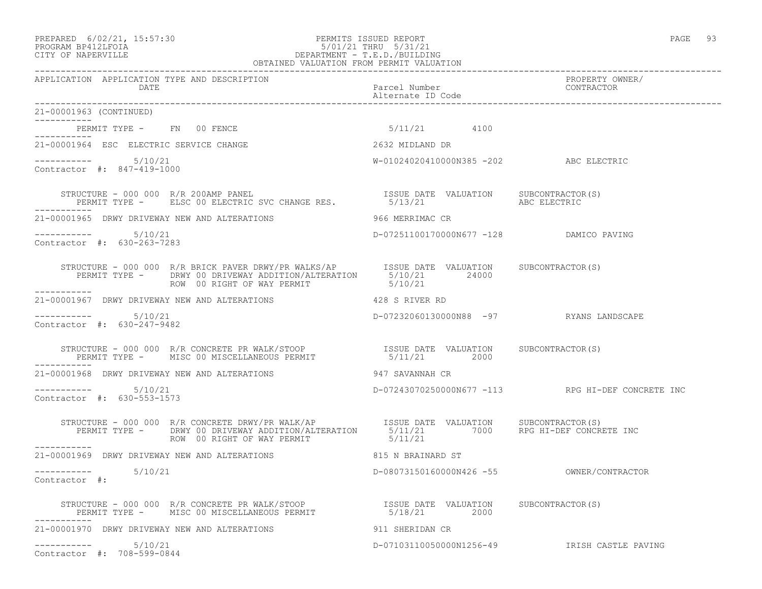#### PREPARED 6/02/21, 15:57:30 PERMITS ISSUED REPORT<br>PROGRAM BP412LFOIA PAGE 93 93 93 93 9601/21 PHRU 5/31/21 PROGRAM BP412LFOIA 5/01/21 THRU 5/31/21 CITY OF NAPERVILLE DEPARTMENT - T.E.D./BUILDING OBTAINED VALUATION FROM PERMIT VALUATION ------------------------------------------------------------------------------------------------------------------------------------

| APPLICATION APPLICATION TYPE AND DESCRIPTION<br>DATE                                                                                                                                                                                                                                                  | Parcel Number<br>Alternate In C<br>Alternate ID Code | PROPERTY OWNER/<br>CONTRACTOR                     |
|-------------------------------------------------------------------------------------------------------------------------------------------------------------------------------------------------------------------------------------------------------------------------------------------------------|------------------------------------------------------|---------------------------------------------------|
| 21-00001963 (CONTINUED)                                                                                                                                                                                                                                                                               |                                                      |                                                   |
| PERMIT TYPE - FN 00 FENCE                                                                                                                                                                                                                                                                             | 5/11/21 4100                                         |                                                   |
| 21-00001964 ESC ELECTRIC SERVICE CHANGE                                                                                                                                                                                                                                                               | 2632 MIDLAND DR                                      |                                                   |
| $--------- 5/10/21$<br>Contractor #: 847-419-1000                                                                                                                                                                                                                                                     | W-01024020410000N385 -202 ABC ELECTRIC               |                                                   |
|                                                                                                                                                                                                                                                                                                       |                                                      |                                                   |
| 21-00001965 DRWY DRIVEWAY NEW AND ALTERATIONS                                                                                                                                                                                                                                                         | 966 MERRIMAC CR                                      |                                                   |
| Contractor #: 630-263-7283                                                                                                                                                                                                                                                                            | D-07251100170000N677 -128 DAMICO PAVING              |                                                   |
| STRUCTURE - 000 000 R/R BRICK PAVER DRWY/PR WALKS/AP ISSUE DATE VALUATION SUBCONTRACTOR(S)<br>PERMIT TYPE - DRWY 00 DRIVEWAY ADDITION/ALTERATION 5/10/21 24000<br>ROW 00 RIGHT OF WAY PERMIT<br>------------                                                                                          | 5/10/21                                              |                                                   |
| 21-00001967 DRWY DRIVEWAY NEW AND ALTERATIONS 428 S RIVER RD                                                                                                                                                                                                                                          |                                                      |                                                   |
| 5/10/21<br>Contractor #: 630-247-9482                                                                                                                                                                                                                                                                 | D-07232060130000N88 -97 RYANS LANDSCAPE              |                                                   |
| $\begin{tabular}{lllllllllll} \texttt{STRUCTURE} & - & 000 & 000 & R/R & CONCRETE & PR & WALK/STOOP & & & & & & & & & \texttt{ISSUE} & \texttt{DATE} & VALUATION & & SUBCONTRACTOR(S) & \\ & PERMIT & TYPE & - & & MISC & 00 & MISCELLANDUS & PERMIT & & & & & 5/11/21 & & & 2000 & \\ \end{tabular}$ |                                                      |                                                   |
| 21-00001968 DRWY DRIVEWAY NEW AND ALTERATIONS                                                                                                                                                                                                                                                         | 947 SAVANNAH CR                                      |                                                   |
| $--------- 5/10/21$<br>Contractor #: 630-553-1573                                                                                                                                                                                                                                                     |                                                      | D-07243070250000N677 -113 RPG HI-DEF CONCRETE INC |
| STRUCTURE - 000 000 R/R CONCRETE DRWY/PR WALK/AP              ISSUE DATE VALUATION      SUBCONTRACTOR(S)<br>PERMIT TYPE -      DRWY 00 DRIVEWAY ADDITION/ALTERATION       5/11/21          7000      RPG HI-DEF CONCRETE INC<br>ROW 00 RIGHT OF WAY PERMIT<br>-----------                             | 5/11/21                                              |                                                   |
| 21-00001969 DRWY DRIVEWAY NEW AND ALTERATIONS                                                                                                                                                                                                                                                         | 815 N BRAINARD ST                                    |                                                   |
| $---------$ 5/10/21<br>Contractor #:                                                                                                                                                                                                                                                                  |                                                      |                                                   |
| STRUCTURE - 000 000 R/R CONCRETE PR WALK/STOOP                  ISSUE DATE VALUATION     SUBCONTRACTOR(S)<br>PERMIT TYPE -     MISC 00 MISCELLANEOUS PERMIT                     5/18/21              2000<br>-----------                                                                              |                                                      |                                                   |
| 21-00001970 DRWY DRIVEWAY NEW AND ALTERATIONS                                                                                                                                                                                                                                                         | 911 SHERIDAN CR                                      |                                                   |
| 5/10/21<br>-----------                                                                                                                                                                                                                                                                                |                                                      | D-07103110050000N1256-49 IRISH CASTLE PAVING      |

Contractor #: 708-599-0844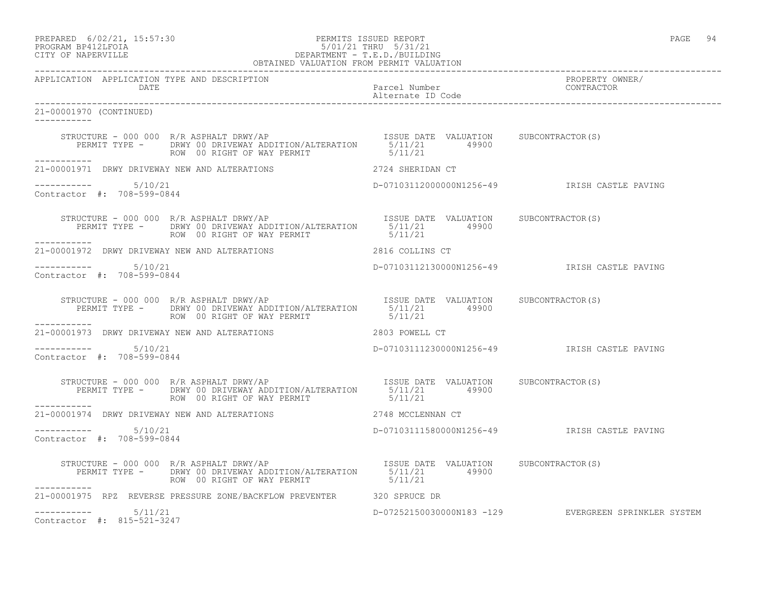PREPARED 6/02/21, 15:57:30 PERMITS ISSUED REPORT PAGE 94

# PROGRAM BP412LFOIA 5/01/21 THRU 5/31/21 CITY OF NAPERVILLE DEPARTMENT - T.E.D./BUILDING

| OBTAINED VALUATION FROM PERMIT VALUATION             |                                                                                                                                                         |  |                                                               |
|------------------------------------------------------|---------------------------------------------------------------------------------------------------------------------------------------------------------|--|---------------------------------------------------------------|
| APPLICATION APPLICATION TYPE AND DESCRIPTION<br>DATE | Parcel Number<br>Parcel Number<br>Alternate ID Code                                                                                                     |  | PROPERTY OWNER/<br>CONTRACTOR                                 |
| 21-00001970 (CONTINUED)                              |                                                                                                                                                         |  |                                                               |
|                                                      | ROW 00 RIGHT OF WAY PERMIT 5/11/21                                                                                                                      |  |                                                               |
| -----------                                          | 21-00001971 DRWY DRIVEWAY NEW AND ALTERATIONS 2724 SHERIDAN CT                                                                                          |  |                                                               |
| Contractor #: 708-599-0844                           |                                                                                                                                                         |  |                                                               |
|                                                      | STRUCTURE - 000 000 R/R ASPHALT DRWY/AP<br>PERMIT TYPE - DRWY 00 DRIVEWAY ADDITION/ALTERATION 5/11/21 49900<br>ROW 00 RIGHT OF WAY PERMIT SAND 19900    |  |                                                               |
|                                                      | 21-00001972 DRWY DRIVEWAY NEW AND ALTERATIONS 2816 COLLINS CT                                                                                           |  |                                                               |
| $--------- 5/10/21$<br>Contractor #: 708-599-0844    |                                                                                                                                                         |  | D-07103112130000N1256-49                  IRISH CASTLE PAVING |
|                                                      | STRUCTURE - 000 000 R/R ASPHALT DRWY/AP<br>PERMIT TYPE - DRWY 00 DRIVEWAY ADDITION/ALTERATION 5/11/21 49900<br>ROW 00 RIGHT OF WAY PERMIT 5/11/21       |  |                                                               |
| ------------                                         | 21-00001973 DRWY DRIVEWAY NEW AND ALTERATIONS 2803 POWELL CT                                                                                            |  |                                                               |
| $--------- 5/10/21$<br>Contractor #: 708-599-0844    |                                                                                                                                                         |  |                                                               |
|                                                      |                                                                                                                                                         |  |                                                               |
|                                                      | 21-00001974 DRWY DRIVEWAY NEW AND ALTERATIONS 2748 MCCLENNAN CT                                                                                         |  |                                                               |
| $--------- 5/10/21$<br>Contractor #: 708-599-0844    |                                                                                                                                                         |  | D-07103111580000N1256-49 IRISH CASTLE PAVING                  |
| ------------                                         | STRUCTURE - 000 000 R/R ASPHALT DRWY/AP<br>PERMIT TYPE - DRWY 00 DRIVEWAY ADDITION/ALTERATION 5/11/21 49900<br>ROW 00 RIGHT OF WAY PERMIT 5/11/21 49900 |  |                                                               |
|                                                      | 21-00001975 RPZ REVERSE PRESSURE ZONE/BACKFLOW PREVENTER 320 SPRUCE DR                                                                                  |  |                                                               |
| $--------- 5/11/21$<br>Contractor #: 815-521-3247    |                                                                                                                                                         |  | D-07252150030000N183 -129 EVERGREEN SPRINKLER SYSTEM          |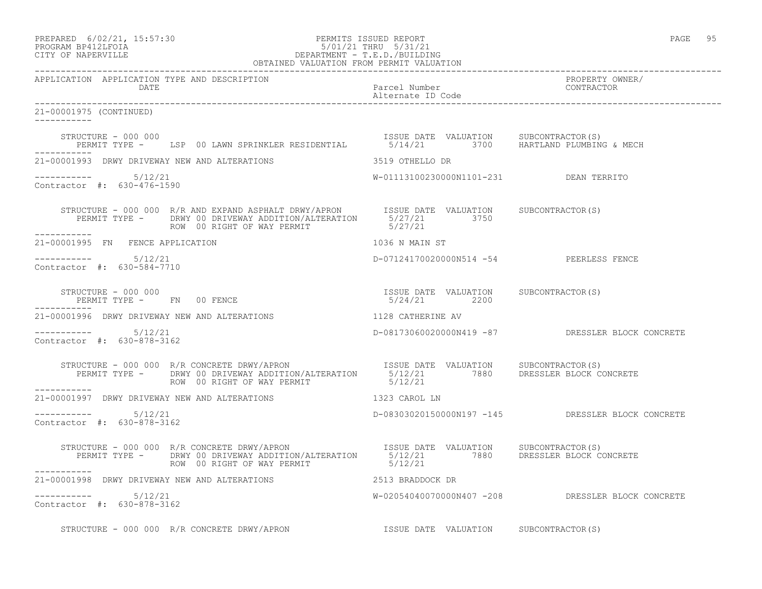## PREPARED 6/02/21, 15:57:30 PERMITS ISSUED REPORT PAGE 95 PROGRAM BP412LFOIA 5/01/21 THRU 5/31/21 CITY OF NAPERVILLE DEPARTMENT - T.E.D./BUILDING

|                                                             | OBTAINED VALUATION FROM PERMIT VALUATION                                                                                                                                                                                          |                                         |                                                   |
|-------------------------------------------------------------|-----------------------------------------------------------------------------------------------------------------------------------------------------------------------------------------------------------------------------------|-----------------------------------------|---------------------------------------------------|
| APPLICATION APPLICATION TYPE AND DESCRIPTION<br><b>DATE</b> |                                                                                                                                                                                                                                   | Parcel Number<br>Alternate ID Code      | PROPERTY OWNER/<br>CONTRACTOR                     |
| 21-00001975 (CONTINUED)<br>------------                     |                                                                                                                                                                                                                                   |                                         |                                                   |
|                                                             | STRUCTURE - 000 000<br>PERMIT TYPE - LSP 00 LAWN SPRINKLER RESIDENTIAL 65/14/21 3700 HARTLAND PLUMBING & MECH                                                                                                                     |                                         |                                                   |
|                                                             | 21-00001993 DRWY DRIVEWAY NEW AND ALTERATIONS 3519 OTHELLO DR                                                                                                                                                                     |                                         |                                                   |
| $--------- 5/12/21$<br>Contractor #: 630-476-1590           |                                                                                                                                                                                                                                   | W-01113100230000N1101-231 DEAN TERRITO  |                                                   |
|                                                             |                                                                                                                                                                                                                                   |                                         |                                                   |
| 21-00001995 FN FENCE APPLICATION                            |                                                                                                                                                                                                                                   | 1036 N MAIN ST                          |                                                   |
| $--------- 5/12/21$<br>Contractor #: 630-584-7710           |                                                                                                                                                                                                                                   | D-07124170020000N514 -54 PEERLESS FENCE |                                                   |
|                                                             |                                                                                                                                                                                                                                   |                                         |                                                   |
|                                                             | 21-00001996 DRWY DRIVEWAY NEW AND ALTERATIONS THE RELATIONS RELATIONS AV                                                                                                                                                          |                                         |                                                   |
| $--------- 5/12/21$<br>Contractor #: 630-878-3162           |                                                                                                                                                                                                                                   |                                         | D-08173060020000N419 -87 DRESSLER BLOCK CONCRETE  |
| -----------                                                 | STRUCTURE - 000 000 R/R CONCRETE DRWY/APRON                         ISSUE DATE VALUATION     SUBCONTRACTOR(S)<br>PERMIT TYPE -       DRWY 00 DRIVEWAY ADDITION/ALTERATION      5/12/21          7880      DRESSLER BLOCK CONCRETE |                                         |                                                   |
|                                                             | 21-00001997 DRWY DRIVEWAY NEW AND ALTERATIONS 1323 CAROL LN                                                                                                                                                                       |                                         |                                                   |
| -----------    5/12/21<br>Contractor #: 630-878-3162        |                                                                                                                                                                                                                                   |                                         | D-08303020150000N197 -145 DRESSLER BLOCK CONCRETE |
|                                                             | STRUCTURE - 000 000 R/R CONCRETE DRWY/APRON ISSUE DATE VALUATION SUBCONTRACTOR(S)<br>PERMIT TYPE - DRWY 00 DRIVEWAY ADDITION/ALTERATION 5/12/21 7880 DRESSLER BLOCK CONCRETE<br>ROW 00 RIGHT OF WAY PERMIT 5/12/21                |                                         |                                                   |
|                                                             |                                                                                                                                                                                                                                   |                                         |                                                   |
| $--------- 5/12/21$<br>Contractor #: 630-878-3162           |                                                                                                                                                                                                                                   |                                         | W-02054040070000N407 -208 DRESSLER BLOCK CONCRETE |
|                                                             | STRUCTURE - 000 000 R/R CONCRETE DRWY/APRON                                                                                                                                                                                       | ISSUE DATE VALUATION SUBCONTRACTOR(S)   |                                                   |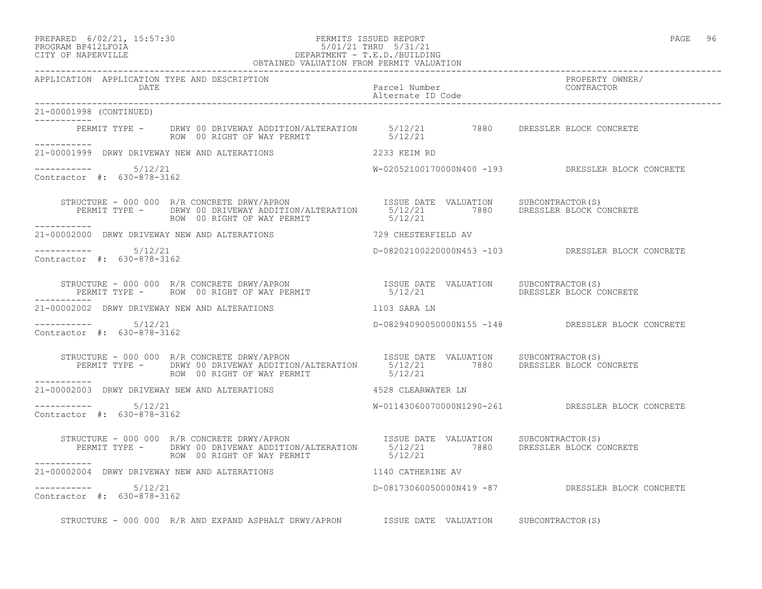# PREPARED 6/02/21, 15:57:30 PERMITS ISSUED REPORT<br>PROGRAM BP412LFOIA PAGE 96 PAGE 96 S/01/21 THRU 5/31/21 PROGRAM BP412LFOIA 5/01/21 THRU 5/31/21 CITY OF NAPERVILLE CITY OF NAPERVILLE DEPARTMENT - T.E.D./BUILDING

|                                                      | OBTAINED VALUATION FROM PERMIT VALUATION                                                                                                                                                                                          |                                    |                                                   |
|------------------------------------------------------|-----------------------------------------------------------------------------------------------------------------------------------------------------------------------------------------------------------------------------------|------------------------------------|---------------------------------------------------|
| APPLICATION APPLICATION TYPE AND DESCRIPTION<br>DATE |                                                                                                                                                                                                                                   | Parcel Number<br>Alternate ID Code | PROPERTY OWNER/<br>CONTRACTOR                     |
| 21-00001998 (CONTINUED)                              |                                                                                                                                                                                                                                   |                                    |                                                   |
|                                                      | PERMIT TYPE - DRWY 00 DRIVEWAY ADDITION/ALTERATION 5/12/21 7880 DRESSLER BLOCK CONCRETE<br>ROW 00 RIGHT OF WAY PERMIT 5/12/21                                                                                                     |                                    |                                                   |
|                                                      |                                                                                                                                                                                                                                   |                                    |                                                   |
| $--------- 5/12/21$<br>Contractor #: 630-878-3162    |                                                                                                                                                                                                                                   |                                    | W-02052100170000N400 -193 DRESSLER BLOCK CONCRETE |
|                                                      |                                                                                                                                                                                                                                   |                                    |                                                   |
|                                                      | $21\texttt{-}00002000$ DRWY DRIVEWAY NEW AND ALTERATIONS $729$ CHESTERFIELD AV                                                                                                                                                    |                                    |                                                   |
| $--------- 5/12/21$<br>Contractor #: 630-878-3162    |                                                                                                                                                                                                                                   |                                    | D-08202100220000N453 -103 DRESSLER BLOCK CONCRETE |
|                                                      |                                                                                                                                                                                                                                   |                                    |                                                   |
| ___________                                          | 21-00002002 DRWY DRIVEWAY NEW AND ALTERATIONS $1103$ SARA LN                                                                                                                                                                      |                                    |                                                   |
| Contractor #: 630-878-3162                           |                                                                                                                                                                                                                                   |                                    | D-08294090050000N155 -148 DRESSLER BLOCK CONCRETE |
|                                                      | STRUCTURE - 000 000 R/R CONCRETE DRWY/APRON                            ISSUE DATE VALUATION      SUBCONTRACTOR(S)<br>PERMIT TYPE -       DRWY 00 DRIVEWAY ADDITION/ALTERATION       5/12/21             7880       DRESSLER BLOCK |                                    |                                                   |
|                                                      | 21-00002003 DRWY DRIVEWAY NEW AND ALTERATIONS 4528 CLEARWATER LN                                                                                                                                                                  |                                    |                                                   |
| $--------- 5/12/21$<br>Contractor #: 630-878-3162    |                                                                                                                                                                                                                                   |                                    | W-01143060070000N1290-261 DRESSLER BLOCK CONCRETE |
|                                                      | STRUCTURE - 000 000 R/R CONCRETE DRWY/APRON<br>PERMIT TYPE -     DRWY 00 DRIVEWAY ADDITION/ALTERATION        5/12/21         7880      DRESSLER BLOCK CONCRETE<br>--------                                                        |                                    |                                                   |
| -----------                                          | 21-00002004 DRWY DRIVEWAY NEW AND ALTERATIONS 1140 CATHERINE AV                                                                                                                                                                   |                                    |                                                   |
| $--------- 5/12/21$<br>Contractor #: 630-878-3162    |                                                                                                                                                                                                                                   |                                    | D-08173060050000N419 -87 DRESSLER BLOCK CONCRETE  |
|                                                      | STRUCTURE - 000 000 R/R AND EXPAND ASPHALT DRWY/APRON ISSUE DATE VALUATION SUBCONTRACTOR(S)                                                                                                                                       |                                    |                                                   |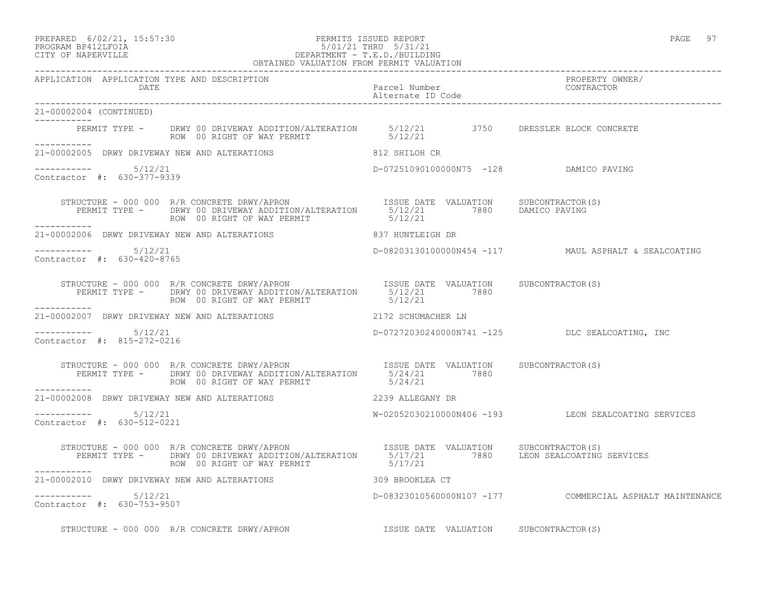## PREPARED 6/02/21, 15:57:30 PERMITS ISSUED REPORT PAGE 97 PROGRAM BP412LFOIA 5/01/21 THRU 5/31/21 CITY OF NAPERVILLE CITY OF NAPERVILLE DEPARTMENT - T.E.D./BUILDING

|                                                      | OBTAINED VALUATION FROM PERMIT VALUATION                                                                                                                                                                                                         |                                        |                                                          |
|------------------------------------------------------|--------------------------------------------------------------------------------------------------------------------------------------------------------------------------------------------------------------------------------------------------|----------------------------------------|----------------------------------------------------------|
| APPLICATION APPLICATION TYPE AND DESCRIPTION<br>DATE |                                                                                                                                                                                                                                                  | Parcel Number<br>Alternate ID Code     | PROPERTY OWNER/<br>CONTRACTOR                            |
| 21-00002004 (CONTINUED)<br>------------              |                                                                                                                                                                                                                                                  |                                        |                                                          |
|                                                      | PERMIT TYPE - DRWY 00 DRIVEWAY ADDITION/ALTERATION 5/12/21 3750 DRESSLER BLOCK CONCRETE<br>ROW 00 RIGHT OF WAY PERMIT 5/12/21                                                                                                                    |                                        |                                                          |
|                                                      | 21-00002005 DRWY DRIVEWAY NEW AND ALTERATIONS 812 SHILOH CR                                                                                                                                                                                      |                                        |                                                          |
| Contractor #: 630-377-9339                           |                                                                                                                                                                                                                                                  | D-07251090100000N75 -128 DAMICO PAVING |                                                          |
| __________                                           | STRUCTURE - 000 000 R/R CONCRETE DRWY/APRON                   ISSUE DATE VALUATION     SUBCONTRACTOR(S)<br>PERMIT TYPE -     DRWY 00 DRIVEWAY ADDITION/ALTERATION     5/12/21         7880   DAMICO PAVING<br>ROW 00 RIGHT OF WAY PERMIT 5/12/21 |                                        |                                                          |
|                                                      | 21-00002006 DRWY DRIVEWAY NEW AND ALTERATIONS 837 HUNTLEIGH DR                                                                                                                                                                                   |                                        |                                                          |
| -----------    5/12/21<br>Contractor #: 630-420-8765 |                                                                                                                                                                                                                                                  |                                        | D-08203130100000N454 -117 MAUL ASPHALT & SEALCOATING     |
| ------------                                         | STRUCTURE - 000 000 R/R CONCRETE DRWY/APRON<br>PERMIT TYPE - DRWY 00 DRIVEWAY ADDITION/ALTERATION 5/12/21 7880<br>ROW 00 RIGHT OF WAY PERMIT NOW 5/12/21                                                                                         |                                        |                                                          |
|                                                      | 21-00002007 DRWY DRIVEWAY NEW AND ALTERATIONS 2172 SCHUMACHER LN                                                                                                                                                                                 |                                        |                                                          |
| $--------- 5/12/21$<br>Contractor #: 815-272-0216    |                                                                                                                                                                                                                                                  |                                        | D-07272030240000N741 -125 DLC SEALCOATING, INC           |
| ------------                                         | STRUCTURE - 000 000 R/R CONCRETE DRWY/APRON<br>PERMIT TYPE - DRWY 00 DRIVEWAY ADDITION/ALTERATION 5/24/21 7880<br>FAMIT TYPE - DRWY 00 DRIVEWAY ADDITION/ALTERATION 5/24/21 7880<br>ROW 00 RIGHT OF WAY PERMIT                                   | 5/24/21                                |                                                          |
|                                                      | 21-00002008 DRWY DRIVEWAY NEW AND ALTERATIONS 2239 ALLEGANY DR                                                                                                                                                                                   |                                        |                                                          |
| Contractor #: 630-512-0221                           |                                                                                                                                                                                                                                                  |                                        | W-02052030210000N406 -193 LEON SEALCOATING SERVICES      |
|                                                      | STRUCTURE - 000 000 R/R CONCRETE DRWY/APRON ISSUE DATE VALUATION SUBCONTRACTOR(S)<br>PERMIT TYPE - DRWY 00 DRIVEWAY ADDITION/ALTERATION 5/17/21 7880 LEON SEALCOATING SERVICES<br>ROW 00 RIGHT OF WAY PERMIT 5/17/21                             |                                        |                                                          |
|                                                      |                                                                                                                                                                                                                                                  |                                        |                                                          |
| $--------- 5/12/21$<br>Contractor #: 630-753-9507    |                                                                                                                                                                                                                                                  |                                        | D-08323010560000N107 -177 COMMERCIAL ASPHALT MAINTENANCE |
|                                                      | STRUCTURE - 000 000 R/R CONCRETE DRWY/APRON                                                                                                                                                                                                      | ISSUE DATE VALUATION SUBCONTRACTOR(S)  |                                                          |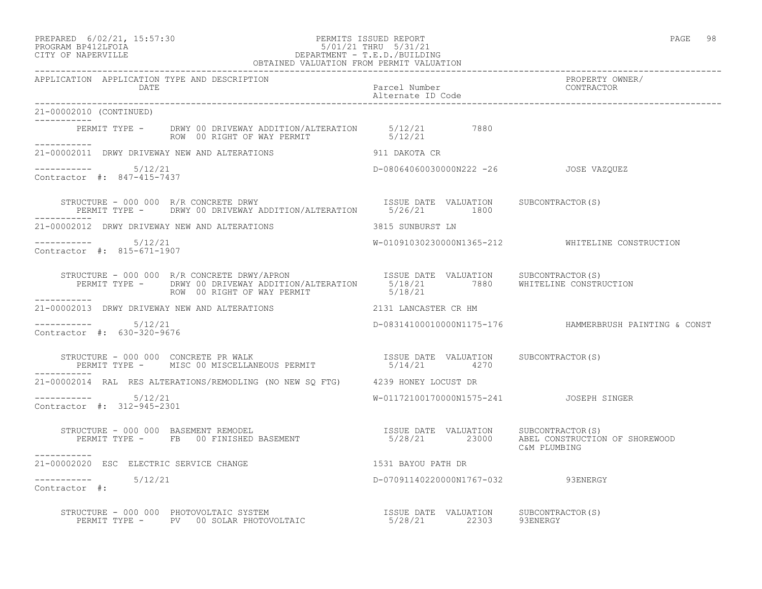## PREPARED 6/02/21, 15:57:30 PERMITS ISSUED REPORT PAGE 98 PROGRAM BP412LFOIA 5/01/21 THRU 5/31/21 CITY OF NAPERVILLE DEPARTMENT - T.E.D./BUILDING

| OBTAINED VALUATION FROM PERMIT VALUATION             |                                                                                                                                                                                                                                   |                                         |                                                  |
|------------------------------------------------------|-----------------------------------------------------------------------------------------------------------------------------------------------------------------------------------------------------------------------------------|-----------------------------------------|--------------------------------------------------|
| APPLICATION APPLICATION TYPE AND DESCRIPTION<br>DATE |                                                                                                                                                                                                                                   | Parcel Number<br>Alternate ID Code      | PROPERTY OWNER/<br>CONTRACTOR                    |
| 21-00002010 (CONTINUED)                              |                                                                                                                                                                                                                                   |                                         |                                                  |
| ------------                                         | PERMIT TYPE - DRWY 00 DRIVEWAY ADDITION/ALTERATION 5/12/21 7880<br>ROW 00 RIGHT OF WAY PERMIT 5/12/21                                                                                                                             |                                         |                                                  |
|                                                      | 21-00002011 DRWY DRIVEWAY NEW AND ALTERATIONS 911 DAKOTA CR                                                                                                                                                                       |                                         |                                                  |
| -----------    5/12/21<br>Contractor #: 847-415-7437 |                                                                                                                                                                                                                                   | D-08064060030000N222 -26 JOSE VAZQUEZ   |                                                  |
|                                                      |                                                                                                                                                                                                                                   |                                         |                                                  |
|                                                      | 21-00002012 DRWY DRIVEWAY NEW AND ALTERATIONS                                                                                                                                                                                     | 3815 SUNBURST LN                        |                                                  |
| $--------- 5/12/21$<br>Contractor #: 815-671-1907    |                                                                                                                                                                                                                                   |                                         | W-01091030230000N1365-212 WHITELINE CONSTRUCTION |
| -----------                                          | ROW 00 RIGHT OF WAY PERMIT 5/18/21                                                                                                                                                                                                |                                         |                                                  |
| 21-00002013 DRWY DRIVEWAY NEW AND ALTERATIONS        |                                                                                                                                                                                                                                   | 2131 LANCASTER CR HM                    |                                                  |
| $--------$ 5/12/21<br>Contractor #: 630-320-9676     |                                                                                                                                                                                                                                   |                                         |                                                  |
| -----------                                          |                                                                                                                                                                                                                                   |                                         |                                                  |
|                                                      | 21-00002014 RAL RES ALTERATIONS/REMODLING (NO NEW SQ FTG) 4239 HONEY LOCUST DR                                                                                                                                                    |                                         |                                                  |
| 5/12/21<br>Contractor #: 312-945-2301                |                                                                                                                                                                                                                                   | W-01172100170000N1575-241 JOSEPH SINGER |                                                  |
| ----------                                           | STRUCTURE - 000 000 BASEMENT REMODEL<br>PERMIT TYPE - FB 00 FINISHED BASEMENT - 1999 1999/21 23000 ABEL CONSTRUCTION OF SHOREWOOD                                                                                                 |                                         | C&M PLUMBING                                     |
| 21-00002020 ESC ELECTRIC SERVICE CHANGE              |                                                                                                                                                                                                                                   | 1531 BAYOU PATH DR                      |                                                  |
| ----------- 5/12/21<br>Contractor #:                 |                                                                                                                                                                                                                                   | D-07091140220000N1767-032 93ENERGY      |                                                  |
|                                                      | STRUCTURE – 000 000 PHOTOVOLTAIC SYSTEM                               ISSUE DATE VALUATION     SUBCONTRACTOR(S)<br>PERMIT TYPE –     PV   00 SOLAR PHOTOVOLTAIC                           5/28/21           22303        93ENERGY |                                         |                                                  |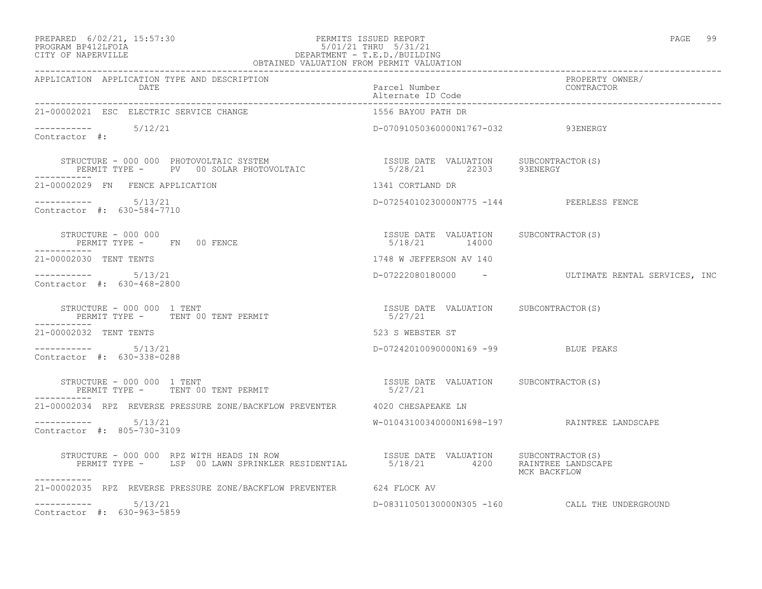# PREPARED 6/02/21, 15:57:30 PERMITS ISSUED REPORT PAGE 99 PROGRAM BP412LFOIA 5/01/21 THRU 5/31/21 CITY OF NAPERVILLE DEPARTMENT - T.E.D./BUILDING

| OBTAINED VALUATION FROM PERMIT VALUATION                                                                                                                                                                                                    |                                              |                                                  |
|---------------------------------------------------------------------------------------------------------------------------------------------------------------------------------------------------------------------------------------------|----------------------------------------------|--------------------------------------------------|
| APPLICATION APPLICATION TYPE AND DESCRIPTION<br>DATE                                                                                                                                                                                        | Parcel Number<br>Alternate ID Code           | PROPERTY OWNER/<br>CONTRACTOR                    |
| 21-00002021 ESC ELECTRIC SERVICE CHANGE                                                                                                                                                                                                     | 1556 BAYOU PATH DR                           |                                                  |
| $--------$ 5/12/21<br>Contractor #:                                                                                                                                                                                                         | D-07091050360000N1767-032 93ENERGY           |                                                  |
| STRUCTURE – 000 000 PHOTOVOLTAIC SYSTEM                             ISSUE DATE VALUATION     SUBCONTRACTOR(S)<br>PERMIT TYPE –     PV   00 SOLAR PHOTOVOLTAIC                     5/28/21        22303      93ENERGY                        |                                              |                                                  |
| 21-00002029 FN FENCE APPLICATION                                                                                                                                                                                                            | 1341 CORTLAND DR                             |                                                  |
| Contractor #: 630-584-7710                                                                                                                                                                                                                  | D-07254010230000N775 -144 PEERLESS FENCE     |                                                  |
|                                                                                                                                                                                                                                             |                                              |                                                  |
| 21-00002030 TENT TENTS                                                                                                                                                                                                                      | 1748 W JEFFERSON AV 140                      |                                                  |
| Contractor #: 630-468-2800                                                                                                                                                                                                                  |                                              | D-07222080180000 - ULTIMATE RENTAL SERVICES, INC |
|                                                                                                                                                                                                                                             |                                              |                                                  |
| 21-00002032 TENT TENTS                                                                                                                                                                                                                      | 523 S WEBSTER ST                             |                                                  |
| $--------- 5/13/21$<br>Contractor #: 630-338-0288                                                                                                                                                                                           | D-07242010090000N169 -99 BLUE PEAKS          |                                                  |
|                                                                                                                                                                                                                                             |                                              |                                                  |
| 21-00002034 RPZ REVERSE PRESSURE ZONE/BACKFLOW PREVENTER 4020 CHESAPEAKE LN                                                                                                                                                                 |                                              |                                                  |
| $--------$ 5/13/21<br>Contractor #: 805-730-3109                                                                                                                                                                                            | W-01043100340000N1698-197 RAINTREE LANDSCAPE |                                                  |
| STRUCTURE - 000 000 RPZ WITH HEADS IN ROW                             ISSUE DATE VALUATION     SUBCONTRACTOR(S)<br>PERMIT TYPE -      LSP 00 LAWN SPRINKLER RESIDENTIAL          5/18/21         4200     RAINTREE LANDSCAPE<br>----------- |                                              | MCK BACKFLOW                                     |
| 21-00002035 RPZ REVERSE PRESSURE ZONE/BACKFLOW PREVENTER 624 FLOCK AV                                                                                                                                                                       |                                              |                                                  |
| $--------$ 5/13/21<br>Contractor #: 630-963-5859                                                                                                                                                                                            |                                              | D-08311050130000N305 -160 CALL THE UNDERGROUND   |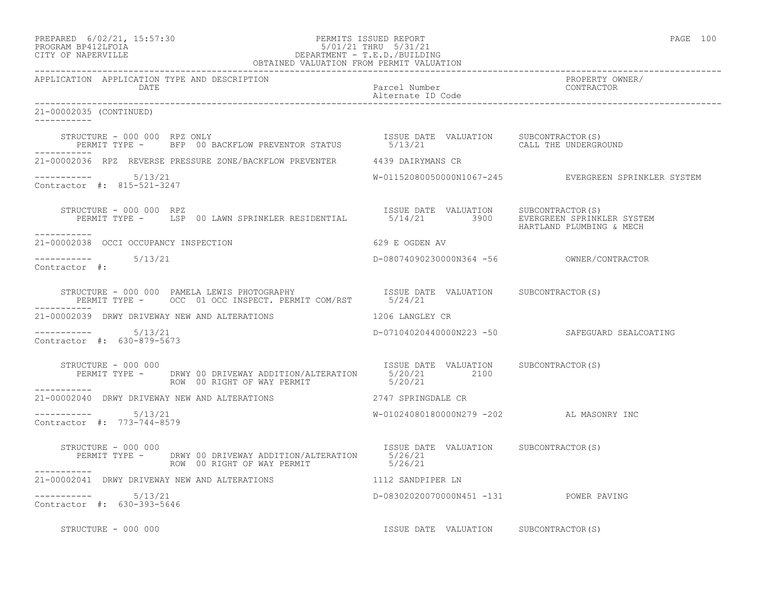| PREPARED            | $6/02/21$ , $15:57:30$ |
|---------------------|------------------------|
| DDOCD3M DD410T DOT3 |                        |

# PREPARED 6/02/21, 15:57:30 PERMITS ISSUED REPORT<br>PROGRAM BP412LFOIA PAGE 100 PROGRAM BP412LFOIA 5/01/21 THRU 5/31/21 CITY OF NAPERVILLE DEPARTMENT - T.E.D./BUILDING

| OBTAINED VALUATION FROM PERMIT VALUATION                                                                                                                      |                                          |                                                      |
|---------------------------------------------------------------------------------------------------------------------------------------------------------------|------------------------------------------|------------------------------------------------------|
| APPLICATION APPLICATION TYPE AND DESCRIPTION<br>DATE                                                                                                          | Parcel Number<br>Alternate ID Code       | PROPERTY OWNER/<br>CONTRACTOR                        |
| 21-00002035 (CONTINUED)                                                                                                                                       |                                          |                                                      |
|                                                                                                                                                               |                                          |                                                      |
| 21-00002036 RPZ REVERSE PRESSURE ZONE/BACKFLOW PREVENTER 4439 DAIRYMANS CR                                                                                    |                                          |                                                      |
| $--------- 5/13/21$<br>Contractor #: 815-521-3247                                                                                                             |                                          | W-01152080050000N1067-245 EVERGREEN SPRINKLER SYSTEM |
| STRUCTURE – 000 000 RPZ<br>PERMIT TYPE – LSP 00 LAWN SPRINKLER RESIDENTIAL 65/14/21 3900 EVERGREEN SPRINKLER SYSTEM<br>STRUCTURE - 000 000 RPZ<br>----------- |                                          | HARTLAND PLUMBING & MECH                             |
| 21-00002038 OCCI OCCUPANCY INSPECTION                                                                                                                         | 629 E OGDEN AV                           |                                                      |
| 5/13/21<br>Contractor #:                                                                                                                                      |                                          |                                                      |
|                                                                                                                                                               |                                          |                                                      |
| 21-00002039 DRWY DRIVEWAY NEW AND ALTERATIONS THE RESERVE TO LANGLEY CR                                                                                       |                                          |                                                      |
| Contractor #: 630-879-5673                                                                                                                                    |                                          | D-07104020440000N223 -50 SAFEGUARD SEALCOATING       |
| STRUCTURE - 000 000<br>PERMIT TYPE - DRWY 00 DRIVEWAY ADDITION/ALTERATION 5/20/21<br>ROW 00 RIGHT OF WAY PERMIT 5/20/21                                       | ISSUE DATE VALUATION SUBCONTRACTOR (S)   |                                                      |
| ------------<br>21-00002040 DRWY DRIVEWAY NEW AND ALTERATIONS 2747 SPRINGDALE CR                                                                              |                                          |                                                      |
| Contractor #: 773-744-8579                                                                                                                                    | W-01024080180000N279 -202 AL MASONRY INC |                                                      |
| STRUCTURE - 000 000<br>ISSUE DAT<br>PERMIT TYPE - DRWY 00 DRIVEWAY ADDITION/ALTERATION 5/26/21<br>ROW 00 RIGHT OF WAY PERMIT 5/26/21                          | ISSUE DATE VALUATION SUBCONTRACTOR (S)   |                                                      |
| 21-00002041 DRWY DRIVEWAY NEW AND ALTERATIONS 1112 SANDPIPER LN                                                                                               |                                          |                                                      |
| $--------- 5/13/21$<br>Contractor #: 630-393-5646                                                                                                             | D-08302020070000N451 -131 POWER PAVING   |                                                      |

STRUCTURE - 000 000 **ISSUE DATE VALUATION** SUBCONTRACTOR(S)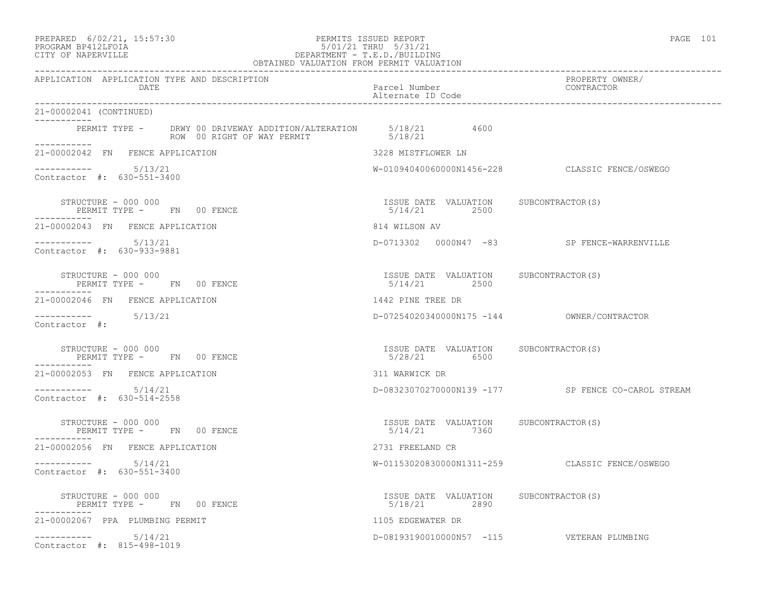## PREPARED 6/02/21, 15:57:30 PERMITS ISSUED REPORT PAGE 101 PROGRAM BP412LFOIA 5/01/21 THRU 5/31/21 CITY OF NAPERVILLE DEPARTMENT - T.E.D./BUILDING

| OBTAINED VALUATION FROM PERMIT VALUATION                                                                             |                                                       |                                                    |  |
|----------------------------------------------------------------------------------------------------------------------|-------------------------------------------------------|----------------------------------------------------|--|
| APPLICATION APPLICATION TYPE AND DESCRIPTION<br>DATE                                                                 | Parcel Number<br>Alternate ID Code                    | PROPERTY OWNER/<br>CONTRACTOR                      |  |
| 21-00002041 (CONTINUED)                                                                                              |                                                       |                                                    |  |
| PERMIT TYPE - DRWY 00 DRIVEWAY ADDITION/ALTERATION 5/18/21 4600<br>ROW 00 RIGHT OF WAY PERMIT 5/18/21<br>___________ |                                                       |                                                    |  |
| 21-00002042 FN FENCE APPLICATION                                                                                     | 3228 MISTFLOWER LN                                    |                                                    |  |
| $--------- 5/13/21$<br>Contractor #: 630-551-3400                                                                    |                                                       | W-01094040060000N1456-228 CLASSIC FENCE/OSWEGO     |  |
| STRUCTURE - 000 000<br>PERMIT TYPE - FN 00 FENCE                                                                     | ISSUE DATE VALUATION SUBCONTRACTOR(S)<br>5/14/21 2500 |                                                    |  |
| 21-00002043 FN FENCE APPLICATION                                                                                     | 814 WILSON AV                                         |                                                    |  |
| Contractor #: 630-933-9881                                                                                           |                                                       | D-0713302 0000N47 -83 SP FENCE-WARRENVILLE         |  |
| STRUCTURE - 000 000<br>PERMIT TYPE - FN 00 FENCE                                                                     | ISSUE DATE VALUATION SUBCONTRACTOR(S)<br>5/14/21 2500 |                                                    |  |
| 21-00002046 FN FENCE APPLICATION                                                                                     | 1442 PINE TREE DR                                     |                                                    |  |
| $--------$ 5/13/21<br>Contractor #:                                                                                  |                                                       | D-07254020340000N175 -144 OWNER/CONTRACTOR         |  |
| STRUCTURE - 000 000<br>PERMIT TYPE - FN 00 FENCE<br>------------                                                     | ISSUE DATE VALUATION SUBCONTRACTOR(S)<br>5/28/21 6500 |                                                    |  |
| 21-00002053 FN FENCE APPLICATION                                                                                     | 311 WARWICK DR                                        |                                                    |  |
| $--------- 5/14/21$<br>Contractor #: 630-514-2558                                                                    |                                                       | D-08323070270000N139 -177 SP FENCE CO-CAROL STREAM |  |
| STRUCTURE - 000 000<br>PERMIT TYPE - FN 00 FENCE                                                                     | ISSUE DATE VALUATION SUBCONTRACTOR(S)<br>5/14/21 7360 |                                                    |  |
| 21-00002056 FN FENCE APPLICATION                                                                                     | 2731 FREELAND CR                                      |                                                    |  |
| $--------- 5/14/21$<br>Contractor #: 630-551-3400                                                                    |                                                       | W-01153020830000N1311-259 CLASSIC FENCE/OSWEGO     |  |
| STRUCTURE - 000 000<br>PERMIT TYPE - FN 00 FENCE                                                                     | ISSUE DATE VALUATION SUBCONTRACTOR(S)<br>5/18/21 2890 |                                                    |  |
| 21-00002067 PPA PLUMBING PERMIT                                                                                      | 1105 EDGEWATER DR                                     |                                                    |  |
| $--------- 5/14/21$<br>Contractor #: 815-498-1019                                                                    |                                                       | D-08193190010000N57 -115 VETERAN PLUMBING          |  |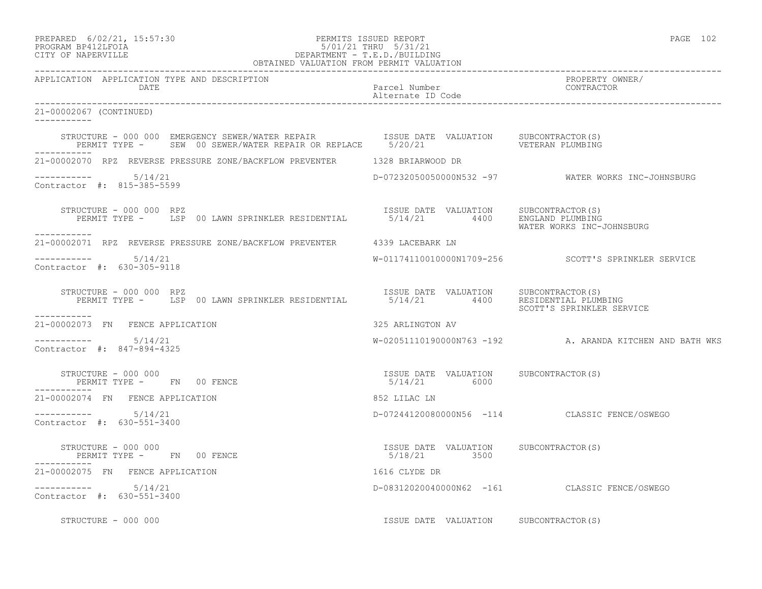| PREPARED            | $6/02/21$ , $15:57:30$ |
|---------------------|------------------------|
| DDACDAM RDA19T FATA |                        |

# PREPARED 6/02/21, 15:57:30 PERMITS ISSUED REPORT PAGE 102 PROGRAM BP412LFOIA 5/01/21 THRU 5/31/21 CITY OF NAPERVILLE DEPARTMENT - T.E.D./BUILDING

| OBTAINED VALUATION FROM PERMIT VALUATION                                                                                                                                                                                                                                                    |                                                                                |                                                          |  |
|---------------------------------------------------------------------------------------------------------------------------------------------------------------------------------------------------------------------------------------------------------------------------------------------|--------------------------------------------------------------------------------|----------------------------------------------------------|--|
| APPLICATION APPLICATION TYPE AND DESCRIPTION<br>DATE                                                                                                                                                                                                                                        | Parcel Number<br>Alternate ID Code                                             | PROPERTY OWNER/<br>CONTRACTOR                            |  |
| 21-00002067 (CONTINUED)<br>-----------                                                                                                                                                                                                                                                      |                                                                                |                                                          |  |
|                                                                                                                                                                                                                                                                                             |                                                                                |                                                          |  |
| 21-00002070 RPZ REVERSE PRESSURE ZONE/BACKFLOW PREVENTER 1328 BRIARWOOD DR                                                                                                                                                                                                                  |                                                                                |                                                          |  |
| $--------- 5/14/21$<br>Contractor #: 815-385-5599                                                                                                                                                                                                                                           |                                                                                | D-07232050050000N532 -97 WATER WORKS INC-JOHNSBURG       |  |
| STRUCTURE - 000 000 RPZ<br>PERMIT TYPE - LSP 00 LAWN SPRINKLER RESIDENTIAL 6/14/21 4400 ENGLAND PLUMBING<br>STRUCTURE - 000 000 RPZ<br>------------                                                                                                                                         |                                                                                | WATER WORKS INC-JOHNSBURG                                |  |
| 21-00002071 RPZ REVERSE PRESSURE ZONE/BACKFLOW PREVENTER 4339 LACEBARK LN                                                                                                                                                                                                                   |                                                                                |                                                          |  |
| Contractor #: 630-305-9118                                                                                                                                                                                                                                                                  |                                                                                | W-01174110010000N1709-256 SCOTT'S SPRINKLER SERVICE      |  |
| STRUCTURE - 000 000 RPZ<br>PERMIT TYPE - LSP 00 LAWN SPRINKLER RESIDENTIAL                                                                                                                                                                                                                  | ISSUE DATE VALUATION SUBCONTRACTOR(S)<br>5/14/21   4400   RESIDENTIAL PLUMBING | SCOTT'S SPRINKLER SERVICE                                |  |
| ------------<br>21-00002073 FN FENCE APPLICATION                                                                                                                                                                                                                                            | 325 ARLINGTON AV                                                               |                                                          |  |
| -----------    5/14/21<br>Contractor #: 847-894-4325                                                                                                                                                                                                                                        |                                                                                | W-02051110190000N763 -192 A. ARANDA KITCHEN AND BATH WKS |  |
| $\begin{tabular}{lcccccc} \texttt{STRUCTURE} & - & 000 & 000 & & & & & & & & & & \\ \texttt{STRUCTURE} & - & & \texttt{FN} & 00 & \texttt{FENCE} & & & & & & & & \\ & & & & & & & & & & & & \\ \texttt{PERMIT TYPE} & - & & \texttt{FN} & 00 & \texttt{FENCE} & & & & & & \\ \end{tabular}$ |                                                                                |                                                          |  |
| 21-00002074 FN FENCE APPLICATION                                                                                                                                                                                                                                                            | 852 LILAC LN                                                                   |                                                          |  |
| Contractor #: 630-551-3400                                                                                                                                                                                                                                                                  |                                                                                | D-07244120080000N56 -114 CLASSIC FENCE/OSWEGO            |  |
| STRUCTURE - 000 000<br>PERMIT TYPE - FN 00 FENCE<br>-------                                                                                                                                                                                                                                 | ISSUE DATE VALUATION SUBCONTRACTOR(S)<br>5/18/21 3500                          |                                                          |  |
| 21-00002075 FN FENCE APPLICATION                                                                                                                                                                                                                                                            | 1616 CLYDE DR                                                                  |                                                          |  |
| $--------- 5/14/21$<br>Contractor #: 630-551-3400                                                                                                                                                                                                                                           |                                                                                | D-08312020040000N62 -161 CLASSIC FENCE/OSWEGO            |  |
| STRUCTURE - 000 000                                                                                                                                                                                                                                                                         | ISSUE DATE VALUATION SUBCONTRACTOR(S)                                          |                                                          |  |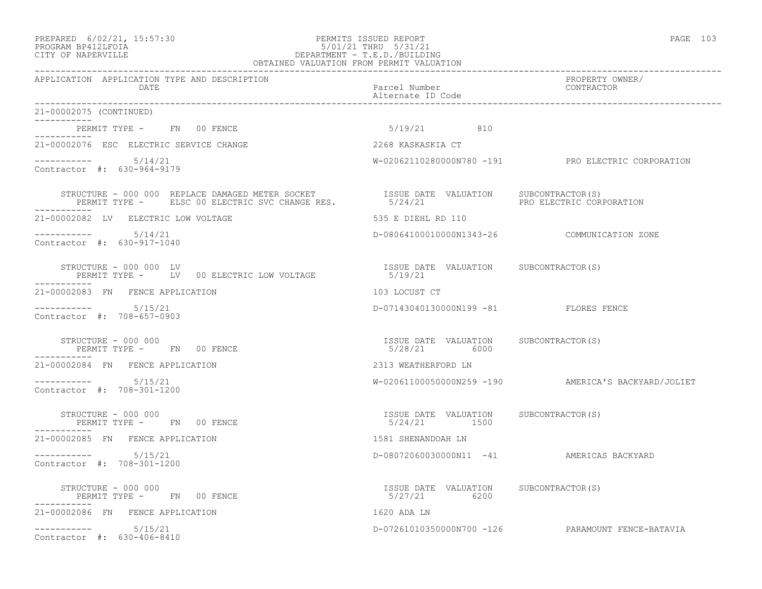# PREPARED 6/02/21, 15:57:30 PERMITS ISSUED REPORT PAGE 103 PROGRAM BP412LFOIA 5/01/21 THRU 5/31/21 CITY OF NAPERVILLE DEPARTMENT - T.E.D./BUILDING

| OBTAINED VALUATION FROM PERMIT VALUATION                                                                                                                                                                                         |                                                        |                                                     |  |
|----------------------------------------------------------------------------------------------------------------------------------------------------------------------------------------------------------------------------------|--------------------------------------------------------|-----------------------------------------------------|--|
| APPLICATION APPLICATION TYPE AND DESCRIPTION<br>DATE                                                                                                                                                                             | Parcel Number<br>Alternate ID Code                     | PROPERTY OWNER/<br>CONTRACTOR                       |  |
| 21-00002075 (CONTINUED)<br>-----------                                                                                                                                                                                           |                                                        |                                                     |  |
| PERMIT TYPE - FN 00 FENCE<br>----------                                                                                                                                                                                          | 5/19/21 810                                            |                                                     |  |
| 21-00002076 ESC ELECTRIC SERVICE CHANGE                                                                                                                                                                                          | 2268 KASKASKIA CT                                      |                                                     |  |
| $--------- 5/14/21$<br>Contractor #: 630-964-9179                                                                                                                                                                                |                                                        | W-02062110280000N780 -191 PRO ELECTRIC CORPORATION  |  |
| STRUCTURE – 000 000 REPLACE DAMAGED METER SOCKET              ISSUE DATE VALUATION    SUBCONTRACTOR(S)<br>PERMIT TYPE –     ELSC 00 ELECTRIC SVC CHANGE RES.             5/24/21                        PRO ELECTRIC CORPORATION |                                                        |                                                     |  |
| 21-00002082 LV ELECTRIC LOW VOLTAGE                                                                                                                                                                                              | 535 E DIEHL RD 110                                     |                                                     |  |
| $--------- 5/14/21$<br>Contractor #: 630-917-1040                                                                                                                                                                                | D-08064100010000N1343-26 COMMUNICATION ZONE            |                                                     |  |
| STRUCTURE - 000 000 LV<br>------------                                                                                                                                                                                           |                                                        |                                                     |  |
| 21-00002083 FN FENCE APPLICATION                                                                                                                                                                                                 | 103 LOCUST CT                                          |                                                     |  |
| $--------- 5/15/21$<br>Contractor #: 708-657-0903                                                                                                                                                                                | D-07143040130000N199 -81 FLORES FENCE                  |                                                     |  |
| STRUCTURE - 000 000<br>PERMIT TYPE -      FN    00 FENCE<br>----------                                                                                                                                                           | ISSUE DATE VALUATION SUBCONTRACTOR(S)<br>5/28/21 6000  |                                                     |  |
| 21-00002084 FN FENCE APPLICATION                                                                                                                                                                                                 | 2313 WEATHERFORD LN                                    |                                                     |  |
| $--------- 5/15/21$<br>Contractor #: 708-301-1200                                                                                                                                                                                |                                                        | W-02061100050000N259 -190 AMERICA'S BACKYARD/JOLIET |  |
| STRUCTURE - 000 000<br>PERMIT TYPE - FN 00 FENCE                                                                                                                                                                                 | ISSUE DATE VALUATION SUBCONTRACTOR(S)<br>5/24/21 1500  |                                                     |  |
| 21-00002085 FN FENCE APPLICATION                                                                                                                                                                                                 | 1581 SHENANDOAH LN                                     |                                                     |  |
| $--------- 5/15/21$<br>Contractor #: 708-301-1200                                                                                                                                                                                |                                                        | D-08072060030000N11 -41 AMERICAS BACKYARD           |  |
| STRUCTURE - 000 000<br>PERMIT TYPE - FN 00 FENCE                                                                                                                                                                                 | ISSUE DATE VALUATION SUBCONTRACTOR (S)<br>5/27/21 6200 |                                                     |  |
| 21-00002086 FN FENCE APPLICATION                                                                                                                                                                                                 | 1620 ADA LN                                            |                                                     |  |
| $--------- 5/15/21$<br>Contractor #: 630-406-8410                                                                                                                                                                                |                                                        | D-07261010350000N700 -126 PARAMOUNT FENCE-BATAVIA   |  |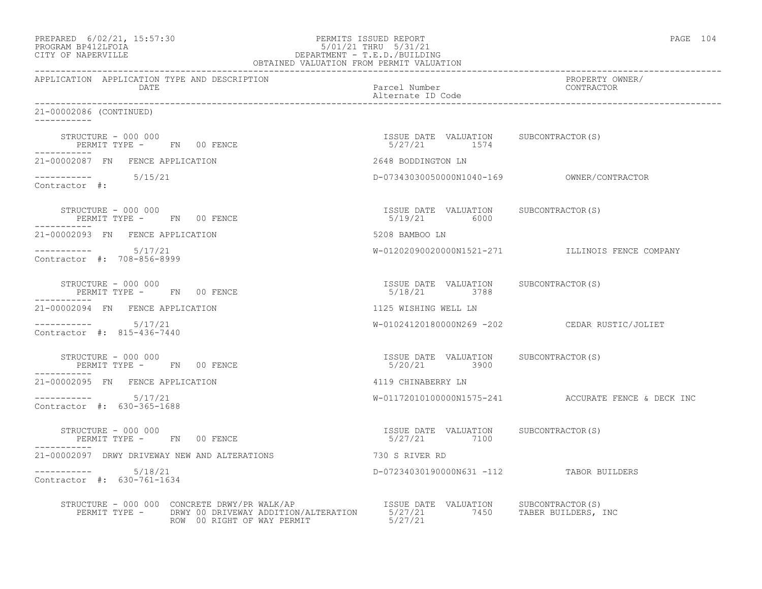| PREPARED            | $6/02/21$ , $15:57:30$ |  |
|---------------------|------------------------|--|
| DDOCD3M DD410T DOT3 |                        |  |

# PREPARED 6/02/21, 15:57:30 PERMITS ISSUED REPORT<br>PROGRAM BP412LFOIA PAGE 104 PROGRAM BP412LFOIA 5/01/21 THRU 5/31/21 CITY OF NAPERVILLE DEPARTMENT - T.E.D./BUILDING

| OBTAINED VALUATION FROM PERMIT VALUATION                                                                                                                                                                                                                                                                                              |                                                       |                                                     |
|---------------------------------------------------------------------------------------------------------------------------------------------------------------------------------------------------------------------------------------------------------------------------------------------------------------------------------------|-------------------------------------------------------|-----------------------------------------------------|
| APPLICATION APPLICATION TYPE AND DESCRIPTION<br>DATE                                                                                                                                                                                                                                                                                  | Parcel Number<br>Alternate ID Code                    | PROPERTY OWNER/<br>CONTRACTOR                       |
| 21-00002086 (CONTINUED)                                                                                                                                                                                                                                                                                                               |                                                       |                                                     |
| $\begin{array}{cccccccccc} \texttt{STRUCTURE} & - & 000 & 000 & & & & & & \\ \texttt{PERMIT TYPE} & - & \texttt{FN} & 00 & \texttt{FENCE} & & & & & \\ \end{array} \hspace{2.2cm} \begin{array}{cccccccccc} \texttt{TSSUE} & \texttt{DATE} & \texttt{VALUATION} & \texttt{SUBCONTRACTOR(S)} \\ & & 5/27/21 & & 1574 & \\ \end{array}$ |                                                       |                                                     |
| 21-00002087 FN FENCE APPLICATION                                                                                                                                                                                                                                                                                                      | 2648 BODDINGTON LN                                    |                                                     |
| $--------- 5/15/21$<br>Contractor #:                                                                                                                                                                                                                                                                                                  |                                                       |                                                     |
| STRUCTURE - 000 000<br>PERMIT TYPE - FN 00 FENCE                                                                                                                                                                                                                                                                                      | ISSUE DATE VALUATION SUBCONTRACTOR(S)<br>5/19/21 6000 |                                                     |
| 21-00002093 FN FENCE APPLICATION                                                                                                                                                                                                                                                                                                      | 5208 BAMBOO LN                                        |                                                     |
| $--------- 5/17/21$<br>Contractor #: 708-856-8999                                                                                                                                                                                                                                                                                     |                                                       | W-01202090020000N1521-271 ILLINOIS FENCE COMPANY    |
| STRUCTURE - 000 000<br>PERMIT TYPE - FN 00 FENCE<br>___________                                                                                                                                                                                                                                                                       | ISSUE DATE VALUATION SUBCONTRACTOR(S)<br>5/18/21 3788 |                                                     |
| 21-00002094 FN FENCE APPLICATION                                                                                                                                                                                                                                                                                                      | 1125 WISHING WELL LN                                  |                                                     |
| $--------- 5/17/21$<br>Contractor #: 815-436-7440                                                                                                                                                                                                                                                                                     |                                                       | W-01024120180000N269 -202 CEDAR RUSTIC/JOLIET       |
| STRUCTURE - 000 000<br>PERMIT TYPE - FN 00 FENCE                                                                                                                                                                                                                                                                                      | ISSUE DATE VALUATION SUBCONTRACTOR(S)<br>5/20/21 3900 |                                                     |
| 21-00002095 FN FENCE APPLICATION                                                                                                                                                                                                                                                                                                      | 4119 CHINABERRY LN                                    |                                                     |
| Contractor #: 630-365-1688                                                                                                                                                                                                                                                                                                            |                                                       | W-01172010100000N1575-241 ACCURATE FENCE & DECK INC |
| STRUCTURE - 000 000<br>PERMIT TYPE - FN 00 FENCE                                                                                                                                                                                                                                                                                      | ISSUE DATE VALUATION SUBCONTRACTOR(S)<br>5/27/21 7100 |                                                     |
| 21-00002097 DRWY DRIVEWAY NEW AND ALTERATIONS                                                                                                                                                                                                                                                                                         | 730 S RIVER RD                                        |                                                     |
| $--------- 5/18/21$<br>Contractor #: 630-761-1634                                                                                                                                                                                                                                                                                     | D-07234030190000N631 -112 TABOR BUILDERS              |                                                     |
|                                                                                                                                                                                                                                                                                                                                       |                                                       |                                                     |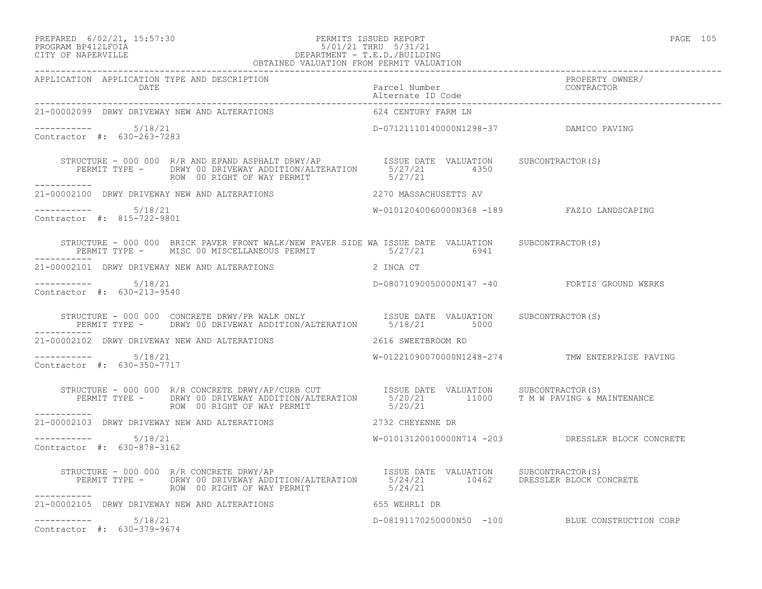## PREPARED 6/02/21, 15:57:30 PERMITS ISSUED REPORT PAGE 105 PROGRAM BP412LFOIA 5/01/21 THRU 5/31/21 CITY OF NAPERVILLE DEPARTMENT - T.E.D./BUILDING

| ۰<br>×<br>۰. | $\sim$ |
|--------------|--------|
|              |        |

|                                                      | OBTAINED VALUATION FROM PERMIT VALUATION                                                                                                                                                                                       |                                        |                                                   |
|------------------------------------------------------|--------------------------------------------------------------------------------------------------------------------------------------------------------------------------------------------------------------------------------|----------------------------------------|---------------------------------------------------|
| APPLICATION APPLICATION TYPE AND DESCRIPTION         |                                                                                                                                                                                                                                |                                        | PROPERTY OWNER/<br>CONTRACTOR                     |
|                                                      | 21-00002099 DRWY DRIVEWAY NEW AND ALTERATIONS 624 CENTURY FARM LN                                                                                                                                                              |                                        |                                                   |
| -----------    5/18/21<br>Contractor #: 630-263-7283 |                                                                                                                                                                                                                                | D-07121110140000N1298-37 DAMICO PAVING |                                                   |
|                                                      | STRUCTURE - 000 000 R/R AND EPAND ASPHALT DRWY/AP ISSUE DATE VALUATION SUBCONTRACTOR(S)<br>PERMIT TYPE - DRWY 00 DRIVEWAY ADDITION/ALTERATION 5/27/21 4350<br>ROW 00 RIGHT OF WAY PERMIT 5/27/21<br>ROW 00 RIGHT OF WAY PERMIT |                                        |                                                   |
|                                                      |                                                                                                                                                                                                                                |                                        |                                                   |
| -----------    5/18/21<br>Contractor #: 815-722-9801 |                                                                                                                                                                                                                                |                                        | W-01012040060000N368 -189 FAZIO LANDSCAPING       |
|                                                      | STRUCTURE - 000 000 BRICK PAVER FRONT WALK/NEW PAVER SIDE WA ISSUE DATE VALUATION SUBCONTRACTOR(S)<br>PERMIT TYPE - MISC 00 MISCELLANEOUS PERMIT 6941                                                                          |                                        |                                                   |
|                                                      | $21\texttt{-}00002101$ DRWY DRIVEWAY NEW AND ALTERATIONS $2$ INCA CT                                                                                                                                                           |                                        |                                                   |
| $--------- 5/18/21$<br>Contractor #: 630-213-9540    |                                                                                                                                                                                                                                |                                        | D-08071090050000N147 -40 FORTIS GROUND WERKS      |
|                                                      | STRUCTURE - 000 000 CONCRETE DRWY/PR WALK ONLY TSSUE DATE VALUATION SUBCONTRACTOR(S)<br>PERMIT TYPE - DRWY 00 DRIVEWAY ADDITION/ALTERATION 5/18/21 5000                                                                        |                                        |                                                   |
|                                                      | 21-00002102 DRWY DRIVEWAY NEW AND ALTERATIONS 2616 SWEETBROOM RD                                                                                                                                                               |                                        |                                                   |
| $--------- 5/18/21$<br>Contractor #: 630-350-7717    |                                                                                                                                                                                                                                |                                        | W-01221090070000N1248-274 TMW ENTERPRISE PAVING   |
| -----------                                          | STRUCTURE - 000 000 R/R CONCRETE DRWY/AP/CURB CUT TSSUE DATE VALUATION SUBCONTRACTOR(S)<br>PERMIT TYPE - DRWY 00 DRIVEWAY ADDITION/ALTERATION 5/20/21 11000 T M W PAVING & MAINTENANCE<br>ROW 00 RIGHT OF WAY PERMIT           | 5/20/21                                |                                                   |
|                                                      | 21-00002103 DRWY DRIVEWAY NEW AND ALTERATIONS 2732 CHEYENNE DR                                                                                                                                                                 |                                        |                                                   |
| Contractor #: 630-878-3162                           |                                                                                                                                                                                                                                |                                        | W-01013120010000N714 -203 DRESSLER BLOCK CONCRETE |
| ------------                                         | STRUCTURE - 000 000 R/R CONCRETE DRWY/AP<br>PERMIT TYPE - DRWY 00 DRIVE AND DITION/ALTERATION SUSCENSE VALUATION SUBCONTRACTOR(S)<br>ROW 00 RIGHT OF WAY PERMIT                                                                | 5/24/21                                |                                                   |
|                                                      | 21-00002105 DRWY DRIVEWAY NEW AND ALTERATIONS 655 WEHRLI DR                                                                                                                                                                    |                                        |                                                   |
| $--------- 5/18/21$<br>Contractor #: 630-379-9674    |                                                                                                                                                                                                                                |                                        | D-08191170250000N50 -100 BLUE CONSTRUCTION CORP   |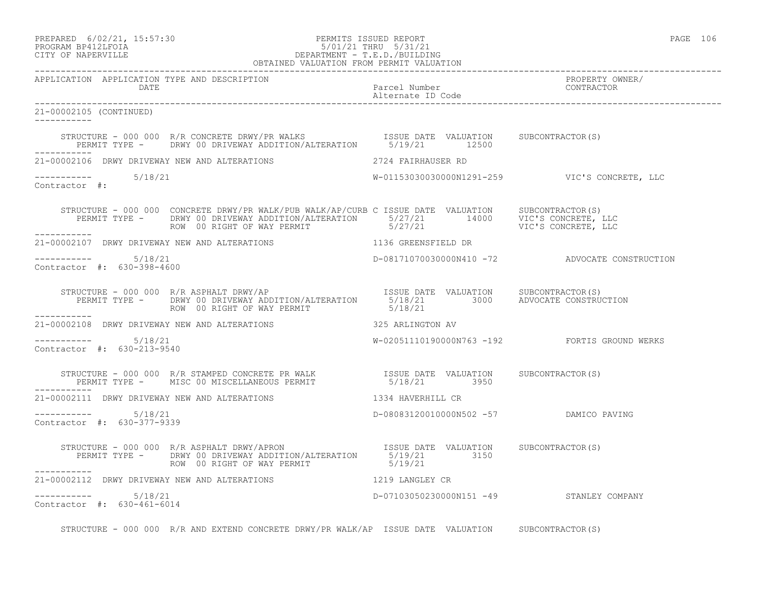## PREPARED 6/02/21, 15:57:30 PERMITS ISSUED REPORT PAGE 106 PROGRAM BP412LFOIA 5/01/21 THRU 5/31/21 CITY OF NAPERVILLE DEPARTMENT - T.E.D./BUILDING

| OBTAINED VALUATION FROM PERMIT VALUATION                          |                                                                                                                                                                                                                                                              |                                                |
|-------------------------------------------------------------------|--------------------------------------------------------------------------------------------------------------------------------------------------------------------------------------------------------------------------------------------------------------|------------------------------------------------|
| APPLICATION APPLICATION TYPE AND DESCRIPTION                      |                                                                                                                                                                                                                                                              | PROPERTY OWNER/<br>CONTRACTOR                  |
| 21-00002105 (CONTINUED)<br>___________                            |                                                                                                                                                                                                                                                              |                                                |
|                                                                   | STRUCTURE - 000 000 R/R CONCRETE DRWY/PR WALKS                  ISSUE DATE VALUATION     SUBCONTRACTOR(S)<br>PERMIT TYPE -      DRWY 00 DRIVEWAY ADDITION/ALTERATION       5/19/21       12500                                                               |                                                |
| 21-00002106 DRWY DRIVEWAY NEW AND ALTERATIONS 42724 FAIRHAUSER RD |                                                                                                                                                                                                                                                              |                                                |
| Contractor #:                                                     | W-01153030030000N1291-259 VIC'S CONCRETE, LLC                                                                                                                                                                                                                |                                                |
| ___________                                                       | STRUCTURE - 000 000 CONCRETE DRWY/PR WALK/PUB WALK/AP/CURB C ISSUE DATE VALUATION SUBCONTRACTOR(S)<br>PERMIT TYPE - DRWY 00 DRIVEWAY ADDITION/ALTERATION 5/27/21 14000 VIC'S CONCRETE, LLC<br>ROW 00 RIGHT OF WAY PERMIT 5/27/21 5/27/21 VIC'S CONCRETE, LLC |                                                |
| 21-00002107 DRWY DRIVEWAY NEW AND ALTERATIONS 1136 GREENSFIELD DR |                                                                                                                                                                                                                                                              |                                                |
| -----------    5/18/21<br>Contractor #: 630-398-4600              |                                                                                                                                                                                                                                                              | D-08171070030000N410 -72 ADVOCATE CONSTRUCTION |
| ROW 00 RIGHT OF WAY PERMIT<br>__________                          | STRUCTURE - 000 000 R/R ASPHALT DRWY/AP<br>PERMIT TYPE - DRWY 00 DRIVEWAY ADDITION/ALTERATION 5/18/21 3000 ADVOCATE CONSTRUCTION<br>ROW 00 RIGHT OF WAY PERMIT 5/18/21                                                                                       |                                                |
| 21-00002108 DRWY DRIVEWAY NEW AND ALTERATIONS 325 ARLINGTON AV    |                                                                                                                                                                                                                                                              |                                                |
| -----------    5/18/21<br>Contractor #: 630-213-9540              | W-02051110190000N763 -192    FORTIS GROUND WERKS                                                                                                                                                                                                             |                                                |
| ___________                                                       |                                                                                                                                                                                                                                                              |                                                |
| 21-00002111 DRWY DRIVEWAY NEW AND ALTERATIONS 1334 HAVERHILL CR   |                                                                                                                                                                                                                                                              |                                                |
| -----------    5/18/21<br>Contractor #: 630-377-9339              | D-08083120010000N502 -57 DAMICO PAVING                                                                                                                                                                                                                       |                                                |
|                                                                   | STRUCTURE - 000 000 R/R ASPHALT DRWY/APRON ISSUE DATE VALUATION SUBCONTRACTOR(S)<br>PERMIT TYPE - DRWY 00 DRIVEWAY ADDITION/ALTERATION 5/19/21 3150<br>ROW 00 RIGHT OF WAY PERMIT 319/21                                                                     |                                                |
| 21-00002112 DRWY DRIVEWAY NEW AND ALTERATIONS 1219 LANGLEY CR     |                                                                                                                                                                                                                                                              |                                                |
| Contractor #: 630-461-6014                                        | D-07103050230000N151 -49 STANLEY COMPANY                                                                                                                                                                                                                     |                                                |

STRUCTURE - 000 000 R/R AND EXTEND CONCRETE DRWY/PR WALK/AP ISSUE DATE VALUATION SUBCONTRACTOR(S)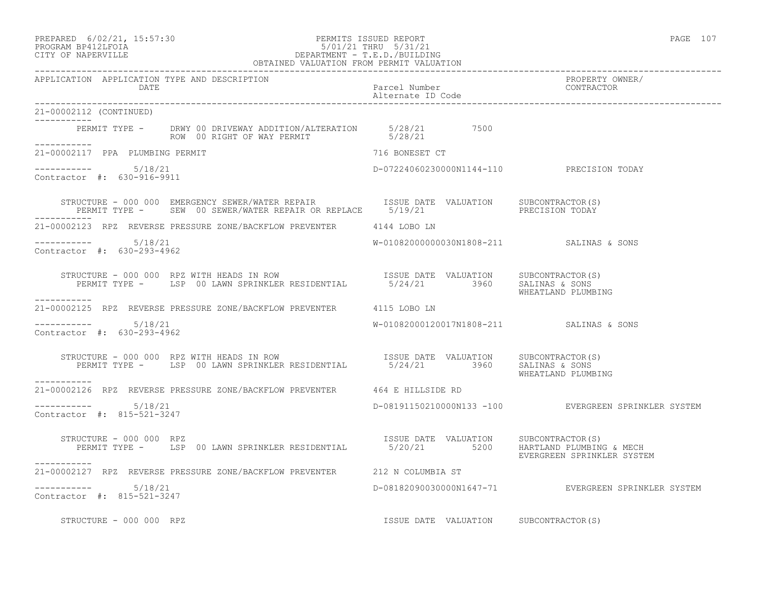#### PREPARED 6/02/21, 15:57:30 PERMITS ISSUED REPORT PAGE 107 PROGRAM BP412LFOIA 5/01/21 THRU 5/31/21 CITY OF NAPERVILLE DEPARTMENT - T.E.D./BUILDING

|                                                      | OBTAINED VALUATION FROM PERMIT VALUATION                                                                                 |                                       |                                                      |
|------------------------------------------------------|--------------------------------------------------------------------------------------------------------------------------|---------------------------------------|------------------------------------------------------|
| APPLICATION APPLICATION TYPE AND DESCRIPTION<br>DATE |                                                                                                                          | Parcel Number<br>Alternate ID Code    | PROPERTY OWNER/<br>CONTRACTOR                        |
| 21-00002112 (CONTINUED)                              |                                                                                                                          |                                       |                                                      |
| -----------<br>___________                           | PERMIT TYPE - DRWY 00 DRIVEWAY ADDITION/ALTERATION 5/28/21 7500<br>ROW 00 RIGHT OF WAY PERMIT 5/28/21                    |                                       |                                                      |
| 21-00002117 PPA PLUMBING PERMIT                      |                                                                                                                          | 716 BONESET CT                        |                                                      |
| $--------- 5/18/21$<br>Contractor #: 630-916-9911    |                                                                                                                          |                                       | D-07224060230000N1144-110 PRECISION TODAY            |
|                                                      |                                                                                                                          |                                       |                                                      |
|                                                      | 21-00002123 RPZ REVERSE PRESSURE ZONE/BACKFLOW PREVENTER 4144 LOBO LN                                                    |                                       |                                                      |
| $--------- 5/18/21$<br>Contractor #: 630-293-4962    |                                                                                                                          |                                       | W-01082000000030N1808-211 SALINAS & SONS             |
|                                                      | STRUCTURE - 000 000 RPZ WITH HEADS IN ROW<br>PERMIT TYPE - LSP 00 LAWN SPRINKLER RESIDENTIAL 5/24/21 3960 SALINAS & SONS |                                       | WHEATLAND PLUMBING                                   |
| ___________                                          | 21-00002125 RPZ REVERSE PRESSURE ZONE/BACKFLOW PREVENTER 4115 LOBO LN                                                    |                                       |                                                      |
| $--------- 5/18/21$<br>Contractor #: 630-293-4962    |                                                                                                                          |                                       | W-01082000120017N1808-211 SALINAS & SONS             |
| ------------                                         | STRUCTURE - 000 000 RPZ WITH HEADS IN ROW<br>PERMIT TYPE - LSP 00 LAWN SPRINKLER RESIDENTIAL 5/24/21 3960 SALINAS & SONS |                                       | WHEATLAND PLUMBING                                   |
|                                                      | 21-00002126 RPZ REVERSE PRESSURE ZONE/BACKFLOW PREVENTER 464 E HILLSIDE RD                                               |                                       |                                                      |
| $--------$ 5/18/21<br>Contractor #: 815-521-3247     |                                                                                                                          |                                       | D-08191150210000N133 -100 EVERGREEN SPRINKLER SYSTEM |
| STRUCTURE - 000 000 RPZ                              | PERMIT TYPE - LSP 00 LAWN SPRINKLER RESIDENTIAL 5/20/21 5200 HARTLAND PLUMBING & MECH                                    | ISSUE DATE VALUATION SUBCONTRACTOR(S) | EVERGREEN SPRINKLER SYSTEM                           |
|                                                      | 21-00002127 RPZ REVERSE PRESSURE ZONE/BACKFLOW PREVENTER 212 N COLUMBIA ST                                               |                                       |                                                      |
| Contractor #: 815-521-3247                           |                                                                                                                          |                                       | D-08182090030000N1647-71 EVERGREEN SPRINKLER SYSTEM  |
| STRUCTURE - 000 000 RPZ                              |                                                                                                                          | ISSUE DATE VALUATION SUBCONTRACTOR(S) |                                                      |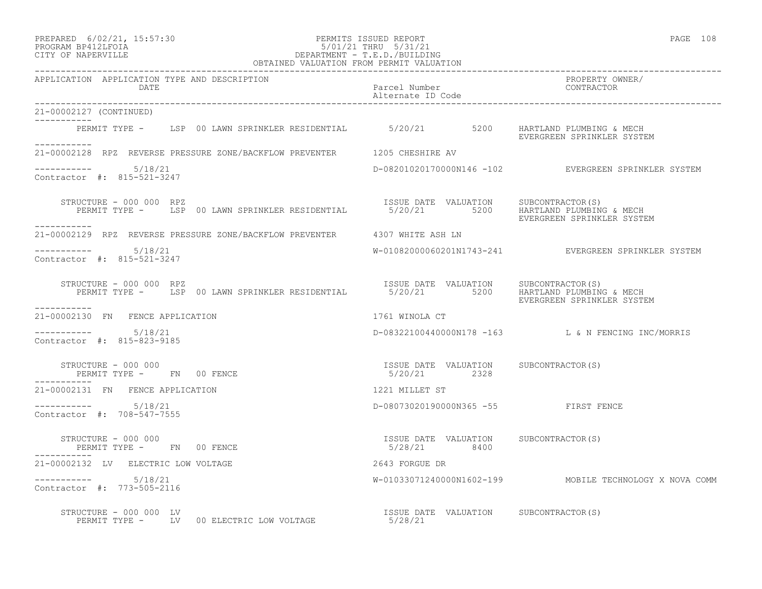# PREPARED 6/02/21, 15:57:30 PERMITS ISSUED REPORT PAGE 108 PROGRAM BP412LFOIA 5/01/21 THRU 5/31/21 CITY OF NAPERVILLE DEPARTMENT - T.E.D./BUILDING

| OBTAINED VALUATION FROM PERMIT VALUATION                                                                                                                                                                                                               |                                                       |                                                         |
|--------------------------------------------------------------------------------------------------------------------------------------------------------------------------------------------------------------------------------------------------------|-------------------------------------------------------|---------------------------------------------------------|
| APPLICATION APPLICATION TYPE AND DESCRIPTION<br>DATE                                                                                                                                                                                                   | Parcel Number<br>Alternate ID Code                    | PROPERTY OWNER/<br>CONTRACTOR                           |
| 21-00002127 (CONTINUED)                                                                                                                                                                                                                                |                                                       |                                                         |
| PERMIT TYPE - LSP 00 LAWN SPRINKLER RESIDENTIAL 5/20/21 5200 HARTLAND PLUMBING & MECH<br>-----------                                                                                                                                                   |                                                       | EVERGREEN SPRINKLER SYSTEM                              |
| 21-00002128 RPZ REVERSE PRESSURE ZONE/BACKFLOW PREVENTER 1205 CHESHIRE AV                                                                                                                                                                              |                                                       |                                                         |
| $--------- 5/18/21$<br>Contractor #: 815-521-3247                                                                                                                                                                                                      |                                                       | D-08201020170000N146 -102 EVERGREEN SPRINKLER SYSTEM    |
| RUCTURE - 000 000 RPZ<br>PERMIT TYPE - LSP 00 LAWN SPRINKLER RESIDENTIAL 15/20/21 5/200 HARTLAND PLUMBING & MECH<br>PERMIT TYPE - LSP 00 LAWN SPRINKLER RESIDENTIAL 15/20/21 5200 FINEDOPERN CREINKLER CYCTE<br>STRUCTURE - 000 000 RPZ<br>----------- |                                                       | EVERGREEN SPRINKLER SYSTEM                              |
| 21-00002129 RPZ REVERSE PRESSURE ZONE/BACKFLOW PREVENTER 4307 WHITE ASH LN                                                                                                                                                                             |                                                       |                                                         |
| $--------- 5/18/21$<br>Contractor #: 815-521-3247                                                                                                                                                                                                      |                                                       | W-01082000060201N1743-241 EVERGREEN SPRINKLER SYSTEM    |
| STRUCTURE - 000 000 RPZ<br>PERMIT TYPE - LSP 00 LAWN SPRINKLER RESIDENTIAL 5/20/21 5200 HARTLAND PLUMBING & MECH<br>STRUCTURE - 000 000 RPZ<br>------------                                                                                            |                                                       | EVERGREEN SPRINKLER SYSTEM                              |
| 21-00002130 FN FENCE APPLICATION                                                                                                                                                                                                                       | 1761 WINOLA CT                                        |                                                         |
| $--------- 5/18/21$<br>Contractor #: 815-823-9185                                                                                                                                                                                                      |                                                       | D-08322100440000N178 -163 L & N FENCING INC/MORRIS      |
| STRUCTURE - 000 000<br>PERMIT TYPE - FN 00 FENCE<br>STRUCTURE - 000 000                                                                                                                                                                                | ISSUE DATE VALUATION SUBCONTRACTOR(S)<br>5/20/21 2328 |                                                         |
| 1221 MILLET ST<br>21-00002131 FN FENCE APPLICATION                                                                                                                                                                                                     |                                                       |                                                         |
| $--------- 5/18/21$<br>Contractor #: 708-547-7555                                                                                                                                                                                                      | D-08073020190000N365 -55 FIRST FENCE                  |                                                         |
| STRUCTURE - 000 000<br>PERMIT TYPE - FN 00 FENCE                                                                                                                                                                                                       | ISSUE DATE VALUATION SUBCONTRACTOR(S)<br>5/28/21 8400 |                                                         |
| 21-00002132 LV ELECTRIC LOW VOLTAGE                                                                                                                                                                                                                    | 2643 FORGUE DR                                        |                                                         |
| $--------- 5/18/21$<br>Contractor #: 773-505-2116                                                                                                                                                                                                      |                                                       | W-01033071240000N1602-199 MOBILE TECHNOLOGY X NOVA COMM |
| RUCTURE - 000 000 LV<br>PERMIT TYPE -     LV  00 ELECTRIC LOW VOLTAGE                                    5/28/21<br>STRUCTURE - 000 000 LV                                                                                                             | ISSUE DATE VALUATION SUBCONTRACTOR(S)                 |                                                         |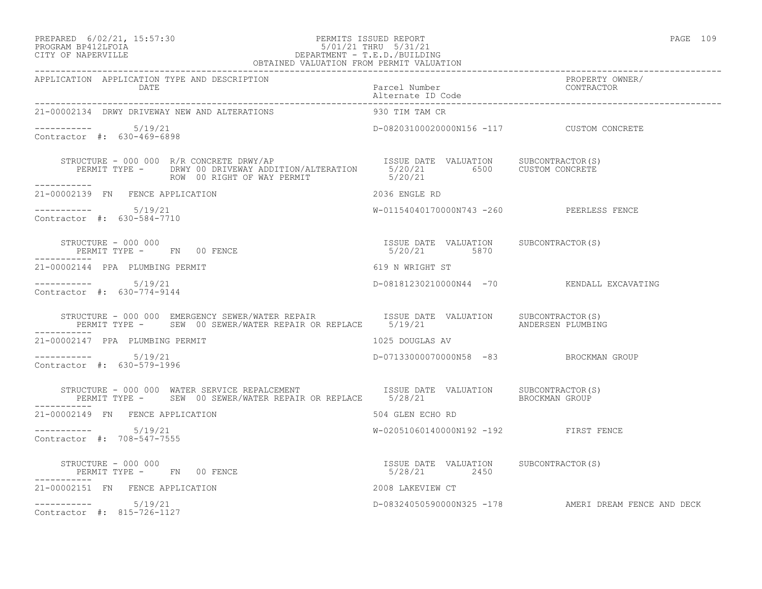# PREPARED 6/02/21, 15:57:30 PERMITS ISSUED REPORT<br>PROGRAM BP412LFOIA PAGE 109 95/01/21 THRU 5/31/21 PROGRAM BP412LFOIA 5/01/21 THRU 5/31/21 CITY OF NAPERVILLE DEPARTMENT - T.E.D./BUILDING

| OBTAINED VALUATION FROM PERMIT VALUATION                                                                                                                                                                                                                                                                                           |                                           |                                                      |
|------------------------------------------------------------------------------------------------------------------------------------------------------------------------------------------------------------------------------------------------------------------------------------------------------------------------------------|-------------------------------------------|------------------------------------------------------|
| APPLICATION APPLICATION TYPE AND DESCRIPTION<br><b>DATE</b>                                                                                                                                                                                                                                                                        |                                           | PROPERTY OWNER/<br>CONTRACTOR                        |
| 21-00002134 DRWY DRIVEWAY NEW AND ALTERATIONS                                                                                                                                                                                                                                                                                      | 930 TIM TAM CR                            |                                                      |
| Contractor #: 630-469-6898                                                                                                                                                                                                                                                                                                         | D-08203100020000N156 -117 CUSTOM CONCRETE |                                                      |
|                                                                                                                                                                                                                                                                                                                                    |                                           |                                                      |
| 21-00002139 FN FENCE APPLICATION                                                                                                                                                                                                                                                                                                   | 2036 ENGLE RD                             |                                                      |
| -----------    5/19/21<br>Contractor #: 630-584-7710                                                                                                                                                                                                                                                                               | W-01154040170000N743 -260 PEERLESS FENCE  |                                                      |
| $\begin{array}{cccccccccc} \texttt{STRUCTURE} & - & 000 & 000 & & & & & & & & \\ \texttt{PERMIT TYPE} & - & & \texttt{FN} & 00 & \texttt{FENCE} & & & & & & & \\ \texttt{PERMIT TYPE} & - & & \texttt{FN} & 00 & \texttt{FENCE} & & & & & & \\ \end{array}$<br>-----------                                                         |                                           |                                                      |
| 21-00002144 PPA PLUMBING PERMIT                                                                                                                                                                                                                                                                                                    | 619 N WRIGHT ST                           |                                                      |
| -----------    5/19/21<br>Contractor #: 630-774-9144                                                                                                                                                                                                                                                                               |                                           | D-08181230210000N44 -70 KENDALL EXCAVATING           |
| STRUCTURE – 000 000 EMERGENCY SEWER/WATER REPAIR             ISSUE DATE VALUATION      SUBCONTRACTOR(S)<br>PERMIT TYPE –     SEW 00 SEWER/WATER REPAIR OR REPLACE      5/19/21                        ANDERSEN PLUMBING                                                                                                            |                                           |                                                      |
| 21-00002147 PPA PLUMBING PERMIT                                                                                                                                                                                                                                                                                                    | 1025 DOUGLAS AV                           |                                                      |
| ----------- 5/19/21<br>Contractor #: 630-579-1996                                                                                                                                                                                                                                                                                  | D-07133000070000N58 -83 BROCKMAN GROUP    |                                                      |
| STRUCTURE – 000 000 WATER SERVICE REPALCEMENT                   ISSUE DATE VALUATION     SUBCONTRACTOR(S)<br>PERMIT TYPE –     SEW 00 SEWER/WATER REPAIR OR REPLACE     5/28/21               BROCKMAN GROUP                                                                                                                       |                                           |                                                      |
| 21-00002149 FN FENCE APPLICATION                                                                                                                                                                                                                                                                                                   | 504 GLEN ECHO RD                          |                                                      |
| $--------$ 5/19/21<br>Contractor #: 708-547-7555                                                                                                                                                                                                                                                                                   | W-02051060140000N192 -192 FIRST FENCE     |                                                      |
| $\begin{array}{cccc} \texttt{STRUCTURE} & - & 000 & 000 \\ \texttt{PERMIT} & \texttt{TYPE} & - & \texttt{FN} \end{array} \qquad \begin{array}{cccc} \texttt{OSUE} & \texttt{DATE} & \texttt{VALUATION} \\ \texttt{S/28/21} & 2450 \\ \end{array} \qquad \begin{array}{cccc} \texttt{SUECOMTRACTOR(S)} \end{array}$<br>------------ |                                           |                                                      |
| 21-00002151 FN FENCE APPLICATION                                                                                                                                                                                                                                                                                                   | 2008 LAKEVIEW CT                          |                                                      |
| $--------- 5/19/21$<br>Contractor #: 815-726-1127                                                                                                                                                                                                                                                                                  |                                           | D-08324050590000N325 -178 AMERI DREAM FENCE AND DECK |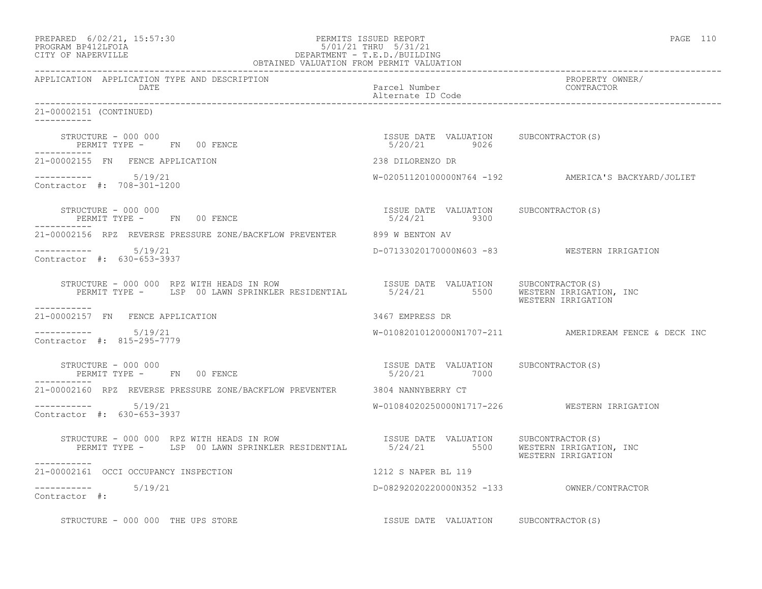| PREPARED 6/02/21, 15:57:30<br>5/01/21 Inno<br>DEPARTMENT - T.E.D./BUILDING<br>OBTAINED VALUATION FROM PERMIT VALUATION<br>PROGRAM BP412LFOIA<br>CITY OF NAPERVILLE | PERMITS ISSUED REPORT                                 | PAGE 110                                                |
|--------------------------------------------------------------------------------------------------------------------------------------------------------------------|-------------------------------------------------------|---------------------------------------------------------|
| APPLICATION APPLICATION TYPE AND DESCRIPTION<br>DATE                                                                                                               | Parcel Number<br>Alternate ID Code                    | PROPERTY OWNER/<br>CONTRACTOR                           |
| 21-00002151 (CONTINUED)<br>$- - - - - - - - - - -$                                                                                                                 |                                                       |                                                         |
| STRUCTURE – 000 000<br>PERMIT TYPE - FN 00 FENCE<br>------------                                                                                                   | ISSUE DATE VALUATION SUBCONTRACTOR(S)<br>5/20/21 9026 |                                                         |
| 21-00002155 FN FENCE APPLICATION                                                                                                                                   | 238 DILORENZO DR                                      |                                                         |
| $--------- 5/19/21$<br>Contractor #: 708-301-1200                                                                                                                  |                                                       | W-02051120100000N764 -192 AMERICA'S BACKYARD/JOLIET     |
| STRUCTURE - 000 000<br>PERMIT TYPE - FN 00 FENCE                                                                                                                   | ISSUE DATE VALUATION SUBCONTRACTOR(S)<br>5/24/21 9300 |                                                         |
| 21-00002156 RPZ REVERSE PRESSURE ZONE/BACKFLOW PREVENTER 699 W BENTON AV                                                                                           |                                                       |                                                         |
| $--------- 5/19/21$<br>Contractor #: 630-653-3937                                                                                                                  | D-07133020170000N603 -83 WESTERN IRRIGATION           |                                                         |
| STRUCTURE - 000 000 RPZ WITH HEADS IN ROW<br>PERMIT TYPE - LSP 00 LAWN SPRINKLER RESIDENTIAL 5/24/21 5500 WESTEN IRRIGATION, INC<br>-----------                    |                                                       | WESTERN IRRIGATION                                      |
| 21-00002157 FN FENCE APPLICATION                                                                                                                                   | 3467 EMPRESS DR                                       |                                                         |
| $--------- 5/19/21$<br>Contractor #: 815-295-7779                                                                                                                  |                                                       | $W-01082010120000N1707-211$ AMERIDREAM FENCE & DECK INC |
| STRUCTURE - 000 000<br>PERMIT TYPE - FN 00 FENCE                                                                                                                   | ISSUE DATE VALUATION SUBCONTRACTOR(S)<br>5/20/21 7000 |                                                         |
| 21-00002160 RPZ REVERSE PRESSURE ZONE/BACKFLOW PREVENTER 3804 NANNYBERRY CT                                                                                        |                                                       |                                                         |
| $--------- 5/19/21$<br>Contractor #: 630-653-3937                                                                                                                  |                                                       | W-01084020250000N1717-226 WESTERN IRRIGATION            |
| STRUCTURE - 000 000 RPZ WITH HEADS IN ROW<br>PERMIT TYPE - LSP 00 LAWN SPRINKLER RESIDENTIAL 5/24/21 5500 WESTERN IRRIGATION, INC                                  |                                                       | WESTERN IRRIGATION                                      |
| 21-00002161 OCCI OCCUPANCY INSPECTION                                                                                                                              | 1212 S NAPER BL 119                                   |                                                         |
| ----------- 5/19/21<br>Contractor #:                                                                                                                               |                                                       |                                                         |
| STRUCTURE - 000 000 THE UPS STORE                                                                                                                                  | ISSUE DATE VALUATION SUBCONTRACTOR(S)                 |                                                         |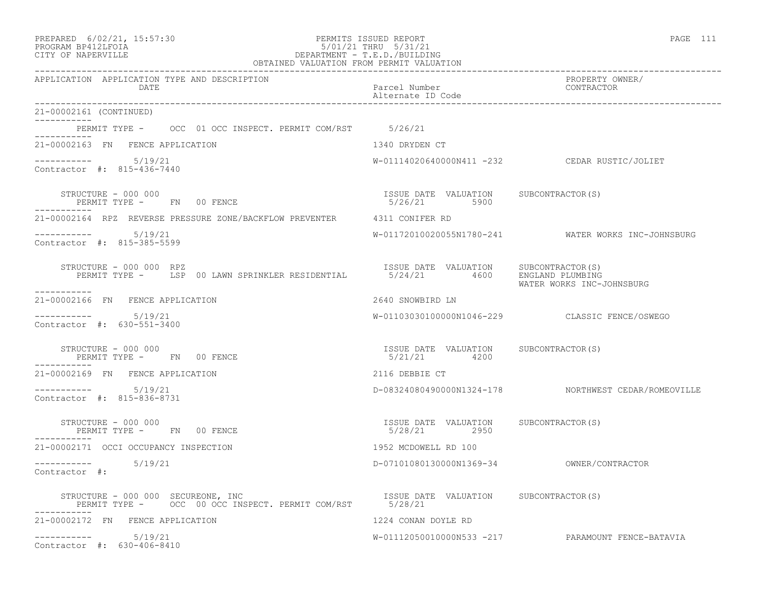| PREPARED | $6/02/21$ , $15:57:30$ |  |
|----------|------------------------|--|
|          |                        |  |

#### PREPARED 6/02/21, 15:57:30 PERMITS ISSUED REPORT PAGE 111 PROGRAM BP412LFOIA 5/01/21 THRU 5/31/21 CITY OF NAPERVILLE DEPARTMENT - T.E.D./BUILDING OBTAINED VALUATION FROM PERMIT VALUATION

| APPLICATION APPLICATION TYPE AND DESCRIPTION<br>DATE                                                           | Parcel Number<br>Alternate ID Code                                       | PROPERTY OWNER/<br>CONTRACTOR                        |
|----------------------------------------------------------------------------------------------------------------|--------------------------------------------------------------------------|------------------------------------------------------|
| 21-00002161 (CONTINUED)                                                                                        |                                                                          |                                                      |
| PERMIT TYPE - OCC 01 OCC INSPECT. PERMIT COM/RST 5/26/21<br>__________                                         |                                                                          |                                                      |
| 21-00002163 FN FENCE APPLICATION                                                                               | 1340 DRYDEN CT                                                           |                                                      |
| $--------- 5/19/21$<br>Contractor #: 815-436-7440                                                              |                                                                          | W-01114020640000N411 -232 CEDAR RUSTIC/JOLIET        |
| STRUCTURE - 000 000<br>PERMIT TYPE - FN 00 FENCE                                                               | ISSUE DATE VALUATION SUBCONTRACTOR(S)<br>5/26/21 5900                    |                                                      |
| 21-00002164 RPZ REVERSE PRESSURE ZONE/BACKFLOW PREVENTER 4311 CONIFER RD                                       |                                                                          |                                                      |
| Contractor #: 815-385-5599                                                                                     |                                                                          | W-01172010020055N1780-241 WATER WORKS INC-JOHNSBURG  |
| STRUCTURE - 000 000 RPZ<br>PERMIT TYPE - LSP 00 LAWN SPRINKLER RESIDENTIAL<br>------------                     | ISSUE DATE VALUATION SUBCONTRACTOR(S)<br>5/24/21  4600  ENGLAND PLUMBING | WATER WORKS INC-JOHNSBURG                            |
| 21-00002166 FN FENCE APPLICATION                                                                               | 2640 SNOWBIRD LN                                                         |                                                      |
| $--------- 5/19/21$<br>Contractor #: 630-551-3400                                                              |                                                                          | W-01103030100000N1046-229 CLASSIC FENCE/OSWEGO       |
| STRUCTURE - 000 000<br>PERMIT TYPE - FN 00 FENCE                                                               | ISSUE DATE VALUATION SUBCONTRACTOR(S)<br>5/21/21 4200                    |                                                      |
| 21-00002169 FN FENCE APPLICATION                                                                               | 2116 DEBBIE CT                                                           |                                                      |
| ----------    5/19/21<br>Contractor #: 815-836-8731                                                            |                                                                          | D-08324080490000N1324-178 NORTHWEST CEDAR/ROMEOVILLE |
| STRUCTURE - 000 000<br>PERMIT TYPE - FN 00 FENCE                                                               | ISSUE DATE VALUATION SUBCONTRACTOR(S)<br>5/28/21 2950                    |                                                      |
| 21-00002171 OCCI OCCUPANCY INSPECTION                                                                          | 1952 MCDOWELL RD 100                                                     |                                                      |
| -----------    5/19/21<br>Contractor #:                                                                        |                                                                          |                                                      |
| STRUCTURE - 000 000 SECUREONE, INC<br>PERMIT TYPE -  OCC 00 OCC INSPECT. PERMIT COM/RST 5/28/21<br>----------- |                                                                          |                                                      |
| 21-00002172 FN FENCE APPLICATION                                                                               | 1224 CONAN DOYLE RD                                                      |                                                      |
| $--------- 5/19/21$<br>Contractor #: 630-406-8410                                                              |                                                                          | W-01112050010000N533 -217 PARAMOUNT FENCE-BATAVIA    |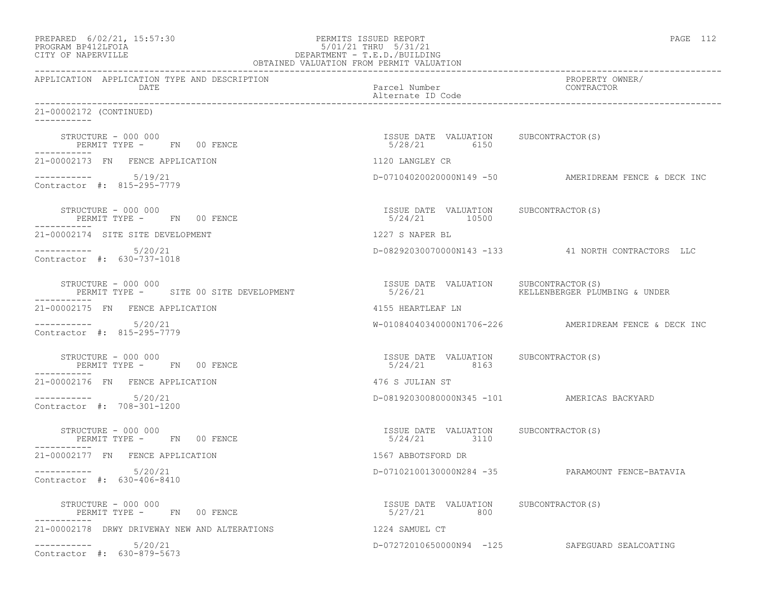| PREPARED 6/02/21, 15:57:30<br>PROGRAM BP412LFOIA<br>CITY OF NAPERVILLE | PERMITS ISSUED REPORT<br>5/01/21 THRU 5/31/21<br>DEPARTMENT - T.E.D./BUILDING<br>OBTAINED VALUATION FROM PERMIT VALUATION | PAGE 112                                              |
|------------------------------------------------------------------------|---------------------------------------------------------------------------------------------------------------------------|-------------------------------------------------------|
| APPLICATION APPLICATION TYPE AND DESCRIPTION<br>DATE                   | Parcel Number<br>Alternate ID Code                                                                                        | PROPERTY OWNER/<br>CONTRACTOR                         |
| 21-00002172 (CONTINUED)                                                |                                                                                                                           |                                                       |
| STRUCTURE - 000 000<br>PERMIT TYPE - FN 00 FENCE                       | ISSUE DATE VALUATION SUBCONTRACTOR(S)<br>5/28/21 6150                                                                     |                                                       |
| 21-00002173 FN FENCE APPLICATION                                       | 1120 LANGLEY CR                                                                                                           |                                                       |
| $--------- 5/19/21$<br>Contractor #: 815-295-7779                      |                                                                                                                           | D-07104020020000N149 -50 AMERIDREAM FENCE & DECK INC  |
| STRUCTURE - 000 000<br>PERMIT TYPE - FN 00 FENCE                       | ISSUE DATE VALUATION SUBCONTRACTOR(S)<br>5/24/21 10500                                                                    |                                                       |
| 21-00002174 SITE SITE DEVELOPMENT                                      | 1227 S NAPER BL                                                                                                           |                                                       |
| $--------- 5/20/21$<br>Contractor $\#: 630 - 737 - 1018$               |                                                                                                                           | D-08292030070000N143 -133 41 NORTH CONTRACTORS LLC    |
| STRUCTURE - 000 000<br>PERMIT TYPE - SITE 00 SITE DEVELOPMENT          | ISSUE DATE VALUATION SUBCONTRACTOR(S)<br>5/26/21                                                                          | KELLENBERGER PLUMBING & UNDER                         |
| 21-00002175 FN FENCE APPLICATION                                       | 4155 HEARTLEAF LN                                                                                                         |                                                       |
| $--------- 5/20/21$<br>Contractor #: 815-295-7779                      |                                                                                                                           | W-01084040340000N1706-226 AMERIDREAM FENCE & DECK INC |
| STRUCTURE - 000 000<br>PERMIT TYPE - FN 00 FENCE                       | ISSUE DATE VALUATION SUBCONTRACTOR(S)<br>5/24/21 8163                                                                     |                                                       |
| 21-00002176 FN FENCE APPLICATION                                       | 476 S JULIAN ST                                                                                                           |                                                       |
| $--------- 5/20/21$<br>Contractor #: 708-301-1200                      |                                                                                                                           | D-08192030080000N345 -101 AMERICAS BACKYARD           |
| STRUCTURE - 000 000<br>PERMIT TYPE - FN 00 FENCE                       | ISSUE DATE VALUATION SUBCONTRACTOR(S)<br>5/24/21 3110                                                                     |                                                       |
| 21-00002177 FN FENCE APPLICATION                                       | 1567 ABBOTSFORD DR                                                                                                        |                                                       |
| 5/20/21<br>Contractor #: 630-406-8410                                  | D-07102100130000N284 -35                                                                                                  | PARAMOUNT FENCE-BATAVIA                               |
| STRUCTURE - 000 000<br>PERMIT TYPE - FN 00 FENCE                       | ISSUE DATE VALUATION SUBCONTRACTOR(S)<br>5/27/21<br>800                                                                   |                                                       |
| 21-00002178 DRWY DRIVEWAY NEW AND ALTERATIONS                          | 1224 SAMUEL CT                                                                                                            |                                                       |
| 5/20/21<br>------------<br>Contractor #: 630-879-5673                  |                                                                                                                           | D-07272010650000N94 -125 SAFEGUARD SEALCOATING        |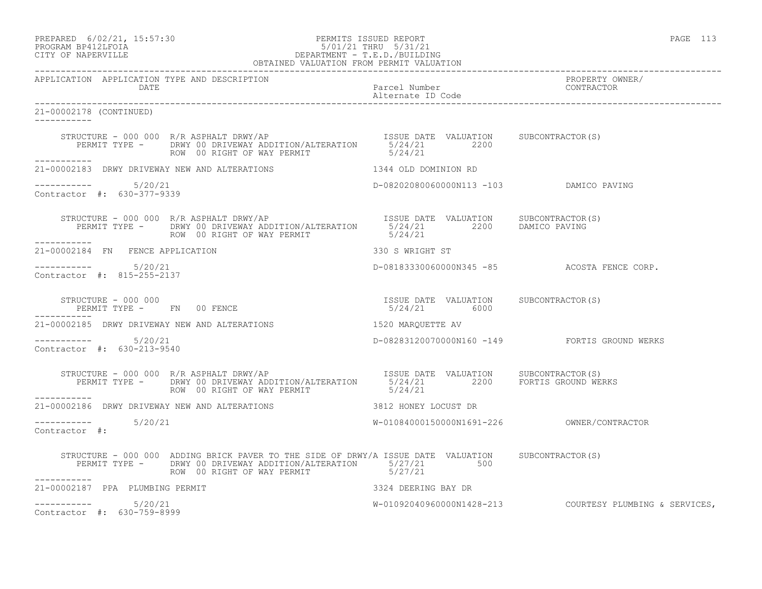PREPARED 6/02/21, 15:57:30 PERMITS ISSUED REPORT PAGE 113

# PROGRAM BP412LFOIA 5/01/21 THRU 5/31/21 CITY OF NAPERVILLE DEPARTMENT - T.E.D./BUILDING

| OBTAINED VALUATION FROM PERMIT VALUATION             |                                                                                                                                                                                                            |                                                       |                                                         |
|------------------------------------------------------|------------------------------------------------------------------------------------------------------------------------------------------------------------------------------------------------------------|-------------------------------------------------------|---------------------------------------------------------|
| APPLICATION APPLICATION TYPE AND DESCRIPTION<br>DATE |                                                                                                                                                                                                            | Parcel Number<br>Alternate ID Code                    | PROPERTY OWNER/<br>CONTRACTOR                           |
| 21-00002178 (CONTINUED)                              |                                                                                                                                                                                                            |                                                       |                                                         |
| -----------                                          |                                                                                                                                                                                                            |                                                       |                                                         |
| 21-00002183 DRWY DRIVEWAY NEW AND ALTERATIONS        |                                                                                                                                                                                                            | 1344 OLD DOMINION RD                                  |                                                         |
| $--------- 5/20/21$<br>Contractor #: 630-377-9339    |                                                                                                                                                                                                            | D-08202080060000N113 -103 DAMICO PAVING               |                                                         |
|                                                      | STRUCTURE - 000 000 R/R ASPHALT DRWY/AP<br>PERMIT TYPE - DRWY OO DRIVEWAY ADDITION/ALTERATION 5/24/21 2200 DAMICO PAVING<br>ROW 00 RIGHT OF WAY PERMIT                                                     | 5/24/21                                               |                                                         |
| 21-00002184 FN FENCE APPLICATION                     |                                                                                                                                                                                                            | 330 S WRIGHT ST                                       |                                                         |
| -----------    5/20/21<br>Contractor #: 815-255-2137 |                                                                                                                                                                                                            |                                                       | D-08183330060000N345 -85 ACOSTA FENCE CORP.             |
| STRUCTURE - 000 000                                  | PERMIT TYPE - FN 00 FENCE                                                                                                                                                                                  | ISSUE DATE VALUATION SUBCONTRACTOR(S)<br>5/24/21 6000 |                                                         |
|                                                      | 21-00002185 DRWY DRIVEWAY NEW AND ALTERATIONS THE RESIDENT RESIDENCE AV                                                                                                                                    |                                                       |                                                         |
| $--------$ 5/20/21<br>Contractor #: 630-213-9540     |                                                                                                                                                                                                            |                                                       | D-08283120070000N160 -149 FORTIS GROUND WERKS           |
|                                                      | STRUCTURE - 000 000 R/R ASPHALT DRWY/AP<br>PERMIT TYPE - DRWY 00 DRIVEWAY ADDITION/ALTERATION 5/24/21 2200 FORTIS GROUND WERKS<br>ROW 00 RIGHT OF WAY PERMIT 5/24/21 5/24/21                               |                                                       |                                                         |
| ------------                                         | 21-00002186 DRWY DRIVEWAY NEW AND ALTERATIONS                                                                                                                                                              | 3812 HONEY LOCUST DR                                  |                                                         |
| $--------- 5/20/21$<br>Contractor #:                 |                                                                                                                                                                                                            |                                                       |                                                         |
| -----------                                          | STRUCTURE - 000 000 ADDING BRICK PAVER TO THE SIDE OF DRWY/A ISSUE DATE VALUATION SUBCONTRACTOR(S)<br>PERMIT TYPE - DRWY 00 DRIVEWAY ADDITION/ALTERATION 5/27/21 500<br>ROW 00 RIGHT OF WAY PERMIT 5/27/21 |                                                       |                                                         |
| 21-00002187 PPA PLUMBING PERMIT                      |                                                                                                                                                                                                            | 3324 DEERING BAY DR                                   |                                                         |
| $--------- 5/20/21$<br>Contractor #: 630-759-8999    |                                                                                                                                                                                                            |                                                       | W-01092040960000N1428-213 COURTESY PLUMBING & SERVICES, |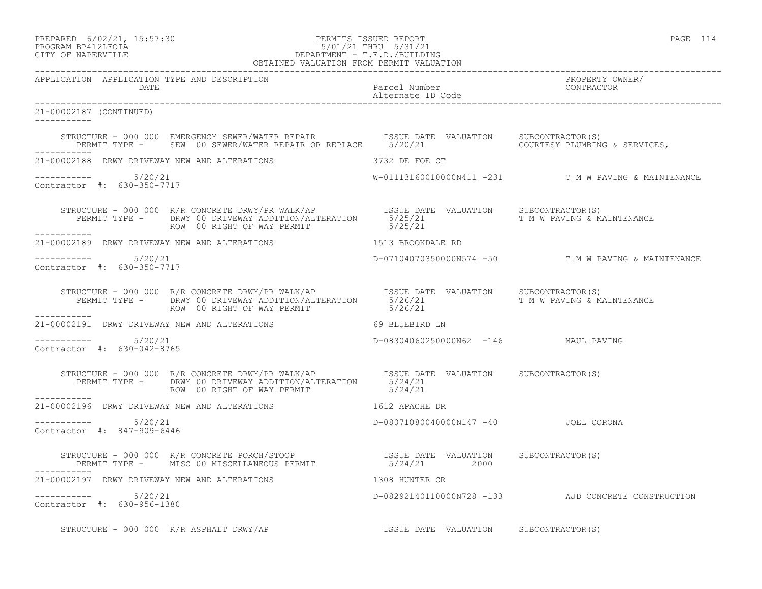| PREPARED           | $6/02/21$ , $15:57:30$ |
|--------------------|------------------------|
| PROCRAM RP412LFOIA |                        |

# o and the PERMITS ISSUED REPORT And the extendion of the PAGE 114 page 114 page 114 page 114 PROGRAM BP412LFOIA 5/01/21 THRU 5/31/21 CITY OF NAPERVILLE CITY OF NAPERVILLE DEPARTMENT - T.E.D./BUILDING

| OBTAINED VALUATION FROM PERMIT VALUATION             |                                                                                                                                                                                                                         |                                      |                                                      |
|------------------------------------------------------|-------------------------------------------------------------------------------------------------------------------------------------------------------------------------------------------------------------------------|--------------------------------------|------------------------------------------------------|
| APPLICATION APPLICATION TYPE AND DESCRIPTION<br>DATE |                                                                                                                                                                                                                         | Parcel Number<br>Alternate ID Code   | PROPERTY OWNER/<br>CONTRACTOR                        |
| 21-00002187 (CONTINUED)<br>___________               |                                                                                                                                                                                                                         |                                      |                                                      |
| ___________                                          | STRUCTURE - 000 000 EMERGENCY SEWER/WATER REPAIR           ISSUE DATE VALUATION     SUBCONTRACTOR(S)<br>PERMIT TYPE -    SEW 00 SEWER/WATER REPAIR OR REPLACE    5/20/21                  COURTESY PLUMBING & SERVICES, |                                      |                                                      |
|                                                      |                                                                                                                                                                                                                         |                                      |                                                      |
| $--------$ 5/20/21<br>Contractor #: 630-350-7717     |                                                                                                                                                                                                                         |                                      | W-01113160010000N411 -231 T M W PAVING & MAINTENANCE |
|                                                      | STRUCTURE - 000 000 R/R CONCRETE DRWY/PR WALK/AP  ISSUE DATE VALUATION SUBCONTRACTOR(S)<br>PERMIT TYPE - DRWY 00 DRIVEWAY ADDITION/ALTERATION 5/25/21 T M W PAVING & MAINTENANCE<br>ROW 00 RIGHT OF WAY PERMIT  5/25/21 |                                      |                                                      |
|                                                      | 21-00002189 DRWY DRIVEWAY NEW AND ALTERATIONS THE RESERVED ON THE RD                                                                                                                                                    |                                      |                                                      |
| $--------$ 5/20/21<br>Contractor #: 630-350-7717     |                                                                                                                                                                                                                         |                                      | D-07104070350000N574 -50 T M W PAVING & MAINTENANCE  |
|                                                      |                                                                                                                                                                                                                         |                                      |                                                      |
|                                                      | 21-00002191 DRWY DRIVEWAY NEW AND ALTERATIONS 69 BLUEBIRD LN                                                                                                                                                            |                                      |                                                      |
| $--------- 5/20/21$<br>Contractor #: 630-042-8765    |                                                                                                                                                                                                                         | D-08304060250000N62 -146 MAUL PAVING |                                                      |
|                                                      |                                                                                                                                                                                                                         |                                      |                                                      |
| ___________                                          |                                                                                                                                                                                                                         |                                      |                                                      |
| $--------- 5/20/21$<br>Contractor #: 847-909-6446    |                                                                                                                                                                                                                         | D-08071080040000N147 -40 JOEL CORONA |                                                      |
|                                                      | STRUCTURE - 000 000 R/R CONCRETE PORCH/STOOP                         ISSUE DATE VALUATION   SUBCONTRACTOR(S)<br>PERMIT TYPE -     MISC 00 MISCELLANEOUS PERMIT                   5/24/21             2000               |                                      |                                                      |
|                                                      |                                                                                                                                                                                                                         |                                      |                                                      |
| $--------- 5/20/21$<br>Contractor #: 630-956-1380    |                                                                                                                                                                                                                         |                                      | D-08292140110000N728 -133 AJD CONCRETE CONSTRUCTION  |
|                                                      |                                                                                                                                                                                                                         |                                      |                                                      |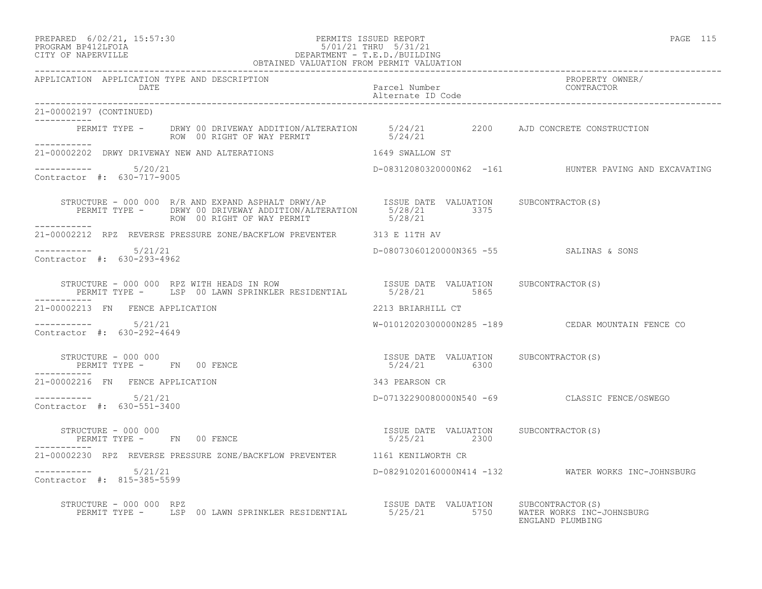#### PREPARED 6/02/21, 15:57:30 PERMITS ISSUED REPORT PAGE 115 PROGRAM BP412LFOIA 5/01/21 THRU 5/31/21 CITY OF NAPERVILLE DEPARTMENT - T.E.D./BUILDING

| OBTAINED VALUATION FROM PERMIT VALUATION                                                                                                                                                                               |                                                           |                                                       |
|------------------------------------------------------------------------------------------------------------------------------------------------------------------------------------------------------------------------|-----------------------------------------------------------|-------------------------------------------------------|
| APPLICATION APPLICATION TYPE AND DESCRIPTION<br>DATE                                                                                                                                                                   | Parcel Number<br>Alternate ID Code                        | PROPERTY OWNER/<br>CONTRACTOR                         |
| 21-00002197 (CONTINUED)<br>__________                                                                                                                                                                                  |                                                           |                                                       |
| PERMIT TYPE - DRWY 00 DRIVEWAY ADDITION/ALTERATION 5/24/21 2200 AJD CONCRETE CONSTRUCTION<br>ROW 00 RIGHT OF WAY PERMIT 5/24/21                                                                                        |                                                           |                                                       |
| 21-00002202 DRWY DRIVEWAY NEW AND ALTERATIONS 1649 SWALLOW ST                                                                                                                                                          |                                                           |                                                       |
| $--------- 5/20/21$<br>Contractor #: 630-717-9005                                                                                                                                                                      |                                                           | D-08312080320000N62 -161 HUNTER PAVING AND EXCAVATING |
| STRUCTURE - 000 000 R/R AND EXPAND ASPHALT DRWY/AP ISSUE DATE VALUATION SUBCONTRACTOR(S)<br>PERMIT TYPE - DRWY 00 DRIVEWAY ADDITION/ALTERATION 5/28/21 3375<br>-------- ROW 00 RIGHT OF WAY PERMIT 5/28/21             |                                                           |                                                       |
| 21-00002212 RPZ REVERSE PRESSURE ZONE/BACKFLOW PREVENTER 313 E 11TH AV                                                                                                                                                 |                                                           |                                                       |
| $--------- 5/21/21$<br>Contractor #: 630-293-4962                                                                                                                                                                      | D-08073060120000N365 -55 SALINAS & SONS                   |                                                       |
| STRUCTURE - 000 000 RPZ WITH HEADS IN ROW                            ISSUE DATE VALUATION      SUBCONTRACTOR(S)<br>PERMIT TYPE -      LSP 00 LAWN SPRINKLER RESIDENTIAL           5/28/21          5865<br>----------- |                                                           |                                                       |
| 21-00002213 FN FENCE APPLICATION                                                                                                                                                                                       | 2213 BRIARHILL CT                                         |                                                       |
| $--------- 5/21/21$<br>Contractor #: 630-292-4649                                                                                                                                                                      |                                                           |                                                       |
| STRUCTURE - 000 000<br>PERMIT TYPE - FN 00 FENCE - - - - - - - - - - - - 5/24/21 6300<br>--------<br>-----------                                                                                                       |                                                           |                                                       |
| 21-00002216 FN FENCE APPLICATION                                                                                                                                                                                       | 343 PEARSON CR                                            |                                                       |
| $--------- 5/21/21$<br>Contractor #: 630-551-3400                                                                                                                                                                      | D-07132290080000N540 -69 CLASSIC FENCE/OSWEGO             |                                                       |
| STRUCTURE - 000 000<br>PERMIT TYPE - FN 00 FENCE                                                                                                                                                                       | ISSUE DATE VALUATION SUBCONTRACTOR(S)<br>5/25/21 2300     |                                                       |
| 21-00002230 RPZ REVERSE PRESSURE ZONE/BACKFLOW PREVENTER 1161 KENILWORTH CR                                                                                                                                            |                                                           |                                                       |
| $--------- 5/21/21$<br>Contractor #: 815-385-5599                                                                                                                                                                      |                                                           | D-08291020160000N414 -132 WATER WORKS INC-JOHNSBURG   |
| STRUCTURE - 000 000 RPZ<br>PERMIT TYPE - LSP 00 LAWN SPRINKLER RESIDENTIAL 6/25/21 5750 WATER WORKS INC-JOHNSBURG                                                                                                      | ISSUE DATE VALUATION SUBCONTRACTOR(S)<br>ENGLAND PLUMBING |                                                       |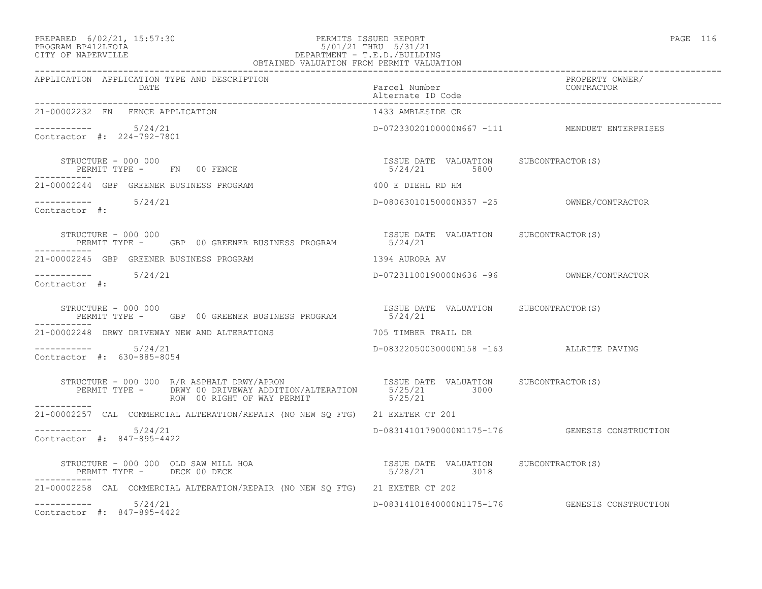# PREPARED 6/02/21, 15:57:30 PERMITS ISSUED REPORT<br>PROGRAM BP412LFOIA PAGE 116 PROGRAM BP412LFOIA 5/01/21 THRU 5/31/21 CITY OF NAPERVILLE DEPARTMENT - T.E.D./BUILDING

| OBTAINED VALUATION FROM PERMIT VALUATION                                                                                                                                                                                                                                                              |                                                       |                                                |  |
|-------------------------------------------------------------------------------------------------------------------------------------------------------------------------------------------------------------------------------------------------------------------------------------------------------|-------------------------------------------------------|------------------------------------------------|--|
| APPLICATION APPLICATION TYPE AND DESCRIPTION<br>DATE<br>__________________________________                                                                                                                                                                                                            | Parcel Number<br>Alternate ID Code                    | PROPERTY OWNER/<br>CONTRACTOR                  |  |
| 21-00002232 FN FENCE APPLICATION                                                                                                                                                                                                                                                                      | 1433 AMBLESIDE CR                                     |                                                |  |
| $--------- 5/24/21$<br>Contractor #: 224-792-7801                                                                                                                                                                                                                                                     |                                                       | D-07233020100000N667 -111 MENDUET ENTERPRISES  |  |
| $\begin{array}{cccc} \texttt{STRUCTURE} & - & 000 & 000 \\ \texttt{PERMIT TYPE} & - & \texttt{FN} & 00 & \texttt{FENCE} \\ \end{array} \qquad \begin{array}{cccc} \texttt{TSSUE} & \texttt{DATE} & \texttt{VALUATION} & \texttt{SUBCONTRACTOR(S)} \\ \texttt{5/24/21} & \texttt{5800} \\ \end{array}$ |                                                       |                                                |  |
| 21-00002244 GBP GREENER BUSINESS PROGRAM                                                                                                                                                                                                                                                              | 400 E DIEHL RD HM                                     |                                                |  |
| $--------- 5/24/21$<br>Contractor #:                                                                                                                                                                                                                                                                  |                                                       |                                                |  |
| STRUCTURE - 000 000<br>PERMIT TYPE - GBP 00 GREENER BUSINESS PROGRAM 5/24/21                                                                                                                                                                                                                          | ISSUE DATE VALUATION SUBCONTRACTOR(S)                 |                                                |  |
| 21-00002245 GBP GREENER BUSINESS PROGRAM                                                                                                                                                                                                                                                              | 1394 AURORA AV                                        |                                                |  |
| $--------- 5/24/21$<br>Contractor #:                                                                                                                                                                                                                                                                  |                                                       |                                                |  |
| STRUCTURE - 000 000<br>PERMIT TYPE - GBP 00 GREENER BUSINESS PROGRAM                                                                                                                                                                                                                                  | ISSUE DATE VALUATION SUBCONTRACTOR(S)<br>5/24/21      |                                                |  |
| 21-00002248 DRWY DRIVEWAY NEW AND ALTERATIONS                                                                                                                                                                                                                                                         | 705 TIMBER TRAIL DR                                   |                                                |  |
| $--------$ 5/24/21<br>Contractor #: 630-885-8054                                                                                                                                                                                                                                                      | D-08322050030000N158 -163 ALLRITE PAVING              |                                                |  |
| STRUCTURE - 000 000 R/R ASPHALT DRWY/APRON ISSUE DATE VALUATION SUBCONTRACTOR(S)<br>PERMIT TYPE - DRWY 00 DRIVEWAY ADDITION/ALTERATION 5/25/21 3000<br>ROW 00 RIGHT OF WAY PERMIT 5/25/21                                                                                                             |                                                       |                                                |  |
| 21-00002257 CAL COMMERCIAL ALTERATION/REPAIR (NO NEW SQ FTG) 21 EXETER CT 201                                                                                                                                                                                                                         |                                                       |                                                |  |
| $--------- 5/24/21$<br>Contractor #: 847-895-4422                                                                                                                                                                                                                                                     |                                                       | D-08314101790000N1175-176 GENESIS CONSTRUCTION |  |
| STRUCTURE - 000 000 OLD SAW MILL HOA<br>PERMIT TYPE - DECK 00 DECK<br>PERMIT TYPE - DECK 00 DECK                                                                                                                                                                                                      | ISSUE DATE VALUATION SUBCONTRACTOR(S)<br>5/28/21 3018 |                                                |  |
| 21-00002258 CAL COMMERCIAL ALTERATION/REPAIR (NO NEW SQ FTG) 21 EXETER CT 202                                                                                                                                                                                                                         |                                                       |                                                |  |
| $--------- 5/24/21$<br>Contractor #: 847-895-4422                                                                                                                                                                                                                                                     |                                                       | D-08314101840000N1175-176 GENESIS CONSTRUCTION |  |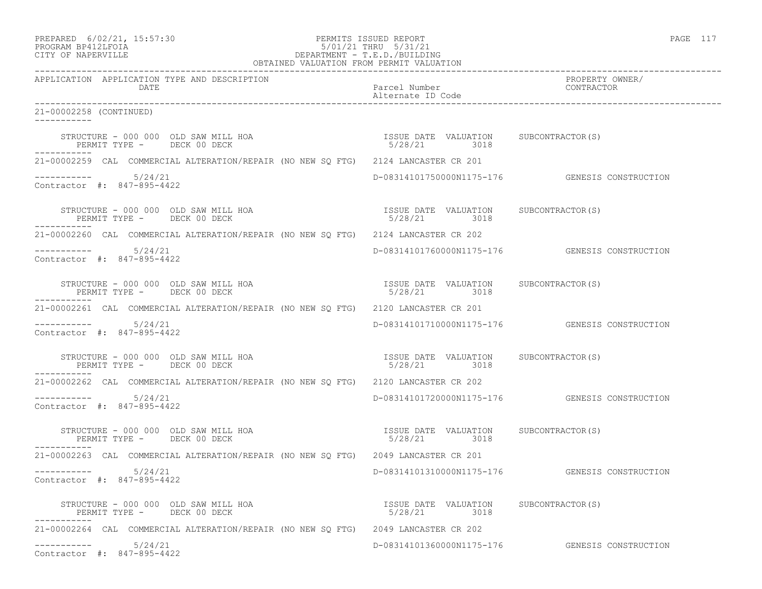### PREPARED 6/02/21, 15:57:30 PERMITS ISSUED REPORT PAGE 117 PROGRAM BP412LFOIA 5/01/21 THRU 5/31/21 CITY OF NAPERVILLE DEPARTMENT - T.E.D./BUILDING

| OBTAINED VALUATION FROM PERMIT VALUATION                                           |                                                                       |                                                   |
|------------------------------------------------------------------------------------|-----------------------------------------------------------------------|---------------------------------------------------|
| APPLICATION APPLICATION TYPE AND DESCRIPTION<br>DATE.                              | Parcel Number<br>Alternate ID Code                                    | PROPERTY OWNER/<br>CONTRACTOR                     |
| 21-00002258 (CONTINUED)<br>-----------                                             |                                                                       |                                                   |
| STRUCTURE - 000 000 OLD SAW MILL HOA<br>PERMIT TYPE - DECK 00 DECK<br>------------ | ISSUE DATE VALUATION SUBCONTRACTOR (S)<br>5/28/21 3018                |                                                   |
| 21-00002259 CAL COMMERCIAL ALTERATION/REPAIR (NO NEW SQ FTG) 2124 LANCASTER CR 201 |                                                                       |                                                   |
| $--------$ 5/24/21<br>Contractor #: 847-895-4422                                   |                                                                       | D-08314101750000N1175-176 GENESIS CONSTRUCTION    |
| STRUCTURE - 000 000 OLD SAW MILL HOA<br>PERMIT TYPE - DECK 00 DECK                 | ISSUE DATE VALUATION SUBCONTRACTOR(S)<br>5/28/21 3018                 |                                                   |
| 21-00002260 CAL COMMERCIAL ALTERATION/REPAIR (NO NEW SQ FTG) 2124 LANCASTER CR 202 |                                                                       |                                                   |
| $--------- 5/24/21$<br>Contractor #: 847-895-4422                                  |                                                                       | D-08314101760000N1175-176 GENESIS CONSTRUCTION    |
| STRUCTURE - 000 000 OLD SAW MILL HOA<br>PERMIT TYPE - DECK 00 DECK                 | ISSUE DATE VALUATION SUBCONTRACTOR(S)<br>5/28/21 3018                 |                                                   |
| 21-00002261 CAL COMMERCIAL ALTERATION/REPAIR (NO NEW SQ FTG) 2120 LANCASTER CR 201 |                                                                       |                                                   |
| $-$ ---------- $5/24/21$<br>Contractor #: 847-895-4422                             |                                                                       | D-08314101710000N1175-176    GENESIS CONSTRUCTION |
| STRUCTURE - 000 000 OLD SAW MILL HOA<br>PERMIT TYPE - DECK 00 DECK                 | ISSUE DATE VALUATION SUBCONTRACTOR(S)<br>5/28/21 3018                 |                                                   |
| 21-00002262 CAL COMMERCIAL ALTERATION/REPAIR (NO NEW SQ FTG) 2120 LANCASTER CR 202 |                                                                       |                                                   |
| $--------- 5/24/21$<br>Contractor #: 847-895-4422                                  |                                                                       | D-08314101720000N1175-176    GENESIS CONSTRUCTION |
| STRUCTURE - 000 000 OLD SAW MILL HOA<br>PERMIT TYPE - DECK 00 DECK<br>-----------  | ISSUE DATE VALUATION SUBCONTRACTOR(S)<br>5/28/21 3018<br>5/28/21 3018 |                                                   |
| 21-00002263 CAL COMMERCIAL ALTERATION/REPAIR (NO NEW SO FTG) 2049 LANCASTER CR 201 |                                                                       |                                                   |
| $--------- 5/24/21$<br>Contractor #: 847-895-4422                                  |                                                                       | D-08314101310000N1175-176 GENESIS CONSTRUCTION    |
| STRUCTURE - 000 000 OLD SAW MILL HOA<br>PERMIT TYPE - DECK 00 DECK                 | ISSUE DATE VALUATION SUBCONTRACTOR (S)<br>5/28/21 3018                |                                                   |
| 21-00002264 CAL COMMERCIAL ALTERATION/REPAIR (NO NEW SO FTG) 2049 LANCASTER CR 202 |                                                                       |                                                   |
| $--------$ 5/24/21<br>Contractor #: 847-895-4422                                   |                                                                       | D-08314101360000N1175-176 GENESIS CONSTRUCTION    |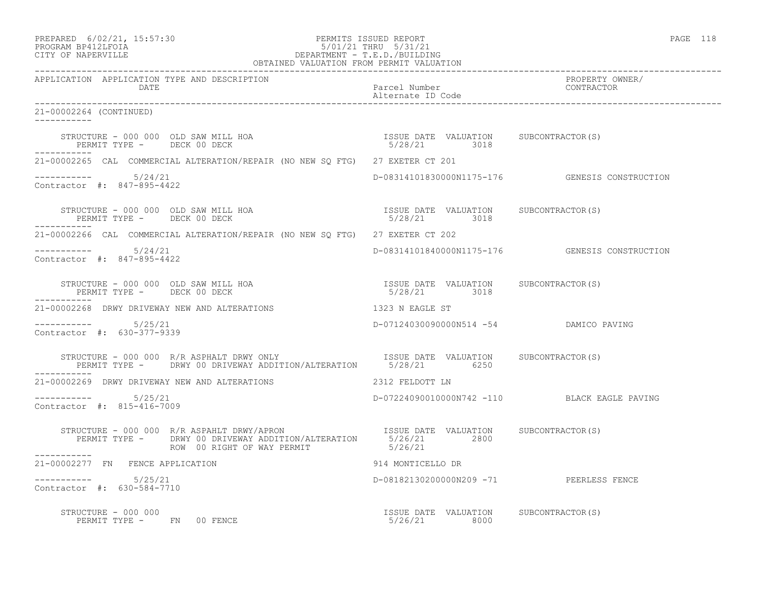| PREPARED            | $6/02/21$ , $15:57:30$ |
|---------------------|------------------------|
| גד∩ם זר11תם וגמר∩חם |                        |

# PREPARED 6/02/21, 15:57:30 PERMITS ISSUED REPORT PROGRAM BP412LFOIA PAGE 118 PROGRAM BP412LFOIA 5/01/21 THRU 5/31/21 CITY OF NAPERVILLE DEPARTMENT - T.E.D./BUILDING

| OBTAINED VALUATION FROM PERMIT VALUATION                                                                                                                                                                                                                                                    |                                                               |                                                |
|---------------------------------------------------------------------------------------------------------------------------------------------------------------------------------------------------------------------------------------------------------------------------------------------|---------------------------------------------------------------|------------------------------------------------|
| APPLICATION APPLICATION TYPE AND DESCRIPTION<br>DATE                                                                                                                                                                                                                                        | Parcel Number<br>Alternate ID Code                            | PROPERTY OWNER/<br>CONTRACTOR                  |
| 21-00002264 (CONTINUED)                                                                                                                                                                                                                                                                     |                                                               |                                                |
| $\begin{array}{cccccccccc} \texttt{STRUCTURE} & - & 000 & 000 & \texttt{OLD} & \texttt{SAW} & \texttt{MILL HOA} & & & & & & & & \\ \texttt{PERMIT TYPE} & - & & & & & & & & & & \\ \texttt{PERMIT TYPE} & - & & & & & & & & & \\ \end{array}$<br>PERMIT TYPE - DECK 00 DECK<br>------------ |                                                               |                                                |
| 21-00002265 CAL COMMERCIAL ALTERATION/REPAIR (NO NEW SQ FTG) 27 EXETER CT 201                                                                                                                                                                                                               |                                                               |                                                |
| Contractor #: 847-895-4422                                                                                                                                                                                                                                                                  |                                                               | D-08314101830000N1175-176 GENESIS CONSTRUCTION |
| STRUCTURE - 000 000 OLD SAW MILL HOA<br>PERMIT TYPE - DECK 00 DECK<br>------------                                                                                                                                                                                                          | ISSUE DATE VALUATION SUBCONTRACTOR(S)<br>ISSUE DATE VADUATION |                                                |
| 21-00002266 CAL COMMERCIAL ALTERATION/REPAIR (NO NEW SO FTG) 27 EXETER CT 202                                                                                                                                                                                                               |                                                               |                                                |
| $--------- 5/24/21$<br>Contractor #: 847-895-4422                                                                                                                                                                                                                                           |                                                               | D-08314101840000N1175-176 GENESIS CONSTRUCTION |
| $\begin{array}{cccccccccc} \texttt{STRUCTURE} & - & 000 & 000 & \texttt{OLD} & \texttt{SAW} & \texttt{MILL HOA} & & & & & & & \\ \texttt{PERMIT TYPE} & - & & & & & & & & & & \\ \texttt{PERMIT TYPE} & - & & & & & & & & & \\ \end{array}$<br>___________                                  |                                                               |                                                |
| 21-00002268 DRWY DRIVEWAY NEW AND ALTERATIONS                                                                                                                                                                                                                                               | 1323 N EAGLE ST                                               |                                                |
| $--------- 5/25/21$<br>Contractor #: 630-377-9339                                                                                                                                                                                                                                           | D-07124030090000N514 -54 DAMICO PAVING                        |                                                |
| STRUCTURE - 000 000 R/R ASPHALT DRWY ONLY TSSUE DATE VALUATION SUBCONTRACTOR(S)<br>PERMIT TYPE - DRWY 00 DRIVEWAY ADDITION/ALTERATION 5/28/21 6250<br>-----------                                                                                                                           |                                                               |                                                |
|                                                                                                                                                                                                                                                                                             |                                                               |                                                |
| $--------- 5/25/21$<br>Contractor #: 815-416-7009                                                                                                                                                                                                                                           |                                                               | D-07224090010000N742 -110 BLACK EAGLE PAVING   |
| STRUCTURE - 000 000 R/R ASPAHLT DRWY/APRON TSSUE DATE VALUATION SUBCONTRACTOR(S)<br>PERMIT TYPE - DRWY 00 DRIVEWAY ADDITION/ALTERATION 5/26/21 2800<br>ROW 00 RIGHT OF WAY PERMIT 5/26/21                                                                                                   |                                                               |                                                |
| ------------<br>21-00002277 FN FENCE APPLICATION                                                                                                                                                                                                                                            | 914 MONTICELLO DR                                             |                                                |
| -----------    5/25/21<br>Contractor #: 630-584-7710                                                                                                                                                                                                                                        | D-08182130200000N209 -71 PEERLESS FENCE                       |                                                |
| STRUCTURE - 000 000<br>PERMIT TYPE - FN 00 FENCE                                                                                                                                                                                                                                            | ISSUE DATE VALUATION SUBCONTRACTOR(S)<br>5/26/21 8000         |                                                |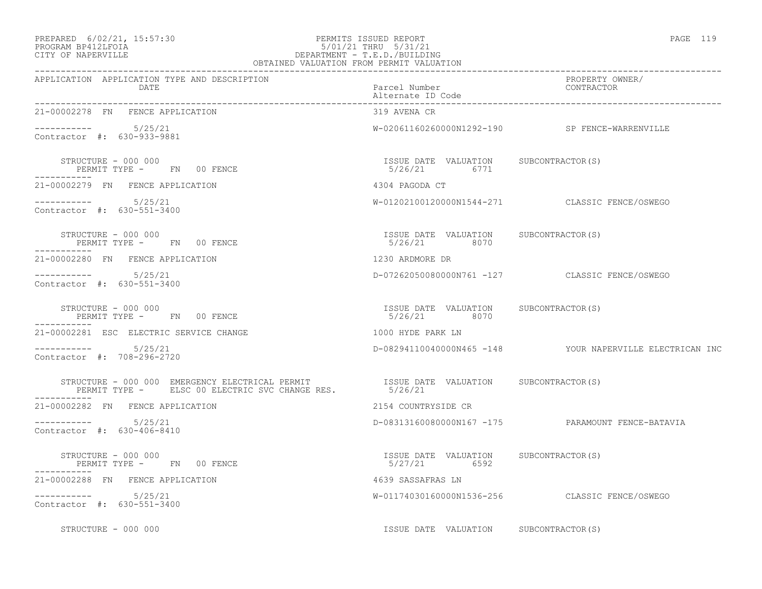### PREPARED 6/02/21, 15:57:30 PERMITS ISSUED REPORT PAGE 119 PROGRAM BP412LFOIA 5/01/21 THRU 5/31/21 CITY OF NAPERVILLE **DEPARTMENT - T.E.D./BUILDING**

| × |  |  |
|---|--|--|
|---|--|--|

| OBTAINED VALUATION FROM PERMIT VALUATION                                                                                                                                          |                                                        |                                                          |
|-----------------------------------------------------------------------------------------------------------------------------------------------------------------------------------|--------------------------------------------------------|----------------------------------------------------------|
| APPLICATION APPLICATION TYPE AND DESCRIPTION<br>DATE                                                                                                                              | Parcel Number<br>Alternate ID Code                     | PROPERTY OWNER/<br>CONTRACTOR                            |
| 21-00002278 FN FENCE APPLICATION                                                                                                                                                  | 319 AVENA CR                                           |                                                          |
| Contractor #: 630-933-9881                                                                                                                                                        |                                                        | W-02061160260000N1292-190 SP FENCE-WARRENVILLE           |
| STRUCTURE - 000 000<br>PERMIT TYPE - FN 00 FENCE                                                                                                                                  | ISSUE DATE VALUATION SUBCONTRACTOR(S)<br>5/26/21 6771  |                                                          |
| 21-00002279 FN FENCE APPLICATION                                                                                                                                                  | 4304 PAGODA CT                                         |                                                          |
| $--------- 5/25/21$<br>Contractor #: 630-551-3400                                                                                                                                 |                                                        | W-01202100120000N1544-271 CLASSIC FENCE/OSWEGO           |
| STRUCTURE - 000 000<br>PERMIT TYPE -      FN    00 FENCE                                                                                                                          | ISSUE DATE VALUATION SUBCONTRACTOR(S)<br>5/26/21 8070  |                                                          |
| 21-00002280 FN FENCE APPLICATION                                                                                                                                                  | 1230 ARDMORE DR                                        |                                                          |
| $--------$ 5/25/21<br>Contractor #: 630-551-3400                                                                                                                                  |                                                        | D-07262050080000N761 -127 CLASSIC FENCE/OSWEGO           |
| STRUCTURE - 000 000<br>PERMIT TYPE - FN 00 FENCE                                                                                                                                  | ISSUE DATE VALUATION SUBCONTRACTOR(S)<br>5/26/21 8070  |                                                          |
| 21-00002281 ESC ELECTRIC SERVICE CHANGE                                                                                                                                           | 1000 HYDE PARK LN                                      |                                                          |
| $--------- 5/25/21$<br>Contractor #: 708-296-2720                                                                                                                                 |                                                        | D-08294110040000N465 -148 YOUR NAPERVILLE ELECTRICAN INC |
| STRUCTURE – 000 000 EMERGENCY ELECTRICAL PERMIT                  ISSUE DATE VALUATION     SUBCONTRACTOR(S) PERMIT TYPE –      ELSC 00 ELECTRIC SVC CHANGE RES.            5/26/21 |                                                        |                                                          |
| 21-00002282 FN FENCE APPLICATION                                                                                                                                                  | 2154 COUNTRYSIDE CR                                    |                                                          |
| $--------- 5/25/21$<br>Contractor #: 630-406-8410                                                                                                                                 |                                                        | D-08313160080000N167 -175 PARAMOUNT FENCE-BATAVIA        |
| STRUCTURE - 000 000<br>PERMIT TYPE - FN 00 FENCE                                                                                                                                  | ISSUE DATE VALUATION SUBCONTRACTOR (S)<br>5/27/21 6592 |                                                          |
| 21-00002288 FN FENCE APPLICATION                                                                                                                                                  | 4639 SASSAFRAS LN                                      |                                                          |
| $--------- 5/25/21$<br>Contractor #: 630-551-3400                                                                                                                                 |                                                        | W-01174030160000N1536-256 CLASSIC FENCE/OSWEGO           |
| STRUCTURE - 000 000                                                                                                                                                               | ISSUE DATE VALUATION SUBCONTRACTOR(S)                  |                                                          |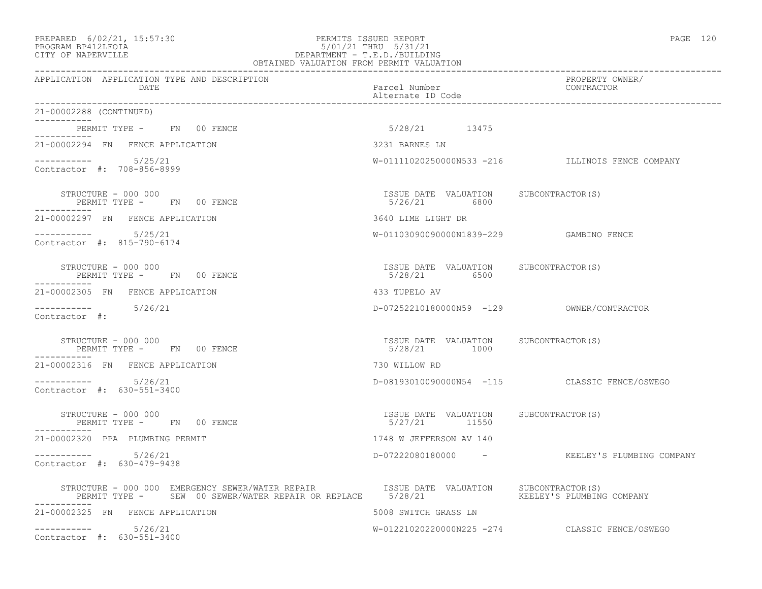# PREPARED 6/02/21, 15:57:30 PERMITS ISSUED REPORT PAGE 120 PROGRAM BP412LFOIA 5/01/21 THRU 5/31/21 CITY OF NAPERVILLE DEPARTMENT - T.E.D./BUILDING

| OBTAINED VALUATION FROM PERMIT VALUATION                                                                                                                                                   |                                                          |                                                  |
|--------------------------------------------------------------------------------------------------------------------------------------------------------------------------------------------|----------------------------------------------------------|--------------------------------------------------|
| APPLICATION APPLICATION TYPE AND DESCRIPTION<br>DATE                                                                                                                                       | Parcel Number<br>Alternate ID Code                       | PROPERTY OWNER/<br>CONTRACTOR                    |
| 21-00002288 (CONTINUED)<br>$- - - - - - - - - - - -$                                                                                                                                       |                                                          |                                                  |
| PERMIT TYPE - FN 00 FENCE<br>-----------                                                                                                                                                   | 5/28/21 13475                                            |                                                  |
| 21-00002294 FN FENCE APPLICATION                                                                                                                                                           | 3231 BARNES LN                                           |                                                  |
| $--------- 5/25/21$<br>Contractor #: 708-856-8999                                                                                                                                          |                                                          | W-01111020250000N533 -216 ILLINOIS FENCE COMPANY |
| STRUCTURE - 000 000<br>PERMIT TYPE - FN 00 FENCE                                                                                                                                           | ISSUE DATE VALUATION SUBCONTRACTOR(S)<br>5/26/21 6800    |                                                  |
| 21-00002297 FN FENCE APPLICATION                                                                                                                                                           | 3640 LIME LIGHT DR                                       |                                                  |
| $--------- 5/25/21$<br>Contractor #: 815-790-6174                                                                                                                                          | W-01103090090000N1839-229 GAMBINO FENCE                  |                                                  |
| STRUCTURE - 000 000<br>PERMIT TYPE - FN 00 FENCE                                                                                                                                           | ISSUE DATE VALUATION SUBCONTRACTOR(S)<br>5/28/21 6500    |                                                  |
| 21-00002305 FN FENCE APPLICATION                                                                                                                                                           | 433 TUPELO AV                                            |                                                  |
| $--------- 5/26/21$<br>Contractor #:                                                                                                                                                       |                                                          | D-07252210180000N59 -129 OWNER/CONTRACTOR        |
| STRUCTURE - 000 000<br>PERMIT TYPE - FN 00 FENCE                                                                                                                                           | ISSUE DATE VALUATION SUBCONTRACTOR(S)<br>5/28/21 1000    |                                                  |
| 21-00002316 FN FENCE APPLICATION                                                                                                                                                           | 730 WILLOW RD                                            |                                                  |
| $--------$ 5/26/21<br>Contractor #: 630-551-3400                                                                                                                                           |                                                          | D-08193010090000N54 -115 CLASSIC FENCE/OSWEGO    |
| STRUCTURE - 000 000<br>PERMIT TYPE - FN 00 FENCE                                                                                                                                           | ISSUE DATE VALUATION SUBCONTRACTOR(S)<br>$5/27/21$ 11550 |                                                  |
| 21-00002320 PPA PLUMBING PERMIT                                                                                                                                                            | 1748 W JEFFERSON AV 140                                  |                                                  |
| $--------- 5/26/21$<br>Contractor #: 630-479-9438                                                                                                                                          |                                                          | D-07222080180000 - KEELEY'S PLUMBING COMPANY     |
| STRUCTURE - 000 000 EMERGENCY SEWER/WATER REPAIR TSSUE DATE VALUATION SUBCONTRACTOR(S)<br>PERMIT TYPE - SEW 00 SEWER/WATER REPAIR OR REPLACE 5/28/21 THE COMPANY REELEY'S PLUMBING COMPANY |                                                          |                                                  |
| 21-00002325 FN FENCE APPLICATION                                                                                                                                                           | 5008 SWITCH GRASS LN                                     |                                                  |
| $--------- 5/26/21$<br>Contractor #: 630-551-3400                                                                                                                                          |                                                          | W-01221020220000N225 -274 CLASSIC FENCE/OSWEGO   |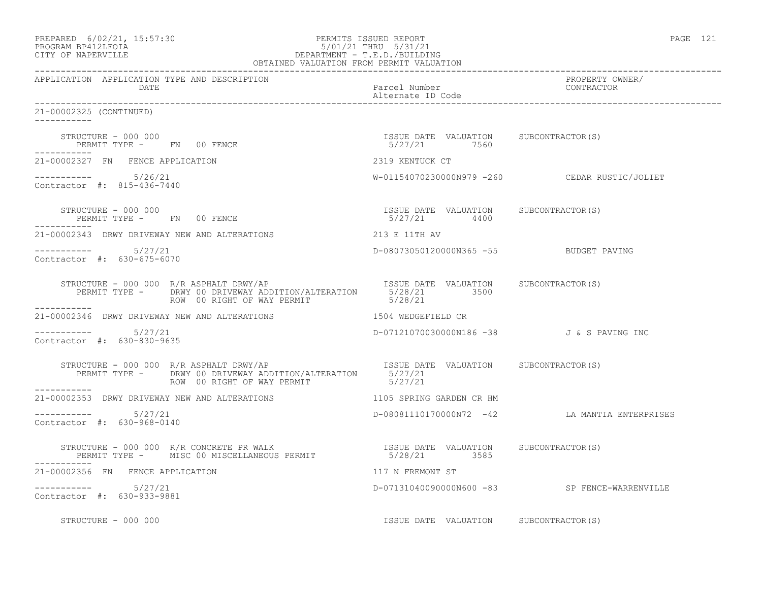| PREPARED 6/02/21, 15:57:30<br>PROGRAM BP412LFOIA 5/01/21 THRU 5/31/21<br>CITY OF NAPERVILLE DEPARTMENT - T.E.D./BUILDING<br>OBTAINED VALUATION FROM PERMIT VALUATION |                                                       | PAGE 121                                      |
|----------------------------------------------------------------------------------------------------------------------------------------------------------------------|-------------------------------------------------------|-----------------------------------------------|
| APPLICATION APPLICATION TYPE AND DESCRIPTION<br>DATE                                                                                                                 | Parcel Number<br>Alternate ID Code                    | PROPERTY OWNER/<br>CONTRACTOR                 |
| 21-00002325 (CONTINUED)<br>-----------                                                                                                                               |                                                       |                                               |
| STRUCTURE - 000 000<br>PERMIT TYPE - FN 00 FENCE                                                                                                                     | ISSUE DATE VALUATION SUBCONTRACTOR(S)<br>5/27/21 7560 |                                               |
| 21-00002327 FN FENCE APPLICATION                                                                                                                                     | 2319 KENTUCK CT                                       |                                               |
| $--------- 5/26/21$<br>Contractor #: 815-436-7440                                                                                                                    |                                                       | W-01154070230000N979 -260 CEDAR RUSTIC/JOLIET |
| STRUCTURE - 000 000<br>PERMIT TYPE - FN 00 FENCE                                                                                                                     | ISSUE DATE VALUATION SUBCONTRACTOR(S)<br>5/27/21 4400 |                                               |
| 21-00002343 DRWY DRIVEWAY NEW AND ALTERATIONS                                                                                                                        | 213 E 11TH AV                                         |                                               |
| $--------- 5/27/21$<br>Contractor #: 630-675-6070                                                                                                                    | D-08073050120000N365 -55 BUDGET PAVING                |                                               |
| STRUCTURE - 000 000 R/R ASPHALT DRWY/AP<br>PERMIT TYPE - DRWY 00 DRIVEWAY ADDITION/ALTERATION 5/28/21 3500<br>FALL 3500<br>ROW 00 RIGHT OF WAY PERMIT<br>___________ | 5/28/21                                               |                                               |
| 21-00002346 DRWY DRIVEWAY NEW AND ALTERATIONS 1504 WEDGEFIELD CR                                                                                                     |                                                       |                                               |
| $--------- 5/27/21$<br>Contractor #: 630-830-9635                                                                                                                    | D-07121070030000N186 -38 J & S PAVING INC             |                                               |
| STRUCTURE - 000 000 R/R ASPHALT DRWY/AP<br>PERMIT TYPE - DRWY 00 DRIVEWAY ADDITION/ALTERATION 5/27/21<br>ROW 00 RIGHT OF WAY PERMIT - 5/27/21<br>-----------         |                                                       |                                               |
| 21-00002353 DRWY DRIVEWAY NEW AND ALTERATIONS                                                                                                                        | 1105 SPRING GARDEN CR HM                              |                                               |
| $--------- 5/27/21$<br>Contractor #: 630-968-0140                                                                                                                    |                                                       | D-08081110170000N72 -42 LA MANTIA ENTERPRISES |
| STRUCTURE - 000 000 R/R CONCRETE PR WALK                               ISSUE DATE VALUATION      SUBCONTRACTOR(S)                                                    |                                                       |                                               |
| 21-00002356 FN FENCE APPLICATION                                                                                                                                     | 117 N FREMONT ST                                      |                                               |
| $--------- 5/27/21$<br>Contractor #: 630-933-9881                                                                                                                    |                                                       | D-07131040090000N600 -83 SP FENCE-WARRENVILLE |
| STRUCTURE - 000 000                                                                                                                                                  | ISSUE DATE VALUATION SUBCONTRACTOR(S)                 |                                               |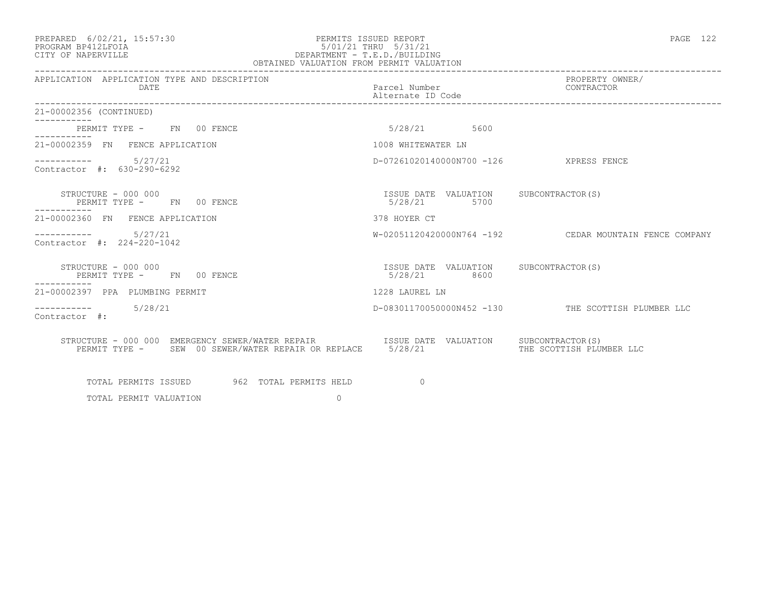#### PREPARED 6/02/21, 15:57:30 PERMITS ISSUED REPORT PAGE 122 PROGRAM BP412LFOIA 5/01/21 THRU 5/31/21 CITY OF NAPERVILLE DEPARTMENT - T.E.D./BUILDING OBTAINED VALUATION FROM PERMIT VALUATION

| APPLICATION APPLICATION TYPE AND DESCRIPTION<br><b>DATE</b>                                                                                          | Parcel Number<br>Alternate ID Code                       | PROPERTY OWNER/<br>CONTRACTOR                          |
|------------------------------------------------------------------------------------------------------------------------------------------------------|----------------------------------------------------------|--------------------------------------------------------|
| 21-00002356 (CONTINUED)                                                                                                                              |                                                          |                                                        |
| PERMIT TYPE - FN 00 FENCE<br>----------                                                                                                              | 5/28/21 5600                                             |                                                        |
| 21-00002359 FN FENCE APPLICATION                                                                                                                     | 1008 WHITEWATER LN                                       |                                                        |
| $--------- 5/27/21$<br>Contractor $\#: 630 - 290 - 6292$                                                                                             | D-07261020140000N700 -126 XPRESS FENCE                   |                                                        |
| STRUCTURE - 000 000<br>PERMIT TYPE - FN 00 FENCE                                                                                                     | ISSUE DATE VALUATION SUBCONTRACTOR(S)<br>5/28/21<br>5700 |                                                        |
| 21-00002360 FN FENCE APPLICATION                                                                                                                     | 378 HOYER CT                                             |                                                        |
| ----------    5/27/21<br>Contractor #: 224-220-1042                                                                                                  |                                                          | W-02051120420000N764 -192 CEDAR MOUNTAIN FENCE COMPANY |
| STRUCTURE - 000 000<br>PERMIT TYPE - FN 00 FENCE<br>. _ _ _ _ _ _ _ _ _                                                                              | ISSUE DATE VALUATION SUBCONTRACTOR(S)<br>5/28/21 8600    |                                                        |
| 21-00002397 PPA PLUMBING PERMIT                                                                                                                      | 1228 LAUREL LN                                           |                                                        |
| $--------- 5/28/21$<br>Contractor #:                                                                                                                 |                                                          | D-08301170050000N452 -130 THE SCOTTISH PLUMBER LLC     |
| STRUCTURE - 000 000 EMERGENCY SEWER/WATER REPAIR TSSUE DATE VALUATION SUBCONTRACTOR(S)<br>PERMIT TYPE - SEW 00 SEWER/WATER REPAIR OR REPLACE 5/28/21 |                                                          | THE SCOTTISH PLUMBER LLC                               |
| TOTAL PERMITS ISSUED 962 TOTAL PERMITS HELD                                                                                                          | $\Omega$                                                 |                                                        |

TOTAL PERMIT VALUATION 0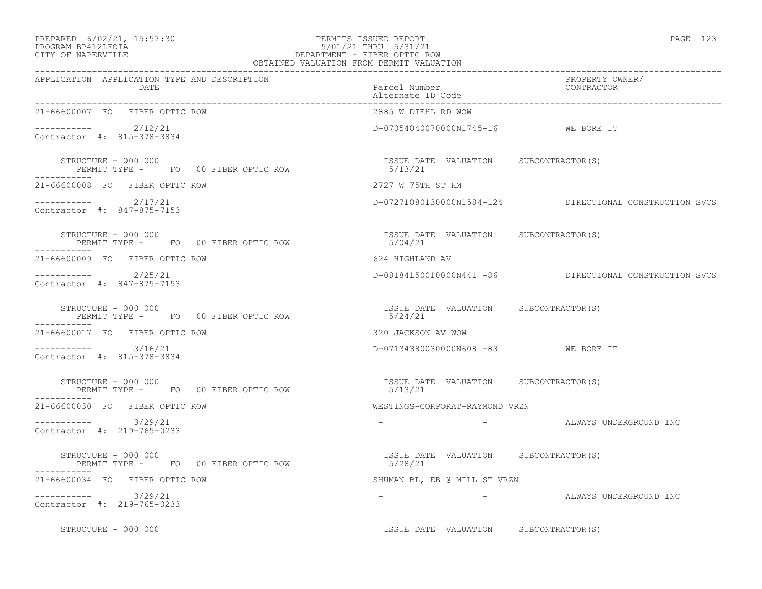#### PREPARED 6/02/21, 15:57:30 PERMITS ISSUED REPORT PAGE 123 PROGRAM BP412LFOIA 5/01/21 THRU 5/31/21 CITY OF NAPERVILLE DEPARTMENT - FIBER OPTIC ROW

| ۰.<br>× |  |  |
|---------|--|--|
|---------|--|--|

|                                                                                                       | OBTAINED VALUATION FROM PERMIT VALUATION          |                                                         |
|-------------------------------------------------------------------------------------------------------|---------------------------------------------------|---------------------------------------------------------|
| APPLICATION APPLICATION TYPE AND DESCRIPTION<br>DATE                                                  | Parcel Number<br>Alternate ID Code                | PROPERTY OWNER/<br>CONTRACTOR                           |
| 21-66600007 FO FIBER OPTIC ROW                                                                        | 2885 W DIEHL RD WOW                               |                                                         |
| $---------2/12/21$<br>Contractor #: 815-378-3834                                                      | D-07054040070000N1745-16 WE BORE IT               |                                                         |
| STRUCTURE - 000 000                                                                                   | ISSUE DATE VALUATION SUBCONTRACTOR(S)             |                                                         |
| 21-66600008 FO FIBER OPTIC ROW                                                                        | 2727 W 75TH ST HM                                 |                                                         |
| $--------- 2/17/21$<br>Contractor #: 847-875-7153                                                     |                                                   | D-07271080130000N1584-124 DIRECTIONAL CONSTRUCTION SVCS |
| STRUCTURE - 000 000<br>PERMIT TYPE - FO 00 FIBER OPTIC ROW                                            | ISSUE DATE VALUATION SUBCONTRACTOR(S)<br>5/04/21  |                                                         |
| 21-66600009 FO FIBER OPTIC ROW                                                                        | 624 HIGHLAND AV                                   |                                                         |
| ---------- 2/25/21<br>Contractor #: 847-875-7153                                                      |                                                   | D-08184150010000N441 -86 DIRECTIONAL CONSTRUCTION SVCS  |
| STRUCTURE - 000 000<br>PERMIT TYPE - FO 00 FIBER OPTIC ROW<br>------------                            | ISSUE DATE VALUATION SUBCONTRACTOR (S)<br>5/24/21 |                                                         |
| 21-66600017 FO FIBER OPTIC ROW                                                                        | 320 JACKSON AV WOW                                |                                                         |
| $--------- 3/16/21$<br>Contractor #: 815-378-3834                                                     | D-07134380030000N608 -83 WE BORE IT               |                                                         |
| STRUCTURE - 000 000<br>PERMIT TYPE - FO 00 FIBER OPTIC ROW                                            | ISSUE DATE VALUATION SUBCONTRACTOR(S)<br>5/13/21  |                                                         |
| 21-66600030 FO FIBER OPTIC ROW                                                                        | WESTINGS-CORPORAT-RAYMOND VRZN                    |                                                         |
| $--------$ 3/29/21<br>Contractor #: 219-765-0233                                                      |                                                   | - ALWAYS UNDERGROUND INC                                |
| UINVUIDRE - UUU UUU<br>PERMIT TYPE -      FO     00 FIBER OPTIC ROW<br>-------<br>STRUCTURE - 000 000 | ISSUE DATE VALUATION SUBCONTRACTOR(S)<br>5/28/21  |                                                         |
| 21-66600034 FO FIBER OPTIC ROW                                                                        | SHUMAN BL, EB @ MILL ST VRZN                      |                                                         |
| $--------$ 3/29/21<br>Contractor #: 219-765-0233                                                      |                                                   | - ALWAYS UNDERGROUND INC                                |
| STRUCTURE - 000 000                                                                                   | ISSUE DATE VALUATION SUBCONTRACTOR(S)             |                                                         |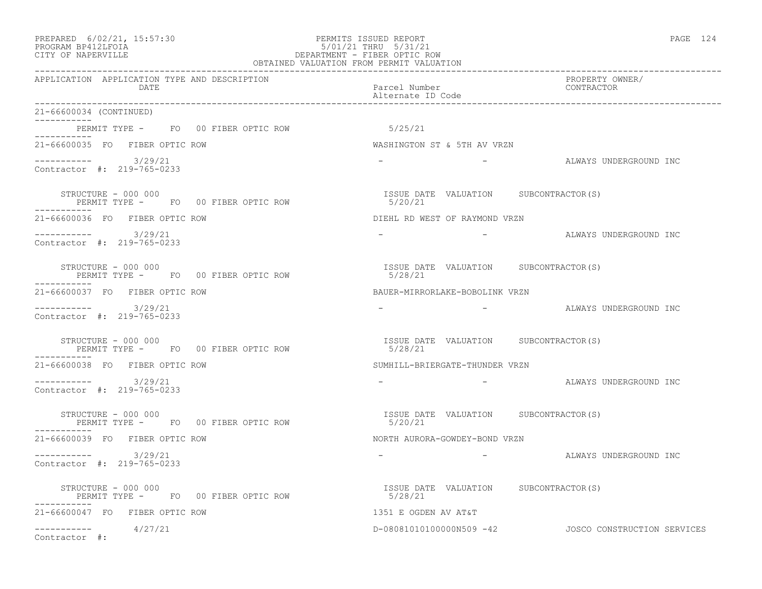| PREPARED | $6/02/21$ , $15:57:30$ |  |
|----------|------------------------|--|
|          |                        |  |

#### PREPARED 6/02/21, 15:57:30 PERMITS ISSUED REPORT<br>PROGRAM BP412LFOIA PAGE 124 PROGRAM BP412LFOIA 5/01/21 THRU 5/31/21 CITY OF NAPERVILLE CITY OF NAPERVILLE DEPARTMENT - FIBER OPTIC ROW OBTAINED VALUATION FROM PERMIT VALUATION

| APPLICATION APPLICATION TYPE AND DESCRIPTION<br>DATE         | PROPERTY OWNER/<br>Parcel Number<br>Alternate ID Code<br>CONTRACTOR                                                                                                                                                                                                             |
|--------------------------------------------------------------|---------------------------------------------------------------------------------------------------------------------------------------------------------------------------------------------------------------------------------------------------------------------------------|
| 21-66600034 (CONTINUED)                                      |                                                                                                                                                                                                                                                                                 |
| PERMIT TYPE - FO 00 FIBER OPTIC ROW<br>. _ _ _ _ _ _ _ _ _ _ | 5/25/21                                                                                                                                                                                                                                                                         |
| 21-66600035 FO FIBER OPTIC ROW                               | WASHINGTON ST & 5TH AV VRZN                                                                                                                                                                                                                                                     |
| $--------- 3/29/21$<br>Contractor #: 219-765-0233            | and the state of the state of the<br>ALWAYS UNDERGROUND INC                                                                                                                                                                                                                     |
| STRUCTURE - 000 000<br>PERMIT TYPE - FO 00 FIBER OPTIC ROW   | ISSUE DATE VALUATION SUBCONTRACTOR(S)<br>5/20/21                                                                                                                                                                                                                                |
| 21-66600036 FO FIBER OPTIC ROW                               | DIEHL RD WEST OF RAYMOND VRZN                                                                                                                                                                                                                                                   |
| $--------- 3/29/21$<br>Contractor #: 219-765-0233            | - ALWAYS UNDERGROUND INC<br>$\sim$                                                                                                                                                                                                                                              |
| STRUCTURE - 000 000<br>PERMIT TYPE - FO 00 FIBER OPTIC ROW   | ISSUE DATE VALUATION SUBCONTRACTOR(S)<br>5/28/21                                                                                                                                                                                                                                |
| 21-66600037 FO FIBER OPTIC ROW                               | BAUER-MIRRORLAKE-BOBOLINK VRZN                                                                                                                                                                                                                                                  |
| $--------$ 3/29/21<br>Contractor #: 219-765-0233             |                                                                                                                                                                                                                                                                                 |
| STRUCTURE - 000 000<br>PERMIT TYPE - FO 00 FIBER OPTIC ROW   | ISSUE DATE VALUATION SUBCONTRACTOR (S)<br>5/28/21                                                                                                                                                                                                                               |
| 21-66600038 FO FIBER OPTIC ROW                               | SUMHILL-BRIERGATE-THUNDER VRZN                                                                                                                                                                                                                                                  |
| $--------- 3/29/21$<br>Contractor #: 219-765-0233            | $\mathcal{L}^{\mathcal{L}}$ and $\mathcal{L}^{\mathcal{L}}$ . The contract of the contract of the contract of the contract of the contract of the contract of the contract of the contract of the contract of the contract of the contract of the con<br>ALWAYS UNDERGROUND INC |
| STRUCTURE - 000 000<br>PERMIT TYPE - FO 00 FIBER OPTIC ROW   | ISSUE DATE VALUATION SUBCONTRACTOR(S)<br>5/20/21                                                                                                                                                                                                                                |
| 21-66600039 FO FIBER OPTIC ROW                               | NORTH AURORA-GOWDEY-BOND VRZN                                                                                                                                                                                                                                                   |
| $--------$ 3/29/21<br>Contractor #: 219-765-0233             | -                               ALWAYS UNDERGROUND INC                                                                                                                                                                                                                          |
| STRUCTURE - 000 000<br>PERMIT TYPE - FO 00 FIBER OPTIC ROW   | ISSUE DATE VALUATION SUBCONTRACTOR (S)<br>5/28/21                                                                                                                                                                                                                               |
| 21-66600047 FO FIBER OPTIC ROW                               | 1351 E OGDEN AV AT&T                                                                                                                                                                                                                                                            |
| $--------- 4/27/21$<br>Contractor #:                         | D-080810101000000N509 -42 JOSCO CONSTRUCTION SERVICES                                                                                                                                                                                                                           |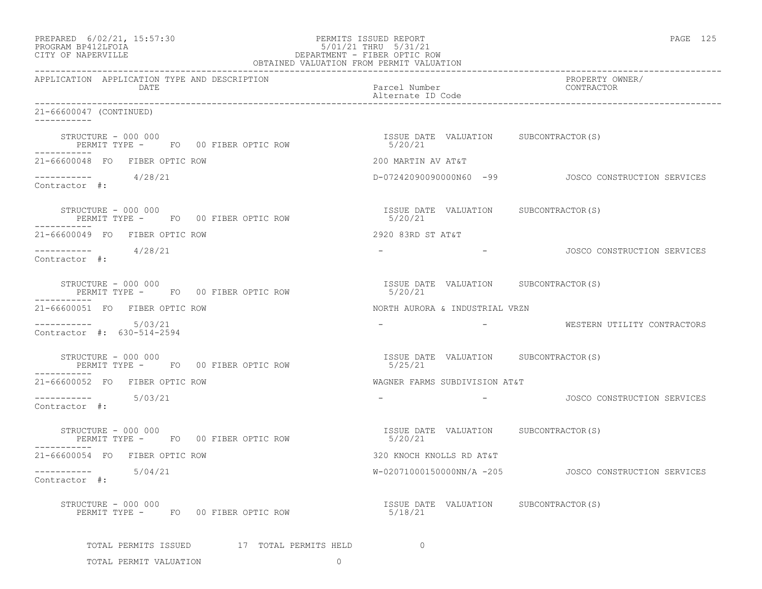| PREPARED | $6/02/21$ , $15:57:30$ |  |
|----------|------------------------|--|
| -------- |                        |  |

# PREPARED 6/02/21, 15:57:30 PERMITS ISSUED REPORT PAGE 125 PROGRAM BP412LFOIA 5/01/21 THRU 5/31/21 CITY OF NAPERVILLE DEPARTMENT - FIBER OPTIC ROW

|                                                   | APPLICATION APPLICATION TYPE AND DESCRIPTION | PROPERTY OWNER/                                       |  |
|---------------------------------------------------|----------------------------------------------|-------------------------------------------------------|--|
| DATE                                              |                                              | Parcel Number<br>CONTRACTOR<br>Alternate ID Code      |  |
| 21-66600047 (CONTINUED)                           |                                              |                                                       |  |
| STRUCTURE - 000 000                               | PERMIT TYPE - FO 00 FIBER OPTIC ROW          | ISSUE DATE VALUATION SUBCONTRACTOR(S)<br>5/20/21      |  |
| 21-66600048 FO FIBER OPTIC ROW                    |                                              | 200 MARTIN AV AT&T                                    |  |
| $--------- 4/28/21$<br>Contractor #:              |                                              | D-07242090090000N60 -99 JOSCO CONSTRUCTION SERVICES   |  |
| STRUCTURE - 000 000                               | PERMIT TYPE - FO 00 FIBER OPTIC ROW          | ISSUE DATE VALUATION SUBCONTRACTOR(S)<br>5/20/21      |  |
| 21-66600049 FO FIBER OPTIC ROW                    |                                              | 2920 83RD ST AT&T                                     |  |
| ----------- 4/28/21<br>Contractor #:              |                                              | JOSCO CONSTRUCTION SERVICES<br>and the company of the |  |
| STRUCTURE - 000 000                               | PERMIT TYPE - FO 00 FIBER OPTIC ROW          | ISSUE DATE VALUATION SUBCONTRACTOR(S)<br>5/20/21      |  |
| 21-66600051 FO FIBER OPTIC ROW                    |                                              | NORTH AURORA & INDUSTRIAL VRZN                        |  |
| $--------- 5/03/21$<br>Contractor #: 630-514-2594 |                                              |                                                       |  |
| STRUCTURE - 000 000                               | PERMIT TYPE - FO 00 FIBER OPTIC ROW          | ISSUE DATE VALUATION SUBCONTRACTOR(S)<br>5/25/21      |  |
| 21-66600052 FO FIBER OPTIC ROW                    |                                              | WAGNER FARMS SUBDIVISION AT&T                         |  |
| $--------- 5/03/21$<br>Contractor #:              |                                              | JOSCO CONSTRUCTION SERVICES                           |  |
| STRUCTURE - 000 000                               | PERMIT TYPE - FO 00 FIBER OPTIC ROW          | ISSUE DATE VALUATION SUBCONTRACTOR(S)<br>5/20/21      |  |
| 21-66600054 FO FIBER OPTIC ROW                    |                                              | 320 KNOCH KNOLLS RD AT&T                              |  |
| $--------$ 5/04/21<br>Contractor #:               |                                              | W-02071000150000NN/A -205 JOSCO CONSTRUCTION SERVICES |  |
| STRUCTURE - 000 000                               | PERMIT TYPE - FO 00 FIBER OPTIC ROW          | ISSUE DATE VALUATION SUBCONTRACTOR(S)<br>5/18/21      |  |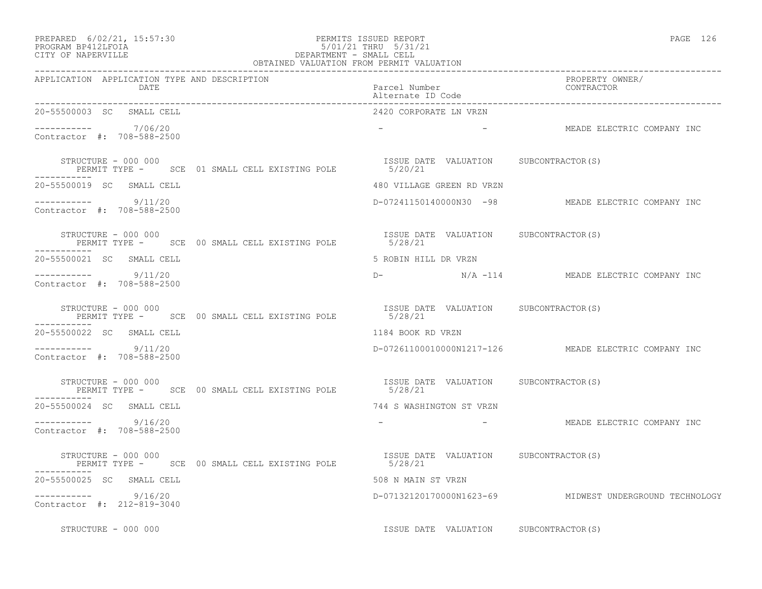#### PREPARED 6/02/21, 15:57:30 PERMITS ISSUED REPORT PAGE 126 PROGRAM BP412LFOIA 5/01/21 THRU 5/31/21 CITY OF NAPERVILLE DEPARTMENT - SMALL CELL

| OBTAINED VALUATION FROM PERMIT VALUATION                                                                       |                                        |                                                         |  |  |  |  |
|----------------------------------------------------------------------------------------------------------------|----------------------------------------|---------------------------------------------------------|--|--|--|--|
| APPLICATION APPLICATION TYPE AND DESCRIPTION<br>DATE                                                           | Parcel Number<br>Alternate ID Code     | PROPERTY OWNER/<br>CONTRACTOR                           |  |  |  |  |
| 20-55500003 SC SMALL CELL                                                                                      | 2420 CORPORATE LN VRZN                 |                                                         |  |  |  |  |
| ---------- 7/06/20<br>Contractor #: 708-588-2500                                                               |                                        | - AMEADE ELECTRIC COMPANY INC                           |  |  |  |  |
| STRUCTURE - 000 000<br>PERMIT TYPE - SCE 01 SMALL CELL EXISTING POLE 5/20/21                                   | ISSUE DATE VALUATION SUBCONTRACTOR(S)  |                                                         |  |  |  |  |
| 20-55500019 SC SMALL CELL                                                                                      | 480 VILLAGE GREEN RD VRZN              |                                                         |  |  |  |  |
| $--------- 9/11/20$<br>Contractor #: 708-588-2500                                                              |                                        | D-07241150140000N30 -98 MEADE ELECTRIC COMPANY INC      |  |  |  |  |
| STRUCTURE - 000 000<br>PERMIT TYPE - SCE 00 SMALL CELL EXISTING POLE 5/28/21                                   | ISSUE DATE VALUATION SUBCONTRACTOR(S)  |                                                         |  |  |  |  |
| -----------<br>20-55500021 SC SMALL CELL                                                                       | 5 ROBIN HILL DR VRZN                   |                                                         |  |  |  |  |
| $--------$ 9/11/20<br>Contractor #: 708-588-2500                                                               |                                        |                                                         |  |  |  |  |
| STRUCTURE - 000 000<br>PERMIT TYPE - SCE 00 SMALL CELL EXISTING POLE 6/28/21<br>5/28/21<br>STRUCTURE - 000 000 |                                        |                                                         |  |  |  |  |
| 20-55500022 SC SMALL CELL                                                                                      | 1184 BOOK RD VRZN                      |                                                         |  |  |  |  |
| $--------$ 9/11/20<br>Contractor #: 708-588-2500                                                               |                                        | D-07261100010000N1217-126 MEADE ELECTRIC COMPANY INC    |  |  |  |  |
| STRUCTURE - 000 000<br>PERMIT TYPE - SCE 00 SMALL CELL EXISTING POLE 5/28/21                                   | ISSUE DATE VALUATION SUBCONTRACTOR(S)  |                                                         |  |  |  |  |
| -----------<br>20-55500024 SC SMALL CELL                                                                       | 744 S WASHINGTON ST VRZN               |                                                         |  |  |  |  |
| $--------- 9/16/20$<br>Contractor #: 708-588-2500                                                              |                                        | - AMEADE ELECTRIC COMPANY INC                           |  |  |  |  |
| STRUCTURE - 000 000<br>PERMIT TYPE - SCE 00 SMALL CELL EXISTING POLE 5/28/21                                   | ISSUE DATE VALUATION SUBCONTRACTOR (S) |                                                         |  |  |  |  |
| 20-55500025 SC SMALL CELL                                                                                      | 508 N MAIN ST VRZN                     |                                                         |  |  |  |  |
| 9/16/20<br>Contractor #: 212-819-3040                                                                          |                                        | D-07132120170000N1623-69 MIDWEST UNDERGROUND TECHNOLOGY |  |  |  |  |
| STRUCTURE - 000 000                                                                                            | ISSUE DATE VALUATION SUBCONTRACTOR(S)  |                                                         |  |  |  |  |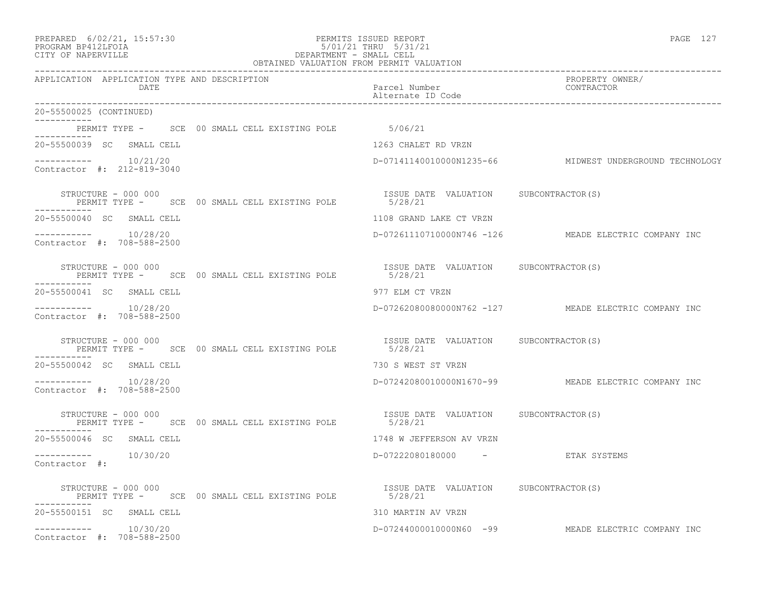#### PREPARED 6/02/21, 15:57:30 PERMITS ISSUED REPORT PAGE 127 PROGRAM BP412LFOIA 5/01/21 THRU 5/31/21 CITY OF NAPERVILLE DEPARTMENT - SMALL CELL

| OBTAINED VALUATION FROM PERMIT VALUATION                                                    |                                                                                      |  |  |  |  |  |
|---------------------------------------------------------------------------------------------|--------------------------------------------------------------------------------------|--|--|--|--|--|
| APPLICATION APPLICATION TYPE AND DESCRIPTION<br>DATE                                        | PROPERTY OWNER/<br>Parcel Number<br>CONTRACTOR<br>Alternate ID Code                  |  |  |  |  |  |
| 20-55500025 (CONTINUED)                                                                     |                                                                                      |  |  |  |  |  |
| PERMIT TYPE - SCE 00 SMALL CELL EXISTING POLE 5/06/21                                       |                                                                                      |  |  |  |  |  |
| 20-55500039 SC SMALL CELL                                                                   | 1263 CHALET RD VRZN                                                                  |  |  |  |  |  |
| $--------- 10/21/20$<br>Contractor #: 212-819-3040                                          | D-07141140010000N1235-66 MIDWEST UNDERGROUND TECHNOLOGY                              |  |  |  |  |  |
| STRUCTURE - 000 000<br>PERMIT TYPE - SCE 00 SMALL CELL EXISTING POLE 5/28/21                | ISSUE DATE VALUATION SUBCONTRACTOR(S)                                                |  |  |  |  |  |
| 20-55500040 SC SMALL CELL                                                                   | 1108 GRAND LAKE CT VRZN                                                              |  |  |  |  |  |
| $--------- 10/28/20$<br>Contractor #: 708-588-2500                                          | D-07261110710000N746 -126 MEADE ELECTRIC COMPANY INC                                 |  |  |  |  |  |
| ------------                                                                                | STRUCTURE - 000 000<br>PERMIT TYPE - SCE 00 SMALL CELL EXISTING POLE 6/28/21 5/28/21 |  |  |  |  |  |
| 20-55500041 SC SMALL CELL                                                                   | 977 ELM CT VRZN                                                                      |  |  |  |  |  |
| $--------- 10/28/20$<br>Contractor #: 708-588-2500                                          | D-07262080080000N762 -127 MEADE ELECTRIC COMPANY INC                                 |  |  |  |  |  |
| STRUCTURE - 000 000<br>PERMIT TYPE - SCE 00 SMALL CELL EXISTING POLE 5/28/21                | ISSUE DATE VALUATION SUBCONTRACTOR(S)                                                |  |  |  |  |  |
| 20-55500042 SC SMALL CELL                                                                   | 730 S WEST ST VRZN                                                                   |  |  |  |  |  |
| ----------    10/28/20<br>Contractor #: 708-588-2500                                        | D-07242080010000N1670-99 MEADE ELECTRIC COMPANY INC                                  |  |  |  |  |  |
| STRUCTURE - 000 000<br>PERMIT TYPE - SCE 00 SMALL CELL EXISTING POLE 5/28/21<br>----------- | ISSUE DATE VALUATION SUBCONTRACTOR(S)                                                |  |  |  |  |  |
| 20-55500046 SC SMALL CELL                                                                   | 1748 W JEFFERSON AV VRZN                                                             |  |  |  |  |  |
| $--------- 10/30/20$<br>Contractor #:                                                       | D-07222080180000 - ETAK SYSTEMS                                                      |  |  |  |  |  |
| STRUCTURE - 000 000<br>PERMIT TYPE - SCE 00 SMALL CELL EXISTING POLE 5/28/21                | ISSUE DATE VALUATION SUBCONTRACTOR (S)                                               |  |  |  |  |  |
| 20-55500151 SC SMALL CELL                                                                   | 310 MARTIN AV VRZN                                                                   |  |  |  |  |  |
| $--------- 10/30/20$<br>Contractor #: 708-588-2500                                          | D-07244000010000N60 -99 MEADE ELECTRIC COMPANY INC                                   |  |  |  |  |  |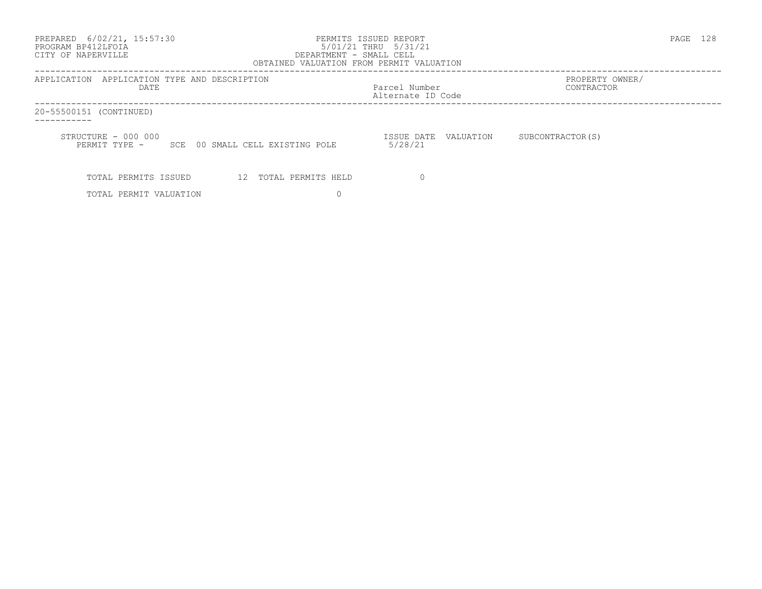| PREPARED 6/02/21, 15:57:30<br>PROGRAM BP412LFOIA<br>CITY OF NAPERVILLE<br>DEPARTMENT - SMALL CELL<br>OBTAINED VALUATION FROM PERMIT VALUATION | PERMITS ISSUED REPORT<br>5/01/21 THRU 5/31/21 |                               | PAGE | -128 |
|-----------------------------------------------------------------------------------------------------------------------------------------------|-----------------------------------------------|-------------------------------|------|------|
| APPLICATION APPLICATION TYPE AND DESCRIPTION<br>DATE                                                                                          | Parcel Number<br>Alternate ID Code            | PROPERTY OWNER/<br>CONTRACTOR |      |      |
| 20-55500151 (CONTINUED)                                                                                                                       |                                               |                               |      |      |
| STRUCTURE - 000 000<br>PERMIT TYPE - SCE 00 SMALL CELL EXISTING POLE                                                                          | ISSUE DATE VALUATION<br>5/28/21               | SUBCONTRACTOR (S)             |      |      |
| TOTAL PERMITS ISSUED<br>12 TOTAL PERMITS HELD                                                                                                 |                                               |                               |      |      |
| TOTAL PERMIT VALUATION                                                                                                                        |                                               |                               |      |      |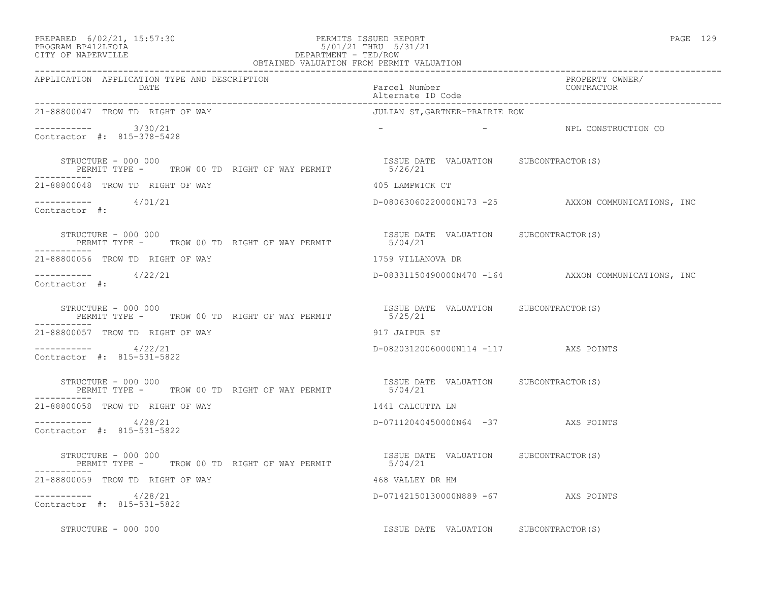| PREPARED | $6/02/21$ , | 15:57:30 |
|----------|-------------|----------|
|----------|-------------|----------|

#### PREPARED 6/02/21, 15:57:30 PERMITS ISSUED REPORT<br>PROGRAM BP412LFOIA PAGE 129 9 129 9 5/01/21 PHRU 5/31/21 PROGRAM BP412LFOIA 5/01/21 THRU 5/31/21 CITY OF NAPERVILLE CITY OF NAPERVILLE **Example 20** and the contract of the DEPARTMENT - TED/ROW

| OBTAINED VALUATION FROM PERMIT VALUATION                                                                                  |                                                   |                                                     |  |  |  |  |
|---------------------------------------------------------------------------------------------------------------------------|---------------------------------------------------|-----------------------------------------------------|--|--|--|--|
| APPLICATION APPLICATION TYPE AND DESCRIPTION<br>DATE                                                                      | Parcel Number<br>Alternate ID Code                | PROPERTY OWNER/<br>CONTRACTOR                       |  |  |  |  |
| 21-88800047 TROW TD RIGHT OF WAY                                                                                          | JULIAN ST,GARTNER-PRAIRIE ROW                     |                                                     |  |  |  |  |
| ---------- 3/30/21<br>Contractor #: 815-378-5428                                                                          |                                                   | - NPL CONSTRUCTION CO                               |  |  |  |  |
| STRUCTURE - 000 000<br>RUCTURE - 000 000<br>PERMIT TYPE -       TROW 00 TD  RIGHT OF WAY PERMIT                   5/26/21 | ISSUE DATE VALUATION SUBCONTRACTOR(S)             |                                                     |  |  |  |  |
| 21-88800048 TROW TD RIGHT OF WAY                                                                                          | 405 LAMPWICK CT                                   |                                                     |  |  |  |  |
| $--------- 4/01/21$<br>Contractor #:                                                                                      |                                                   | D-08063060220000N173 -25 AXXON COMMUNICATIONS, INC  |  |  |  |  |
| STRUCTURE - 000 000<br>PERMIT TYPE - TROW 00 TD RIGHT OF WAY PERMIT 5/04/21                                               | ISSUE DATE VALUATION SUBCONTRACTOR(S)             |                                                     |  |  |  |  |
| 21-88800056 TROW TD RIGHT OF WAY                                                                                          | 1759 VILLANOVA DR                                 |                                                     |  |  |  |  |
| $--------$ 4/22/21<br>Contractor #:                                                                                       |                                                   | D-08331150490000N470 -164 AXXON COMMUNICATIONS, INC |  |  |  |  |
| STRUCTURE - 000 000<br>PERMIT TYPE - TROW 00 TD RIGHT OF WAY PERMIT                                                       | ISSUE DATE VALUATION SUBCONTRACTOR(S)<br>5/25/21  |                                                     |  |  |  |  |
| 21-88800057 TROW TD RIGHT OF WAY                                                                                          | 917 JAIPUR ST                                     |                                                     |  |  |  |  |
| $-$ ---------- $4/22/21$<br>Contractor #: 815-531-5822                                                                    | D-08203120060000N114 -117 AXS POINTS              |                                                     |  |  |  |  |
| STRUCTURE - 000 000<br>PERMIT TYPE - TROW 00 TD RIGHT OF WAY PERMIT 5/04/21                                               | ISSUE DATE VALUATION SUBCONTRACTOR(S)             |                                                     |  |  |  |  |
| 21-88800058 TROW TD RIGHT OF WAY                                                                                          | 1441 CALCUTTA LN                                  |                                                     |  |  |  |  |
| $--------- 4/28/21$<br>Contractor #: 815-531-5822                                                                         | D-07112040450000N64 -37 AXS POINTS                |                                                     |  |  |  |  |
| STRUCTURE - 000 000<br>PERMIT TYPE - TROW 00 TD RIGHT OF WAY PERMIT                                                       | ISSUE DATE VALUATION SUBCONTRACTOR (S)<br>5/04/21 |                                                     |  |  |  |  |
| 21-88800059 TROW TD RIGHT OF WAY                                                                                          | 468 VALLEY DR HM                                  |                                                     |  |  |  |  |
| ----------- 4/28/21<br>Contractor #: 815-531-5822                                                                         | D-07142150130000N889 -67 AXS POINTS               |                                                     |  |  |  |  |
| STRUCTURE - 000 000                                                                                                       | ISSUE DATE VALUATION SUBCONTRACTOR(S)             |                                                     |  |  |  |  |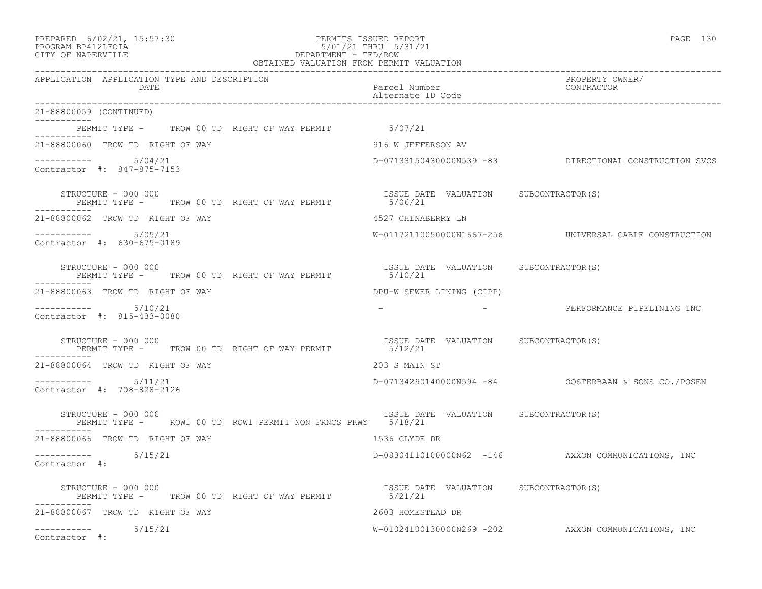| PREPARED | $6/02/21$ , | 15:57:30 |
|----------|-------------|----------|
|----------|-------------|----------|

### PREPARED 6/02/21, 15:57:30 PERMITS ISSUED REPORT PAGE 130 PROGRAM BP412LFOIA 5/01/21 THRU 5/31/21 CITY OF NAPERVILLE CITY OF NAPERVILLE **Example 20** and the contract of the DEPARTMENT - TED/ROW

| OBTAINED VALUATION FROM PERMIT VALUATION                                                                                                                                                                                                                                                                                                      |                                                  |                                                        |  |  |  |  |  |
|-----------------------------------------------------------------------------------------------------------------------------------------------------------------------------------------------------------------------------------------------------------------------------------------------------------------------------------------------|--------------------------------------------------|--------------------------------------------------------|--|--|--|--|--|
| APPLICATION APPLICATION TYPE AND DESCRIPTION<br>DATE                                                                                                                                                                                                                                                                                          | Parcel Number<br>Alternate ID Code               | PROPERTY OWNER/<br>CONTRACTOR                          |  |  |  |  |  |
| 21-88800059 (CONTINUED)                                                                                                                                                                                                                                                                                                                       |                                                  |                                                        |  |  |  |  |  |
| PERMIT TYPE - TROW 00 TD RIGHT OF WAY PERMIT 5/07/21                                                                                                                                                                                                                                                                                          |                                                  |                                                        |  |  |  |  |  |
| 21-88800060 TROW TD RIGHT OF WAY                                                                                                                                                                                                                                                                                                              | 916 W JEFFERSON AV                               |                                                        |  |  |  |  |  |
| $--------$ 5/04/21<br>Contractor #: 847-875-7153                                                                                                                                                                                                                                                                                              |                                                  | D-07133150430000N539 -83 DIRECTIONAL CONSTRUCTION SVCS |  |  |  |  |  |
| STRUCTURE - 000 000<br>PERMIT TYPE - TROW 00 TD RIGHT OF WAY PERMIT 5/06/21                                                                                                                                                                                                                                                                   | ISSUE DATE VALUATION SUBCONTRACTOR(S)            |                                                        |  |  |  |  |  |
| 21-88800062 TROW TD RIGHT OF WAY                                                                                                                                                                                                                                                                                                              | 4527 CHINABERRY LN                               |                                                        |  |  |  |  |  |
| ----------- 5/05/21<br>Contractor #: 630-675-0189                                                                                                                                                                                                                                                                                             |                                                  | W-01172110050000N1667-256 UNIVERSAL CABLE CONSTRUCTION |  |  |  |  |  |
| $\begin{array}{cccccc} \texttt{STRUCTURE} & - & 000 & 000 & & & & \\ \texttt{PERMIT} & \texttt{TPERMIT} & \texttt{S} & \texttt{S} & \texttt{S} & \texttt{NALUATION} & \texttt{SUBCONTRACTOR(S)} \\ \texttt{PERMIT} & \texttt{TPRE} & - & \texttt{TROW} & 00 & \texttt{TD} & \texttt{RIGHT OF WAY PERMIT} & & & \\ \end{array}$<br>----------- |                                                  |                                                        |  |  |  |  |  |
| 21-88800063 TROW TD RIGHT OF WAY                                                                                                                                                                                                                                                                                                              | DPU-W SEWER LINING (CIPP)                        |                                                        |  |  |  |  |  |
| $--------- 5/10/21$<br>Contractor #: 815-433-0080                                                                                                                                                                                                                                                                                             |                                                  | - PERFORMANCE PIPELINING INC                           |  |  |  |  |  |
| STRUCTURE - 000 000<br>PERMIT TYPE - TROW 00 TD RIGHT OF WAY PERMIT                                                                                                                                                                                                                                                                           | ISSUE DATE VALUATION SUBCONTRACTOR(S)<br>5/12/21 |                                                        |  |  |  |  |  |
| 21-88800064 TROW TD RIGHT OF WAY                                                                                                                                                                                                                                                                                                              | 203 S MAIN ST                                    |                                                        |  |  |  |  |  |
| $--------- 5/11/21$<br>Contractor #: 708-828-2126                                                                                                                                                                                                                                                                                             |                                                  |                                                        |  |  |  |  |  |
| STRUCTURE - 000 000<br>PERMIT TYPE -     ROW1 00 TD ROW1 PERMIT NON FRNCS PKWY     5/18/21                                                                                                                                                                                                                                                    | ISSUE DATE VALUATION SUBCONTRACTOR(S)            |                                                        |  |  |  |  |  |
| 21-88800066 TROW TD RIGHT OF WAY                                                                                                                                                                                                                                                                                                              | 1536 CLYDE DR                                    |                                                        |  |  |  |  |  |
| $--------- 5/15/21$<br>Contractor #:                                                                                                                                                                                                                                                                                                          |                                                  | D-08304110100000N62 -146 AXXON COMMUNICATIONS, INC     |  |  |  |  |  |
| STRUCTURE – 000 000<br>PERMIT TYPE - TROW 00 TD RIGHT OF WAY PERMIT 5/21/21                                                                                                                                                                                                                                                                   | ISSUE DATE VALUATION SUBCONTRACTOR(S)            |                                                        |  |  |  |  |  |
| 21-88800067 TROW TD RIGHT OF WAY                                                                                                                                                                                                                                                                                                              | 2603 HOMESTEAD DR                                |                                                        |  |  |  |  |  |
| $--------- 5/15/21$<br>Contractor #:                                                                                                                                                                                                                                                                                                          |                                                  | W-01024100130000N269 -202 AXXON COMMUNICATIONS, INC    |  |  |  |  |  |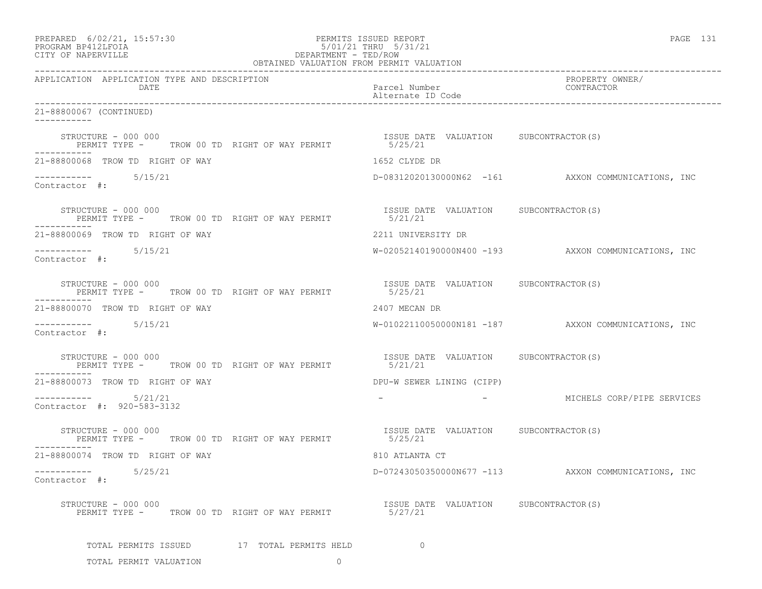| PREPARED 6/02/21, 15:57:30<br>PROGRAM BP412LFOIA<br>CITY OF NAPERVILLE                           | PERMITS ISSUED REPORT                 | PAGE 131                                            |  |  |
|--------------------------------------------------------------------------------------------------|---------------------------------------|-----------------------------------------------------|--|--|
| APPLICATION APPLICATION TYPE AND DESCRIPTION<br>DATE                                             | Parcel Number                         | PROPERTY OWNER/<br>CONTRACTOR                       |  |  |
| 21-88800067 (CONTINUED)                                                                          |                                       |                                                     |  |  |
| STRUCTURE - 000 000<br>PERMIT TYPE - TROW 00 TD RIGHT OF WAY PERMIT 5/25/21<br>-----------       | ISSUE DATE VALUATION SUBCONTRACTOR(S) |                                                     |  |  |
| 21-88800068 TROW TD RIGHT OF WAY                                                                 | 1652 CLYDE DR                         |                                                     |  |  |
| $--------- 5/15/21$<br>Contractor #:                                                             |                                       | D-08312020130000N62 -161 AXXON COMMUNICATIONS, INC  |  |  |
| STRUCTURE - 000 000<br>PERMIT TYPE -     TROW 00 TD RIGHT OF WAY PERMIT                  5/21/21 |                                       |                                                     |  |  |
| 21-88800069 TROW TD RIGHT OF WAY                                                                 | 2211 UNIVERSITY DR                    |                                                     |  |  |
| $--------- 5/15/21$<br>Contractor #:                                                             |                                       | W-02052140190000N400 -193 AXXON COMMUNICATIONS, INC |  |  |
| STRUCTURE - 000 000<br>PERMIT TYPE - TROW 00 TD RIGHT OF WAY PERMIT 3/25/21<br>-----------       | ISSUE DATE VALUATION SUBCONTRACTOR(S) |                                                     |  |  |
| 21-88800070 TROW TD RIGHT OF WAY                                                                 | 2407 MECAN DR                         |                                                     |  |  |
| $--------$ 5/15/21<br>Contractor #:                                                              |                                       | W-01022110050000N181 -187 AXXON COMMUNICATIONS, INC |  |  |
| STRUCTURE - 000 000<br>PERMIT TYPE - TROW 00 TD RIGHT OF WAY PERMIT 5/21/21<br>-----------       | ISSUE DATE VALUATION SUBCONTRACTOR(S) |                                                     |  |  |
| 21-88800073 TROW TD RIGHT OF WAY                                                                 | DPU-W SEWER LINING (CIPP)             |                                                     |  |  |
| $--------- 5/21/21$<br>Contractor #: 920-583-3132                                                |                                       | - MICHELS CORP/PIPE SERVICES                        |  |  |
| STRUCTURE - 000 000<br>PERMIT TYPE - TROW 00 TD RIGHT OF WAY PERMIT 5/25/21                      | ISSUE DATE VALUATION SUBCONTRACTOR(S) |                                                     |  |  |
| 21-88800074 TROW TD RIGHT OF WAY                                                                 | 810 ATLANTA CT                        |                                                     |  |  |
| 5/25/21<br>-----------<br>Contractor #:                                                          | D-07243050350000N677 -113             | AXXON COMMUNICATIONS, INC                           |  |  |
| STRUCTURE - 000 000<br>PERMIT TYPE - TROW 00 TD RIGHT OF WAY PERMIT                              | ISSUE DATE VALUATION<br>5/27/21       | SUBCONTRACTOR (S)                                   |  |  |
| TOTAL PERMITS ISSUED 17 TOTAL PERMITS HELD                                                       | $\Omega$                              |                                                     |  |  |
| $\Omega$<br>TOTAL PERMIT VALUATION                                                               |                                       |                                                     |  |  |